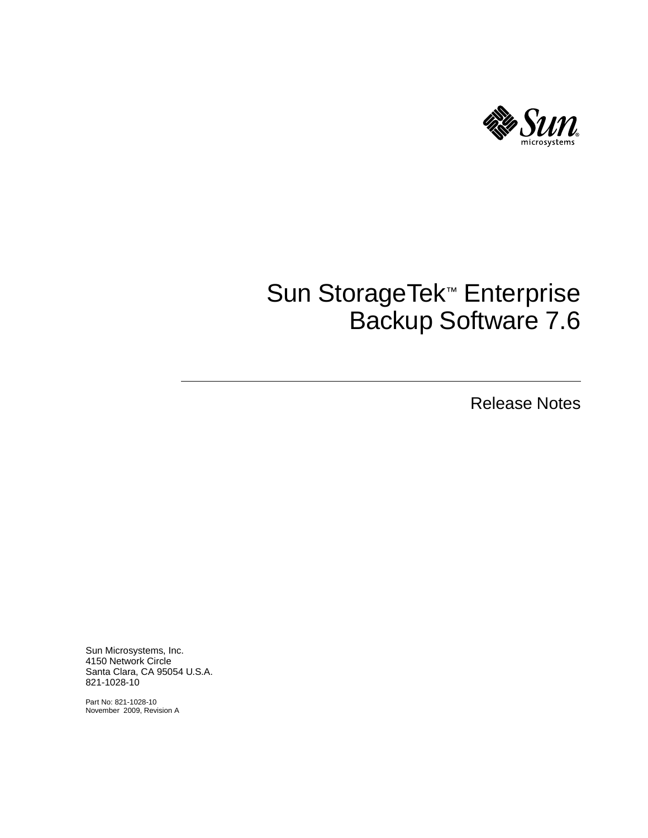

# Sun StorageTek<sup>™</sup> Enterprise Backup Software 7.6

Release Notes

Sun Microsystems, Inc. 4150 Network Circle Santa Clara, CA 95054 U.S.A. 821-1028-10

Part No: 821-1028-10 November 2009, Revision A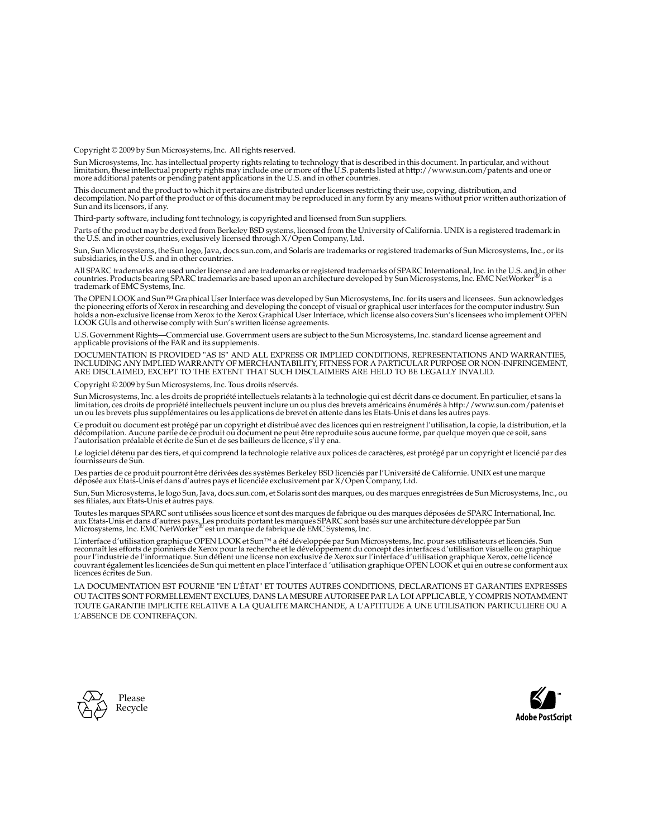Copyright © 2009 by Sun Microsystems, Inc. All rights reserved.

Sun Microsystems, Inc. has intellectual property rights relating to technology that is described in this document. In particular, and without<br>limitation, these intellectual property rights may include one or more of the U. more additional patents or pending patent applications in the U.S. and in other countries.

This document and the product to which it pertains are distributed under licenses restricting their use, copying, distribution, and decompilation. No part of the product or of this document may be reproduced in any form by any means without prior written authorization of Sun and its licensors, if any.

Third-party software, including font technology, is copyrighted and licensed from Sun suppliers.

Parts of the product may be derived from Berkeley BSD systems, licensed from the University of California. UNIX is a registered trademark in the U.S. and in other countries, exclusively licensed through X/Open Company, Ltd.

Sun, Sun Microsystems, the Sun logo, Java, docs.sun.com, and Solaris are trademarks or registered trademarks of Sun Microsystems, Inc., or its subsidiaries, in the U.S. and in other countries.

All SPARC trademarks are used under license and are trademarks or registered trademarks of SPARC International, Inc. in the U.S. and in other countries. Products bearing SPARC trademarks are based upon an architecture developed by Sun Microsystems, Inc. EMC NetWorker® is a trademark of EMC Systems, Inc.

The OPEN LOOK and Sun™ Graphical User Interface was developed by Sun Microsystems, Inc. for its users and licensees. Sun acknowledges the pioneering efforts of Xerox in researching and developing the concept of visual or graphical user interfaces for the computer industry. Sun holds a non-exclusive license from Xerox to the Xerox Graphical User Interface, which license also covers Sun's licensees who implement OPEN<br>LOOK GUIs and otherwise comply with Sun's written license agreements.

U.S. Government Rights—Commercial use. Government users are subject to the Sun Microsystems, Inc. standard license agreement and applicable provisions of the FAR and its supplements.

DOCUMENTATION IS PROVIDED "AS IS" AND ALL EXPRESS OR IMPLIED CONDITIONS, REPRESENTATIONS AND WARRANTIES, INCLUDING ANY IMPLIED WARRANTY OF MERCHANTABILITY, FITNESS FOR A PARTICULAR PURPOSE OR NON-INFRINGEMENT, ARE DISCLAIMED, EXCEPT TO THE EXTENT THAT SUCH DISCLAIMERS ARE HELD TO BE LEGALLY INVALID.

Copyright © 2009 by Sun Microsystems, Inc. Tous droits réservés.

Sun Microsystems, Inc. a les droits de propriété intellectuels relatants à la technologie qui est décrit dans ce document. En particulier, et sans la limitation, ces droits de propriété intellectuels peuvent inclure un ou plus des brevets américains énumérés à http://www.sun.com/patents et un ou les brevets plus supplémentaires ou les applications de brevet en attente dans les Etats-Unis et dans les autres pays.

Ce produit ou document est protégé par un copyright et distribué avec des licences qui en restreignent l'utilisation, la copie, la distribution, et la décompilation. Aucune partie de ce produit ou document ne peut être reproduite sous aucune forme, par quelque moyen que ce soit, sans l'autorisation préalable et écrite de Sun et de ses bailleurs de licence, s'il y ena.

Le logiciel détenu par des tiers, et qui comprend la technologie relative aux polices de caractères, est protégé par un copyright et licencié par des fournisseurs de Sun.

Des parties de ce produit pourront être dérivées des systèmes Berkeley BSD licenciés par l'Université de Californie. UNIX est une marque déposée aux Etats-Unis et dans d'autres pays et licenciée exclusivement par X/Open Company, Ltd.

Sun, Sun Microsystems, le logo Sun, Java, docs.sun.com, et Solaris sont des marques, ou des marques enregistrées de Sun Microsystems, Inc., ou ses filiales, aux Etats-Unis et autres pays.

Toutes les marques SPARC sont utilisées sous licence et sont des marques de fabrique ou des marques déposées de SPARC International, Inc. aux Etats-Unis et dans d'autres pays. Les produits portant les marques SPARC sont basés sur une architecture développée par Sun<br>Microsystems, Inc. EMC NetWorker® est un marque de fabrique de EMC Systems, Inc.

L'interface d'utilisation graphique OPEN LOOK et Sun™ a été développée par Sun Microsystems, Inc. pour ses utilisateurs et licenciés. Sun<br>reconnaît les efforts de pionniers de Xerox pour la recherche et le développement d pour l'industrie de l'informatique. Sun détient une license non exclusive de Xerox sur l'interface d'utilisation graphique Xerox, cette licence couvrant également les licenciées de Sun qui mettent en place l'interface d 'utilisation graphique OPEN LOOK et qui en outre se conforment aux licences écrites de Sun.

LA DOCUMENTATION EST FOURNIE "EN L'ÉTAT" ET TOUTES AUTRES CONDITIONS, DECLARATIONS ET GARANTIES EXPRESSES OU TACITES SONT FORMELLEMENT EXCLUES, DANS LA MESURE AUTORISEE PAR LA LOI APPLICABLE, Y COMPRIS NOTAMMENT TOUTE GARANTIE IMPLICITE RELATIVE A LA QUALITE MARCHANDE, A L'APTITUDE A UNE UTILISATION PARTICULIERE OU A L'ABSENCE DE CONTREFAÇON.



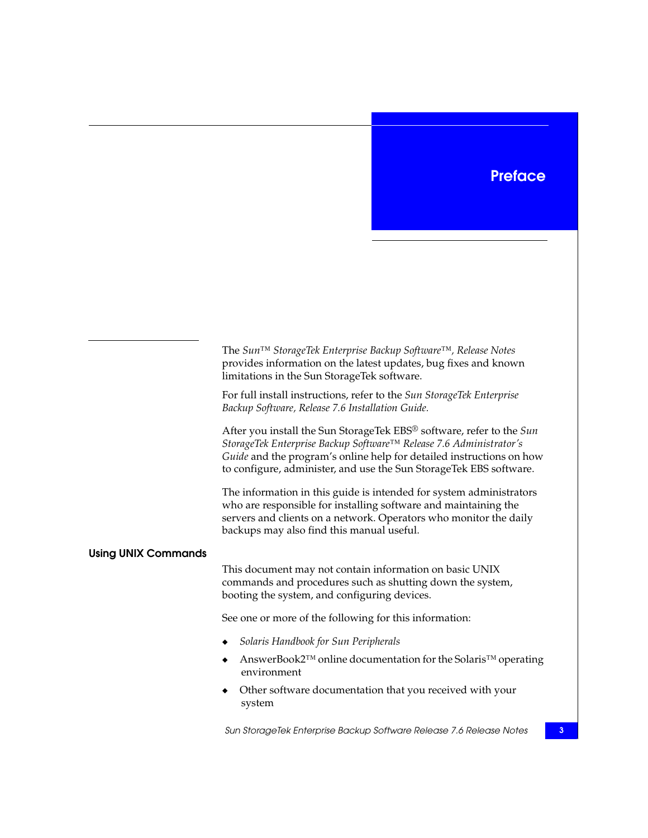### **Preface**

The *Sun™ StorageTek Enterprise Backup Software™, Release Notes* provides information on the latest updates, bug fixes and known limitations in the Sun StorageTek software.

For full install instructions, refer to the *Sun StorageTek Enterprise Backup Software, Release 7.6 Installation Guide.*

After you install the Sun StorageTek EBS® software, refer to the *Sun StorageTek Enterprise Backup Software™ Release 7.6 Administrator's Guide* and the program's online help for detailed instructions on how to configure, administer, and use the Sun StorageTek EBS software.

The information in this guide is intended for system administrators who are responsible for installing software and maintaining the servers and clients on a network. Operators who monitor the daily backups may also find this manual useful.

#### **Using UNIX Commands**

This document may not contain information on basic UNIX commands and procedures such as shutting down the system, booting the system, and configuring devices.

See one or more of the following for this information:

- **Solaris Handbook for Sun Peripherals**
- AnswerBook2™ online documentation for the Solaris™ operating environment
- Other software documentation that you received with your system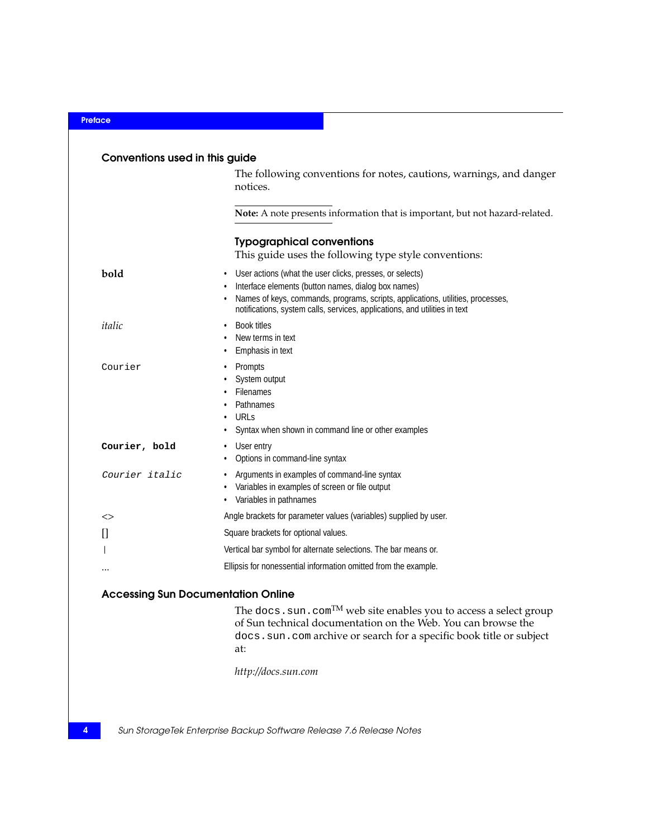#### **Conventions used in this guide**

The following conventions for notes, cautions, warnings, and danger notices.

**Note:** A note presents information that is important, but not hazard-related.

#### **Typographical conventions**

This guide uses the following type style conventions:

| bold   |                | User actions (what the user clicks, presses, or selects)<br>$\bullet$<br>Interface elements (button names, dialog box names)<br>Names of keys, commands, programs, scripts, applications, utilities, processes,<br>notifications, system calls, services, applications, and utilities in text |
|--------|----------------|-----------------------------------------------------------------------------------------------------------------------------------------------------------------------------------------------------------------------------------------------------------------------------------------------|
| italic |                | <b>Book titles</b><br>New terms in text<br>Emphasis in text                                                                                                                                                                                                                                   |
|        | Courier        | Prompts<br>System output<br>Filenames<br>Pathnames<br>URLs<br>• Syntax when shown in command line or other examples                                                                                                                                                                           |
|        | Courier, bold  | User entry<br>٠<br>Options in command-line syntax                                                                                                                                                                                                                                             |
|        | Courier italic | • Arguments in examples of command-line syntax<br>• Variables in examples of screen or file output<br>• Variables in pathnames                                                                                                                                                                |
| <>     |                | Angle brackets for parameter values (variables) supplied by user.                                                                                                                                                                                                                             |
| H      |                | Square brackets for optional values.                                                                                                                                                                                                                                                          |
|        |                | Vertical bar symbol for alternate selections. The bar means or.                                                                                                                                                                                                                               |
| .      |                | Ellipsis for nonessential information omitted from the example.                                                                                                                                                                                                                               |

#### **Accessing Sun Documentation Online**

The docs.sun.com<sup>TM</sup> web site enables you to access a select group of Sun technical documentation on the Web. You can browse the docs.sun.com archive or search for a specific book title or subject at:

*http://docs.sun.com*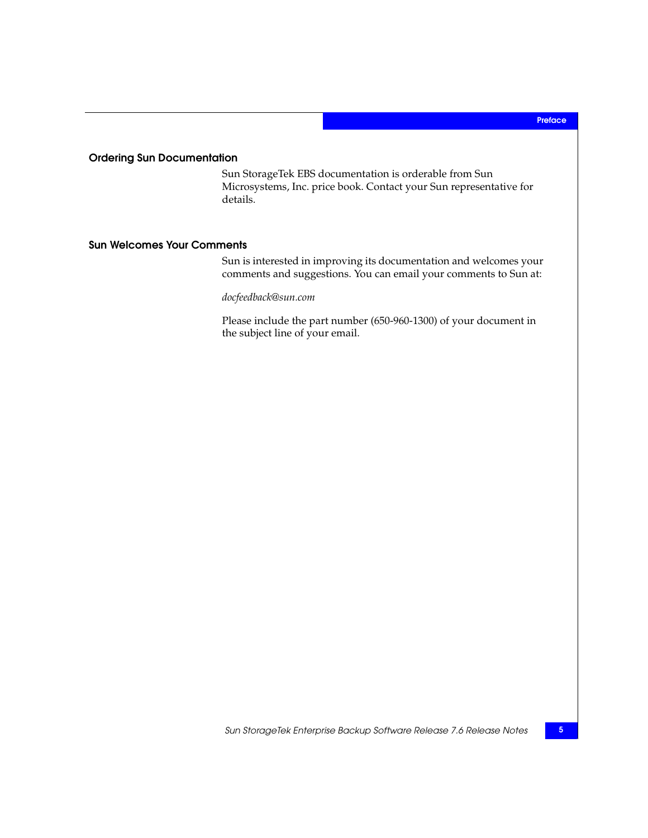#### **Ordering Sun Documentation**

Sun StorageTek EBS documentation is orderable from Sun Microsystems, Inc. price book. Contact your Sun representative for details.

#### **Sun Welcomes Your Comments**

Sun is interested in improving its documentation and welcomes your comments and suggestions. You can email your comments to Sun at:

*docfeedback@sun.com*

Please include the part number (650-960-1300) of your document in the subject line of your email.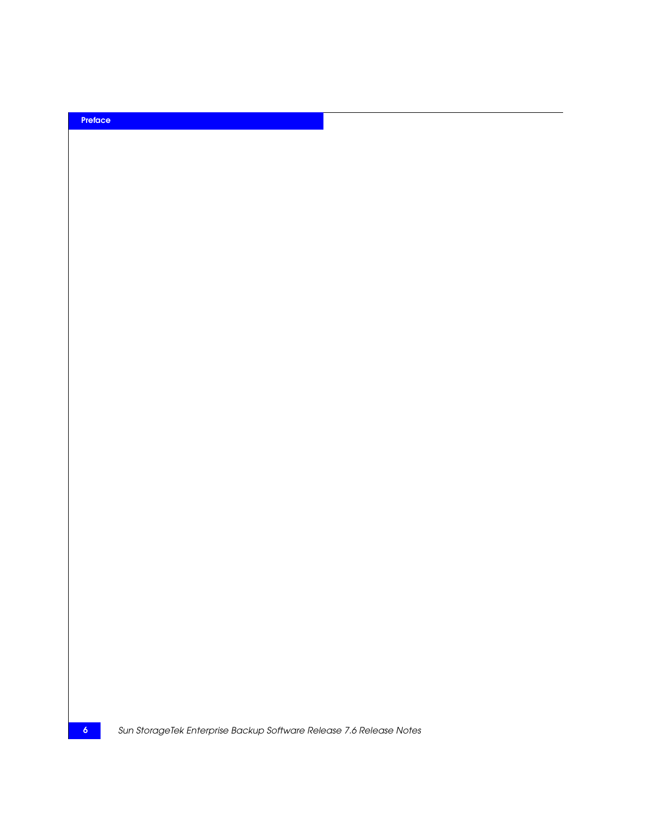#### **Preface**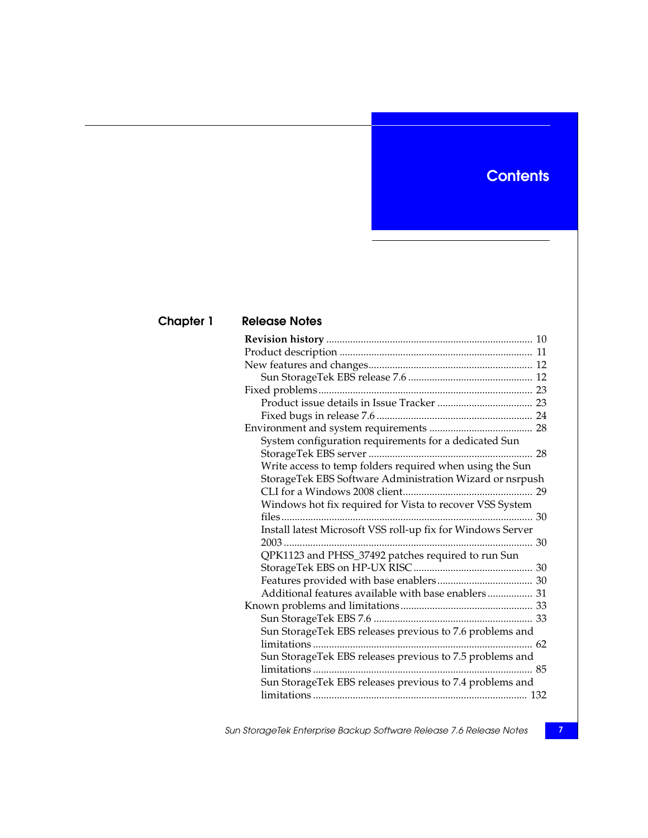## **Contents**

### **[Chapter 1 Release Notes](#page-8-0)**

| System configuration requirements for a dedicated Sun       |  |
|-------------------------------------------------------------|--|
|                                                             |  |
| Write access to temp folders required when using the Sun    |  |
| StorageTek EBS Software Administration Wizard or nsrpush    |  |
|                                                             |  |
| Windows hot fix required for Vista to recover VSS System    |  |
|                                                             |  |
| Install latest Microsoft VSS roll-up fix for Windows Server |  |
|                                                             |  |
| QPK1123 and PHSS_37492 patches required to run Sun          |  |
|                                                             |  |
|                                                             |  |
| Additional features available with base enablers 31         |  |
|                                                             |  |
|                                                             |  |
| Sun StorageTek EBS releases previous to 7.6 problems and    |  |
|                                                             |  |
| Sun StorageTek EBS releases previous to 7.5 problems and    |  |
|                                                             |  |
| Sun StorageTek EBS releases previous to 7.4 problems and    |  |
|                                                             |  |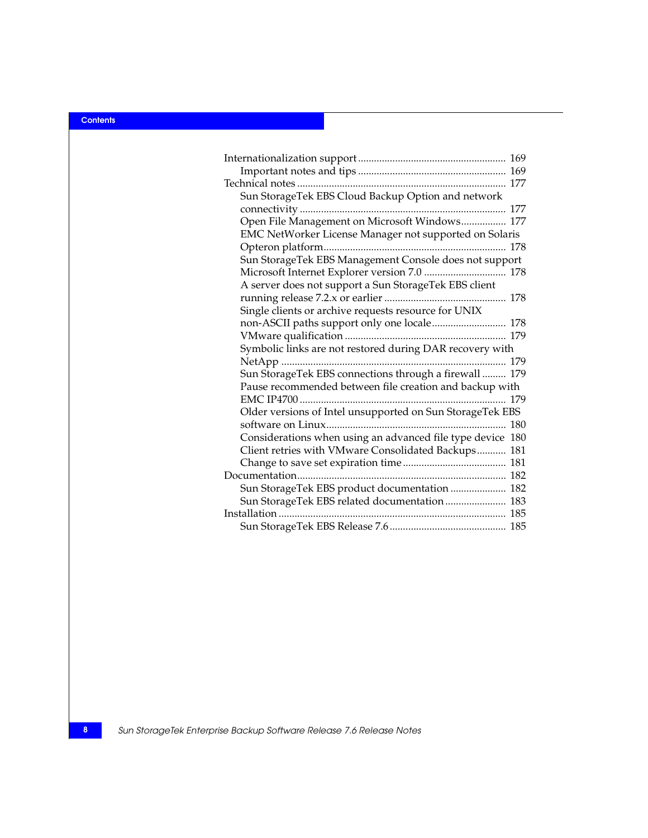| Sun StorageTek EBS Cloud Backup Option and network         |  |
|------------------------------------------------------------|--|
|                                                            |  |
| Open File Management on Microsoft Windows 177              |  |
| EMC NetWorker License Manager not supported on Solaris     |  |
|                                                            |  |
| Sun StorageTek EBS Management Console does not support     |  |
|                                                            |  |
| A server does not support a Sun StorageTek EBS client      |  |
|                                                            |  |
| Single clients or archive requests resource for UNIX       |  |
| non-ASCII paths support only one locale 178                |  |
|                                                            |  |
|                                                            |  |
| Symbolic links are not restored during DAR recovery with   |  |
|                                                            |  |
| Sun StorageTek EBS connections through a firewall  179     |  |
| Pause recommended between file creation and backup with    |  |
|                                                            |  |
| Older versions of Intel unsupported on Sun StorageTek EBS  |  |
|                                                            |  |
| Considerations when using an advanced file type device 180 |  |
| Client retries with VMware Consolidated Backups 181        |  |
|                                                            |  |
|                                                            |  |
| Sun StorageTek EBS product documentation  182              |  |
| Sun StorageTek EBS related documentation 183               |  |
| Installation                                               |  |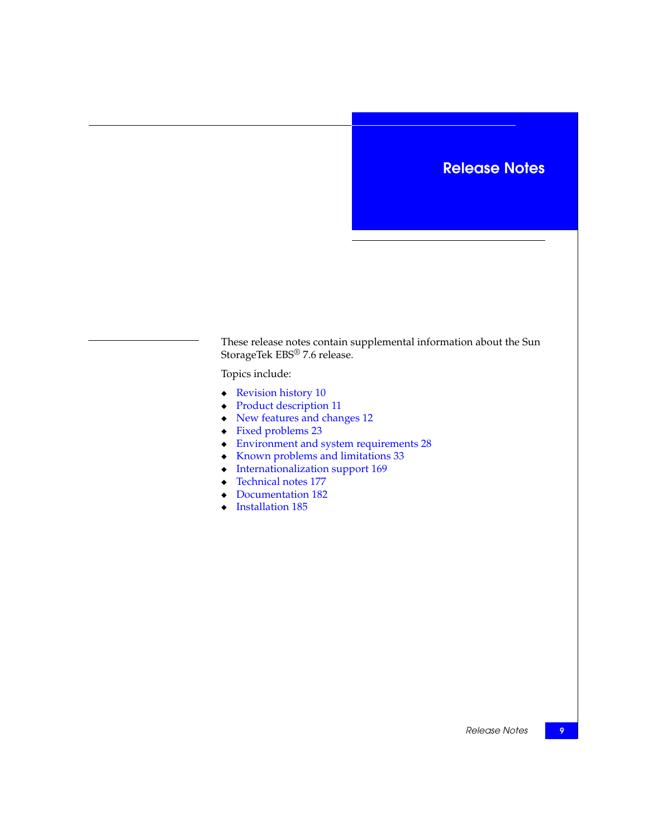### **Release Notes**

<span id="page-8-0"></span>These release notes contain supplemental information about the Sun StorageTek EBS® 7.6 release.

Topics include:

- ◆ [Revision history 10](#page-9-0)
- ◆ [Product description 11](#page-10-0)
- ◆ [New features and changes 12](#page-11-0)
- ◆ [Fixed problems 23](#page-22-0)
- ◆ [Environment and system requirements 28](#page-27-0)
- ◆ [Known problems and limitations 33](#page-32-0)
- ◆ [Internationalization support 169](#page-168-0)
- ◆ [Technical notes 177](#page-176-0)
- ◆ [Documentation 182](#page-181-0)
- ◆ [Installation 185](#page-184-0)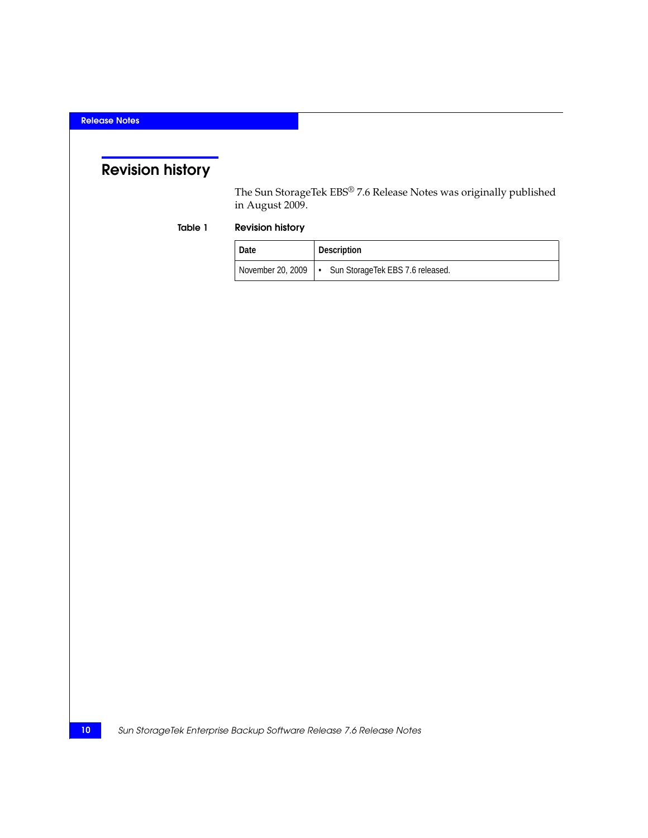## <span id="page-9-0"></span>**Revision history**

The Sun StorageTek EBS® 7.6 Release Notes was originally published in August 2009.

**Table 1 Revision history**

| Date              | <b>Description</b>                            |
|-------------------|-----------------------------------------------|
| November 20, 2009 | Sun StorageTek EBS 7.6 released.<br>$\bullet$ |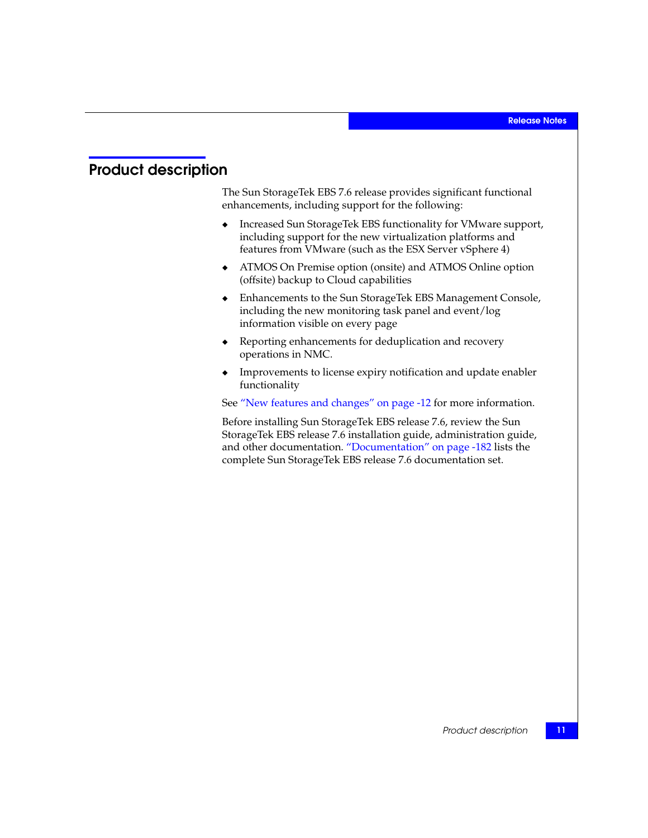### <span id="page-10-0"></span>**Product description**

The Sun StorageTek EBS 7.6 release provides significant functional enhancements, including support for the following:

- Increased Sun StorageTek EBS functionality for VMware support, including support for the new virtualization platforms and features from VMware (such as the ESX Server vSphere 4)
- ◆ ATMOS On Premise option (onsite) and ATMOS Online option (offsite) backup to Cloud capabilities
- ◆ Enhancements to the Sun StorageTek EBS Management Console, including the new monitoring task panel and event/log information visible on every page
- Reporting enhancements for deduplication and recovery operations in NMC.
- ◆ Improvements to license expiry notification and update enabler functionality

See ["New features and changes" on page -12](#page-11-0) for more information.

Before installing Sun StorageTek EBS release 7.6, review the Sun StorageTek EBS release 7.6 installation guide, administration guide, and other documentation. ["Documentation" on page -182](#page-181-0) lists the complete Sun StorageTek EBS release 7.6 documentation set.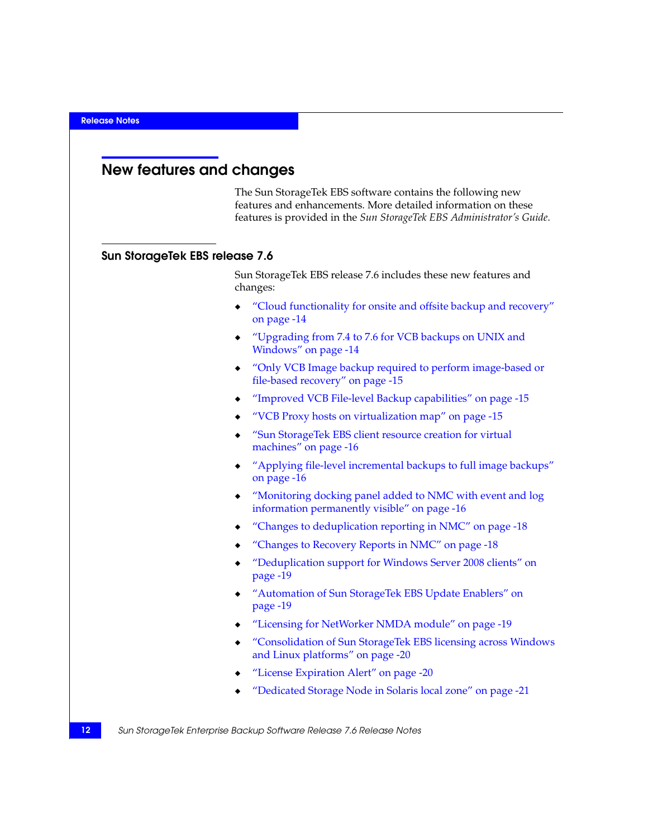### <span id="page-11-0"></span>**New features and changes**

The Sun StorageTek EBS software contains the following new features and enhancements. More detailed information on these features is provided in the *Sun StorageTek EBS Administrator's Guide*.

#### <span id="page-11-1"></span>**Sun StorageTek EBS release 7.6**

Sun StorageTek EBS release 7.6 includes these new features and changes:

- ◆ ["Cloud functionality for onsite and offsite backup and recovery"](#page-13-0)  [on page -14](#page-13-0)
- ◆ ["Upgrading from 7.4 to 7.6 for VCB backups on UNIX and](#page-13-1)  [Windows" on page -14](#page-13-1)
- ◆ "Only VCB Image backup required to perform image-based or [file-based recovery" on page -15](#page-14-0)
- ◆ ["Improved VCB File-level Backup capabilities" on page -15](#page-14-1)
- ◆ ["VCB Proxy hosts on virtualization map" on page -15](#page-14-2)
- ◆ ["Sun StorageTek EBS client resource creation for virtual](#page-15-0)  [machines" on page -16](#page-15-0)
- "Applying file-level incremental backups to full image backups" [on page -16](#page-15-1)
- ◆ *"*Monitoring docking panel added to NMC with event and log [information permanently visible" on page -16](#page-15-2)
- ◆ ["Changes to deduplication reporting in NMC" on page -18](#page-17-0)
- ◆ ["Changes to Recovery Reports in NMC" on page -18](#page-17-1)
- ◆ ["Deduplication support for Windows Server 2008 clients" on](#page-18-0)  [page -19](#page-18-0)
- ◆ ["Automation of Sun StorageTek EBS Update Enablers" on](#page-18-1)  [page -19](#page-18-1)
- ◆ ["Licensing for NetWorker NMDA module" on page -19](#page-18-2)
- ◆ ["Consolidation of Sun StorageTek EBS licensing across Windows](#page-19-0)  [and Linux platforms" on page -20](#page-19-0)
- ◆ ["License Expiration Alert" on page -20](#page-19-1)
- ◆ ["Dedicated Storage Node in Solaris local zone" on page -21](#page-20-0)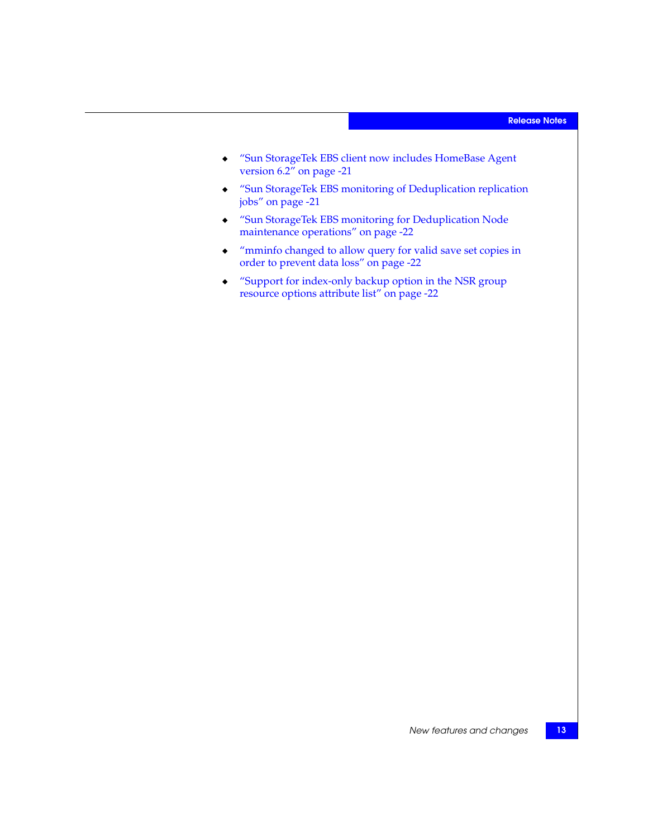- ◆ ["Sun StorageTek EBS client now includes HomeBase Agent](#page-20-1)  [version 6.2" on page -21](#page-20-1)
- ◆ ["Sun StorageTek EBS monitoring of Deduplication replication](#page-20-2)  [jobs" on page -21](#page-20-2)
- ◆ ["Sun StorageTek EBS monitoring for Deduplication Node](#page-21-0)  [maintenance operations" on page -22](#page-21-0)
- ◆ ["mminfo changed to allow query for valid save set copies in](#page-21-1)  [order to prevent data loss" on page -22](#page-21-1)
- ◆ ["Support for index-only backup option in the NSR group](#page-21-2)  [resource options attribute list" on page -22](#page-21-2)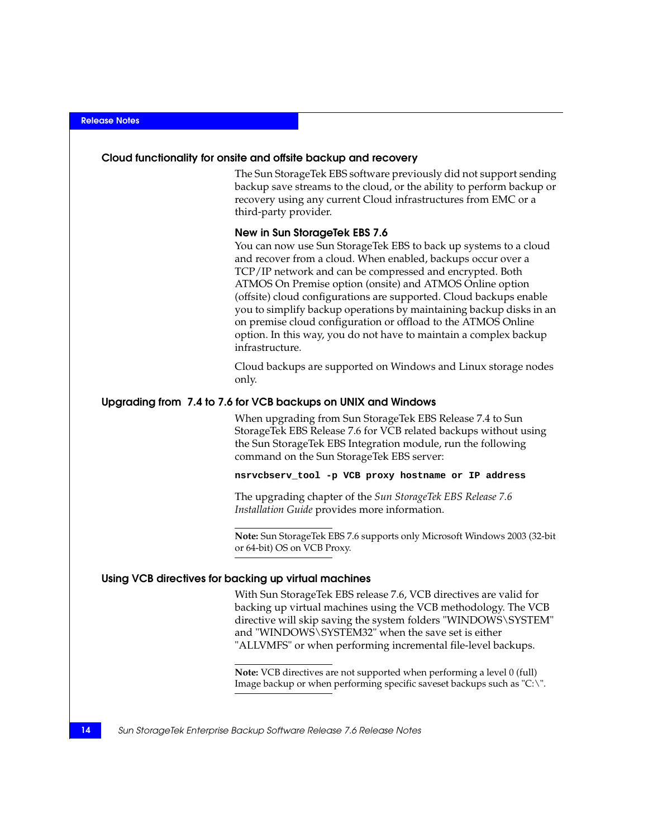#### <span id="page-13-0"></span>**Cloud functionality for onsite and offsite backup and recovery**

The Sun StorageTek EBS software previously did not support sending backup save streams to the cloud, or the ability to perform backup or recovery using any current Cloud infrastructures from EMC or a third-party provider.

#### **New in Sun StorageTek EBS 7.6**

You can now use Sun StorageTek EBS to back up systems to a cloud and recover from a cloud. When enabled, backups occur over a TCP/IP network and can be compressed and encrypted. Both ATMOS On Premise option (onsite) and ATMOS Online option (offsite) cloud configurations are supported. Cloud backups enable you to simplify backup operations by maintaining backup disks in an on premise cloud configuration or offload to the ATMOS Online option. In this way, you do not have to maintain a complex backup infrastructure.

Cloud backups are supported on Windows and Linux storage nodes only.

#### <span id="page-13-1"></span>**Upgrading from 7.4 to 7.6 for VCB backups on UNIX and Windows**

When upgrading from Sun StorageTek EBS Release 7.4 to Sun StorageTek EBS Release 7.6 for VCB related backups without using the Sun StorageTek EBS Integration module, run the following command on the Sun StorageTek EBS server:

#### **nsrvcbserv\_tool -p VCB proxy hostname or IP address**

The upgrading chapter of the *Sun StorageTek EBS Release 7.6 Installation Guide* provides more information.

#### **Using VCB directives for backing up virtual machines**

With Sun StorageTek EBS release 7.6, VCB directives are valid for backing up virtual machines using the VCB methodology. The VCB directive will skip saving the system folders "WINDOWS\SYSTEM" and "WINDOWS\SYSTEM32" when the save set is either "ALLVMFS" or when performing incremental file-level backups.

**Note:** VCB directives are not supported when performing a level 0 (full) Image backup or when performing specific saveset backups such as "C:\".

**Note:** Sun StorageTek EBS 7.6 supports only Microsoft Windows 2003 (32-bit or 64-bit) OS on VCB Proxy.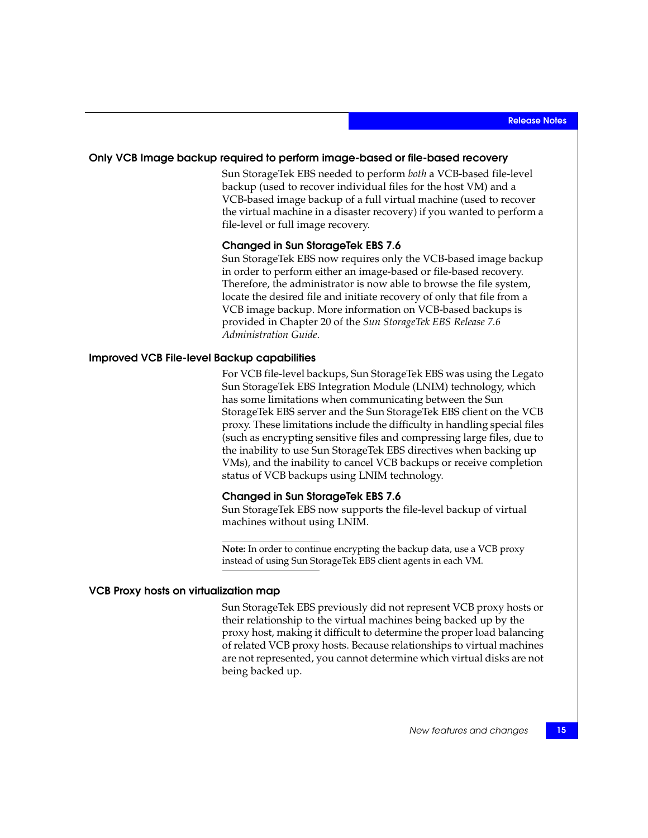#### <span id="page-14-0"></span>**Only VCB Image backup required to perform image-based or file-based recovery**

Sun StorageTek EBS needed to perform *both* a VCB-based file-level backup (used to recover individual files for the host VM) and a VCB-based image backup of a full virtual machine (used to recover the virtual machine in a disaster recovery) if you wanted to perform a file-level or full image recovery.

#### **Changed in Sun StorageTek EBS 7.6**

Sun StorageTek EBS now requires only the VCB-based image backup in order to perform either an image-based or file-based recovery. Therefore, the administrator is now able to browse the file system, locate the desired file and initiate recovery of only that file from a VCB image backup. More information on VCB-based backups is provided in Chapter 20 of the *Sun StorageTek EBS Release 7.6 Administration Guide*.

#### <span id="page-14-1"></span>**Improved VCB File-level Backup capabilities**

For VCB file-level backups, Sun StorageTek EBS was using the Legato Sun StorageTek EBS Integration Module (LNIM) technology, which has some limitations when communicating between the Sun StorageTek EBS server and the Sun StorageTek EBS client on the VCB proxy. These limitations include the difficulty in handling special files (such as encrypting sensitive files and compressing large files, due to the inability to use Sun StorageTek EBS directives when backing up VMs), and the inability to cancel VCB backups or receive completion status of VCB backups using LNIM technology.

#### **Changed in Sun StorageTek EBS 7.6**

Sun StorageTek EBS now supports the file-level backup of virtual machines without using LNIM.

#### <span id="page-14-2"></span>**VCB Proxy hosts on virtualization map**

Sun StorageTek EBS previously did not represent VCB proxy hosts or their relationship to the virtual machines being backed up by the proxy host, making it difficult to determine the proper load balancing of related VCB proxy hosts. Because relationships to virtual machines are not represented, you cannot determine which virtual disks are not being backed up.

**Note:** In order to continue encrypting the backup data, use a VCB proxy instead of using Sun StorageTek EBS client agents in each VM.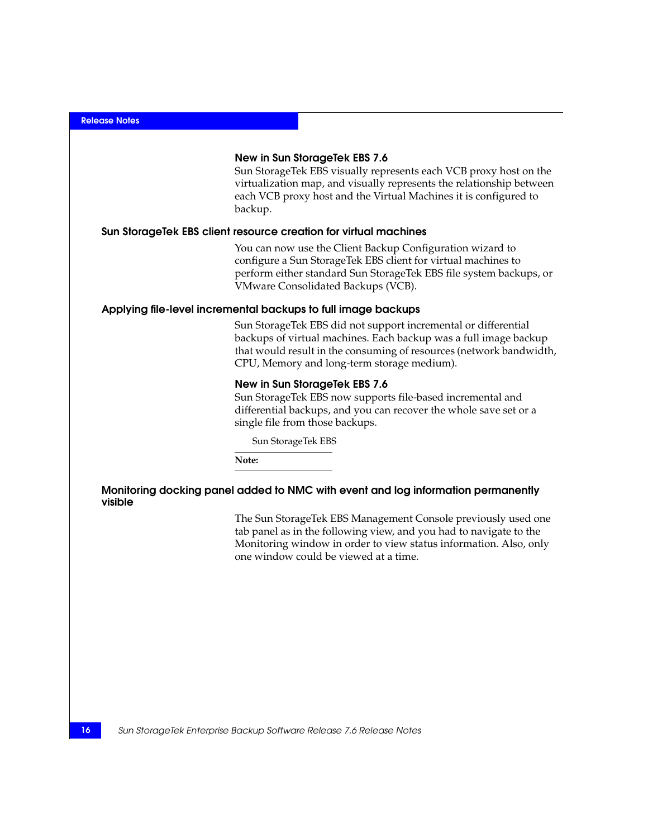#### **New in Sun StorageTek EBS 7.6**

Sun StorageTek EBS visually represents each VCB proxy host on the virtualization map, and visually represents the relationship between each VCB proxy host and the Virtual Machines it is configured to backup.

#### <span id="page-15-0"></span>**Sun StorageTek EBS client resource creation for virtual machines**

You can now use the Client Backup Configuration wizard to configure a Sun StorageTek EBS client for virtual machines to perform either standard Sun StorageTek EBS file system backups, or VMware Consolidated Backups (VCB).

#### <span id="page-15-1"></span>**Applying file-level incremental backups to full image backups**

Sun StorageTek EBS did not support incremental or differential backups of virtual machines. Each backup was a full image backup that would result in the consuming of resources (network bandwidth, CPU, Memory and long-term storage medium).

#### **New in Sun StorageTek EBS 7.6**

Sun StorageTek EBS now supports file-based incremental and differential backups, and you can recover the whole save set or a single file from those backups.

Sun StorageTek EBS

**Note:** 

#### <span id="page-15-2"></span>**Monitoring docking panel added to NMC with event and log information permanently visible**

The Sun StorageTek EBS Management Console previously used one tab panel as in the following view, and you had to navigate to the Monitoring window in order to view status information. Also, only one window could be viewed at a time.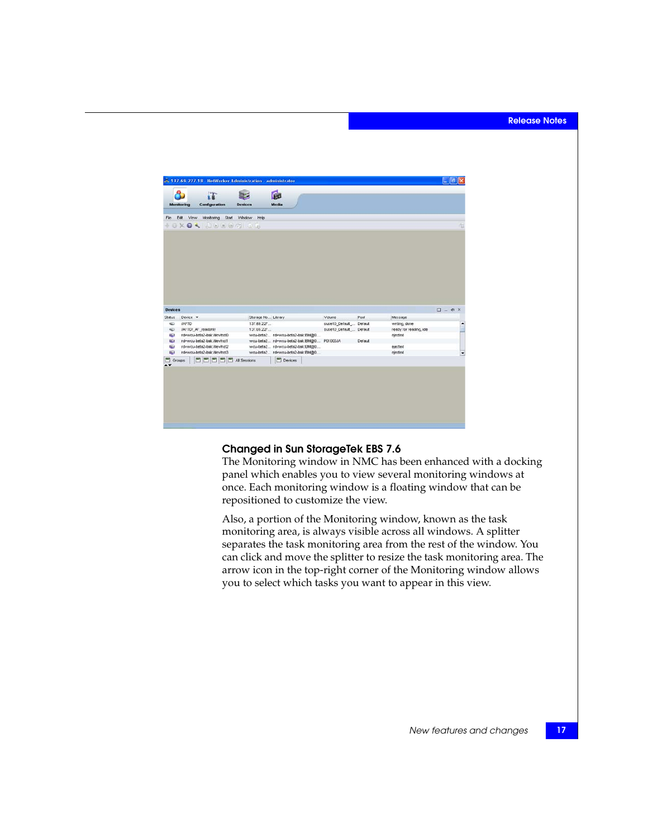|                |                 | нT                                                                      | 2, 137.69.227.18 NetWorker Administration administrator | 庙                                 |                         |         |                         | $ \sigma$ $\mathbf{x}$   |
|----------------|-----------------|-------------------------------------------------------------------------|---------------------------------------------------------|-----------------------------------|-------------------------|---------|-------------------------|--------------------------|
|                | Monitoring      | Configuration                                                           | <b>Devices</b>                                          | Media                             |                         |         |                         |                          |
| Fin            | Edit<br>View    | Monitoring Start Window<br>$+ 0 \times 0$ . $0 \times 0$ . $0 \times 0$ | Help.                                                   |                                   |                         |         |                         | 'n                       |
|                |                 |                                                                         |                                                         |                                   |                         |         |                         |                          |
|                |                 |                                                                         |                                                         |                                   |                         |         |                         |                          |
|                |                 |                                                                         |                                                         |                                   |                         |         |                         |                          |
| <b>Devices</b> |                 |                                                                         |                                                         |                                   |                         |         |                         | $\Box - e$ x             |
| Stabus         | Device <b>v</b> |                                                                         | Storage No Library                                      |                                   | Volume                  | Pool    | Message                 |                          |
| e              | <b>IAFTD</b>    |                                                                         | 137.69.227                                              |                                   | suse10_Default  Default |         | writing, done           | ۰                        |
| ¢              |                 | <b>JAFTD/ AF readonly</b>                                               | 137.69.227                                              |                                   | suse10_Default          | Default | ready for reading, idle |                          |
| K)             |                 | rd=wcu-beta2-bak:/dev/hat0                                              |                                                         | wcu-betn2. rd=wcu-betn2-bnk:EM@0. |                         |         | ejected                 |                          |
| G3             |                 | rd=wcu-beta2-bak:Atev/nst1                                              |                                                         | wcu-beta2 rd=wcu-beta2-bak:EM@0   | P01000JA                | Default |                         |                          |
| €              |                 | rd=wcu-beta2-bak: klev/hst2                                             |                                                         | wcu-beta2 rd=wcu-beta2-bak:EM@0   |                         |         | ejected                 |                          |
| age            |                 | rdwwcu-beta2-baic/dev/hst3                                              |                                                         | wcu-beta2 rd=wcu-beta2-baicIBM@0. |                         |         | ciccted                 | $\overline{\phantom{0}}$ |
| Groups         |                 | <b>DDDDD</b> Al Sessions                                                |                                                         | Devices                           |                         |         |                         |                          |
|                |                 |                                                                         |                                                         |                                   |                         |         |                         |                          |
|                |                 |                                                                         |                                                         |                                   |                         |         |                         |                          |
|                |                 |                                                                         |                                                         |                                   |                         |         |                         |                          |
|                |                 |                                                                         |                                                         |                                   |                         |         |                         |                          |
|                |                 |                                                                         |                                                         |                                   |                         |         |                         |                          |
|                |                 |                                                                         |                                                         |                                   |                         |         |                         |                          |
|                |                 |                                                                         |                                                         |                                   |                         |         |                         |                          |
|                |                 |                                                                         |                                                         |                                   |                         |         |                         |                          |
|                |                 |                                                                         |                                                         |                                   |                         |         |                         |                          |
|                |                 |                                                                         |                                                         |                                   |                         |         |                         |                          |

#### **Changed in Sun StorageTek EBS 7.6**

The Monitoring window in NMC has been enhanced with a docking panel which enables you to view several monitoring windows at once. Each monitoring window is a floating window that can be repositioned to customize the view.

Also, a portion of the Monitoring window, known as the task monitoring area, is always visible across all windows. A splitter separates the task monitoring area from the rest of the window. You can click and move the splitter to resize the task monitoring area. The arrow icon in the top-right corner of the Monitoring window allows you to select which tasks you want to appear in this view.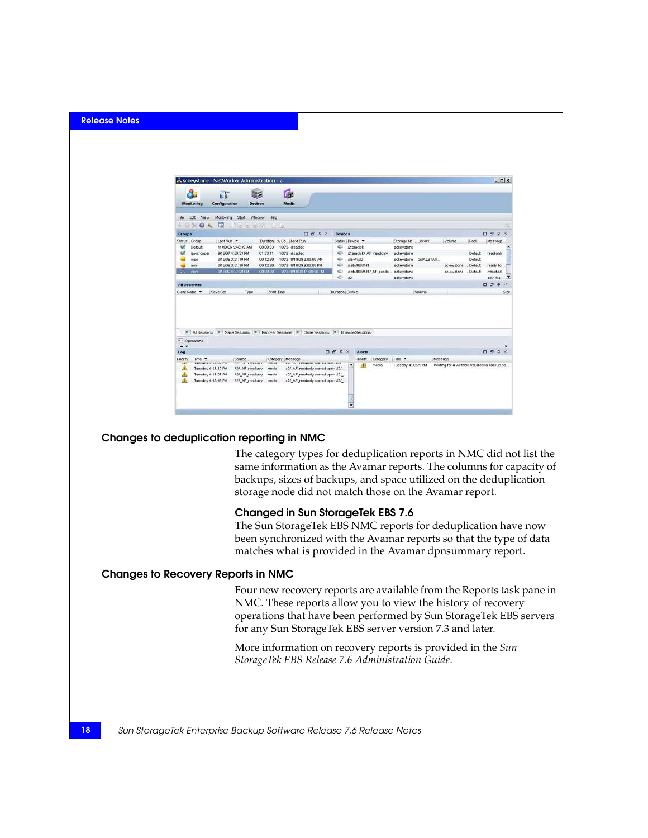| Monitoring<br>File<br>Edit<br>View<br>$Q$ $\sim$<br>日文<br>÷                                                   | кŦ<br><b>Configuration</b>                                               | <b>Devices</b>                             | ø<br>Media                                                                                                                                   |                 |                         |                    |          |                                             |                |           |                           |
|---------------------------------------------------------------------------------------------------------------|--------------------------------------------------------------------------|--------------------------------------------|----------------------------------------------------------------------------------------------------------------------------------------------|-----------------|-------------------------|--------------------|----------|---------------------------------------------|----------------|-----------|---------------------------|
|                                                                                                               |                                                                          |                                            |                                                                                                                                              |                 |                         |                    |          |                                             |                |           |                           |
|                                                                                                               |                                                                          |                                            |                                                                                                                                              |                 |                         |                    |          |                                             |                |           |                           |
|                                                                                                               |                                                                          |                                            |                                                                                                                                              |                 |                         |                    |          |                                             |                |           |                           |
|                                                                                                               | Start<br>Montoning                                                       | Window.<br>Help.                           |                                                                                                                                              |                 |                         |                    |          |                                             |                |           |                           |
|                                                                                                               | 晨<br>$(2)$ (8) (8) (7)                                                   |                                            | $12 - 125$                                                                                                                                   |                 |                         |                    |          |                                             |                |           | 13                        |
| <b>Groups</b>                                                                                                 |                                                                          |                                            | $\Box$ $\Box$ $\Box$ $\Box$                                                                                                                  | <b>Devices</b>  |                         |                    |          |                                             |                | 口口        | $\frac{1}{2}$<br>$\times$ |
| Status Group                                                                                                  | Last Run -                                                               |                                            | Duration % Co., Next Run                                                                                                                     |                 | Status Device           | Storage No Library |          | Volume                                      | Pool           | Message   |                           |
| v<br>Detauft                                                                                                  | 11/10/06 9:48:39 AM                                                      | 00:00:53                                   | 100% disabled                                                                                                                                | ت               | <b>fZteradisk</b>       | sckeystone         |          |                                             |                |           | ٠                         |
| ø<br>javatropper                                                                                              | 9/18/07 4:59:33 PM                                                       | 01:53:41                                   | 100% disabled                                                                                                                                | e               | /Zteradisk/_AF_readonly | sckeystone         |          |                                             | <b>Default</b> | read only |                           |
| msq<br>w                                                                                                      | 8/18/09 3:51:10 PM                                                       | 00:12:20                                   | 100% 8/19/09 2:00:00 AM                                                                                                                      | ت               | Adev/mst0               | sckeystone         | GUALSTAR |                                             | <b>Detaut</b>  |           |                           |
| nmc                                                                                                           | 8/18/09 3:51:16 PM                                                       | 00:12:20                                   | 100% 8/18/09 9:00:00 PM                                                                                                                      | e               | /sata400/ffd1           | sckeystone         |          | sckevstone                                  | Detaut         | ready fo. |                           |
| coré                                                                                                          | BRIDGE4-37-20 PM                                                         | 000000                                     | 29% 0/10/09 11:00:00 PM                                                                                                                      | ŵ               | /sata400/ftd1/_AF_reado | sckeystone         |          | sckeystone Default                          |                | mounted.  |                           |
|                                                                                                               |                                                                          |                                            |                                                                                                                                              | ÷               | $\pi$ <sub>2</sub>      | sckeystone         |          |                                             |                | adv file  |                           |
| <b>All Sessions</b>                                                                                           |                                                                          |                                            |                                                                                                                                              |                 |                         |                    |          |                                             |                | 口中        | $\frac{1}{2}$<br>$\times$ |
| Cleri Name Y                                                                                                  | Save Set<br>Type                                                         |                                            | Start Time                                                                                                                                   | Duration Device |                         |                    | Volume   |                                             |                |           | Size                      |
| <b>D</b> Operations<br>$\rightarrow$ v                                                                        |                                                                          |                                            | <b>B</b> All Sessions <b>B</b> 3ave Sessions <b>B</b> Recover Sessions <b>B</b> Clone Sessions <b>B</b> Browse Sessions                      |                 |                         |                    |          |                                             |                |           |                           |
| L <sub>00</sub>                                                                                               |                                                                          |                                            |                                                                                                                                              | 口币PX            | <b>Alerta</b>           |                    |          |                                             |                | 口子?       | $\mathbf{\times}$         |
| Priority<br>Time =                                                                                            | Source                                                                   | Category.                                  | Message                                                                                                                                      |                 | Category<br>Princity.   | Time -             | Message  |                                             |                |           |                           |
| continuity www.uw.com<br>283<br>A<br>Tuesday 4:43:12 PM<br>Tuesday 4:43:28 PM<br>Δ<br>л<br>Tuesday 4:43:46 PM | ner mi stokanny<br>A2J_AF_readonly<br>A2J AF readorly<br>#2J_AF_readonly | <b>ISCULARE</b><br>modia<br>media<br>modia | ner me commung counse operators<br>#2/_AF_readonly cannot open #2/_<br>A2/_AF_readonly cannot open A2/__<br>#2/_AF_readonly cannot open #2/_ |                 | modio<br>л              | Tuesday 4:38:25 PM |          | Wating for 4 writable volumes to backup po. |                |           |                           |

#### <span id="page-17-0"></span>**Changes to deduplication reporting in NMC**

The category types for deduplication reports in NMC did not list the same information as the Avamar reports. The columns for capacity of backups, sizes of backups, and space utilized on the deduplication storage node did not match those on the Avamar report.

#### **Changed in Sun StorageTek EBS 7.6**

The Sun StorageTek EBS NMC reports for deduplication have now been synchronized with the Avamar reports so that the type of data matches what is provided in the Avamar dpnsummary report.

#### <span id="page-17-1"></span>**Changes to Recovery Reports in NMC**

Four new recovery reports are available from the Reports task pane in NMC. These reports allow you to view the history of recovery operations that have been performed by Sun StorageTek EBS servers for any Sun StorageTek EBS server version 7.3 and later.

More information on recovery reports is provided in the *Sun StorageTek EBS Release 7.6 Administration Guide*.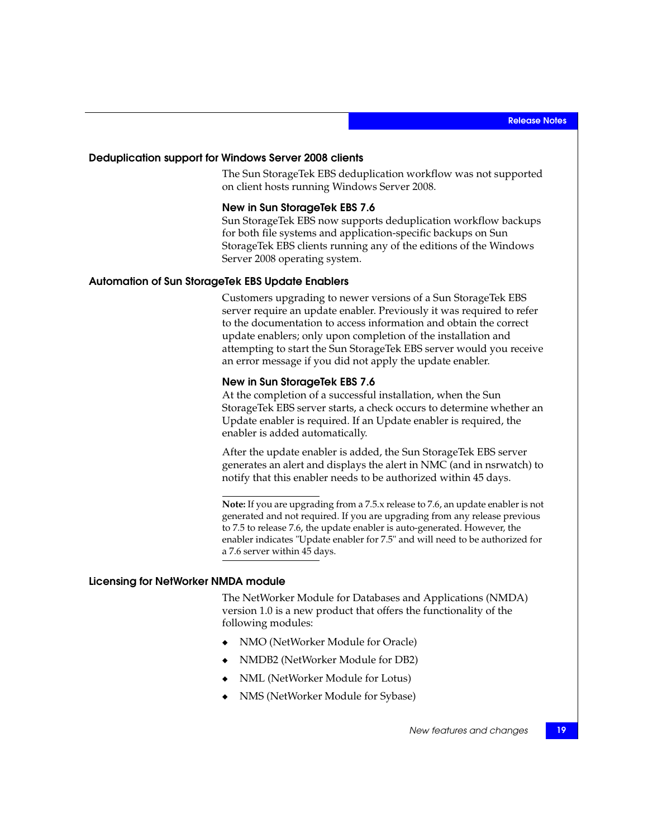#### <span id="page-18-0"></span>**Deduplication support for Windows Server 2008 clients**

The Sun StorageTek EBS deduplication workflow was not supported on client hosts running Windows Server 2008.

#### **New in Sun StorageTek EBS 7.6**

Sun StorageTek EBS now supports deduplication workflow backups for both file systems and application-specific backups on Sun StorageTek EBS clients running any of the editions of the Windows Server 2008 operating system.

#### <span id="page-18-1"></span>**Automation of Sun StorageTek EBS Update Enablers**

Customers upgrading to newer versions of a Sun StorageTek EBS server require an update enabler. Previously it was required to refer to the documentation to access information and obtain the correct update enablers; only upon completion of the installation and attempting to start the Sun StorageTek EBS server would you receive an error message if you did not apply the update enabler.

#### **New in Sun StorageTek EBS 7.6**

At the completion of a successful installation, when the Sun StorageTek EBS server starts, a check occurs to determine whether an Update enabler is required. If an Update enabler is required, the enabler is added automatically.

After the update enabler is added, the Sun StorageTek EBS server generates an alert and displays the alert in NMC (and in nsrwatch) to notify that this enabler needs to be authorized within 45 days.

#### <span id="page-18-2"></span>**Licensing for NetWorker NMDA module**

The NetWorker Module for Databases and Applications (NMDA) version 1.0 is a new product that offers the functionality of the following modules:

- NMO (NetWorker Module for Oracle)
- NMDB2 (NetWorker Module for DB2)
- NML (NetWorker Module for Lotus)
- ◆ NMS (NetWorker Module for Sybase)

**Note:** If you are upgrading from a 7.5.x release to 7.6, an update enabler is not generated and not required. If you are upgrading from any release previous to 7.5 to release 7.6, the update enabler is auto-generated. However, the enabler indicates "Update enabler for 7.5" and will need to be authorized for a 7.6 server within 45 days.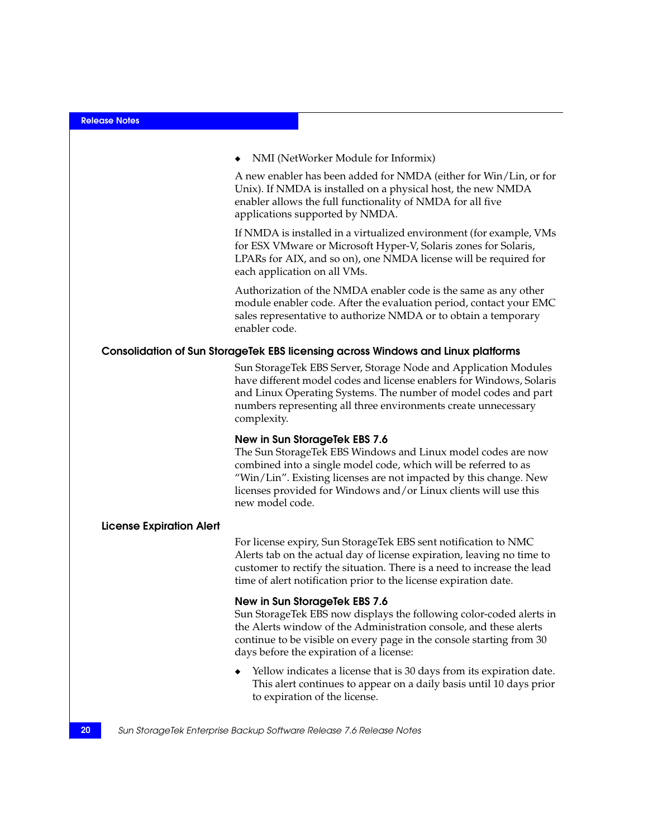NMI (NetWorker Module for Informix)

A new enabler has been added for NMDA (either for Win/Lin, or for Unix). If NMDA is installed on a physical host, the new NMDA enabler allows the full functionality of NMDA for all five applications supported by NMDA.

If NMDA is installed in a virtualized environment (for example, VMs for ESX VMware or Microsoft Hyper-V, Solaris zones for Solaris, LPARs for AIX, and so on), one NMDA license will be required for each application on all VMs.

Authorization of the NMDA enabler code is the same as any other module enabler code. After the evaluation period, contact your EMC sales representative to authorize NMDA or to obtain a temporary enabler code.

#### <span id="page-19-0"></span>**Consolidation of Sun StorageTek EBS licensing across Windows and Linux platforms**

Sun StorageTek EBS Server, Storage Node and Application Modules have different model codes and license enablers for Windows, Solaris and Linux Operating Systems. The number of model codes and part numbers representing all three environments create unnecessary complexity.

#### **New in Sun StorageTek EBS 7.6**

The Sun StorageTek EBS Windows and Linux model codes are now combined into a single model code, which will be referred to as "Win/Lin". Existing licenses are not impacted by this change. New licenses provided for Windows and/or Linux clients will use this new model code.

#### <span id="page-19-1"></span>**License Expiration Alert**

For license expiry, Sun StorageTek EBS sent notification to NMC Alerts tab on the actual day of license expiration, leaving no time to customer to rectify the situation. There is a need to increase the lead time of alert notification prior to the license expiration date.

#### **New in Sun StorageTek EBS 7.6**

Sun StorageTek EBS now displays the following color-coded alerts in the Alerts window of the Administration console, and these alerts continue to be visible on every page in the console starting from 30 days before the expiration of a license:

Yellow indicates a license that is 30 days from its expiration date. This alert continues to appear on a daily basis until 10 days prior to expiration of the license.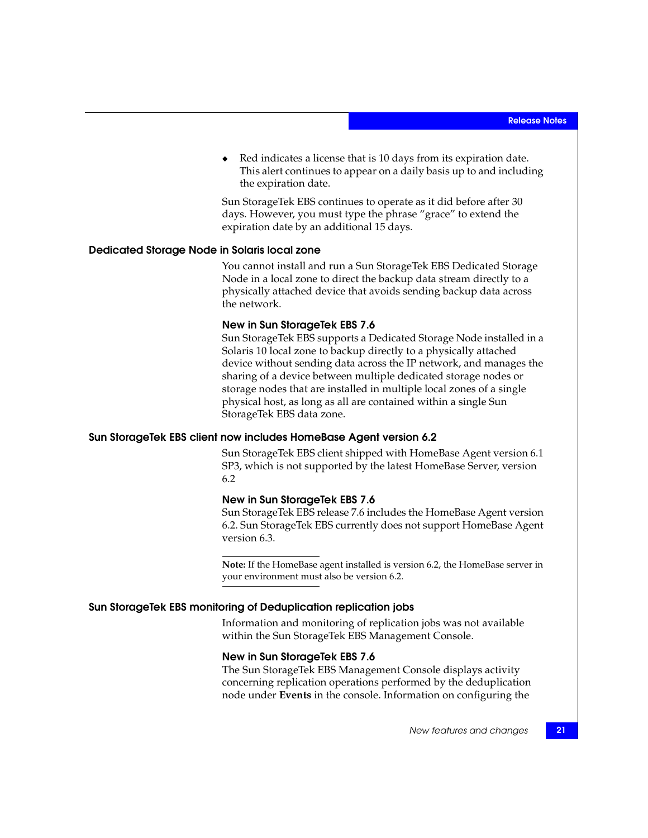Red indicates a license that is 10 days from its expiration date. This alert continues to appear on a daily basis up to and including the expiration date.

Sun StorageTek EBS continues to operate as it did before after 30 days. However, you must type the phrase "grace" to extend the expiration date by an additional 15 days.

#### <span id="page-20-0"></span>**Dedicated Storage Node in Solaris local zone**

You cannot install and run a Sun StorageTek EBS Dedicated Storage Node in a local zone to direct the backup data stream directly to a physically attached device that avoids sending backup data across the network.

#### **New in Sun StorageTek EBS 7.6**

Sun StorageTek EBS supports a Dedicated Storage Node installed in a Solaris 10 local zone to backup directly to a physically attached device without sending data across the IP network, and manages the sharing of a device between multiple dedicated storage nodes or storage nodes that are installed in multiple local zones of a single physical host, as long as all are contained within a single Sun StorageTek EBS data zone.

#### <span id="page-20-1"></span>**Sun StorageTek EBS client now includes HomeBase Agent version 6.2**

Sun StorageTek EBS client shipped with HomeBase Agent version 6.1 SP3, which is not supported by the latest HomeBase Server, version 6.2

#### **New in Sun StorageTek EBS 7.6**

Sun StorageTek EBS release 7.6 includes the HomeBase Agent version 6.2. Sun StorageTek EBS currently does not support HomeBase Agent version 6.3.

**Note:** If the HomeBase agent installed is version 6.2, the HomeBase server in your environment must also be version 6.2.

#### <span id="page-20-2"></span>**Sun StorageTek EBS monitoring of Deduplication replication jobs**

Information and monitoring of replication jobs was not available within the Sun StorageTek EBS Management Console.

#### **New in Sun StorageTek EBS 7.6**

The Sun StorageTek EBS Management Console displays activity concerning replication operations performed by the deduplication node under **Events** in the console. Information on configuring the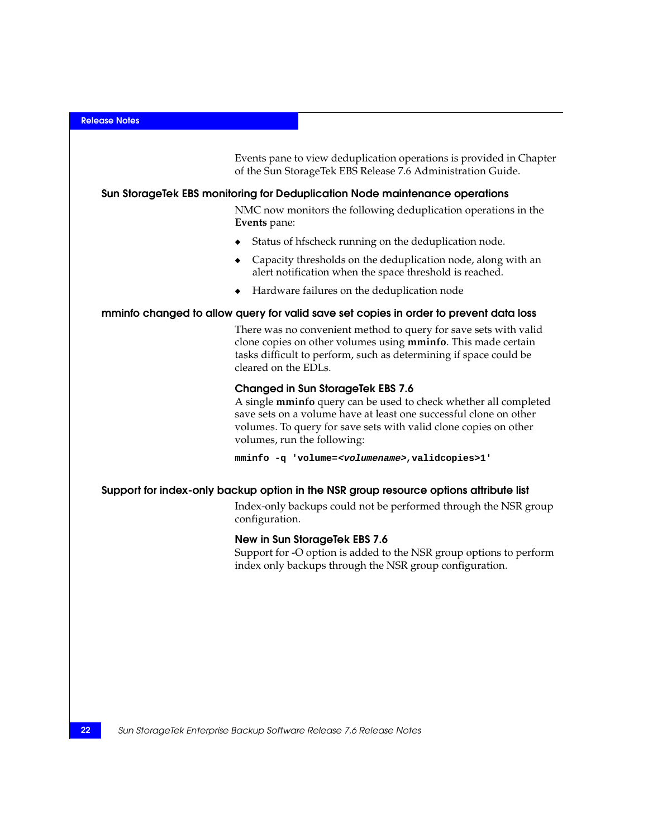Events pane to view deduplication operations is provided in Chapter of the Sun StorageTek EBS Release 7.6 Administration Guide.

#### <span id="page-21-0"></span>**Sun StorageTek EBS monitoring for Deduplication Node maintenance operations**

NMC now monitors the following deduplication operations in the **Events** pane:

- Status of hfscheck running on the deduplication node.
- ◆ Capacity thresholds on the deduplication node, along with an alert notification when the space threshold is reached.
- ◆ Hardware failures on the deduplication node

#### <span id="page-21-1"></span>**mminfo changed to allow query for valid save set copies in order to prevent data loss**

There was no convenient method to query for save sets with valid clone copies on other volumes using **mminfo**. This made certain tasks difficult to perform, such as determining if space could be cleared on the EDLs.

#### **Changed in Sun StorageTek EBS 7.6**

A single **mminfo** query can be used to check whether all completed save sets on a volume have at least one successful clone on other volumes. To query for save sets with valid clone copies on other volumes, run the following:

**mminfo -q 'volume=<volumename>,validcopies>1'**

#### <span id="page-21-2"></span>**Support for index-only backup option in the NSR group resource options attribute list**

Index-only backups could not be performed through the NSR group configuration.

#### **New in Sun StorageTek EBS 7.6**

Support for -O option is added to the NSR group options to perform index only backups through the NSR group configuration.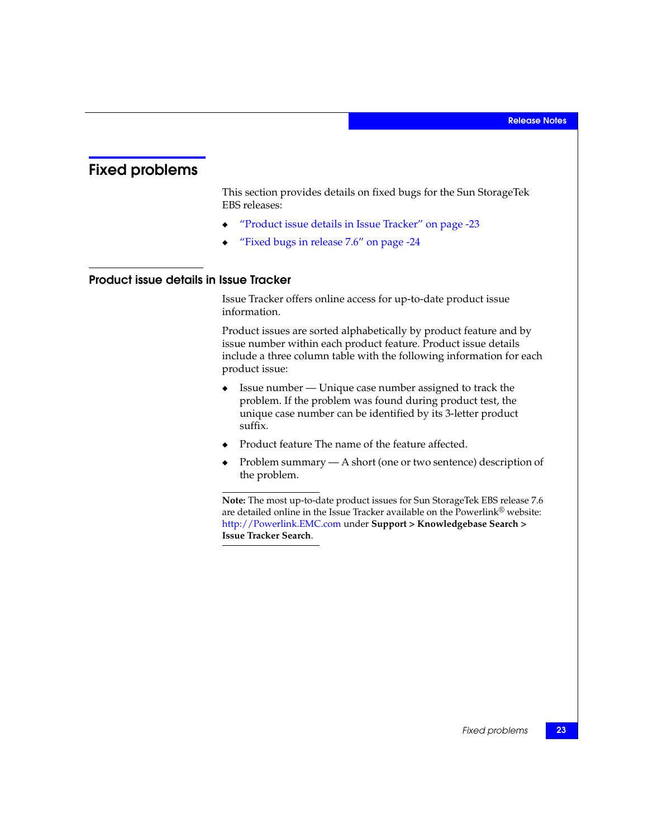### <span id="page-22-0"></span>**Fixed problems**

This section provides details on fixed bugs for the Sun StorageTek EBS releases:

- ◆ ["Product issue details in Issue Tracker" on page -23](#page-22-1)
- ["Fixed bugs in release 7.6" on page -24](#page-23-0)

#### <span id="page-22-1"></span>**Product issue details in Issue Tracker**

Issue Tracker offers online access for up-to-date product issue information.

Product issues are sorted alphabetically by product feature and by issue number within each product feature. Product issue details include a three column table with the following information for each product issue:

- Issue number Unique case number assigned to track the problem. If the problem was found during product test, the unique case number can be identified by its 3-letter product suffix.
- Product feature The name of the feature affected.
- Problem summary  $A$  short (one or two sentence) description of the problem.

**Note:** The most up-to-date product issues for Sun StorageTek EBS release 7.6 are detailed online in the Issue Tracker available on the Powerlink® [website:](http://powerlink.emc.com ) <http://Powerlink.EMC.com> under **Support > Knowledgebase Search > Issue Tracker Search**.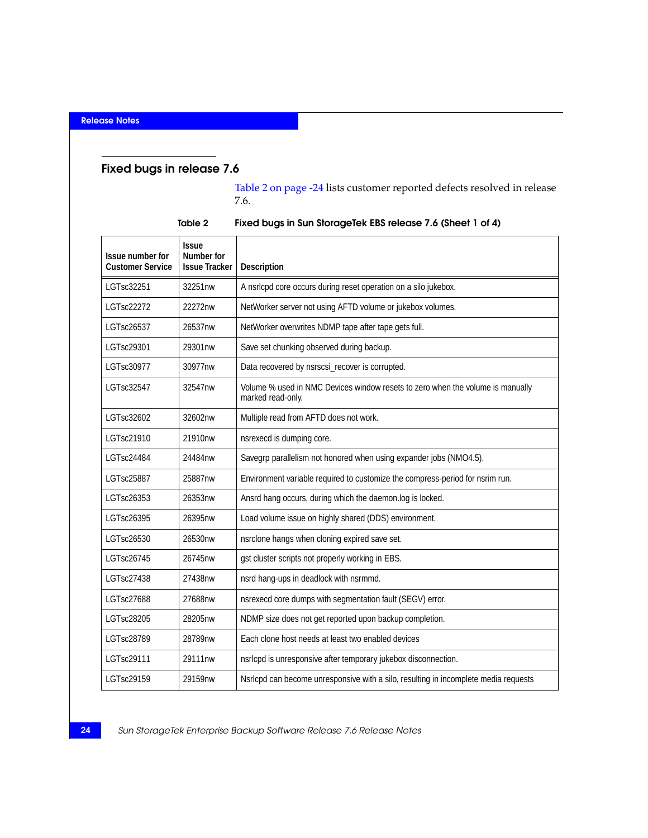### <span id="page-23-0"></span>**Fixed bugs in release 7.6**

[Table 2 on page -24](#page-23-1) lists customer reported defects resolved in release 7.6.

### **Table 2 Fixed bugs in Sun StorageTek EBS release 7.6 (Sheet 1 of 4)**

<span id="page-23-1"></span>

| <b>Issue number for</b><br><b>Customer Service</b> | <b>Issue</b><br><b>Number for</b><br><b>Issue Tracker</b> | <b>Description</b>                                                                                  |
|----------------------------------------------------|-----------------------------------------------------------|-----------------------------------------------------------------------------------------------------|
| LGTsc32251                                         | 32251nw                                                   | A nsrlcpd core occurs during reset operation on a silo jukebox.                                     |
| LGTsc22272                                         | 22272nw                                                   | NetWorker server not using AFTD volume or jukebox volumes.                                          |
| LGTsc26537                                         | 26537nw                                                   | NetWorker overwrites NDMP tape after tape gets full.                                                |
| LGTsc29301                                         | 29301nw                                                   | Save set chunking observed during backup.                                                           |
| LGTsc30977                                         | 30977nw                                                   | Data recovered by nsrscsi_recover is corrupted.                                                     |
| LGTsc32547                                         | 32547nw                                                   | Volume % used in NMC Devices window resets to zero when the volume is manually<br>marked read-only. |
| LGTsc32602                                         | 32602nw                                                   | Multiple read from AFTD does not work.                                                              |
| LGTsc21910                                         | 21910nw                                                   | nsrexecd is dumping core.                                                                           |
| LGTsc24484                                         | 24484nw                                                   | Savegrp parallelism not honored when using expander jobs (NMO4.5).                                  |
| LGTsc25887                                         | 25887nw                                                   | Environment variable required to customize the compress-period for nsrim run.                       |
| LGTsc26353                                         | 26353nw                                                   | Ansrd hang occurs, during which the daemon.log is locked.                                           |
| LGTsc26395                                         | 26395nw                                                   | Load volume issue on highly shared (DDS) environment.                                               |
| LGTsc26530                                         | 26530nw                                                   | nsrclone hangs when cloning expired save set.                                                       |
| LGTsc26745                                         | 26745nw                                                   | gst cluster scripts not properly working in EBS.                                                    |
| LGTsc27438                                         | 27438nw                                                   | nsrd hang-ups in deadlock with nsrmmd.                                                              |
| LGTsc27688                                         | 27688nw                                                   | nsrexecd core dumps with segmentation fault (SEGV) error.                                           |
| LGTsc28205                                         | 28205nw                                                   | NDMP size does not get reported upon backup completion.                                             |
| LGTsc28789                                         | 28789nw                                                   | Each clone host needs at least two enabled devices                                                  |
| LGTsc29111                                         | 29111nw                                                   | nsrlcpd is unresponsive after temporary jukebox disconnection.                                      |
| LGTsc29159                                         | 29159nw                                                   | Nsrlcpd can become unresponsive with a silo, resulting in incomplete media requests                 |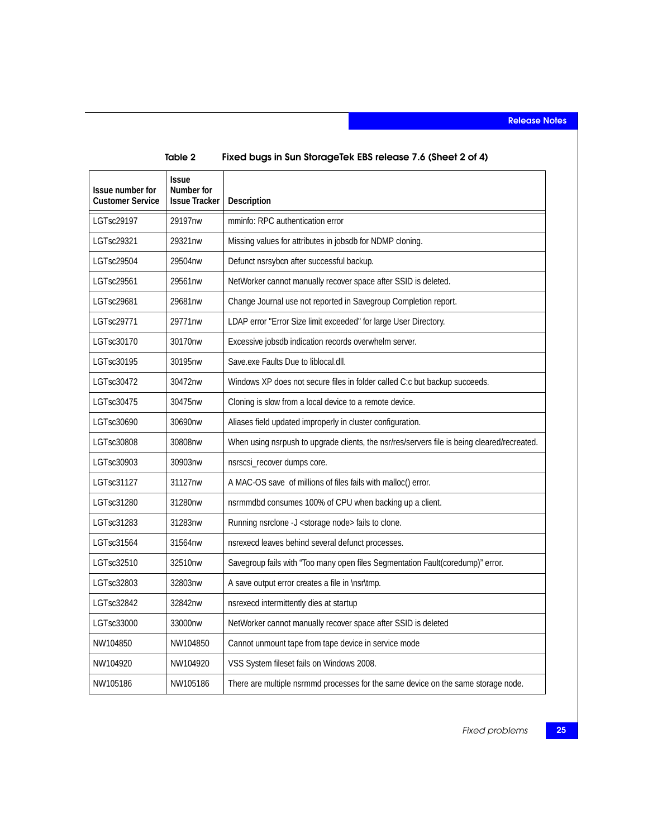| Issue number for<br><b>Customer Service</b> | <b>Issue</b><br><b>Number for</b><br><b>Issue Tracker</b> | <b>Description</b>                                                                          |
|---------------------------------------------|-----------------------------------------------------------|---------------------------------------------------------------------------------------------|
| LGTsc29197                                  | 29197nw                                                   | mminfo: RPC authentication error                                                            |
| LGTsc29321                                  | 29321nw                                                   | Missing values for attributes in jobsdb for NDMP cloning.                                   |
| LGTsc29504                                  | 29504nw                                                   | Defunct nsrsybcn after successful backup.                                                   |
| LGTsc29561                                  | 29561nw                                                   | NetWorker cannot manually recover space after SSID is deleted.                              |
| LGTsc29681                                  | 29681nw                                                   | Change Journal use not reported in Savegroup Completion report.                             |
| LGTsc29771                                  | 29771nw                                                   | LDAP error "Error Size limit exceeded" for large User Directory.                            |
| LGTsc30170                                  | 30170nw                                                   | Excessive jobsdb indication records overwhelm server.                                       |
| LGTsc30195                                  | 30195nw                                                   | Save.exe Faults Due to liblocal.dll.                                                        |
| LGTsc30472                                  | 30472nw                                                   | Windows XP does not secure files in folder called C:c but backup succeeds.                  |
| LGTsc30475                                  | 30475nw                                                   | Cloning is slow from a local device to a remote device.                                     |
| LGTsc30690                                  | 30690nw                                                   | Aliases field updated improperly in cluster configuration.                                  |
| LGTsc30808                                  | 30808nw                                                   | When using nsrpush to upgrade clients, the nsr/res/servers file is being cleared/recreated. |
| LGTsc30903                                  | 30903nw                                                   | nsrscsi_recover dumps core.                                                                 |
| LGTsc31127                                  | 31127nw                                                   | A MAC-OS save of millions of files fails with malloc() error.                               |
| LGTsc31280                                  | 31280nw                                                   | nsrmmdbd consumes 100% of CPU when backing up a client.                                     |
| LGTsc31283                                  | 31283nw                                                   | Running nsrclone -J <storage node=""> fails to clone.</storage>                             |
| LGTsc31564                                  | 31564nw                                                   | nsrexecd leaves behind several defunct processes.                                           |
| LGTsc32510                                  | 32510nw                                                   | Savegroup fails with "Too many open files Segmentation Fault(coredump)" error.              |
| LGTsc32803                                  | 32803nw                                                   | A save output error creates a file in \nsr\tmp.                                             |
| LGTsc32842                                  | 32842nw                                                   | nsrexecd intermittently dies at startup                                                     |
| LGTsc33000                                  | 33000nw                                                   | NetWorker cannot manually recover space after SSID is deleted                               |
| NW104850                                    | NW104850                                                  | Cannot unmount tape from tape device in service mode                                        |
| NW104920                                    | NW104920                                                  | VSS System fileset fails on Windows 2008.                                                   |
| NW105186                                    | NW105186                                                  | There are multiple nsrmmd processes for the same device on the same storage node.           |

### **Table 2 Fixed bugs in Sun StorageTek EBS release 7.6 (Sheet 2 of 4)**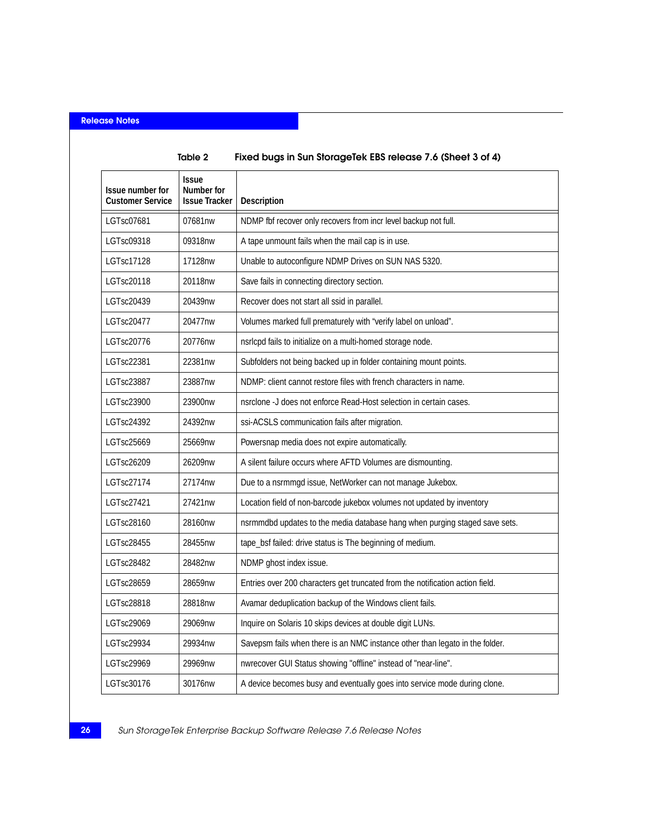| Table 2 | Fixed bugs in Sun StorageTek EBS release 7.6 (Sheet 3 of 4) |  |
|---------|-------------------------------------------------------------|--|
|---------|-------------------------------------------------------------|--|

| <b>Issue number for</b><br><b>Customer Service</b> | <b>Issue</b><br><b>Number for</b><br><b>Issue Tracker</b> | <b>Description</b>                                                            |
|----------------------------------------------------|-----------------------------------------------------------|-------------------------------------------------------------------------------|
| LGTsc07681                                         | 07681nw                                                   | NDMP fbf recover only recovers from incr level backup not full.               |
| LGTsc09318                                         | 09318nw                                                   | A tape unmount fails when the mail cap is in use.                             |
| LGTsc17128                                         | 17128nw                                                   | Unable to autoconfigure NDMP Drives on SUN NAS 5320.                          |
| LGTsc20118                                         | 20118nw                                                   | Save fails in connecting directory section.                                   |
| LGTsc20439                                         | 20439nw                                                   | Recover does not start all ssid in parallel.                                  |
| LGTsc20477                                         | 20477nw                                                   | Volumes marked full prematurely with "verify label on unload".                |
| LGTsc20776                                         | 20776nw                                                   | nsrlcpd fails to initialize on a multi-homed storage node.                    |
| LGTsc22381                                         | 22381nw                                                   | Subfolders not being backed up in folder containing mount points.             |
| LGTsc23887                                         | 23887nw                                                   | NDMP: client cannot restore files with french characters in name.             |
| LGTsc23900                                         | 23900nw                                                   | nsrclone -J does not enforce Read-Host selection in certain cases.            |
| LGTsc24392                                         | 24392nw                                                   | ssi-ACSLS communication fails after migration.                                |
| LGTsc25669                                         | 25669nw                                                   | Powersnap media does not expire automatically.                                |
| LGTsc26209                                         | 26209nw                                                   | A silent failure occurs where AFTD Volumes are dismounting.                   |
| LGTsc27174                                         | 27174nw                                                   | Due to a nsrmmgd issue, NetWorker can not manage Jukebox.                     |
| LGTsc27421                                         | 27421nw                                                   | Location field of non-barcode jukebox volumes not updated by inventory        |
| LGTsc28160                                         | 28160nw                                                   | nsrmmdbd updates to the media database hang when purging staged save sets.    |
| LGTsc28455                                         | 28455nw                                                   | tape_bsf failed: drive status is The beginning of medium.                     |
| LGTsc28482                                         | 28482nw                                                   | NDMP ghost index issue.                                                       |
| LGTsc28659                                         | 28659nw                                                   | Entries over 200 characters get truncated from the notification action field. |
| LGTsc28818                                         | 28818nw                                                   | Avamar deduplication backup of the Windows client fails.                      |
| LGTsc29069                                         | 29069nw                                                   | Inquire on Solaris 10 skips devices at double digit LUNs.                     |
| LGTsc29934                                         | 29934nw                                                   | Savepsm fails when there is an NMC instance other than legato in the folder.  |
| LGTsc29969                                         | 29969nw                                                   | nwrecover GUI Status showing "offline" instead of "near-line".                |
| LGTsc30176                                         | 30176nw                                                   | A device becomes busy and eventually goes into service mode during clone.     |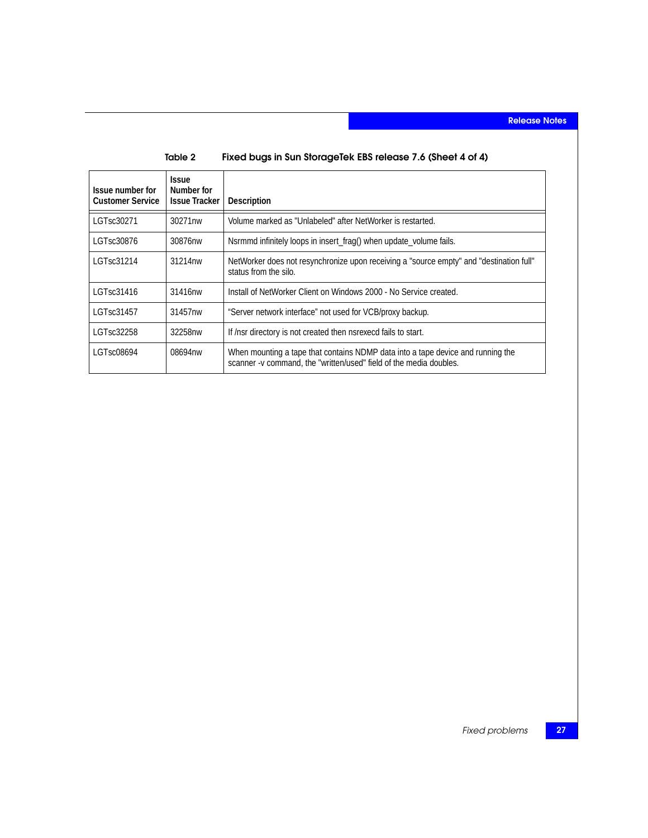| Issue number for<br><b>Customer Service</b> | <b>Issue</b><br>Number for<br><b>Issue Tracker</b> | <b>Description</b>                                                                                                                                     |
|---------------------------------------------|----------------------------------------------------|--------------------------------------------------------------------------------------------------------------------------------------------------------|
| LGTsc30271                                  | 30271nw                                            | Volume marked as "Unlabeled" after NetWorker is restarted.                                                                                             |
| LGTsc30876                                  | 30876nw                                            | Nsrmmd infinitely loops in insert_frag() when update_volume fails.                                                                                     |
| LGTsc31214                                  | 31214 <sub>nw</sub>                                | NetWorker does not resynchronize upon receiving a "source empty" and "destination full"<br>status from the silo.                                       |
| LGTsc31416                                  | 31416nw                                            | Install of NetWorker Client on Windows 2000 - No Service created.                                                                                      |
| LGTsc31457                                  | 31457 <sub>nw</sub>                                | "Server network interface" not used for VCB/proxy backup.                                                                                              |
| LGTsc32258                                  | 32258nw                                            | If /nsr directory is not created then nsrexecd fails to start.                                                                                         |
| LGTsc08694                                  | 08694nw                                            | When mounting a tape that contains NDMP data into a tape device and running the<br>scanner - v command, the "written/used" field of the media doubles. |

### **Table 2 Fixed bugs in Sun StorageTek EBS release 7.6 (Sheet 4 of 4)**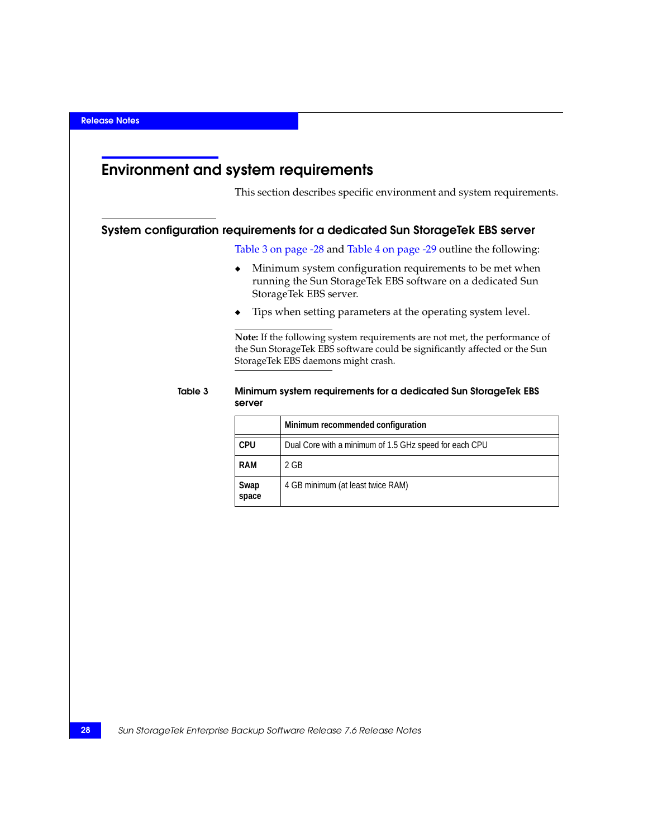### <span id="page-27-0"></span>**Environment and system requirements**

This section describes specific environment and system requirements.

#### <span id="page-27-1"></span>**System configuration requirements for a dedicated Sun StorageTek EBS server**

[Table 3 on page -28](#page-27-2) and [Table 4 on page -29](#page-28-1) outline the following:

- ◆ Minimum system configuration requirements to be met when running the Sun StorageTek EBS software on a dedicated Sun StorageTek EBS server.
- Tips when setting parameters at the operating system level.

**Note:** If the following system requirements are not met, the performance of the Sun StorageTek EBS software could be significantly affected or the Sun StorageTek EBS daemons might crash.

#### <span id="page-27-2"></span>**Table 3 Minimum system requirements for a dedicated Sun StorageTek EBS server**

|               | Minimum recommended configuration                      |
|---------------|--------------------------------------------------------|
| <b>CPU</b>    | Dual Core with a minimum of 1.5 GHz speed for each CPU |
| <b>RAM</b>    | 2 GB                                                   |
| Swap<br>space | 4 GB minimum (at least twice RAM)                      |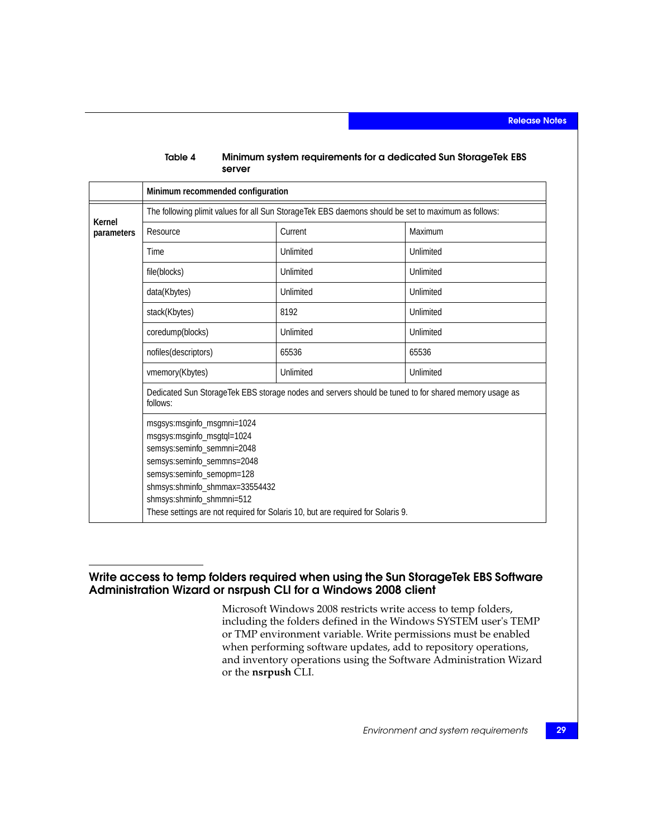| Table 4 | Minimum system requirements for a dedicated Sun StorageTek EBS |
|---------|----------------------------------------------------------------|
|         | server                                                         |

<span id="page-28-1"></span>

|            | Minimum recommended configuration                                                                                                                                                                                                                                                                   |           |           |  |  |
|------------|-----------------------------------------------------------------------------------------------------------------------------------------------------------------------------------------------------------------------------------------------------------------------------------------------------|-----------|-----------|--|--|
| Kernel     | The following plimit values for all Sun StorageTek EBS daemons should be set to maximum as follows:                                                                                                                                                                                                 |           |           |  |  |
| parameters | Resource                                                                                                                                                                                                                                                                                            | Current   | Maximum   |  |  |
|            | Time                                                                                                                                                                                                                                                                                                | Unlimited | Unlimited |  |  |
|            | file(blocks)                                                                                                                                                                                                                                                                                        | Unlimited | Unlimited |  |  |
|            | data(Kbytes)                                                                                                                                                                                                                                                                                        | Unlimited | Unlimited |  |  |
|            | stack(Kbytes)                                                                                                                                                                                                                                                                                       | 8192      | Unlimited |  |  |
|            | coredump(blocks)                                                                                                                                                                                                                                                                                    | Unlimited | Unlimited |  |  |
|            | nofiles(descriptors)                                                                                                                                                                                                                                                                                | 65536     | 65536     |  |  |
|            | vmemory(Kbytes)                                                                                                                                                                                                                                                                                     | Unlimited | Unlimited |  |  |
|            | Dedicated Sun StorageTek EBS storage nodes and servers should be tuned to for shared memory usage as<br>follows:                                                                                                                                                                                    |           |           |  |  |
|            | msgsys:msginfo_msgmni=1024<br>msgsys:msginfo_msgtql=1024<br>semsys:seminfo_semmni=2048<br>semsys:seminfo_semmns=2048<br>semsys:seminfo_semopm=128<br>shmsys:shminfo_shmmax=33554432<br>shmsys:shminfo_shmmni=512<br>These settings are not required for Solaris 10, but are required for Solaris 9. |           |           |  |  |

### <span id="page-28-0"></span>**Write access to temp folders required when using the Sun StorageTek EBS Software Administration Wizard or nsrpush CLI for a Windows 2008 client**

Microsoft Windows 2008 restricts write access to temp folders, including the folders defined in the Windows SYSTEM user's TEMP or TMP environment variable. Write permissions must be enabled when performing software updates, add to repository operations, and inventory operations using the Software Administration Wizard or the **nsrpush** CLI.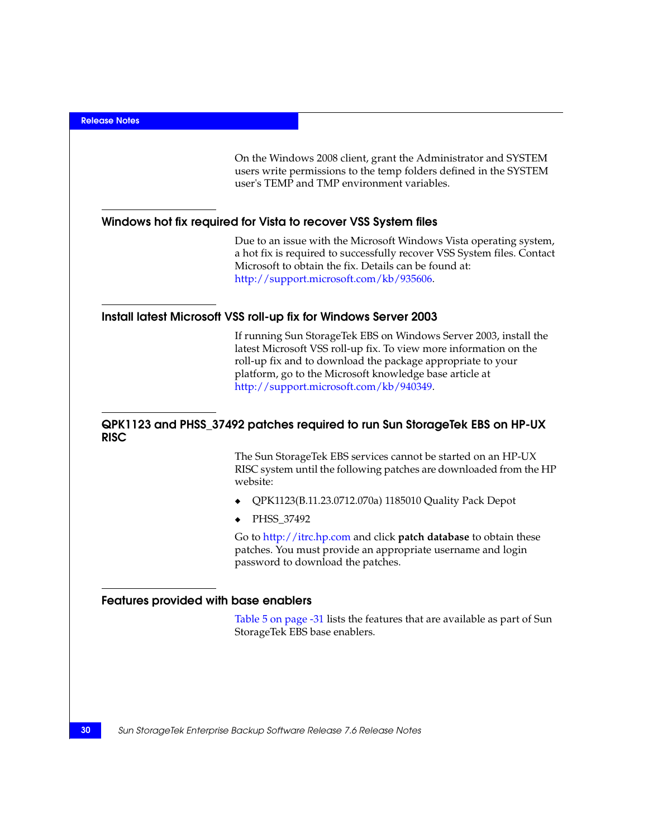On the Windows 2008 client, grant the Administrator and SYSTEM users write permissions to the temp folders defined in the SYSTEM user's TEMP and TMP environment variables.

#### <span id="page-29-0"></span>**Windows hot fix required for Vista to recover VSS System files**

Due to an issue with the Microsoft Windows Vista operating system, a hot fix is required to successfully recover VSS System files. Contact Microsoft to obtain the fix. Details can be found at: http://support.microsoft.com/kb/935606.

#### <span id="page-29-1"></span>**Install latest Microsoft VSS roll-up fix for Windows Server 2003**

If running Sun StorageTek EBS on Windows Server 2003, install the latest Microsoft VSS roll-up fix. To view more information on the roll-up fix and to download the package appropriate to your platform, go to the Microsoft knowledge base article at <http://support.microsoft.com/kb/940349>.

#### <span id="page-29-2"></span>**QPK1123 and PHSS\_37492 patches required to run Sun StorageTek EBS on HP-UX RISC**

The Sun StorageTek EBS services cannot be started on an HP-UX RISC system until the following patches are downloaded from the HP website:

- ◆ QPK1123(B.11.23.0712.070a) 1185010 Quality Pack Depot
- PHSS 37492

Go to <http://itrc.hp.com>and click **patch database** to obtain these patches. You must provide an appropriate username and login password to download the patches.

#### <span id="page-29-3"></span>**Features provided with base enablers**

[Table 5 on page -31](#page-30-1) lists the features that are available as part of Sun StorageTek EBS base enablers.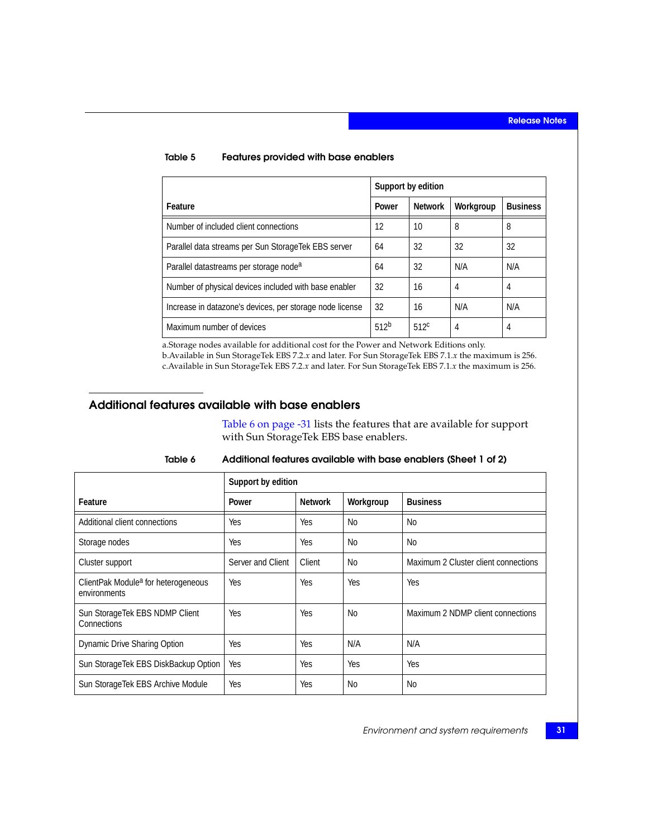|                                                          | Support by edition |                  |           |                 |
|----------------------------------------------------------|--------------------|------------------|-----------|-----------------|
| <b>Feature</b>                                           | <b>Power</b>       | <b>Network</b>   | Workgroup | <b>Business</b> |
| Number of included client connections                    | 12                 | 10               | 8         | 8               |
| Parallel data streams per Sun StorageTek EBS server      | 64                 | 32               | 32        | 32              |
| Parallel datastreams per storage node <sup>a</sup>       | 64                 | 32               | N/A       | N/A             |
| Number of physical devices included with base enabler    | 32                 | 16               | 4         | 4               |
| Increase in datazone's devices, per storage node license | 32                 | 16               | N/A       | N/A             |
| Maximum number of devices                                | 512 <sup>b</sup>   | 512 <sup>c</sup> | 4         | 4               |

#### <span id="page-30-1"></span>**Table 5 Features provided with base enablers**

a.Storage nodes available for additional cost for the Power and Network Editions only. b.Available in Sun StorageTek EBS 7.2*.x* and later. For Sun StorageTek EBS 7.1*.x* the maximum is 256. c.Available in Sun StorageTek EBS 7.2*.x* and later. For Sun StorageTek EBS 7.1*.x* the maximum is 256.

### <span id="page-30-0"></span>**Additional features available with base enablers**

[Table 6 on page -31](#page-30-2) lists the features that are available for support with Sun StorageTek EBS base enablers.

<span id="page-30-2"></span>

|                                                                 | Support by edition |                |           |                                      |
|-----------------------------------------------------------------|--------------------|----------------|-----------|--------------------------------------|
| Feature                                                         | <b>Power</b>       | <b>Network</b> | Workgroup | <b>Business</b>                      |
| Additional client connections                                   | Yes                | Yes            | No        | No                                   |
| Storage nodes                                                   | Yes                | Yes            | <b>No</b> | No                                   |
| Cluster support                                                 | Server and Client  | Client         | <b>No</b> | Maximum 2 Cluster client connections |
| ClientPak Module <sup>a</sup> for heterogeneous<br>environments | Yes                | Yes            | Yes       | Yes                                  |
| Sun StorageTek EBS NDMP Client<br>Connections                   | Yes                | Yes            | No        | Maximum 2 NDMP client connections    |
| Dynamic Drive Sharing Option                                    | Yes                | Yes            | N/A       | N/A                                  |
| Sun Storage Tek EBS DiskBackup Option                           | Yes                | Yes            | Yes       | Yes                                  |
| Sun Storage Tek EBS Archive Module                              | Yes                | Yes            | No        | No                                   |

#### **Table 6 Additional features available with base enablers (Sheet 1 of 2)**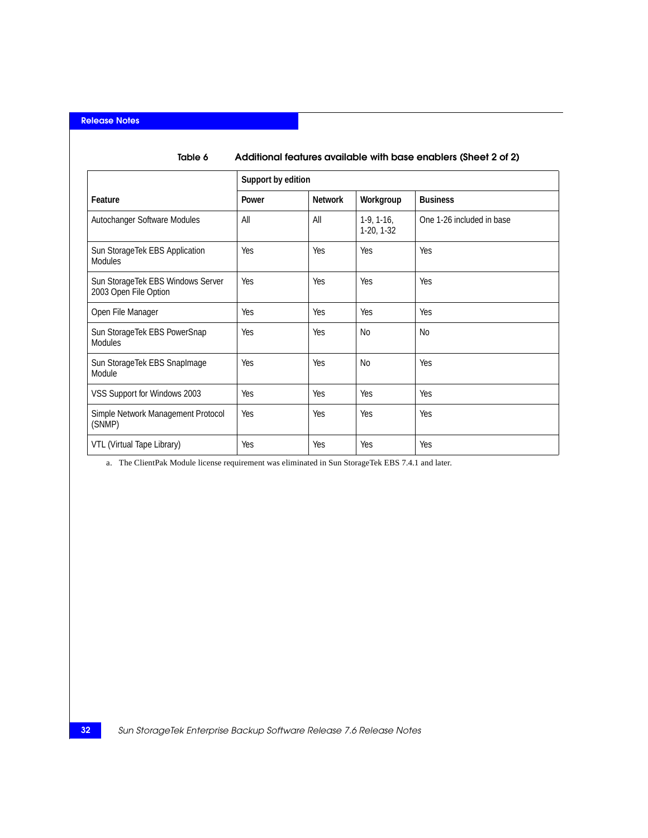**Table 6 Additional features available with base enablers (Sheet 2 of 2)**

|                                                            | <b>Support by edition</b> |                |                              |                           |  |
|------------------------------------------------------------|---------------------------|----------------|------------------------------|---------------------------|--|
| Feature                                                    | <b>Power</b>              | <b>Network</b> | Workgroup                    | <b>Business</b>           |  |
| Autochanger Software Modules                               | All                       | All            | $1-9, 1-16,$<br>$1-20, 1-32$ | One 1-26 included in base |  |
| Sun StorageTek EBS Application<br>Modules                  | Yes                       | Yes            | Yes                          | Yes                       |  |
| Sun StorageTek EBS Windows Server<br>2003 Open File Option | Yes                       | Yes            | Yes                          | Yes                       |  |
| Open File Manager                                          | Yes                       | Yes            | Yes                          | Yes                       |  |
| Sun StorageTek EBS PowerSnap<br><b>Modules</b>             | Yes                       | Yes            | No                           | No                        |  |
| Sun Storage Tek EBS SnapImage<br>Module                    | Yes                       | Yes            | No                           | Yes                       |  |
| VSS Support for Windows 2003                               | Yes                       | Yes            | Yes                          | Yes                       |  |
| Simple Network Management Protocol<br>(SNMP)               | Yes                       | Yes            | Yes                          | Yes                       |  |
| VTL (Virtual Tape Library)                                 | Yes                       | Yes            | Yes                          | Yes                       |  |

a. The ClientPak Module license requirement was eliminated in Sun StorageTek EBS 7.4.1 and later.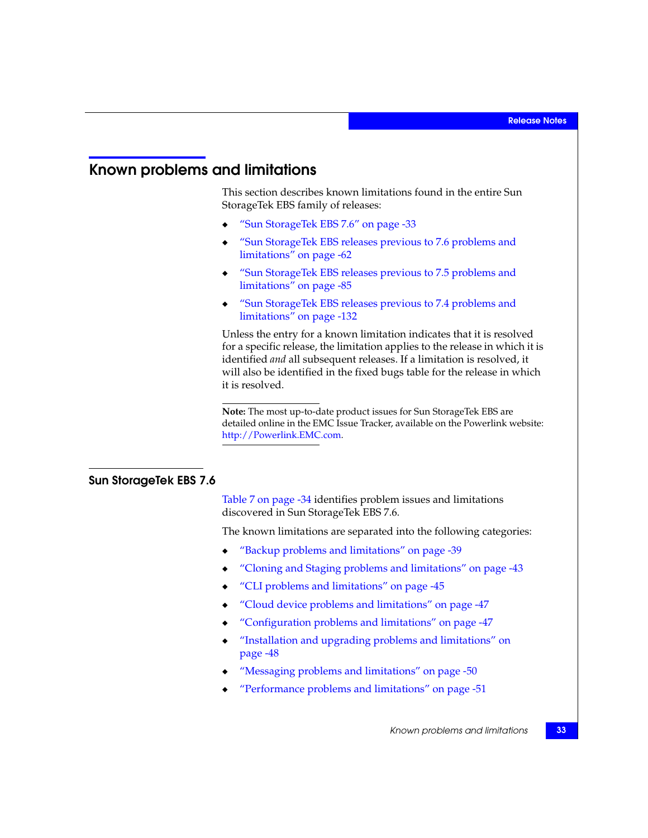### <span id="page-32-0"></span>**Known problems and limitations**

This section describes known limitations found in the entire Sun StorageTek EBS family of releases:

- ◆ ["Sun StorageTek EBS 7.6" on page -33](#page-32-1)
- ◆ ["Sun StorageTek EBS releases previous to 7.6 problems and](#page-61-0)  [limitations" on page -62](#page-61-0)
- ◆ ["Sun StorageTek EBS releases previous to 7.5 problems and](#page-84-0)  [limitations" on page -85](#page-84-0)
- ◆ ["Sun StorageTek EBS releases previous to 7.4 problems and](#page-131-0)  [limitations" on page -132](#page-131-0)

Unless the entry for a known limitation indicates that it is resolved for a specific release, the limitation applies to the release in which it is identified *and* all subsequent releases. If a limitation is resolved, it will also be identified in the fixed bugs table for the release in which it is resolved.

**Note:** The most up-to-date product issues for Sun StorageTek EBS are detailed online in the EMC Issue Tracker, available on the Powerlink website: <http://Powerlink.EMC.com>.

#### <span id="page-32-1"></span>**Sun StorageTek EBS 7.6**

[Table 7 on page -34](#page-33-0) identifies problem issues and limitations discovered in Sun StorageTek EBS 7.6.

The known limitations are separated into the following categories:

- ["Backup problems and limitations" on page -39](#page-38-0)
- ◆ ["Cloning and Staging problems and limitations" on page -43](#page-42-0)
- ◆ ["CLI problems and limitations" on page -45](#page-44-0)
- ◆ ["Cloud device problems and limitations" on page -47](#page-46-0)
- ◆ ["Configuration problems and limitations" on page -47](#page-46-1)
- ◆ ["Installation and upgrading problems and limitations" on](#page-47-0)  [page -48](#page-47-0)
- ◆ ["Messaging problems and limitations" on page -50](#page-49-0)
- ◆ ["Performance problems and limitations" on page -51](#page-50-0)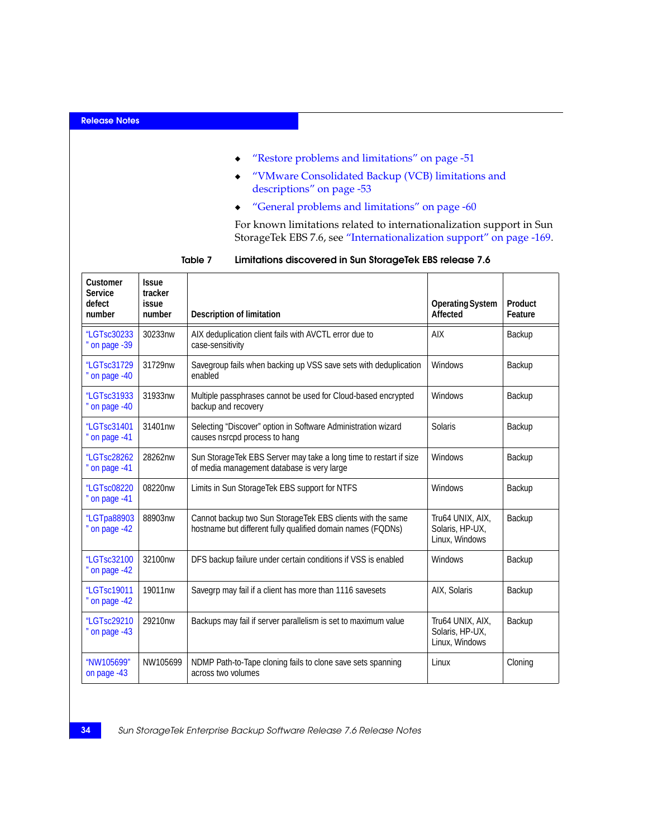- ◆ ["Restore problems and limitations" on page -51](#page-50-1)
- ◆ ["VMware Consolidated Backup \(VCB\) limitations and](#page-52-0)  [descriptions" on page -53](#page-52-0)
- ◆ ["General problems and limitations" on page -60](#page-59-0)

For known limitations related to internationalization support in Sun StorageTek EBS 7.6, see ["Internationalization support" on page -169.](#page-168-0)

| Table 7 |  | Limitations discovered in Sun StorageTek EBS release 7.6 |  |  |  |  |
|---------|--|----------------------------------------------------------|--|--|--|--|
|---------|--|----------------------------------------------------------|--|--|--|--|

<span id="page-33-0"></span>

| <b>Customer</b><br><b>Service</b><br>defect<br>number | <b>Issue</b><br>tracker<br>issue<br>number | <b>Description of limitation</b>                                                                                          | <b>Operating System</b><br>Affected                   | <b>Product</b><br>Feature |
|-------------------------------------------------------|--------------------------------------------|---------------------------------------------------------------------------------------------------------------------------|-------------------------------------------------------|---------------------------|
| "LGTsc30233<br>" on page -39                          | 30233nw                                    | AIX deduplication client fails with AVCTL error due to<br>case-sensitivity                                                | <b>AIX</b>                                            | Backup                    |
| "LGTsc31729<br>" on page -40                          | 31729nw                                    | Savegroup fails when backing up VSS save sets with deduplication<br>enabled                                               | Windows                                               | Backup                    |
| "LGTsc31933<br>" on page -40                          | 31933nw                                    | Multiple passphrases cannot be used for Cloud-based encrypted<br>backup and recovery                                      | Windows                                               | Backup                    |
| "LGTsc31401<br>" on page -41                          | 31401nw                                    | Selecting "Discover" option in Software Administration wizard<br>causes nsrcpd process to hang                            | Solaris                                               | Backup                    |
| "LGTsc28262<br>" on page -41                          | 28262nw                                    | Sun Storage Tek EBS Server may take a long time to restart if size<br>of media management database is very large          | Windows                                               | Backup                    |
| "LGTsc08220<br>" on page -41                          | 08220nw                                    | Limits in Sun StorageTek EBS support for NTFS                                                                             | Windows                                               | Backup                    |
| "LGTpa88903<br>" on page -42                          | 88903nw                                    | Cannot backup two Sun StorageTek EBS clients with the same<br>hostname but different fully qualified domain names (FQDNs) | Tru64 UNIX, AIX,<br>Solaris, HP-UX,<br>Linux, Windows | Backup                    |
| "LGTsc32100<br>" on page -42                          | 32100nw                                    | DFS backup failure under certain conditions if VSS is enabled                                                             | Windows                                               | Backup                    |
| "LGTsc19011<br>" on page -42                          | 19011nw                                    | Savegrp may fail if a client has more than 1116 savesets                                                                  | AIX, Solaris                                          | Backup                    |
| "LGTsc29210<br>" on page -43                          | 29210nw                                    | Backups may fail if server parallelism is set to maximum value                                                            | Tru64 UNIX, AIX,<br>Solaris, HP-UX,<br>Linux, Windows | Backup                    |
| "NW105699"<br>on page -43                             | NW105699                                   | NDMP Path-to-Tape cloning fails to clone save sets spanning<br>across two volumes                                         | Linux                                                 | Cloning                   |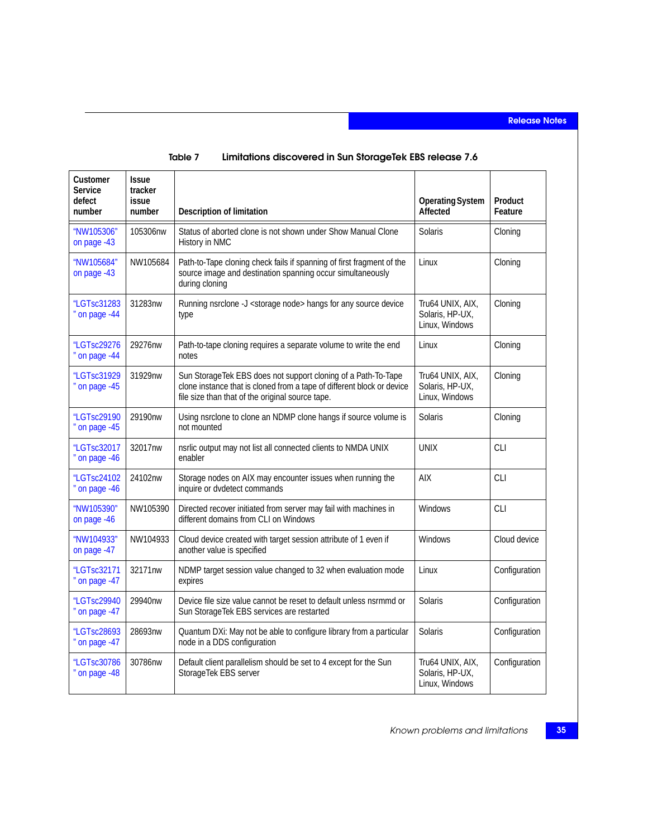| Table 7 | Limitations discovered in Sun StorageTek EBS release 7.6 |
|---------|----------------------------------------------------------|
|---------|----------------------------------------------------------|

| <b>Customer</b><br><b>Service</b><br>defect<br>number | <b>Issue</b><br>tracker<br>issue<br>number | <b>Description of limitation</b>                                                                                                                                                             | <b>Operating System</b><br>Affected                   | <b>Product</b><br><b>Feature</b> |
|-------------------------------------------------------|--------------------------------------------|----------------------------------------------------------------------------------------------------------------------------------------------------------------------------------------------|-------------------------------------------------------|----------------------------------|
| "NW105306"<br>on page -43                             | 105306nw                                   | Status of aborted clone is not shown under Show Manual Clone<br>History in NMC                                                                                                               | Solaris                                               | Cloning                          |
| "NW105684"<br>on page -43                             | NW105684                                   | Path-to-Tape cloning check fails if spanning of first fragment of the<br>source image and destination spanning occur simultaneously<br>during cloning                                        | Linux                                                 | Cloning                          |
| "LGTsc31283<br>" on page -44                          | 31283nw                                    | Running nsrclone -J <storage node=""> hangs for any source device<br/>type</storage>                                                                                                         | Tru64 UNIX, AIX,<br>Solaris, HP-UX,<br>Linux, Windows | Cloning                          |
| "LGTsc29276<br>" on page -44                          | 29276nw                                    | Path-to-tape cloning requires a separate volume to write the end<br>notes                                                                                                                    | Linux                                                 | Cloning                          |
| "LGTsc31929<br>" on page -45                          | 31929nw                                    | Sun Storage Tek EBS does not support cloning of a Path-To-Tape<br>clone instance that is cloned from a tape of different block or device<br>file size than that of the original source tape. | Tru64 UNIX, AIX,<br>Solaris, HP-UX,<br>Linux, Windows | Cloning                          |
| "LGTsc29190<br>" on page -45                          | 29190nw                                    | Using nsrclone to clone an NDMP clone hangs if source volume is<br>not mounted                                                                                                               | Solaris                                               | Cloning                          |
| "LGTsc32017<br>" on page -46                          | 32017nw                                    | nsrlic output may not list all connected clients to NMDA UNIX<br>enabler                                                                                                                     | <b>UNIX</b>                                           | CLI                              |
| "LGTsc24102<br>" on page -46                          | 24102nw                                    | Storage nodes on AIX may encounter issues when running the<br>inquire or dvdetect commands                                                                                                   | <b>AIX</b>                                            | <b>CLI</b>                       |
| "NW105390"<br>on page -46                             | NW105390                                   | Directed recover initiated from server may fail with machines in<br>different domains from CLI on Windows                                                                                    | Windows                                               | СLI                              |
| "NW104933"<br>on page -47                             | NW104933                                   | Cloud device created with target session attribute of 1 even if<br>another value is specified                                                                                                | Windows                                               | Cloud device                     |
| "LGTsc32171<br>" on page -47                          | 32171nw                                    | NDMP target session value changed to 32 when evaluation mode<br>expires                                                                                                                      | Linux                                                 | Configuration                    |
| "LGTsc29940<br>" on page -47                          | 29940nw                                    | Device file size value cannot be reset to default unless nsrmmd or<br>Sun StorageTek EBS services are restarted                                                                              | Solaris                                               | Configuration                    |
| "LGTsc28693<br>" on page -47                          | 28693nw                                    | Quantum DXi: May not be able to configure library from a particular<br>node in a DDS configuration                                                                                           | Solaris                                               | Configuration                    |
| "LGTsc30786<br>" on page -48                          | 30786nw                                    | Default client parallelism should be set to 4 except for the Sun<br>StorageTek EBS server                                                                                                    | Tru64 UNIX, AIX,<br>Solaris, HP-UX,<br>Linux, Windows | Configuration                    |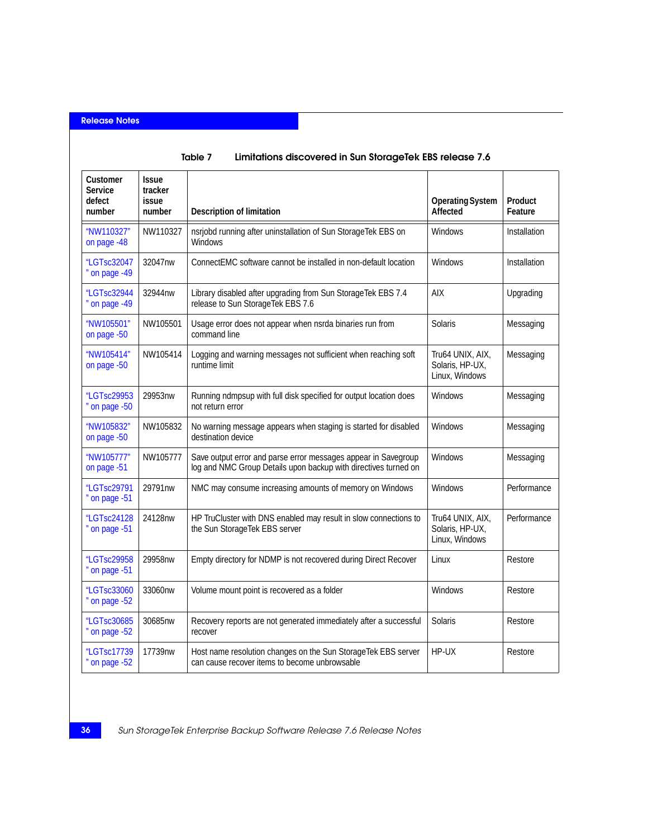| Limitations discovered in Sun StorageTek EBS release 7.6<br>Table 7 |  |
|---------------------------------------------------------------------|--|
|---------------------------------------------------------------------|--|

| Customer<br>Service<br>defect<br>number | <b>Issue</b><br>tracker<br>issue<br>number | <b>Description of limitation</b>                                                                                                  | <b>Operating System</b><br><b>Affected</b>            | <b>Product</b><br><b>Feature</b> |
|-----------------------------------------|--------------------------------------------|-----------------------------------------------------------------------------------------------------------------------------------|-------------------------------------------------------|----------------------------------|
| "NW110327"<br>on page -48               | NW110327                                   | nsrjobd running after uninstallation of Sun StorageTek EBS on<br>Windows                                                          | Windows                                               | Installation                     |
| "LGTsc32047<br>" on page -49            | 32047nw                                    | ConnectEMC software cannot be installed in non-default location                                                                   | Windows                                               | Installation                     |
| "LGTsc32944<br>" on page -49            | 32944nw                                    | Library disabled after upgrading from Sun Storage Tek EBS 7.4<br>release to Sun StorageTek EBS 7.6                                | <b>AIX</b>                                            | Upgrading                        |
| "NW105501"<br>on page -50               | NW105501                                   | Usage error does not appear when nsrda binaries run from<br>command line                                                          | Solaris                                               | Messaging                        |
| "NW105414"<br>on page -50               | NW105414                                   | Logging and warning messages not sufficient when reaching soft<br>runtime limit                                                   | Tru64 UNIX, AIX,<br>Solaris, HP-UX,<br>Linux, Windows | Messaging                        |
| "LGTsc29953<br>" on page -50            | 29953nw                                    | Running ndmpsup with full disk specified for output location does<br>not return error                                             | Windows                                               | Messaging                        |
| "NW105832"<br>on page -50               | NW105832                                   | No warning message appears when staging is started for disabled<br>destination device                                             | Windows                                               | Messaging                        |
| "NW105777"<br>on page -51               | NW105777                                   | Save output error and parse error messages appear in Savegroup<br>log and NMC Group Details upon backup with directives turned on | Windows                                               | Messaging                        |
| "LGTsc29791<br>on page -51              | 29791nw                                    | NMC may consume increasing amounts of memory on Windows                                                                           | Windows                                               | Performance                      |
| "LGTsc24128<br>" on page -51            | 24128nw                                    | HP TruCluster with DNS enabled may result in slow connections to<br>the Sun StorageTek EBS server                                 | Tru64 UNIX, AIX,<br>Solaris, HP-UX,<br>Linux, Windows | Performance                      |
| "LGTsc29958<br>" on page -51            | 29958nw                                    | Empty directory for NDMP is not recovered during Direct Recover                                                                   | Linux                                                 | Restore                          |
| "LGTsc33060<br>" on page -52            | 33060nw                                    | Volume mount point is recovered as a folder                                                                                       | Windows                                               | Restore                          |
| "LGTsc30685<br>" on page -52            | 30685nw                                    | Recovery reports are not generated immediately after a successful<br>recover                                                      | Solaris                                               | Restore                          |
| "LGTsc17739<br>" on page -52            | 17739nw                                    | Host name resolution changes on the Sun StorageTek EBS server<br>can cause recover items to become unbrowsable                    | HP-UX                                                 | Restore                          |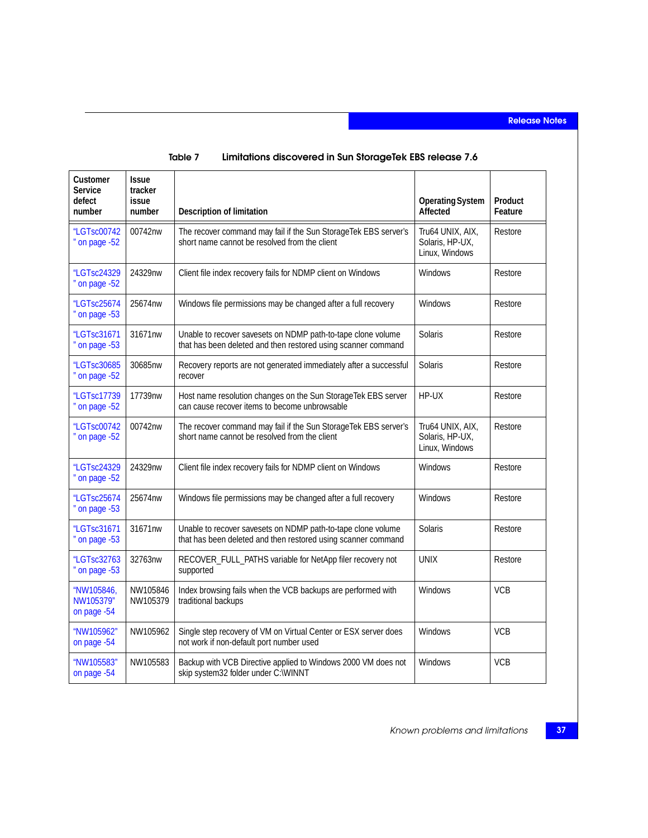| <b>Customer</b><br><b>Service</b><br>defect<br>number | <b>Issue</b><br>tracker<br>issue<br>number | <b>Description of limitation</b>                                                                                              | <b>Operating System</b><br>Affected                   | <b>Product</b><br><b>Feature</b> |
|-------------------------------------------------------|--------------------------------------------|-------------------------------------------------------------------------------------------------------------------------------|-------------------------------------------------------|----------------------------------|
| "LGTsc00742<br>" on page -52                          | 00742nw                                    | The recover command may fail if the Sun StorageTek EBS server's<br>short name cannot be resolved from the client              | Tru64 UNIX, AIX,<br>Solaris, HP-UX,<br>Linux, Windows | Restore                          |
| "LGTsc24329<br>" on page -52                          | 24329nw                                    | Client file index recovery fails for NDMP client on Windows                                                                   | <b>Windows</b>                                        | Restore                          |
| "LGTsc25674<br>" on page -53                          | 25674nw                                    | Windows file permissions may be changed after a full recovery                                                                 | Windows                                               | Restore                          |
| "LGTsc31671<br>" on page -53                          | 31671nw                                    | Unable to recover savesets on NDMP path-to-tape clone volume<br>that has been deleted and then restored using scanner command | Solaris                                               | Restore                          |
| "LGTsc30685<br>" on page -52                          | 30685nw                                    | Recovery reports are not generated immediately after a successful<br>recover                                                  | Solaris                                               | Restore                          |
| "LGTsc17739<br>" on page -52                          | 17739nw                                    | Host name resolution changes on the Sun StorageTek EBS server<br>can cause recover items to become unbrowsable                | HP-UX                                                 | Restore                          |
| "LGTsc00742<br>" on page -52                          | 00742nw                                    | The recover command may fail if the Sun StorageTek EBS server's<br>short name cannot be resolved from the client              | Tru64 UNIX, AIX,<br>Solaris, HP-UX,<br>Linux, Windows | Restore                          |
| "LGTsc24329<br>" on page -52                          | 24329nw                                    | Client file index recovery fails for NDMP client on Windows                                                                   | Windows                                               | Restore                          |
| "LGTsc25674<br>" on page -53                          | 25674nw                                    | Windows file permissions may be changed after a full recovery                                                                 | Windows                                               | Restore                          |
| "LGTsc31671<br>" on page -53                          | 31671nw                                    | Unable to recover savesets on NDMP path-to-tape clone volume<br>that has been deleted and then restored using scanner command | Solaris                                               | Restore                          |
| "LGTsc32763<br>" on page -53                          | 32763nw                                    | RECOVER_FULL_PATHS variable for NetApp filer recovery not<br>supported                                                        | <b>UNIX</b>                                           | Restore                          |
| "NW105846,<br>NW105379"<br>on page -54                | NW105846<br>NW105379                       | Index browsing fails when the VCB backups are performed with<br>traditional backups                                           | Windows                                               | <b>VCB</b>                       |
| "NW105962"<br>on page -54                             | NW105962                                   | Single step recovery of VM on Virtual Center or ESX server does<br>not work if non-default port number used                   | Windows                                               | <b>VCB</b>                       |

NW105583 | Backup with VCB Directive applied to Windows 2000 VM does not

skip system32 folder under C:\WINNT

["NW105583"](#page-53-0)  [on page -54](#page-53-0)

| Table 7 |  |  | Limitations discovered in Sun StorageTek EBS release 7.6 |  |
|---------|--|--|----------------------------------------------------------|--|
|---------|--|--|----------------------------------------------------------|--|

Windows **VCB**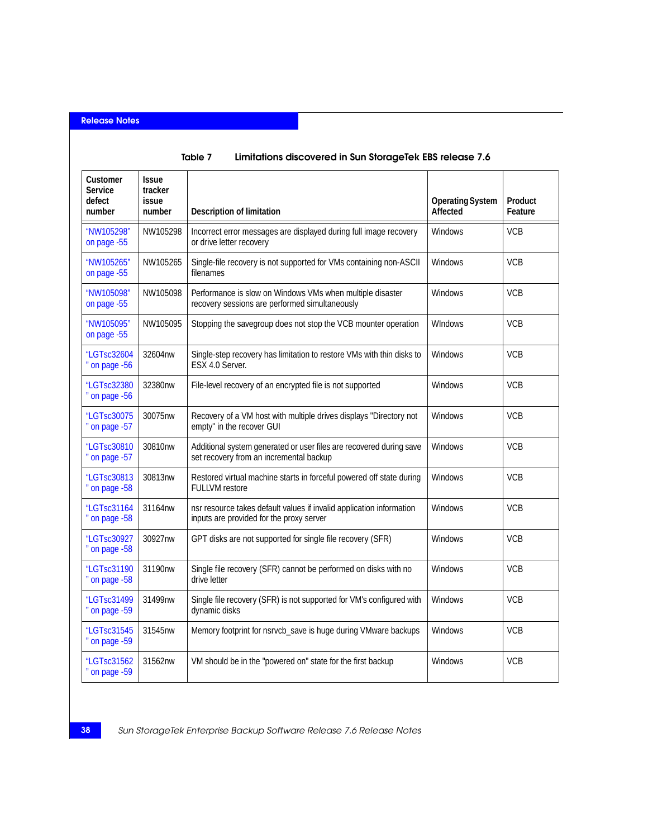| Limitations discovered in Sun StorageTek EBS release 7.6 |
|----------------------------------------------------------|
|                                                          |

| <b>Customer</b><br>Service<br>defect<br>number | <b>Issue</b><br>tracker<br>issue<br>number | <b>Description of limitation</b>                                                                                 | <b>Operating System</b><br>Affected | <b>Product</b><br><b>Feature</b> |
|------------------------------------------------|--------------------------------------------|------------------------------------------------------------------------------------------------------------------|-------------------------------------|----------------------------------|
| "NW105298"<br>on page -55                      | NW105298                                   | Incorrect error messages are displayed during full image recovery<br>or drive letter recovery                    | Windows                             | <b>VCB</b>                       |
| "NW105265"<br>on page -55                      | NW105265                                   | Single-file recovery is not supported for VMs containing non-ASCII<br>filenames                                  | Windows                             | <b>VCB</b>                       |
| "NW105098"<br>on page -55                      | NW105098                                   | Performance is slow on Windows VMs when multiple disaster<br>recovery sessions are performed simultaneously      | Windows                             | <b>VCB</b>                       |
| "NW105095"<br>on page -55                      | NW105095                                   | Stopping the savegroup does not stop the VCB mounter operation                                                   | WIndows                             | <b>VCB</b>                       |
| "LGTsc32604<br>" on page -56                   | 32604nw                                    | Single-step recovery has limitation to restore VMs with thin disks to<br>ESX 4.0 Server.                         | Windows                             | <b>VCB</b>                       |
| "LGTsc32380<br>on page -56                     | 32380nw                                    | File-level recovery of an encrypted file is not supported                                                        | Windows                             | <b>VCB</b>                       |
| "LGTsc30075<br>" on page -57                   | 30075nw                                    | Recovery of a VM host with multiple drives displays "Directory not<br>empty" in the recover GUI                  | Windows                             | <b>VCB</b>                       |
| "LGTsc30810<br>on page -57                     | 30810nw                                    | Additional system generated or user files are recovered during save<br>set recovery from an incremental backup   | Windows                             | <b>VCB</b>                       |
| "LGTsc30813<br>" on page -58                   | 30813nw                                    | Restored virtual machine starts in forceful powered off state during<br><b>FULLVM</b> restore                    | Windows                             | <b>VCB</b>                       |
| "LGTsc31164<br>" on page -58                   | 31164nw                                    | nsr resource takes default values if invalid application information<br>inputs are provided for the proxy server | Windows                             | <b>VCB</b>                       |
| "LGTsc30927<br>" on page -58                   | 30927nw                                    | GPT disks are not supported for single file recovery (SFR)                                                       | Windows                             | <b>VCB</b>                       |
| "LGTsc31190<br>" on page -58                   | 31190nw                                    | Single file recovery (SFR) cannot be performed on disks with no<br>drive letter                                  | Windows                             | <b>VCB</b>                       |
| "LGTsc31499<br>" on page -59                   | 31499nw                                    | Single file recovery (SFR) is not supported for VM's configured with<br>dynamic disks                            | Windows                             | <b>VCB</b>                       |
| "LGTsc31545<br>" on page -59                   | 31545nw                                    | Memory footprint for nsrvcb_save is huge during VMware backups                                                   | Windows                             | <b>VCB</b>                       |
| "LGTsc31562<br>" on page -59                   | 31562nw                                    | VM should be in the "powered on" state for the first backup                                                      | Windows                             | <b>VCB</b>                       |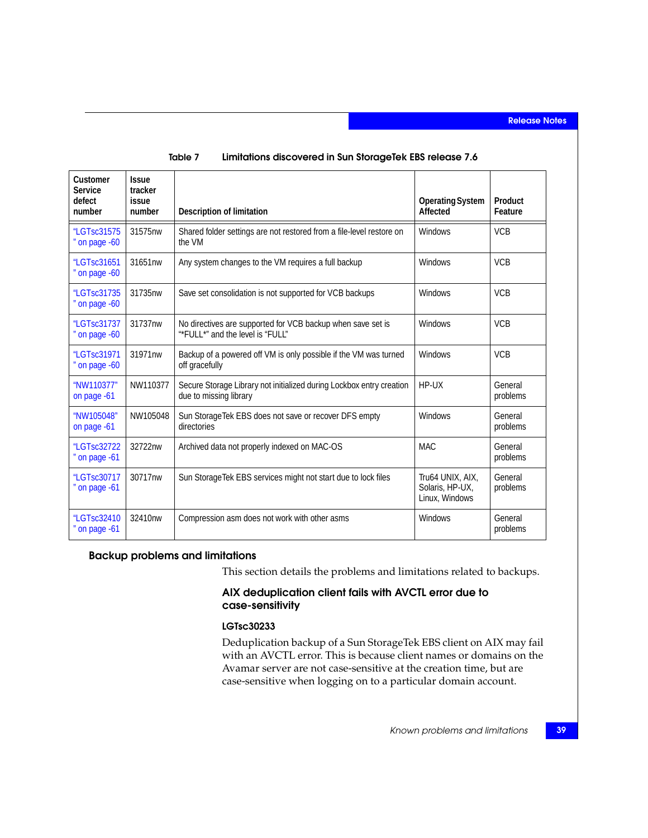| <b>Customer</b><br><b>Service</b><br>defect<br>number | <b>Issue</b><br>tracker<br>issue<br>number | <b>Description of limitation</b>                                                                | <b>Operating System</b><br><b>Affected</b>            | <b>Product</b><br>Feature |
|-------------------------------------------------------|--------------------------------------------|-------------------------------------------------------------------------------------------------|-------------------------------------------------------|---------------------------|
| "LGTsc31575<br>on page -60                            | 31575nw                                    | Shared folder settings are not restored from a file-level restore on<br>the VM                  | Windows                                               | <b>VCB</b>                |
| "LGTsc31651<br>on page -60                            | 31651nw                                    | Any system changes to the VM requires a full backup                                             | Windows                                               | <b>VCB</b>                |
| "LGTsc31735<br>on page -60                            | 31735nw                                    | Save set consolidation is not supported for VCB backups                                         | Windows                                               | <b>VCB</b>                |
| "LGTsc31737<br>on page -60                            | 31737nw                                    | No directives are supported for VCB backup when save set is<br>"*FULL*" and the level is "FULL" | Windows                                               | <b>VCB</b>                |
| "LGTsc31971<br>on page -60                            | 31971nw                                    | Backup of a powered off VM is only possible if the VM was turned<br>off gracefully              | Windows                                               | <b>VCB</b>                |
| "NW110377"<br>on page -61                             | NW110377                                   | Secure Storage Library not initialized during Lockbox entry creation<br>due to missing library  | HP-UX                                                 | General<br>problems       |
| "NW105048"<br>on page -61                             | NW105048                                   | Sun Storage Tek EBS does not save or recover DFS empty<br>directories                           | Windows                                               | General<br>problems       |
| "LGTsc32722<br>" on page -61                          | 32722nw                                    | Archived data not properly indexed on MAC-OS                                                    | <b>MAC</b>                                            | General<br>problems       |
| "LGTsc30717<br>" on page -61                          | 30717nw                                    | Sun Storage Tek EBS services might not start due to lock files                                  | Tru64 UNIX, AIX,<br>Solaris, HP-UX,<br>Linux, Windows | General<br>problems       |
| "LGTsc32410<br>" on page -61                          | 32410nw                                    | Compression asm does not work with other asms                                                   | Windows                                               | General<br>problems       |

## **Table 7 Limitations discovered in Sun StorageTek EBS release 7.6**

## **Backup problems and limitations**

This section details the problems and limitations related to backups.

# **AIX deduplication client fails with AVCTL error due to case-sensitivity**

## **LGTsc30233**

Deduplication backup of a Sun StorageTek EBS client on AIX may fail with an AVCTL error. This is because client names or domains on the Avamar server are not case-sensitive at the creation time, but are case-sensitive when logging on to a particular domain account.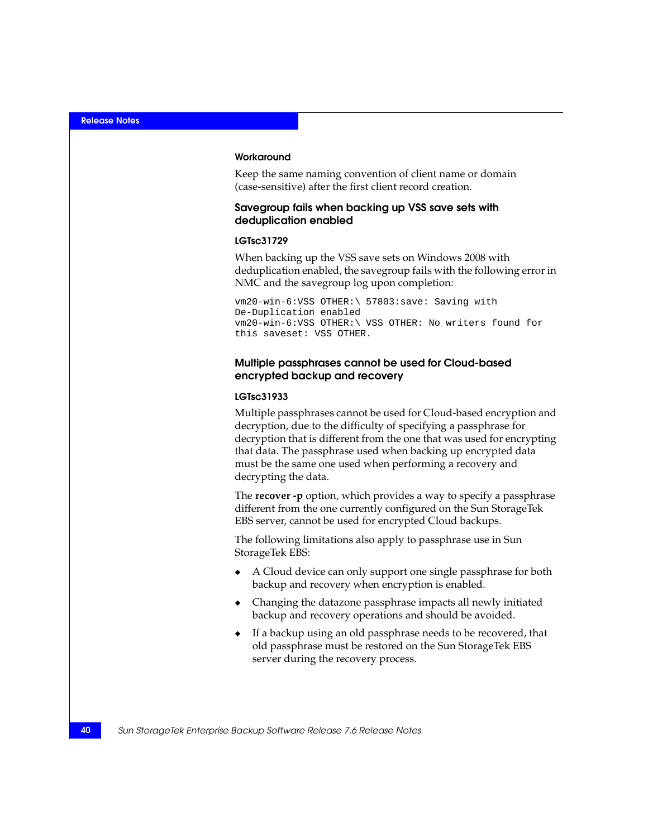Keep the same naming convention of client name or domain (case-sensitive) after the first client record creation.

## **Savegroup fails when backing up VSS save sets with deduplication enabled**

#### **LGTsc31729**

When backing up the VSS save sets on Windows 2008 with deduplication enabled, the savegroup fails with the following error in NMC and the savegroup log upon completion:

vm20-win-6:VSS OTHER:\ 57803:save: Saving with De-Duplication enabled vm20-win-6:VSS OTHER:\ VSS OTHER: No writers found for this saveset: VSS OTHER.

## **Multiple passphrases cannot be used for Cloud-based encrypted backup and recovery**

#### **LGTsc31933**

Multiple passphrases cannot be used for Cloud-based encryption and decryption, due to the difficulty of specifying a passphrase for decryption that is different from the one that was used for encrypting that data. The passphrase used when backing up encrypted data must be the same one used when performing a recovery and decrypting the data.

The **recover -p** option, which provides a way to specify a passphrase different from the one currently configured on the Sun StorageTek EBS server, cannot be used for encrypted Cloud backups.

The following limitations also apply to passphrase use in Sun StorageTek EBS:

- ◆ A Cloud device can only support one single passphrase for both backup and recovery when encryption is enabled.
- ◆ Changing the datazone passphrase impacts all newly initiated backup and recovery operations and should be avoided.
- ◆ If a backup using an old passphrase needs to be recovered, that old passphrase must be restored on the Sun StorageTek EBS server during the recovery process.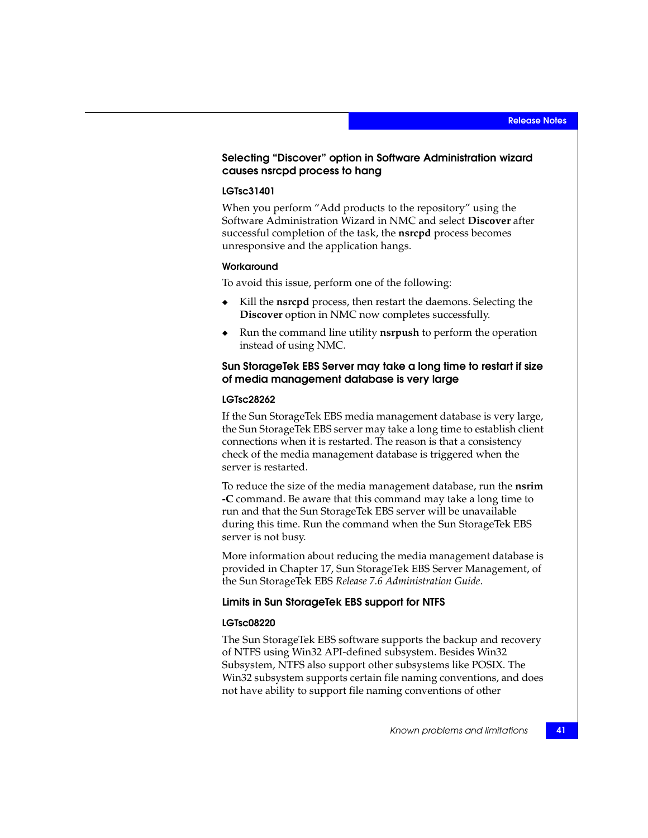# **Selecting "Discover" option in Software Administration wizard causes nsrcpd process to hang**

## **LGTsc31401**

When you perform "Add products to the repository" using the Software Administration Wizard in NMC and select **Discover** after successful completion of the task, the **nsrcpd** process becomes unresponsive and the application hangs.

## **Workaround**

To avoid this issue, perform one of the following:

- Kill the **nsrcpd** process, then restart the daemons. Selecting the **Discover** option in NMC now completes successfully.
- ◆ Run the command line utility **nsrpush** to perform the operation instead of using NMC.

# **Sun StorageTek EBS Server may take a long time to restart if size of media management database is very large**

## **LGTsc28262**

If the Sun StorageTek EBS media management database is very large, the Sun StorageTek EBS server may take a long time to establish client connections when it is restarted. The reason is that a consistency check of the media management database is triggered when the server is restarted.

To reduce the size of the media management database, run the **nsrim -C** command. Be aware that this command may take a long time to run and that the Sun StorageTek EBS server will be unavailable during this time. Run the command when the Sun StorageTek EBS server is not busy.

More information about reducing the media management database is provided in Chapter 17, Sun StorageTek EBS Server Management, of the Sun StorageTek EBS *Release 7.6 Administration Guide*.

## **Limits in Sun StorageTek EBS support for NTFS**

## **LGTsc08220**

The Sun StorageTek EBS software supports the backup and recovery of NTFS using Win32 API-defined subsystem. Besides Win32 Subsystem, NTFS also support other subsystems like POSIX. The Win32 subsystem supports certain file naming conventions, and does not have ability to support file naming conventions of other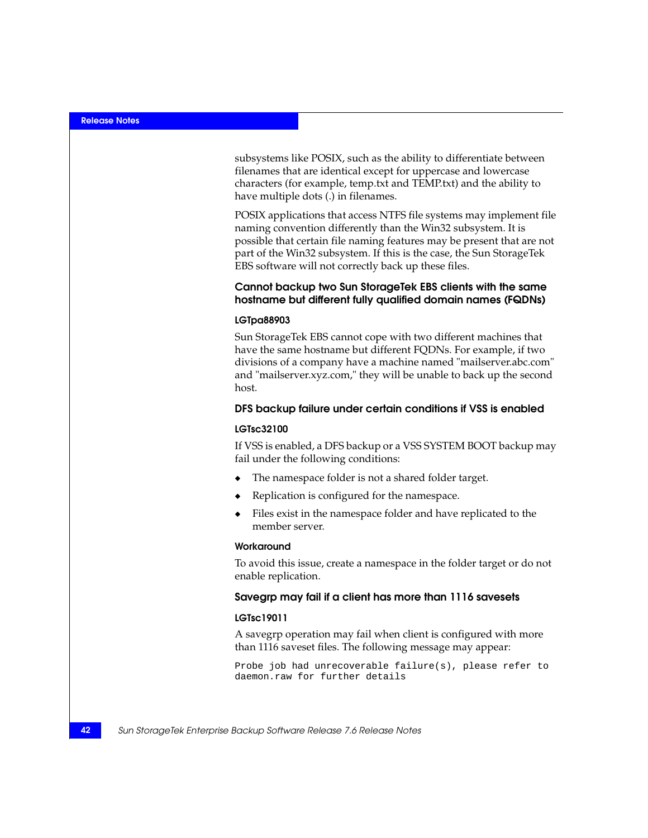subsystems like POSIX, such as the ability to differentiate between filenames that are identical except for uppercase and lowercase characters (for example, temp.txt and TEMP.txt) and the ability to have multiple dots (.) in filenames.

POSIX applications that access NTFS file systems may implement file naming convention differently than the Win32 subsystem. It is possible that certain file naming features may be present that are not part of the Win32 subsystem. If this is the case, the Sun StorageTek EBS software will not correctly back up these files.

# **Cannot backup two Sun StorageTek EBS clients with the same hostname but different fully qualified domain names (FQDNs)**

#### **LGTpa88903**

Sun StorageTek EBS cannot cope with two different machines that have the same hostname but different FQDNs. For example, if two divisions of a company have a machine named "mailserver.abc.com" and "mailserver.xyz.com," they will be unable to back up the second host.

## **DFS backup failure under certain conditions if VSS is enabled**

#### **LGTsc32100**

If VSS is enabled, a DFS backup or a VSS SYSTEM BOOT backup may fail under the following conditions:

- The namespace folder is not a shared folder target.
- Replication is configured for the namespace.
- Files exist in the namespace folder and have replicated to the member server.

#### **Workaround**

To avoid this issue, create a namespace in the folder target or do not enable replication.

#### **Savegrp may fail if a client has more than 1116 savesets**

#### **LGTsc19011**

A savegrp operation may fail when client is configured with more than 1116 saveset files. The following message may appear:

Probe job had unrecoverable failure(s), please refer to daemon.raw for further details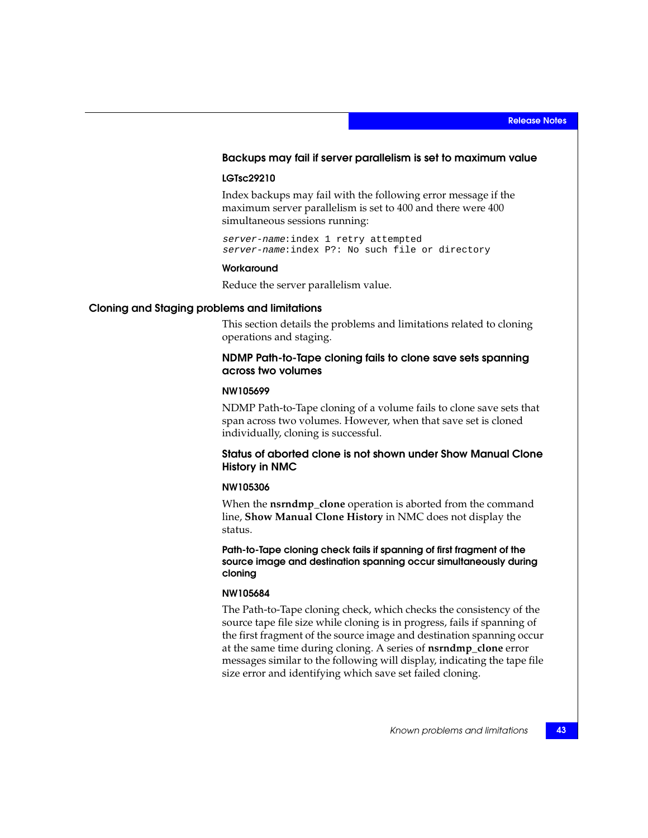## **Backups may fail if server parallelism is set to maximum value**

## **LGTsc29210**

Index backups may fail with the following error message if the maximum server parallelism is set to 400 and there were 400 simultaneous sessions running:

server-name:index 1 retry attempted server-name:index P?: No such file or directory

#### **Workaround**

Reduce the server parallelism value.

#### **Cloning and Staging problems and limitations**

This section details the problems and limitations related to cloning operations and staging.

# **NDMP Path-to-Tape cloning fails to clone save sets spanning across two volumes**

#### **NW105699**

NDMP Path-to-Tape cloning of a volume fails to clone save sets that span across two volumes. However, when that save set is cloned individually, cloning is successful.

# **Status of aborted clone is not shown under Show Manual Clone History in NMC**

#### **NW105306**

When the **nsrndmp\_clone** operation is aborted from the command line, **Show Manual Clone History** in NMC does not display the status.

**Path-to-Tape cloning check fails if spanning of first fragment of the source image and destination spanning occur simultaneously during cloning**

#### **NW105684**

The Path-to-Tape cloning check, which checks the consistency of the source tape file size while cloning is in progress, fails if spanning of the first fragment of the source image and destination spanning occur at the same time during cloning. A series of **nsrndmp\_clone** error messages similar to the following will display, indicating the tape file size error and identifying which save set failed cloning.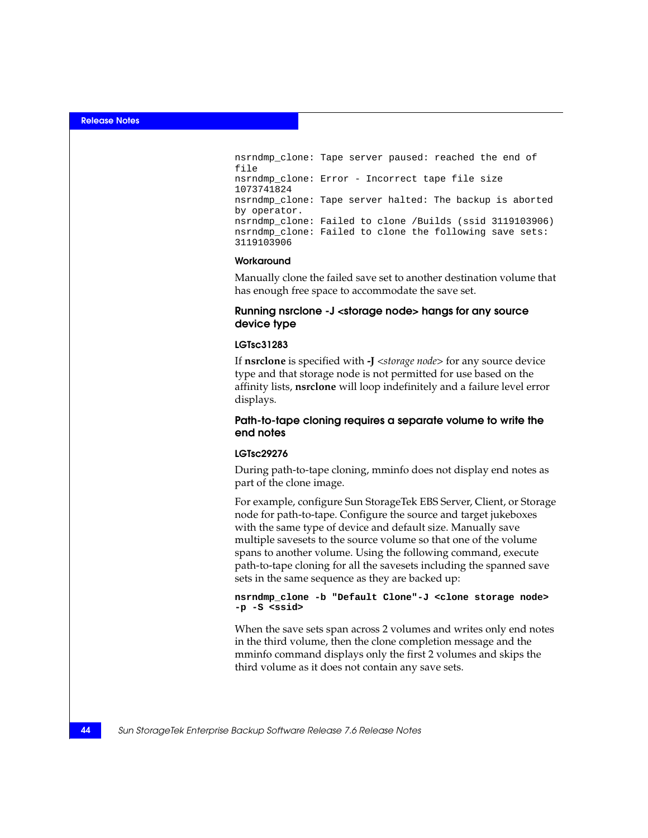```
nsrndmp_clone: Tape server paused: reached the end of 
file
nsrndmp_clone: Error - Incorrect tape file size 
1073741824
nsrndmp_clone: Tape server halted: The backup is aborted 
by operator.
nsrndmp_clone: Failed to clone /Builds (ssid 3119103906)
nsrndmp_clone: Failed to clone the following save sets: 
3119103906
```
Manually clone the failed save set to another destination volume that has enough free space to accommodate the save set.

## **Running nsrclone -J <storage node> hangs for any source device type**

#### **LGTsc31283**

If **nsrclone** is specified with **-J** *<storage node>* for any source device type and that storage node is not permitted for use based on the affinity lists, **nsrclone** will loop indefinitely and a failure level error displays.

## **Path-to-tape cloning requires a separate volume to write the end notes**

## **LGTsc29276**

During path-to-tape cloning, mminfo does not display end notes as part of the clone image.

For example, configure Sun StorageTek EBS Server, Client, or Storage node for path-to-tape. Configure the source and target jukeboxes with the same type of device and default size. Manually save multiple savesets to the source volume so that one of the volume spans to another volume. Using the following command, execute path-to-tape cloning for all the savesets including the spanned save sets in the same sequence as they are backed up:

#### **nsrndmp\_clone -b "Default Clone"-J <clone storage node> -p -S <ssid>**

When the save sets span across 2 volumes and writes only end notes in the third volume, then the clone completion message and the mminfo command displays only the first 2 volumes and skips the third volume as it does not contain any save sets.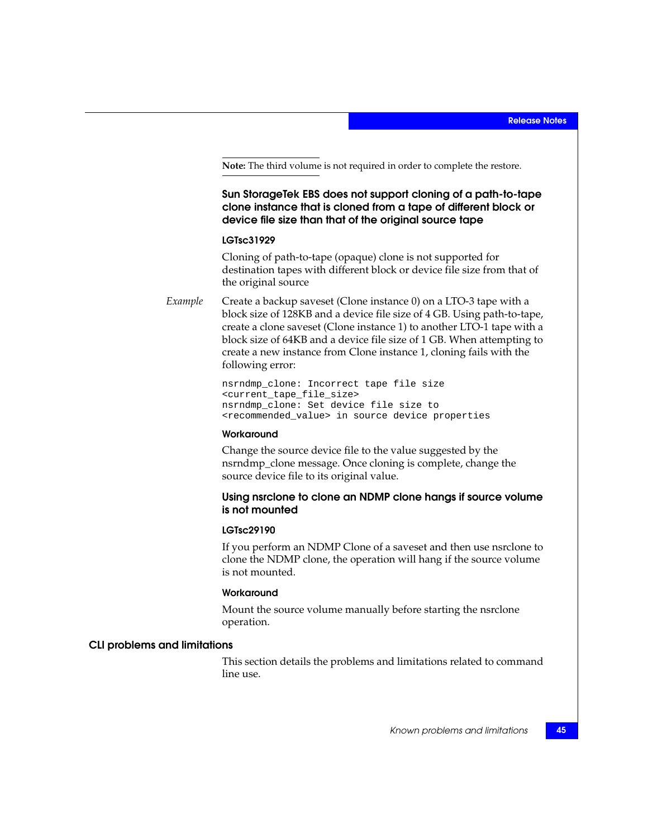**Note:** The third volume is not required in order to complete the restore.

# **Sun StorageTek EBS does not support cloning of a path-to-tape clone instance that is cloned from a tape of different block or device file size than that of the original source tape**

#### **LGTsc31929**

Cloning of path-to-tape (opaque) clone is not supported for destination tapes with different block or device file size from that of the original source

*Example* Create a backup saveset (Clone instance 0) on a LTO-3 tape with a block size of 128KB and a device file size of 4 GB. Using path-to-tape, create a clone saveset (Clone instance 1) to another LTO-1 tape with a block size of 64KB and a device file size of 1 GB. When attempting to create a new instance from Clone instance 1, cloning fails with the following error:

```
nsrndmp_clone: Incorrect tape file size 
<current_tape_file_size>
nsrndmp_clone: Set device file size to 
<recommended_value> in source device properties
```
#### **Workaround**

Change the source device file to the value suggested by the nsrndmp clone message. Once cloning is complete, change the source device file to its original value.

# **Using nsrclone to clone an NDMP clone hangs if source volume is not mounted**

# **LGTsc29190**

If you perform an NDMP Clone of a saveset and then use nsrclone to clone the NDMP clone, the operation will hang if the source volume is not mounted.

#### **Workaround**

Mount the source volume manually before starting the nsrclone operation.

## **CLI problems and limitations**

This section details the problems and limitations related to command line use.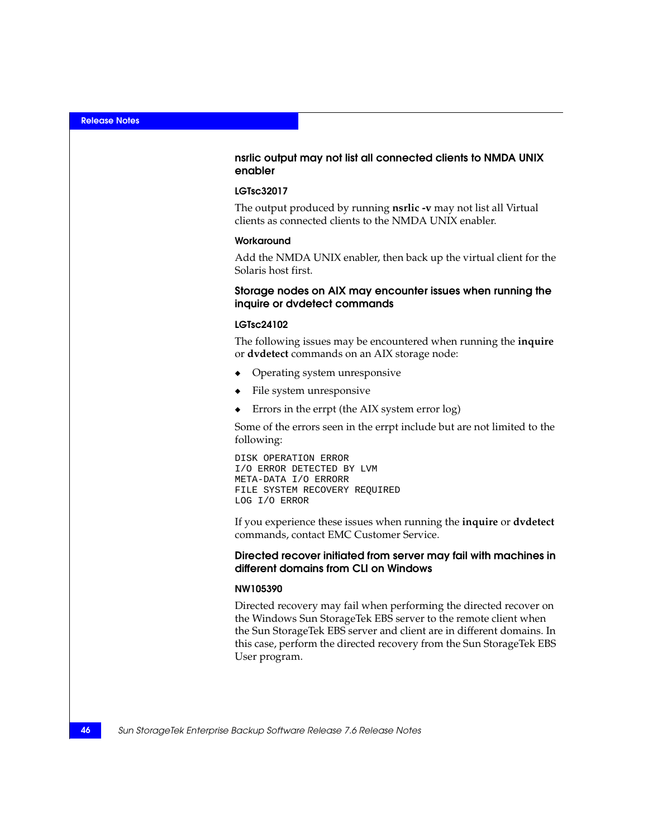# **nsrlic output may not list all connected clients to NMDA UNIX enabler**

## **LGTsc32017**

The output produced by running **nsrlic -v** may not list all Virtual clients as connected clients to the NMDA UNIX enabler.

#### **Workaround**

Add the NMDA UNIX enabler, then back up the virtual client for the Solaris host first.

# **Storage nodes on AIX may encounter issues when running the inquire or dvdetect commands**

## **LGTsc24102**

The following issues may be encountered when running the **inquire** or **dvdetect** commands on an AIX storage node:

- ◆ Operating system unresponsive
- ◆ File system unresponsive
- Errors in the errpt (the AIX system error log)

Some of the errors seen in the errpt include but are not limited to the following:

DISK OPERATION ERROR I/O ERROR DETECTED BY LVM META-DATA I/O ERRORR FILE SYSTEM RECOVERY REQUIRED LOG I/O ERROR

If you experience these issues when running the **inquire** or **dvdetect** commands, contact EMC Customer Service.

# **Directed recover initiated from server may fail with machines in different domains from CLI on Windows**

#### **NW105390**

Directed recovery may fail when performing the directed recover on the Windows Sun StorageTek EBS server to the remote client when the Sun StorageTek EBS server and client are in different domains. In this case, perform the directed recovery from the Sun StorageTek EBS User program.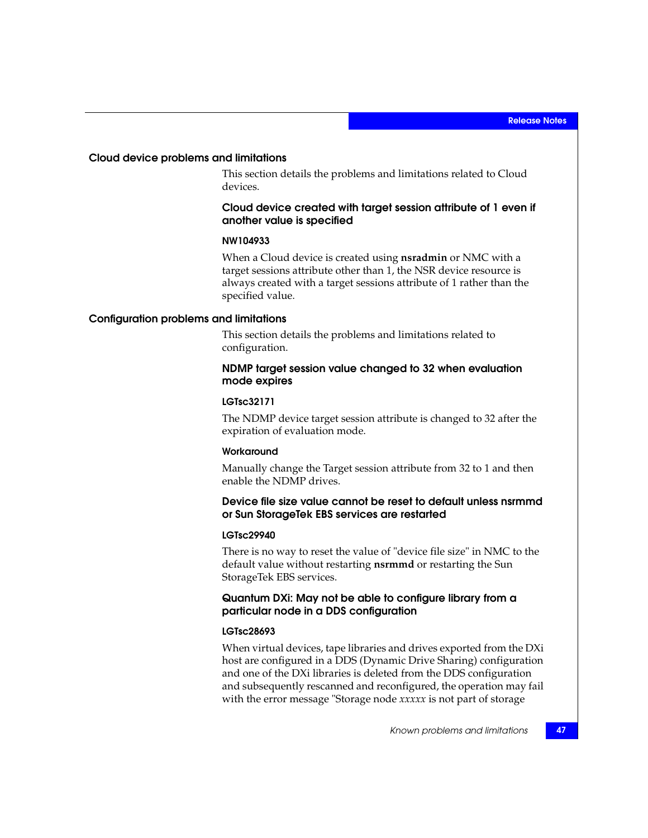## **Cloud device problems and limitations**

This section details the problems and limitations related to Cloud devices.

# **Cloud device created with target session attribute of 1 even if another value is specified**

## **NW104933**

When a Cloud device is created using **nsradmin** or NMC with a target sessions attribute other than 1, the NSR device resource is always created with a target sessions attribute of 1 rather than the specified value.

## **Configuration problems and limitations**

This section details the problems and limitations related to configuration.

# **NDMP target session value changed to 32 when evaluation mode expires**

#### **LGTsc32171**

The NDMP device target session attribute is changed to 32 after the expiration of evaluation mode.

#### **Workaround**

Manually change the Target session attribute from 32 to 1 and then enable the NDMP drives.

# **Device file size value cannot be reset to default unless nsrmmd or Sun StorageTek EBS services are restarted**

### **LGTsc29940**

There is no way to reset the value of "device file size" in NMC to the default value without restarting **nsrmmd** or restarting the Sun StorageTek EBS services.

# **Quantum DXi: May not be able to configure library from a particular node in a DDS configuration**

## **LGTsc28693**

When virtual devices, tape libraries and drives exported from the DXi host are configured in a DDS (Dynamic Drive Sharing) configuration and one of the DXi libraries is deleted from the DDS configuration and subsequently rescanned and reconfigured, the operation may fail with the error message "Storage node *xxxxx* is not part of storage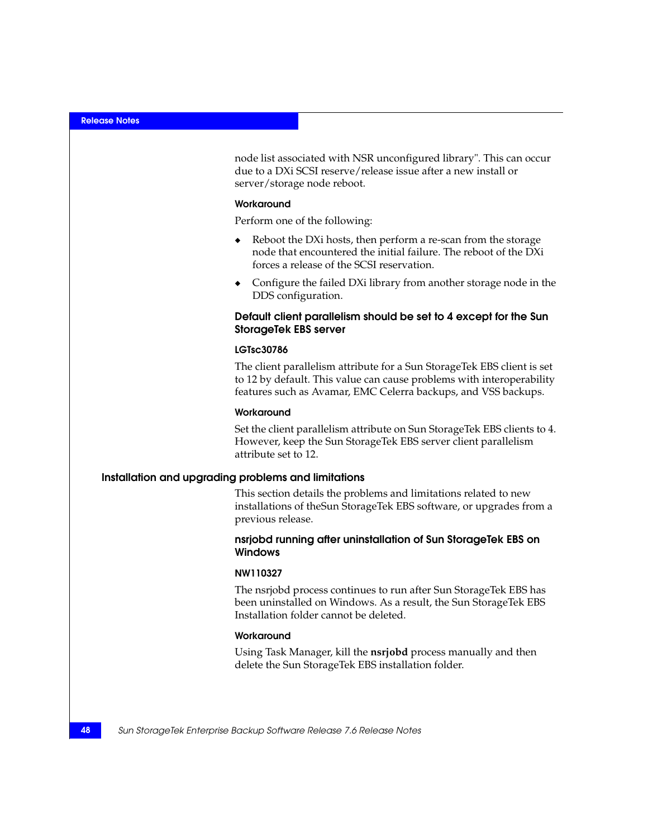node list associated with NSR unconfigured library". This can occur due to a DXi SCSI reserve/release issue after a new install or server/storage node reboot.

#### **Workaround**

Perform one of the following:

- Reboot the DXi hosts, then perform a re-scan from the storage node that encountered the initial failure. The reboot of the DXi forces a release of the SCSI reservation.
- ◆ Configure the failed DXi library from another storage node in the DDS configuration.

# **Default client parallelism should be set to 4 except for the Sun StorageTek EBS server**

#### **LGTsc30786**

The client parallelism attribute for a Sun StorageTek EBS client is set to 12 by default. This value can cause problems with interoperability features such as Avamar, EMC Celerra backups, and VSS backups.

#### **Workaround**

Set the client parallelism attribute on Sun StorageTek EBS clients to 4. However, keep the Sun StorageTek EBS server client parallelism attribute set to 12.

## **Installation and upgrading problems and limitations**

This section details the problems and limitations related to new installations of theSun StorageTek EBS software, or upgrades from a previous release.

# **nsrjobd running after uninstallation of Sun StorageTek EBS on Windows**

#### **NW110327**

The nsrjobd process continues to run after Sun StorageTek EBS has been uninstalled on Windows. As a result, the Sun StorageTek EBS Installation folder cannot be deleted.

## **Workaround**

Using Task Manager, kill the **nsrjobd** process manually and then delete the Sun StorageTek EBS installation folder.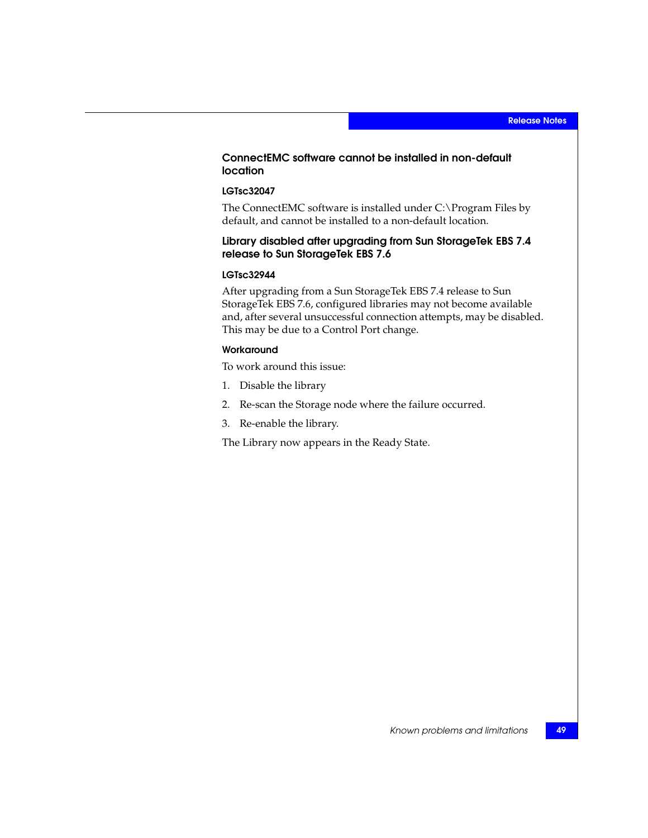# **ConnectEMC software cannot be installed in non-default location**

#### **LGTsc32047**

The ConnectEMC software is installed under C:\Program Files by default, and cannot be installed to a non-default location.

# **Library disabled after upgrading from Sun StorageTek EBS 7.4 release to Sun StorageTek EBS 7.6**

#### **LGTsc32944**

After upgrading from a Sun StorageTek EBS 7.4 release to Sun StorageTek EBS 7.6, configured libraries may not become available and, after several unsuccessful connection attempts, may be disabled. This may be due to a Control Port change.

## **Workaround**

To work around this issue:

- 1. Disable the library
- 2. Re-scan the Storage node where the failure occurred.
- 3. Re-enable the library.

The Library now appears in the Ready State.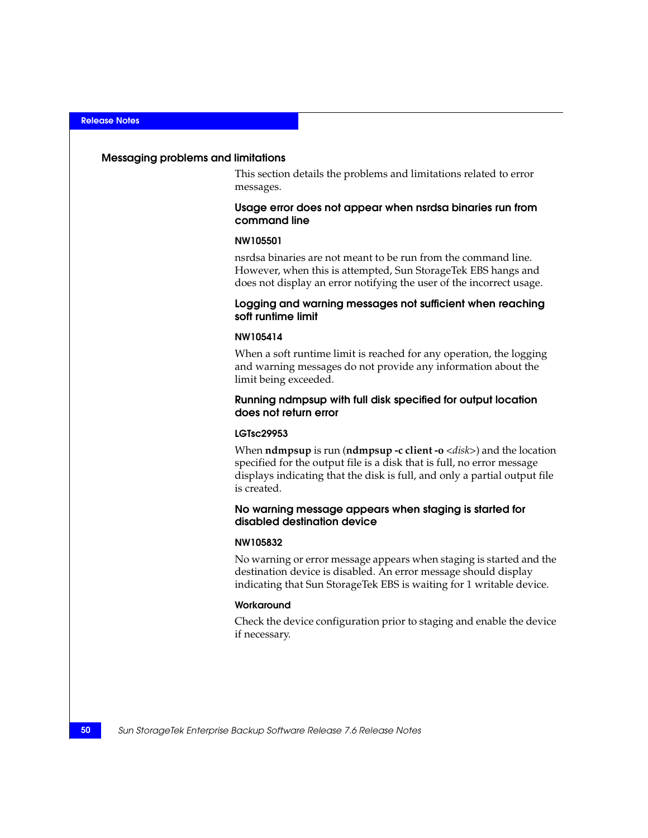## **Messaging problems and limitations**

This section details the problems and limitations related to error messages.

## **Usage error does not appear when nsrdsa binaries run from command line**

#### **NW105501**

nsrdsa binaries are not meant to be run from the command line. However, when this is attempted, Sun StorageTek EBS hangs and does not display an error notifying the user of the incorrect usage.

## **Logging and warning messages not sufficient when reaching soft runtime limit**

#### **NW105414**

When a soft runtime limit is reached for any operation, the logging and warning messages do not provide any information about the limit being exceeded.

# **Running ndmpsup with full disk specified for output location does not return error**

#### **LGTsc29953**

When **ndmpsup** is run (**ndmpsup -c client -o** *<disk>*) and the location specified for the output file is a disk that is full, no error message displays indicating that the disk is full, and only a partial output file is created.

# **No warning message appears when staging is started for disabled destination device**

#### **NW105832**

No warning or error message appears when staging is started and the destination device is disabled. An error message should display indicating that Sun StorageTek EBS is waiting for 1 writable device.

#### **Workaround**

Check the device configuration prior to staging and enable the device if necessary.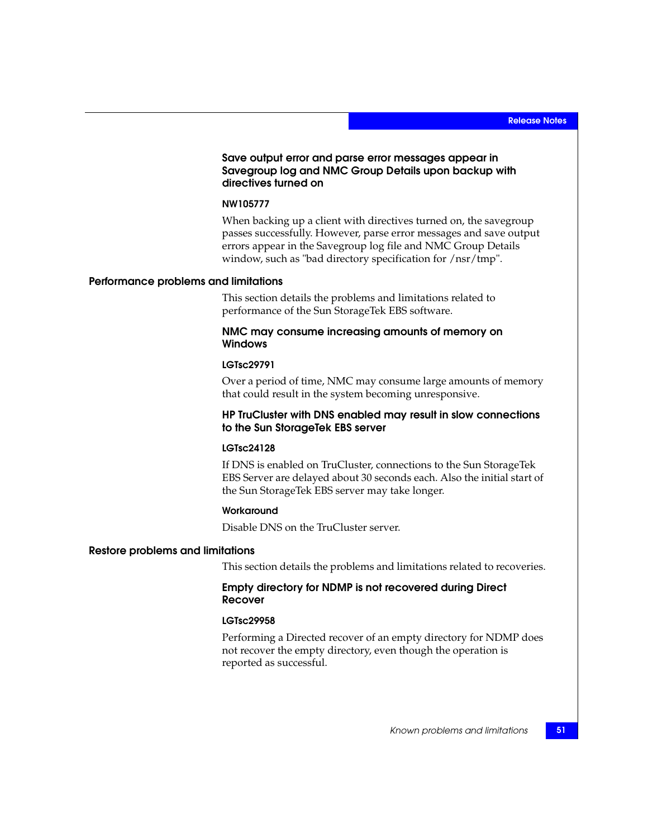# **Save output error and parse error messages appear in Savegroup log and NMC Group Details upon backup with directives turned on**

## **NW105777**

When backing up a client with directives turned on, the savegroup passes successfully. However, parse error messages and save output errors appear in the Savegroup log file and NMC Group Details window, such as "bad directory specification for /nsr/tmp".

## **Performance problems and limitations**

This section details the problems and limitations related to performance of the Sun StorageTek EBS software.

# **NMC may consume increasing amounts of memory on Windows**

## **LGTsc29791**

Over a period of time, NMC may consume large amounts of memory that could result in the system becoming unresponsive.

# **HP TruCluster with DNS enabled may result in slow connections to the Sun StorageTek EBS server**

## **LGTsc24128**

If DNS is enabled on TruCluster, connections to the Sun StorageTek EBS Server are delayed about 30 seconds each. Also the initial start of the Sun StorageTek EBS server may take longer.

## **Workaround**

Disable DNS on the TruCluster server.

## **Restore problems and limitations**

This section details the problems and limitations related to recoveries.

## **Empty directory for NDMP is not recovered during Direct Recover**

#### **LGTsc29958**

Performing a Directed recover of an empty directory for NDMP does not recover the empty directory, even though the operation is reported as successful.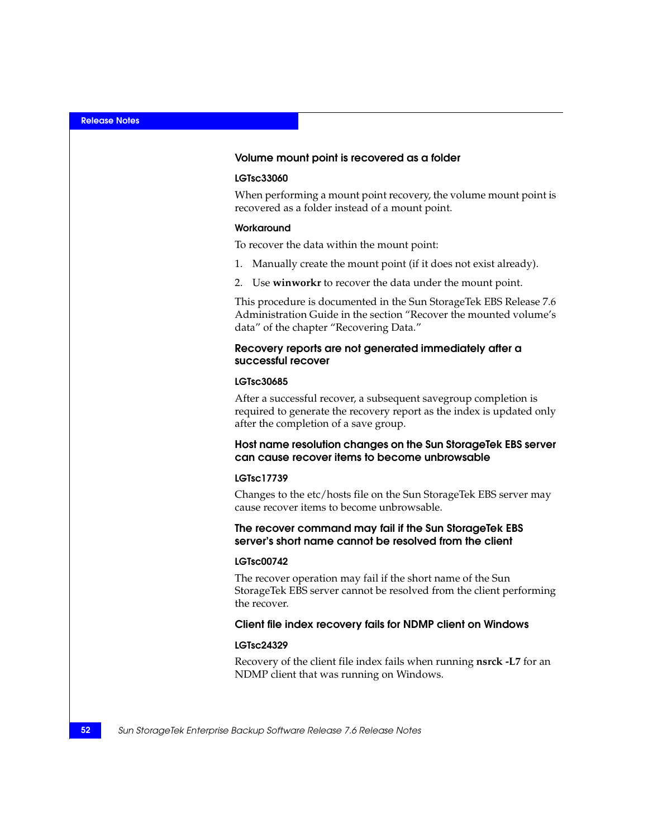## **Volume mount point is recovered as a folder**

#### **LGTsc33060**

When performing a mount point recovery, the volume mount point is recovered as a folder instead of a mount point.

#### **Workaround**

To recover the data within the mount point:

- 1. Manually create the mount point (if it does not exist already).
- 2. Use **winworkr** to recover the data under the mount point.

This procedure is documented in the Sun StorageTek EBS Release 7.6 Administration Guide in the section "Recover the mounted volume's data" of the chapter "Recovering Data."

## **Recovery reports are not generated immediately after a successful recover**

#### <span id="page-51-2"></span>**LGTsc30685**

After a successful recover, a subsequent savegroup completion is required to generate the recovery report as the index is updated only after the completion of a save group.

**Host name resolution changes on the Sun StorageTek EBS server can cause recover items to become unbrowsable**

## <span id="page-51-3"></span>**LGTsc17739**

Changes to the etc/hosts file on the Sun StorageTek EBS server may cause recover items to become unbrowsable.

# **The recover command may fail if the Sun StorageTek EBS server's short name cannot be resolved from the client**

#### <span id="page-51-0"></span>**LGTsc00742**

The recover operation may fail if the short name of the Sun StorageTek EBS server cannot be resolved from the client performing the recover.

## **Client file index recovery fails for NDMP client on Windows**

#### <span id="page-51-1"></span>**LGTsc24329**

Recovery of the client file index fails when running **nsrck -L7** for an NDMP client that was running on Windows.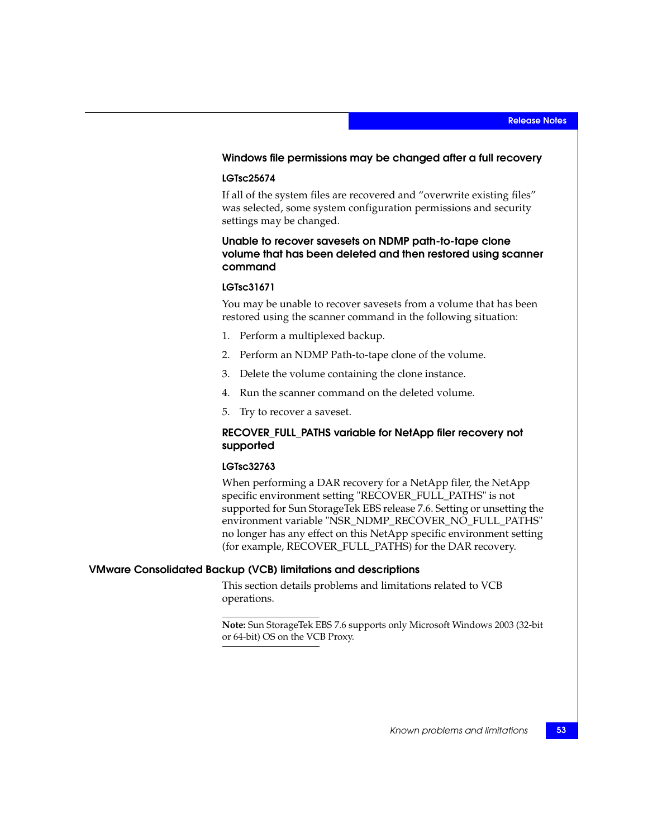# **Windows file permissions may be changed after a full recovery**

## <span id="page-52-0"></span>**LGTsc25674**

If all of the system files are recovered and "overwrite existing files" was selected, some system configuration permissions and security settings may be changed.

# **Unable to recover savesets on NDMP path-to-tape clone volume that has been deleted and then restored using scanner command**

## <span id="page-52-1"></span>**LGTsc31671**

You may be unable to recover savesets from a volume that has been restored using the scanner command in the following situation:

- 1. Perform a multiplexed backup.
- 2. Perform an NDMP Path-to-tape clone of the volume.
- 3. Delete the volume containing the clone instance.
- 4. Run the scanner command on the deleted volume.
- 5. Try to recover a saveset.

# **RECOVER\_FULL\_PATHS variable for NetApp filer recovery not supported**

## <span id="page-52-2"></span>**LGTsc32763**

When performing a DAR recovery for a NetApp filer, the NetApp specific environment setting "RECOVER\_FULL\_PATHS" is not supported for Sun StorageTek EBS release 7.6. Setting or unsetting the environment variable "NSR\_NDMP\_RECOVER\_NO\_FULL\_PATHS" no longer has any effect on this NetApp specific environment setting (for example, RECOVER\_FULL\_PATHS) for the DAR recovery.

## **VMware Consolidated Backup (VCB) limitations and descriptions**

This section details problems and limitations related to VCB operations.

**Note:** Sun StorageTek EBS 7.6 supports only Microsoft Windows 2003 (32-bit or 64-bit) OS on the VCB Proxy.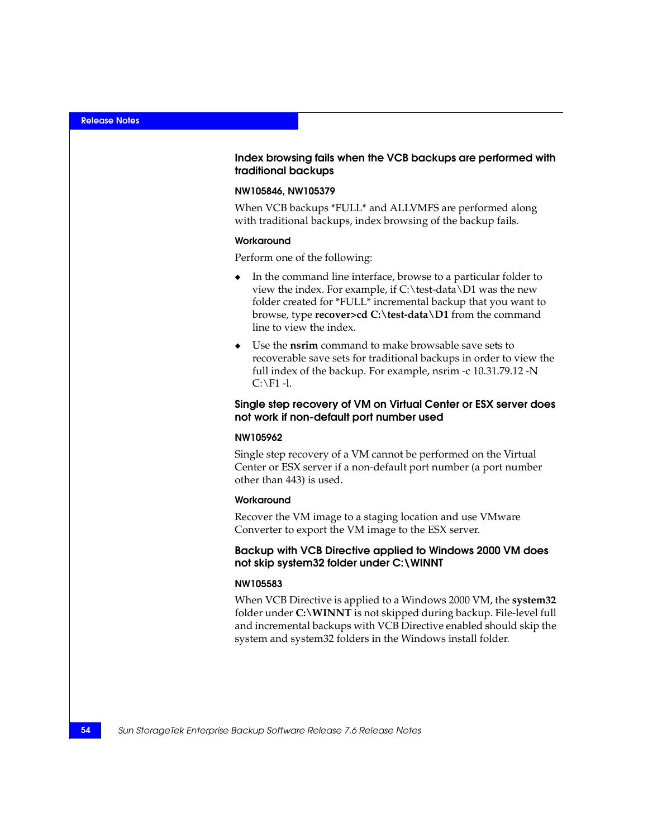# **Index browsing fails when the VCB backups are performed with traditional backups**

#### <span id="page-53-2"></span>**NW105846, NW105379**

When VCB backups \*FULL\* and ALLVMFS are performed along with traditional backups, index browsing of the backup fails.

#### **Workaround**

Perform one of the following:

- ◆ In the command line interface, browse to a particular folder to view the index. For example, if  $C:\test-data\D1$  was the new folder created for \*FULL\* incremental backup that you want to browse, type **recover>cd C:\test-data\D1** from the command line to view the index.
- ◆ Use the **nsrim** command to make browsable save sets to recoverable save sets for traditional backups in order to view the full index of the backup. For example, nsrim -c 10.31.79.12 -N  $C:\$  F1 -1.

# **Single step recovery of VM on Virtual Center or ESX server does not work if non-default port number used**

#### <span id="page-53-1"></span>**NW105962**

Single step recovery of a VM cannot be performed on the Virtual Center or ESX server if a non-default port number (a port number other than 443) is used.

## **Workaround**

Recover the VM image to a staging location and use VMware Converter to export the VM image to the ESX server.

## **Backup with VCB Directive applied to Windows 2000 VM does not skip system32 folder under C:\WINNT**

#### <span id="page-53-0"></span>**NW105583**

When VCB Directive is applied to a Windows 2000 VM, the **system32** folder under **C:\WINNT** is not skipped during backup. File-level full and incremental backups with VCB Directive enabled should skip the system and system32 folders in the Windows install folder.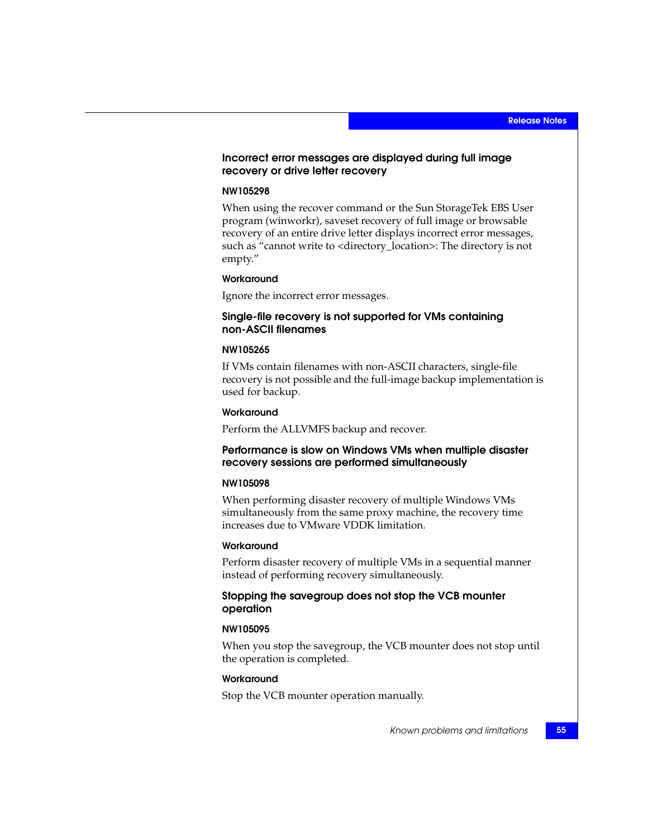# **Incorrect error messages are displayed during full image recovery or drive letter recovery**

## <span id="page-54-0"></span>**NW105298**

When using the recover command or the Sun StorageTek EBS User program (winworkr), saveset recovery of full image or browsable recovery of an entire drive letter displays incorrect error messages, such as "cannot write to <directory\_location>: The directory is not empty."

## **Workaround**

Ignore the incorrect error messages.

# **Single-file recovery is not supported for VMs containing non-ASCII filenames**

## <span id="page-54-1"></span>**NW105265**

If VMs contain filenames with non-ASCII characters, single-file recovery is not possible and the full-image backup implementation is used for backup.

## **Workaround**

Perform the ALLVMFS backup and recover.

# **Performance is slow on Windows VMs when multiple disaster recovery sessions are performed simultaneously**

#### <span id="page-54-2"></span>**NW105098**

When performing disaster recovery of multiple Windows VMs simultaneously from the same proxy machine, the recovery time increases due to VMware VDDK limitation.

## **Workaround**

Perform disaster recovery of multiple VMs in a sequential manner instead of performing recovery simultaneously.

# **Stopping the savegroup does not stop the VCB mounter operation**

#### <span id="page-54-3"></span>**NW105095**

When you stop the savegroup, the VCB mounter does not stop until the operation is completed.

#### **Workaround**

Stop the VCB mounter operation manually.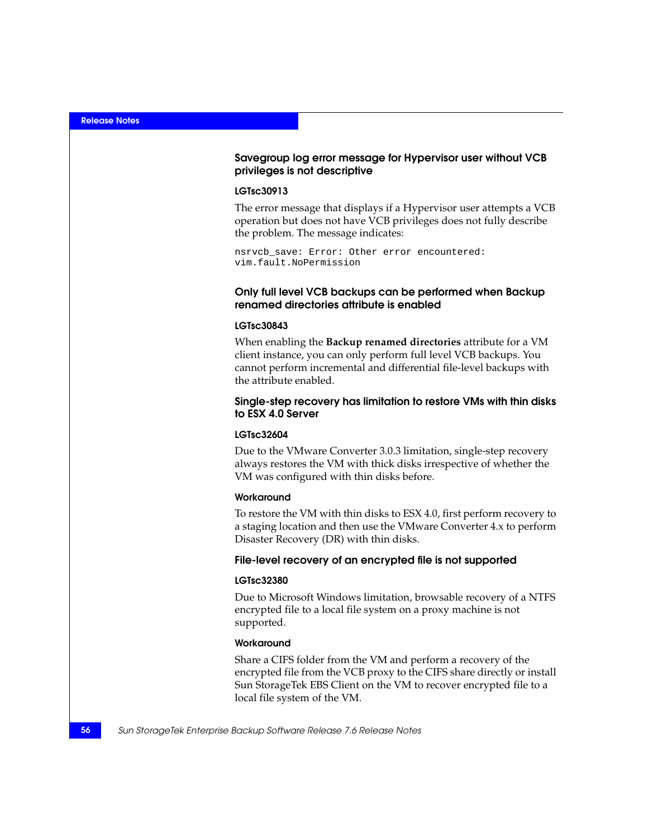## **Savegroup log error message for Hypervisor user without VCB privileges is not descriptive**

## **LGTsc30913**

The error message that displays if a Hypervisor user attempts a VCB operation but does not have VCB privileges does not fully describe the problem. The message indicates:

nsrvcb save: Error: Other error encountered: vim.fault.NoPermission

# **Only full level VCB backups can be performed when Backup renamed directories attribute is enabled**

## **LGTsc30843**

When enabling the **Backup renamed directories** attribute for a VM client instance, you can only perform full level VCB backups. You cannot perform incremental and differential file-level backups with the attribute enabled.

# **Single-step recovery has limitation to restore VMs with thin disks to ESX 4.0 Server**

#### <span id="page-55-0"></span>**LGTsc32604**

Due to the VMware Converter 3.0.3 limitation, single-step recovery always restores the VM with thick disks irrespective of whether the VM was configured with thin disks before.

#### **Workaround**

To restore the VM with thin disks to ESX 4.0, first perform recovery to a staging location and then use the VMware Converter 4.x to perform Disaster Recovery (DR) with thin disks.

## **File-level recovery of an encrypted file is not supported**

#### <span id="page-55-1"></span>**LGTsc32380**

Due to Microsoft Windows limitation, browsable recovery of a NTFS encrypted file to a local file system on a proxy machine is not supported.

#### **Workaround**

Share a CIFS folder from the VM and perform a recovery of the encrypted file from the VCB proxy to the CIFS share directly or install Sun StorageTek EBS Client on the VM to recover encrypted file to a local file system of the VM.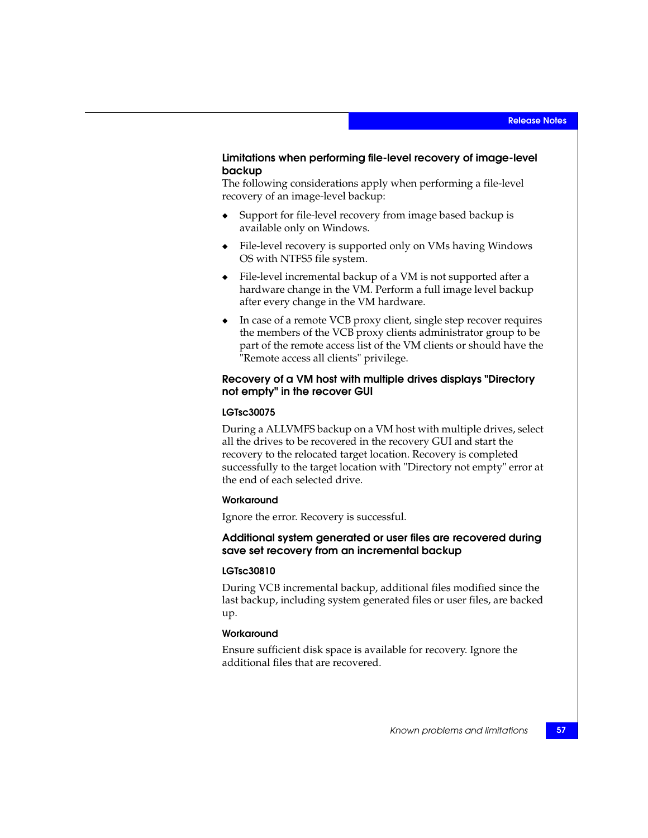# **Limitations when performing file-level recovery of image-level backup**

The following considerations apply when performing a file-level recovery of an image-level backup:

- Support for file-level recovery from image based backup is available only on Windows.
- ◆ File-level recovery is supported only on VMs having Windows OS with NTFS5 file system.
- ◆ File-level incremental backup of a VM is not supported after a hardware change in the VM. Perform a full image level backup after every change in the VM hardware.
- In case of a remote VCB proxy client, single step recover requires the members of the VCB proxy clients administrator group to be part of the remote access list of the VM clients or should have the "Remote access all clients" privilege.

# **Recovery of a VM host with multiple drives displays "Directory not empty" in the recover GUI**

# <span id="page-56-0"></span>**LGTsc30075**

During a ALLVMFS backup on a VM host with multiple drives, select all the drives to be recovered in the recovery GUI and start the recovery to the relocated target location. Recovery is completed successfully to the target location with "Directory not empty" error at the end of each selected drive.

# **Workaround**

Ignore the error. Recovery is successful.

# **Additional system generated or user files are recovered during save set recovery from an incremental backup**

# <span id="page-56-1"></span>**LGTsc30810**

During VCB incremental backup, additional files modified since the last backup, including system generated files or user files, are backed up.

# **Workaround**

Ensure sufficient disk space is available for recovery. Ignore the additional files that are recovered.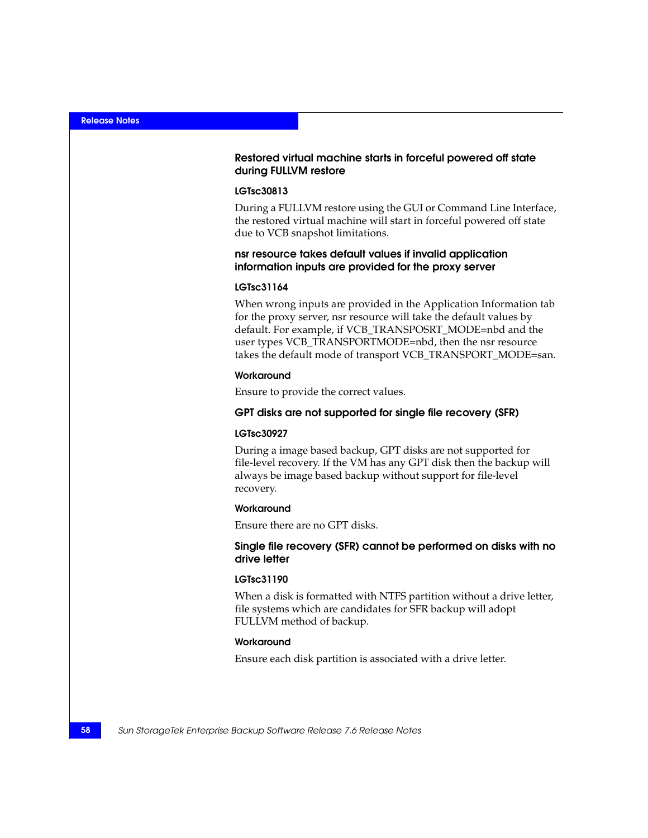# **Restored virtual machine starts in forceful powered off state during FULLVM restore**

## <span id="page-57-0"></span>**LGTsc30813**

During a FULLVM restore using the GUI or Command Line Interface, the restored virtual machine will start in forceful powered off state due to VCB snapshot limitations.

# **nsr resource takes default values if invalid application information inputs are provided for the proxy server**

#### <span id="page-57-1"></span>**LGTsc31164**

When wrong inputs are provided in the Application Information tab for the proxy server, nsr resource will take the default values by default. For example, if VCB\_TRANSPOSRT\_MODE=nbd and the user types VCB\_TRANSPORTMODE=nbd, then the nsr resource takes the default mode of transport VCB\_TRANSPORT\_MODE=san.

#### **Workaround**

Ensure to provide the correct values.

## **GPT disks are not supported for single file recovery (SFR)**

#### <span id="page-57-2"></span>**LGTsc30927**

During a image based backup, GPT disks are not supported for file-level recovery. If the VM has any GPT disk then the backup will always be image based backup without support for file-level recovery.

## **Workaround**

Ensure there are no GPT disks.

# **Single file recovery (SFR) cannot be performed on disks with no drive letter**

#### <span id="page-57-3"></span>**LGTsc31190**

When a disk is formatted with NTFS partition without a drive letter, file systems which are candidates for SFR backup will adopt FULLVM method of backup.

## **Workaround**

Ensure each disk partition is associated with a drive letter.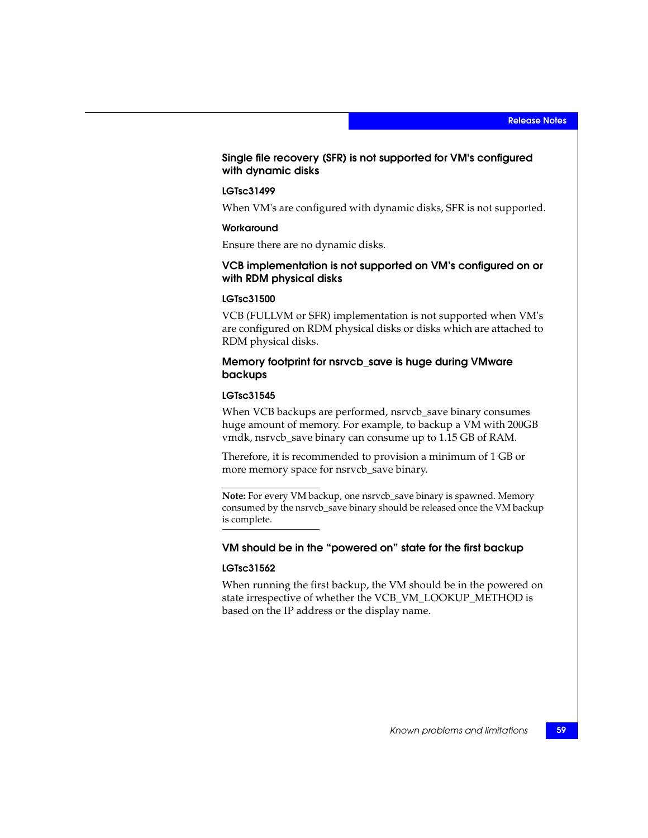# **Single file recovery (SFR) is not supported for VM's configured with dynamic disks**

## <span id="page-58-0"></span>**LGTsc31499**

When VM's are configured with dynamic disks, SFR is not supported.

## **Workaround**

Ensure there are no dynamic disks.

# **VCB implementation is not supported on VM's configured on or with RDM physical disks**

## **LGTsc31500**

VCB (FULLVM or SFR) implementation is not supported when VM's are configured on RDM physical disks or disks which are attached to RDM physical disks.

# **Memory footprint for nsrvcb\_save is huge during VMware backups**

## <span id="page-58-1"></span>**LGTsc31545**

When VCB backups are performed, nsrvcb\_save binary consumes huge amount of memory. For example, to backup a VM with 200GB vmdk, nsrvcb\_save binary can consume up to 1.15 GB of RAM.

Therefore, it is recommended to provision a minimum of 1 GB or more memory space for nsrvcb\_save binary.

**Note:** For every VM backup, one nsrvcb\_save binary is spawned. Memory consumed by the nsrvcb\_save binary should be released once the VM backup is complete.

## **VM should be in the "powered on" state for the first backup**

## <span id="page-58-2"></span>**LGTsc31562**

When running the first backup, the VM should be in the powered on state irrespective of whether the VCB\_VM\_LOOKUP\_METHOD is based on the IP address or the display name.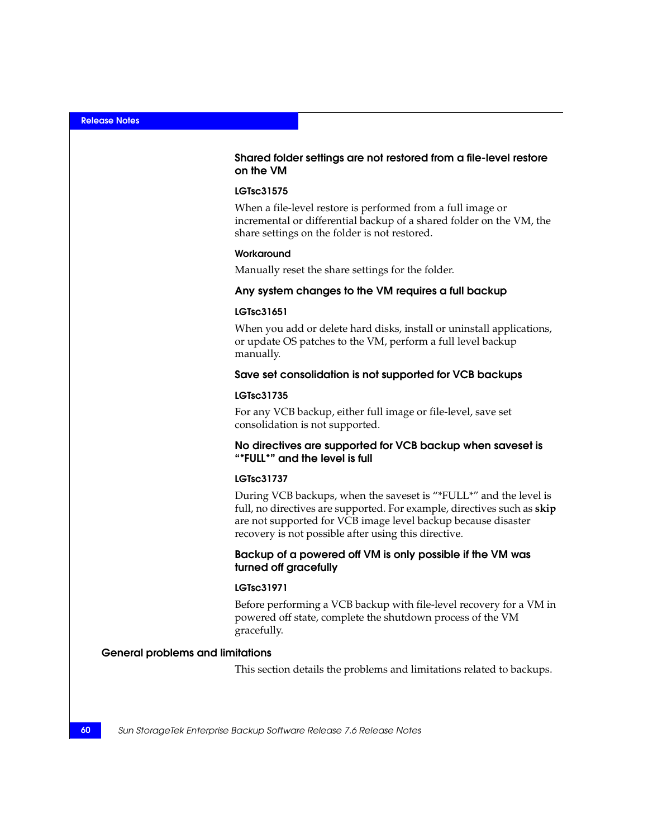# **Shared folder settings are not restored from a file-level restore on the VM**

## <span id="page-59-0"></span>**LGTsc31575**

When a file-level restore is performed from a full image or incremental or differential backup of a shared folder on the VM, the share settings on the folder is not restored.

#### **Workaround**

Manually reset the share settings for the folder.

#### **Any system changes to the VM requires a full backup**

#### <span id="page-59-1"></span>**LGTsc31651**

When you add or delete hard disks, install or uninstall applications, or update OS patches to the VM, perform a full level backup manually.

#### **Save set consolidation is not supported for VCB backups**

## <span id="page-59-2"></span>**LGTsc31735**

For any VCB backup, either full image or file-level, save set consolidation is not supported.

# **No directives are supported for VCB backup when saveset is "\*FULL\*" and the level is full**

## <span id="page-59-3"></span>**LGTsc31737**

During VCB backups, when the saveset is "\*FULL\*" and the level is full, no directives are supported. For example, directives such as **skip** are not supported for VCB image level backup because disaster recovery is not possible after using this directive.

# **Backup of a powered off VM is only possible if the VM was turned off gracefully**

## <span id="page-59-4"></span>**LGTsc31971**

Before performing a VCB backup with file-level recovery for a VM in powered off state, complete the shutdown process of the VM gracefully.

#### **General problems and limitations**

This section details the problems and limitations related to backups.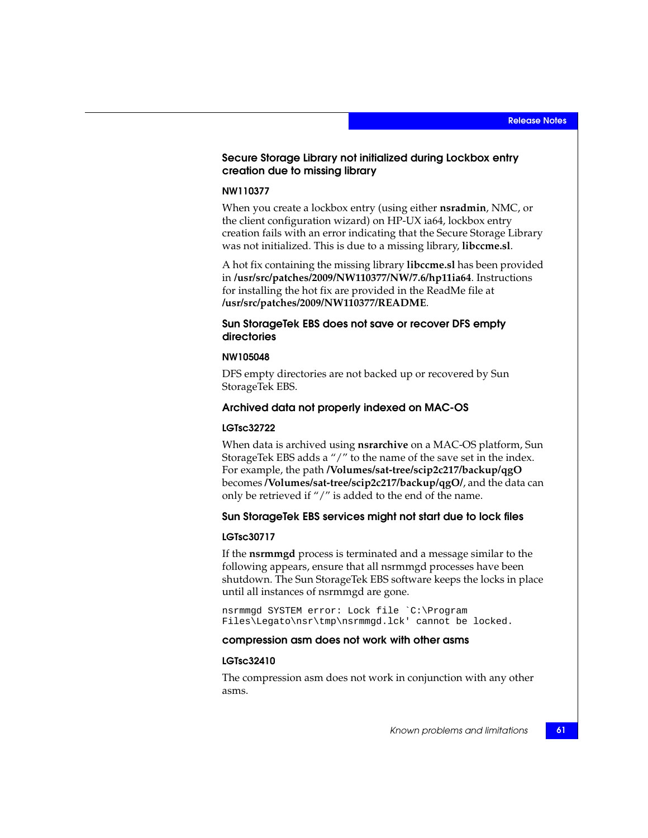# **Secure Storage Library not initialized during Lockbox entry creation due to missing library**

## <span id="page-60-0"></span>**NW110377**

When you create a lockbox entry (using either **nsradmin**, NMC, or the client configuration wizard) on HP-UX ia64, lockbox entry creation fails with an error indicating that the Secure Storage Library was not initialized. This is due to a missing library, **libccme.sl**.

A hot fix containing the missing library **libccme.sl** has been provided in **/usr/src/patches/2009/NW110377/NW/7.6/hp11ia64**. Instructions for installing the hot fix are provided in the ReadMe file at **/usr/src/patches/2009/NW110377/README**.

# **Sun StorageTek EBS does not save or recover DFS empty directories**

## <span id="page-60-1"></span>**NW105048**

DFS empty directories are not backed up or recovered by Sun StorageTek EBS.

## **Archived data not properly indexed on MAC-OS**

## <span id="page-60-3"></span>**LGTsc32722**

When data is archived using **nsrarchive** on a MAC-OS platform, Sun StorageTek EBS adds a "/" to the name of the save set in the index. For example, the path **/Volumes/sat-tree/scip2c217/backup/qgO** becomes **/Volumes/sat-tree/scip2c217/backup/qgO/**, and the data can only be retrieved if "/" is added to the end of the name.

## **Sun StorageTek EBS services might not start due to lock files**

## <span id="page-60-2"></span>**LGTsc30717**

If the **nsrmmgd** process is terminated and a message similar to the following appears, ensure that all nsrmmgd processes have been shutdown. The Sun StorageTek EBS software keeps the locks in place until all instances of nsrmmgd are gone.

nsrmmgd SYSTEM error: Lock file `C:\Program Files\Legato\nsr\tmp\nsrmmgd.lck' cannot be locked.

## **compression asm does not work with other asms**

#### <span id="page-60-4"></span>**LGTsc32410**

The compression asm does not work in conjunction with any other asms.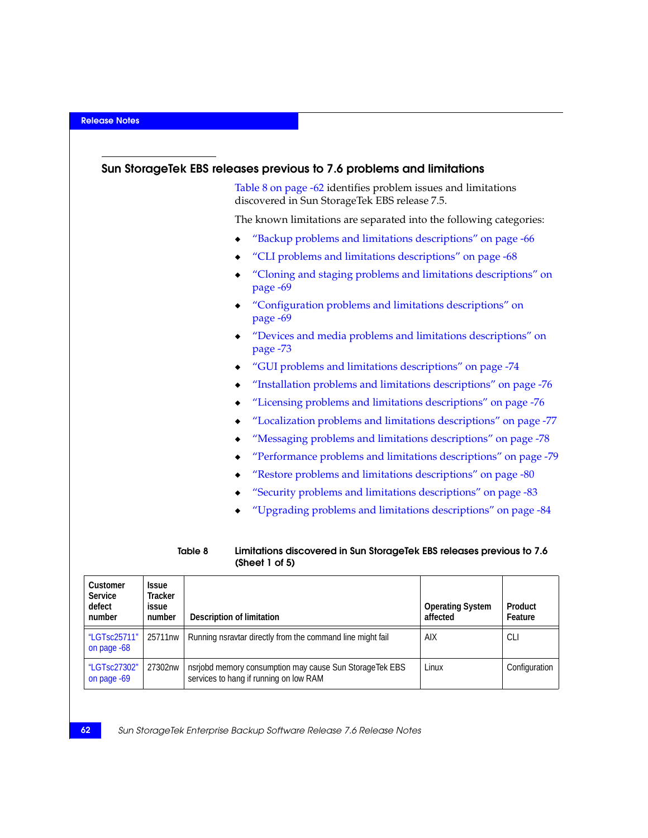# **Sun StorageTek EBS releases previous to 7.6 problems and limitations**

[Table 8 on page -62](#page-61-0) identifies problem issues and limitations discovered in Sun StorageTek EBS release 7.5.

The known limitations are separated into the following categories:

- ◆ ["Backup problems and limitations descriptions" on page -66](#page-65-0)
- ◆ ["CLI problems and limitations descriptions" on page -68](#page-67-0)
- ◆ ["Cloning and staging problems and limitations descriptions" on](#page-68-0)  [page -69](#page-68-0)
- ◆ ["Configuration problems and limitations descriptions" on](#page-68-1)  [page -69](#page-68-1)
- ◆ ["Devices and media problems and limitations descriptions" on](#page-72-0)  [page -73](#page-72-0)
- ◆ ["GUI problems and limitations descriptions" on page -74](#page-73-0)
- ◆ ["Installation problems and limitations descriptions" on page -76](#page-75-0)
- ◆ ["Licensing problems and limitations descriptions" on page -76](#page-75-1)
- ◆ ["Localization problems and limitations descriptions" on page -77](#page-76-0)
- ◆ ["Messaging problems and limitations descriptions" on page -78](#page-77-0)
- ◆ ["Performance problems and limitations descriptions" on page -79](#page-78-0)
- ["Restore problems and limitations descriptions" on page -80](#page-79-0)
- ["Security problems and limitations descriptions" on page -83](#page-82-0)
- ◆ ["Upgrading problems and limitations descriptions" on page -84](#page-83-0)

#### **Table 8 Limitations discovered in Sun StorageTek EBS releases previous to 7.6 (Sheet 1 of 5)**

<span id="page-61-0"></span>

| <b>Customer</b><br><b>Service</b><br>defect<br>number | <b>Issue</b><br><b>Tracker</b><br>issue<br>number | <b>Description of limitation</b>                                                                   | <b>Operating System</b><br>affected | <b>Product</b><br><b>Feature</b> |
|-------------------------------------------------------|---------------------------------------------------|----------------------------------------------------------------------------------------------------|-------------------------------------|----------------------------------|
| "LGTsc25711"<br>on page -68                           | 25711nw                                           | Running nsravtar directly from the command line might fail                                         | <b>AIX</b>                          | CLI                              |
| "LGTsc27302"<br>on page -69                           | 27302nw                                           | nsrjobd memory consumption may cause Sun Storage Tek EBS<br>services to hang if running on low RAM | Linux                               | Configuration                    |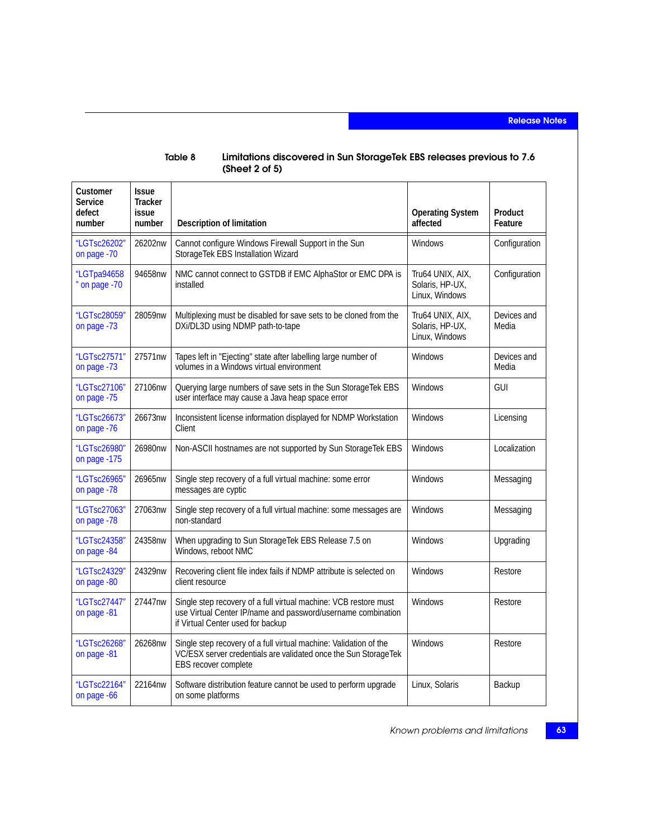| Table 8 | Limitations discovered in Sun StorageTek EBS releases previous to 7.6 |
|---------|-----------------------------------------------------------------------|
|         | (Sheet 2 of 5)                                                        |

| <b>Customer</b><br><b>Service</b><br>defect | <b>Issue</b><br><b>Tracker</b><br>issue |                                                                                                                                                                       | <b>Operating System</b>                               | Product              |
|---------------------------------------------|-----------------------------------------|-----------------------------------------------------------------------------------------------------------------------------------------------------------------------|-------------------------------------------------------|----------------------|
| number                                      | number                                  | <b>Description of limitation</b>                                                                                                                                      | affected                                              | Feature              |
| "LGTsc26202"<br>on page -70                 | 26202nw                                 | Cannot configure Windows Firewall Support in the Sun<br>StorageTek EBS Installation Wizard                                                                            | Windows                                               | Configuration        |
| "LGTpa94658<br>" on page -70                | 94658nw                                 | NMC cannot connect to GSTDB if EMC AlphaStor or EMC DPA is<br>installed                                                                                               | Tru64 UNIX, AIX,<br>Solaris, HP-UX,<br>Linux, Windows | Configuration        |
| "LGTsc28059"<br>on page -73                 | 28059nw                                 | Multiplexing must be disabled for save sets to be cloned from the<br>DXi/DL3D using NDMP path-to-tape                                                                 | Tru64 UNIX, AIX,<br>Solaris, HP-UX,<br>Linux, Windows | Devices and<br>Media |
| "LGTsc27571"<br>on page -73                 | 27571nw                                 | Tapes left in "Ejecting" state after labelling large number of<br>volumes in a Windows virtual environment                                                            | Windows                                               | Devices and<br>Media |
| "LGTsc27106"<br>on page -75                 | 27106nw                                 | Querying large numbers of save sets in the Sun StorageTek EBS<br>user interface may cause a Java heap space error                                                     | Windows                                               | <b>GUI</b>           |
| "LGTsc26673"<br>on page -76                 | 26673nw                                 | Inconsistent license information displayed for NDMP Workstation<br>Client                                                                                             | Windows                                               | Licensing            |
| "LGTsc26980"<br>on page -175                | 26980nw                                 | Non-ASCII hostnames are not supported by Sun StorageTek EBS                                                                                                           | Windows                                               | Localization         |
| "LGTsc26965"<br>on page -78                 | 26965nw                                 | Single step recovery of a full virtual machine: some error<br>messages are cyptic                                                                                     | Windows                                               | Messaging            |
| "LGTsc27063"<br>on page -78                 | 27063nw                                 | Single step recovery of a full virtual machine: some messages are<br>non-standard                                                                                     | Windows                                               | Messaging            |
| "LGTsc24358"<br>on page -84                 | 24358nw                                 | When upgrading to Sun StorageTek EBS Release 7.5 on<br>Windows, reboot NMC                                                                                            | Windows                                               | Upgrading            |
| "LGTsc24329"<br>on page -80                 | 24329nw                                 | Recovering client file index fails if NDMP attribute is selected on<br>client resource                                                                                | Windows                                               | Restore              |
| "LGTsc27447"<br>on page -81                 | 27447nw                                 | Single step recovery of a full virtual machine: VCB restore must<br>use Virtual Center IP/name and password/username combination<br>if Virtual Center used for backup | Windows                                               | Restore              |
| "LGTsc26268"<br>on page -81                 | 26268nw                                 | Single step recovery of a full virtual machine: Validation of the<br>VC/ESX server credentials are validated once the Sun StorageTek<br>EBS recover complete          | Windows                                               | Restore              |
| "LGTsc22164"<br>on page -66                 | 22164nw                                 | Software distribution feature cannot be used to perform upgrade<br>on some platforms                                                                                  | Linux, Solaris                                        | Backup               |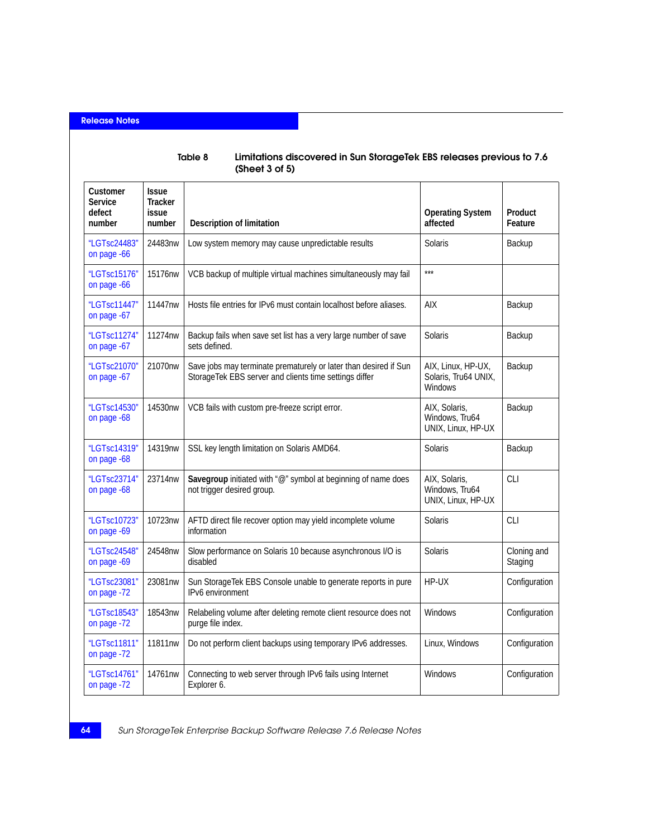**Table 8 Limitations discovered in Sun StorageTek EBS releases previous to 7.6 (Sheet 3 of 5)**

| <b>Customer</b><br><b>Service</b><br>defect<br>number | <b>Issue</b><br><b>Tracker</b><br>issue<br>number | <b>Description of limitation</b>                                                                                           | <b>Operating System</b><br>affected                   | <b>Product</b><br>Feature |
|-------------------------------------------------------|---------------------------------------------------|----------------------------------------------------------------------------------------------------------------------------|-------------------------------------------------------|---------------------------|
| "LGTsc24483"<br>on page -66                           | 24483nw                                           | Low system memory may cause unpredictable results                                                                          | Solaris                                               | Backup                    |
| "LGTsc15176"<br>on page -66                           | 15176nw                                           | VCB backup of multiple virtual machines simultaneously may fail                                                            | $***$                                                 |                           |
| "LGTsc11447"<br>on page -67                           | 11447nw                                           | Hosts file entries for IPv6 must contain localhost before aliases.                                                         | <b>AIX</b>                                            | Backup                    |
| "LGTsc11274"<br>on page -67                           | 11274 <sub>nw</sub>                               | Backup fails when save set list has a very large number of save<br>sets defined.                                           | Solaris                                               | Backup                    |
| "LGTsc21070"<br>on page -67                           | 21070nw                                           | Save jobs may terminate prematurely or later than desired if Sun<br>StorageTek EBS server and clients time settings differ | AIX, Linux, HP-UX,<br>Solaris, Tru64 UNIX,<br>Windows | Backup                    |
| "LGTsc14530"<br>on page -68                           | 14530nw                                           | VCB fails with custom pre-freeze script error.                                                                             | AIX, Solaris,<br>Windows, Tru64<br>UNIX, Linux, HP-UX | Backup                    |
| "LGTsc14319"<br>on page -68                           | 14319nw                                           | SSL key length limitation on Solaris AMD64.                                                                                | Solaris                                               | Backup                    |
| "LGTsc23714"<br>on page -68                           | 23714nw                                           | Savegroup initiated with "@" symbol at beginning of name does<br>not trigger desired group.                                | AIX, Solaris,<br>Windows, Tru64<br>UNIX, Linux, HP-UX | <b>CLI</b>                |
| "LGTsc10723"<br>on page -69                           | 10723nw                                           | AFTD direct file recover option may yield incomplete volume<br>information                                                 | Solaris                                               | <b>CLI</b>                |
| "LGTsc24548"<br>on page -69                           | 24548nw                                           | Slow performance on Solaris 10 because asynchronous I/O is<br>disabled                                                     | Solaris                                               | Cloning and<br>Staging    |
| "LGTsc23081"<br>on page -72                           | 23081nw                                           | Sun StorageTek EBS Console unable to generate reports in pure<br>IPv6 environment                                          | HP-UX                                                 | Configuration             |
| "LGTsc18543"<br>on page -72                           | 18543nw                                           | Relabeling volume after deleting remote client resource does not<br>purge file index.                                      | Windows                                               | Configuration             |
| "LGTsc11811"<br>on page -72                           | 11811nw                                           | Do not perform client backups using temporary IPv6 addresses.                                                              | Linux, Windows                                        | Configuration             |
| "LGTsc14761"<br>on page -72                           | 14761nw                                           | Connecting to web server through IPv6 fails using Internet<br>Explorer 6.                                                  | Windows                                               | Configuration             |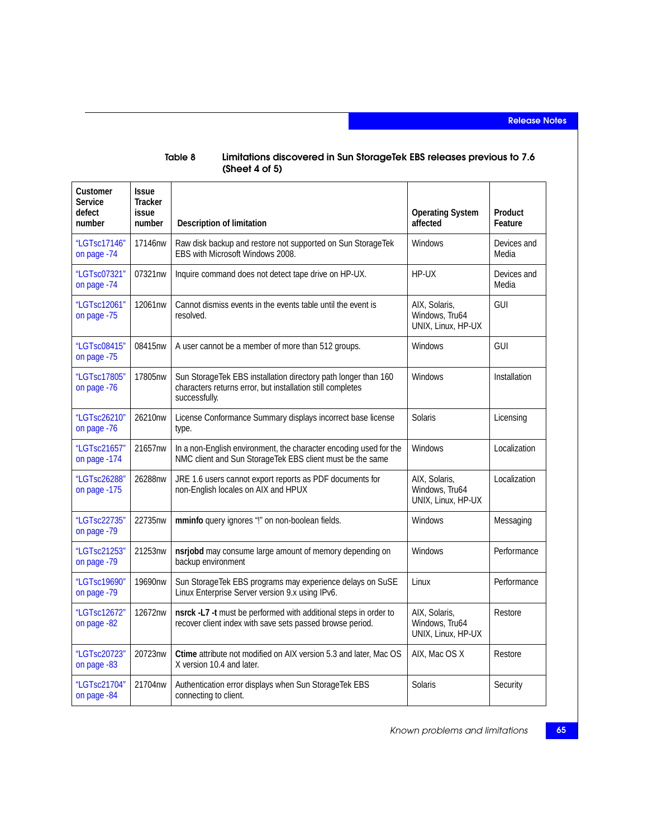| Table 8 | Limitations discovered in Sun StorageTek EBS releases previous to 7.6 |
|---------|-----------------------------------------------------------------------|
|         | (Sheet 4 of 5)                                                        |

| <b>Customer</b><br><b>Service</b> | <b>Issue</b><br><b>Tracker</b> |                                                                                                                                               |                                                       |                           |
|-----------------------------------|--------------------------------|-----------------------------------------------------------------------------------------------------------------------------------------------|-------------------------------------------------------|---------------------------|
| defect<br>number                  | issue<br>number                | <b>Description of limitation</b>                                                                                                              | <b>Operating System</b><br>affected                   | <b>Product</b><br>Feature |
| "LGTsc17146"<br>on page -74       | 17146nw                        | Raw disk backup and restore not supported on Sun StorageTek<br>EBS with Microsoft Windows 2008.                                               | Windows                                               | Devices and<br>Media      |
| "LGTsc07321"<br>on page -74       | 07321nw                        | Inquire command does not detect tape drive on HP-UX.                                                                                          | HP-UX                                                 | Devices and<br>Media      |
| "LGTsc12061"<br>on page -75       | 12061nw                        | Cannot dismiss events in the events table until the event is<br>resolved.                                                                     | AIX, Solaris,<br>Windows, Tru64<br>UNIX, Linux, HP-UX | GUI                       |
| "LGTsc08415"<br>on page -75       | 08415nw                        | A user cannot be a member of more than 512 groups.                                                                                            | <b>Windows</b>                                        | GUI                       |
| "LGTsc17805"<br>on page -76       | 17805nw                        | Sun StorageTek EBS installation directory path longer than 160<br>characters returns error, but installation still completes<br>successfully. | <b>Windows</b>                                        | Installation              |
| "LGTsc26210"<br>on page -76       | 26210nw                        | License Conformance Summary displays incorrect base license<br>type.                                                                          | Solaris                                               | Licensing                 |
| "LGTsc21657"<br>on page -174      | 21657nw                        | In a non-English environment, the character encoding used for the<br>NMC client and Sun StorageTek EBS client must be the same                | <b>Windows</b>                                        | Localization              |
| "LGTsc26288"<br>on page -175      | 26288nw                        | JRE 1.6 users cannot export reports as PDF documents for<br>non-English locales on AIX and HPUX                                               | AIX, Solaris,<br>Windows, Tru64<br>UNIX, Linux, HP-UX | Localization              |
| "LGTsc22735"<br>on page -79       | 22735nw                        | mminfo query ignores "!" on non-boolean fields.                                                                                               | Windows                                               | Messaging                 |
| "LGTsc21253"<br>on page -79       | 21253nw                        | nsrjobd may consume large amount of memory depending on<br>backup environment                                                                 | Windows                                               | Performance               |
| "LGTsc19690"<br>on page -79       | 19690nw                        | Sun StorageTek EBS programs may experience delays on SuSE<br>Linux Enterprise Server version 9.x using IPv6.                                  | Linux                                                 | Performance               |
| "LGTsc12672"<br>on page -82       | 12672nw                        | nsrck -L7 -t must be performed with additional steps in order to<br>recover client index with save sets passed browse period.                 | AIX, Solaris,<br>Windows, Tru64<br>UNIX, Linux, HP-UX | Restore                   |
| "LGTsc20723"<br>on page -83       | 20723nw                        | Ctime attribute not modified on AIX version 5.3 and later, Mac OS<br>X version 10.4 and later.                                                | AIX, Mac OS X                                         | Restore                   |
| "LGTsc21704"<br>on page -84       | 21704nw                        | Authentication error displays when Sun StorageTek EBS<br>connecting to client.                                                                | Solaris                                               | Security                  |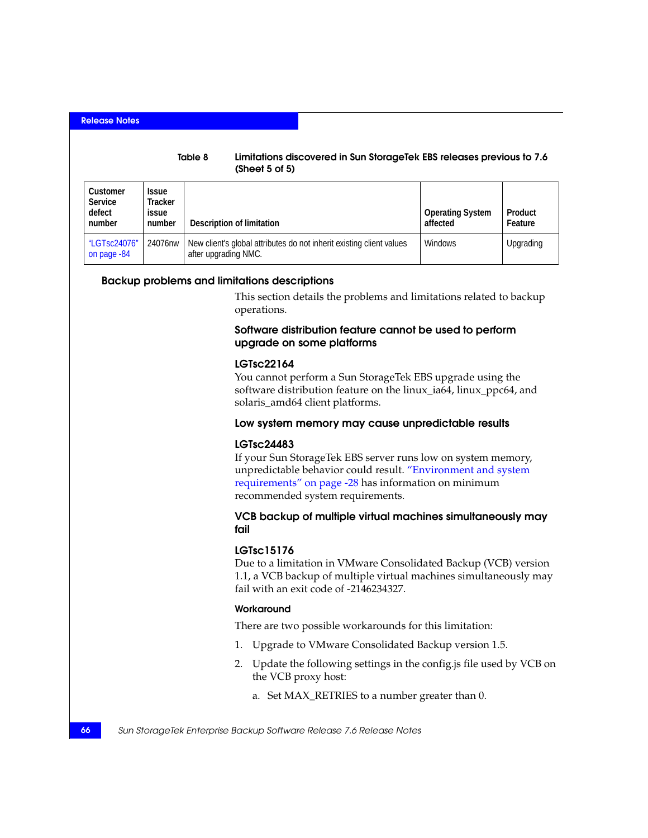**Table 8 Limitations discovered in Sun StorageTek EBS releases previous to 7.6 (Sheet 5 of 5)**

| <b>Customer</b><br><b>Service</b><br>defect<br>number | <b>Issue</b><br><b>Tracker</b><br><b>issue</b><br>number | <b>Description of limitation</b>                                                             | <b>Operating System</b><br>affected | Product<br>Feature |
|-------------------------------------------------------|----------------------------------------------------------|----------------------------------------------------------------------------------------------|-------------------------------------|--------------------|
| "LGTsc24076"<br>on page -84                           | 24076nw                                                  | New client's global attributes do not inherit existing client values<br>after upgrading NMC. | Windows                             | Upgrading          |

## <span id="page-65-0"></span>**Backup problems and limitations descriptions**

This section details the problems and limitations related to backup operations.

# **Software distribution feature cannot be used to perform upgrade on some platforms**

## <span id="page-65-1"></span>**LGTsc22164**

You cannot perform a Sun StorageTek EBS upgrade using the software distribution feature on the linux\_ia64, linux\_ppc64, and solaris\_amd64 client platforms.

## **Low system memory may cause unpredictable results**

#### <span id="page-65-2"></span>**LGTsc24483**

If your Sun StorageTek EBS server runs low on system memory, unpredictable behavior could result. ["Environment and system](#page-27-0)  [requirements" on page -28](#page-27-0) has information on minimum recommended system requirements.

# **VCB backup of multiple virtual machines simultaneously may fail**

## <span id="page-65-3"></span>**LGTsc15176**

Due to a limitation in VMware Consolidated Backup (VCB) version 1.1, a VCB backup of multiple virtual machines simultaneously may fail with an exit code of -2146234327.

## **Workaround**

There are two possible workarounds for this limitation:

- 1. Upgrade to VMware Consolidated Backup version 1.5.
- 2. Update the following settings in the config.js file used by VCB on the VCB proxy host:
	- a. Set MAX RETRIES to a number greater than 0.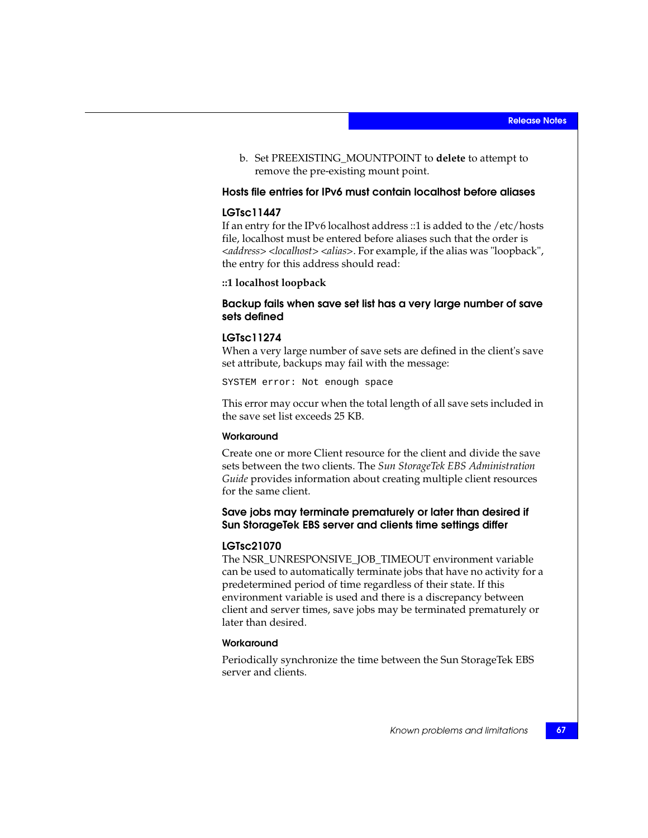b. Set PREEXISTING\_MOUNTPOINT to **delete** to attempt to remove the pre-existing mount point.

## **Hosts file entries for IPv6 must contain localhost before aliases**

# <span id="page-66-0"></span>**LGTsc11447**

If an entry for the IPv6 localhost address ::1 is added to the /etc/hosts file, localhost must be entered before aliases such that the order is *<address> <localhost> <alias>*. For example, if the alias was "loopback", the entry for this address should read:

## **::1 localhost loopback**

# **Backup fails when save set list has a very large number of save sets defined**

# <span id="page-66-1"></span>**LGTsc11274**

When a very large number of save sets are defined in the client's save set attribute, backups may fail with the message:

SYSTEM error: Not enough space

This error may occur when the total length of all save sets included in the save set list exceeds 25 KB.

## **Workaround**

Create one or more Client resource for the client and divide the save sets between the two clients. The *Sun StorageTek EBS Administration Guide* provides information about creating multiple client resources for the same client.

# **Save jobs may terminate prematurely or later than desired if Sun StorageTek EBS server and clients time settings differ**

# <span id="page-66-2"></span>**LGTsc21070**

The NSR\_UNRESPONSIVE\_JOB\_TIMEOUT environment variable can be used to automatically terminate jobs that have no activity for a predetermined period of time regardless of their state. If this environment variable is used and there is a discrepancy between client and server times, save jobs may be terminated prematurely or later than desired.

## **Workaround**

Periodically synchronize the time between the Sun StorageTek EBS server and clients.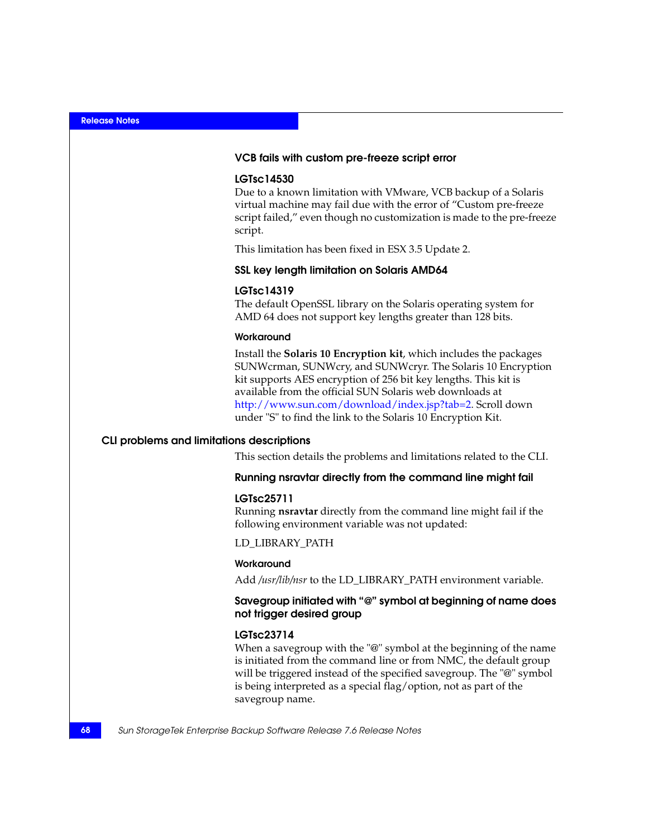#### **VCB fails with custom pre-freeze script error**

## <span id="page-67-2"></span>**LGTsc14530**

Due to a known limitation with VMware, VCB backup of a Solaris virtual machine may fail due with the error of "Custom pre-freeze script failed," even though no customization is made to the pre-freeze script.

This limitation has been fixed in ESX 3.5 Update 2.

#### **SSL key length limitation on Solaris AMD64**

#### <span id="page-67-3"></span>**LGTsc14319**

The default OpenSSL library on the Solaris operating system for AMD 64 does not support key lengths greater than 128 bits.

#### **Workaround**

Install the **Solaris 10 Encryption kit**, which includes the packages SUNWcrman, SUNWcry, and SUNWcryr. The Solaris 10 Encryption kit supports AES encryption of 256 bit key lengths. This kit is available from the official SUN Solaris web downloads at [http](http://www.novell.com/products/linuxpackages/suselinux/pdksh.html)[://www.sun.com/download/index.jsp?tab=2](http://www.sun.com/download/index.jsp?tab=2). Scroll down under "S" to find the link to the Solaris 10 Encryption Kit.

#### <span id="page-67-0"></span>**CLI problems and limitations descriptions**

This section details the problems and limitations related to the CLI.

#### **Running nsravtar directly from the command line might fail**

#### <span id="page-67-1"></span>**LGTsc25711**

Running **nsravtar** directly from the command line might fail if the following environment variable was not updated:

LD\_LIBRARY\_PATH

#### **Workaround**

Add */usr/lib/nsr* to the LD\_LIBRARY\_PATH environment variable.

# **Savegroup initiated with "@" symbol at beginning of name does not trigger desired group**

#### <span id="page-67-4"></span>**LGTsc23714**

When a savegroup with the "@" symbol at the beginning of the name is initiated from the command line or from NMC, the default group will be triggered instead of the specified savegroup. The "@" symbol is being interpreted as a special flag/option, not as part of the savegroup name.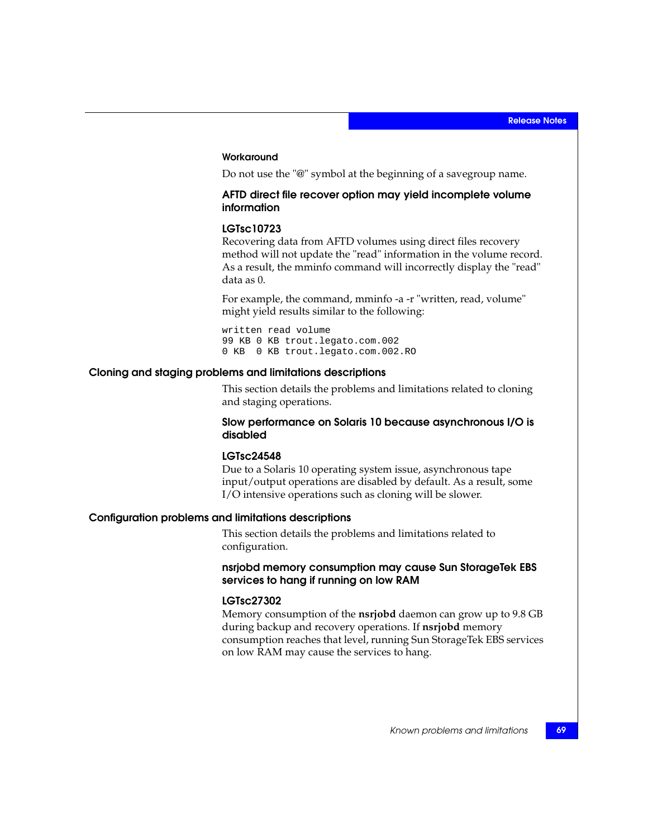Do not use the "@" symbol at the beginning of a savegroup name.

# **AFTD direct file recover option may yield incomplete volume information**

#### <span id="page-68-3"></span>**LGTsc10723**

Recovering data from AFTD volumes using direct files recovery method will not update the "read" information in the volume record. As a result, the mminfo command will incorrectly display the "read" data as 0.

For example, the command, mminfo -a -r "written, read, volume" might yield results similar to the following:

written read volume 99 KB 0 KB trout.legato.com.002 0 KB 0 KB trout.legato.com.002.RO

#### <span id="page-68-0"></span>**Cloning and staging problems and limitations descriptions**

This section details the problems and limitations related to cloning and staging operations.

## **Slow performance on Solaris 10 because asynchronous I/O is disabled**

#### <span id="page-68-4"></span>**LGTsc24548**

Due to a Solaris 10 operating system issue, asynchronous tape input/output operations are disabled by default. As a result, some I/O intensive operations such as cloning will be slower.

#### <span id="page-68-1"></span>**Configuration problems and limitations descriptions**

This section details the problems and limitations related to configuration.

# **nsrjobd memory consumption may cause Sun StorageTek EBS services to hang if running on low RAM**

#### <span id="page-68-2"></span>**LGTsc27302**

Memory consumption of the **nsrjobd** daemon can grow up to 9.8 GB during backup and recovery operations. If **nsrjobd** memory consumption reaches that level, running Sun StorageTek EBS services on low RAM may cause the services to hang.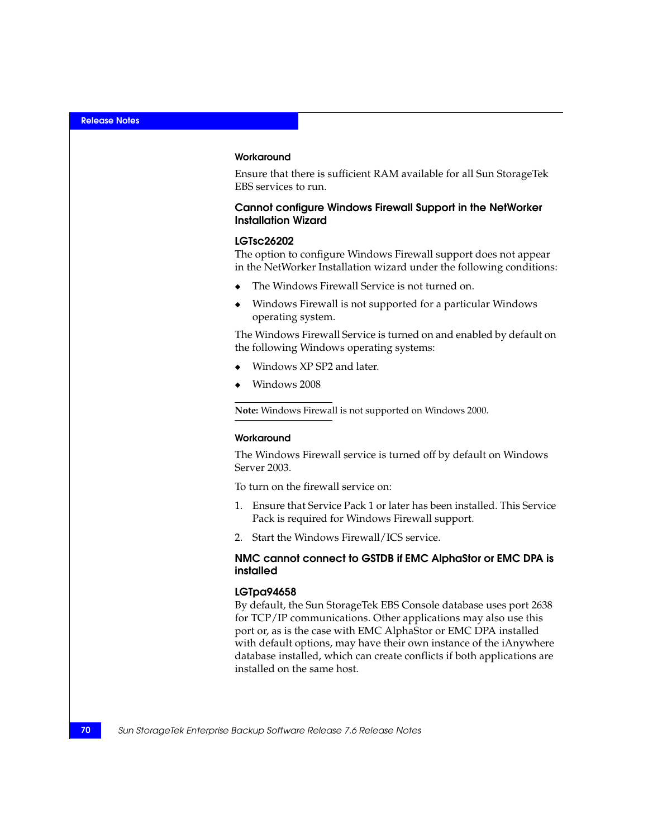Ensure that there is sufficient RAM available for all Sun StorageTek EBS services to run.

## **Cannot configure Windows Firewall Support in the NetWorker Installation Wizard**

#### <span id="page-69-0"></span>**LGTsc26202**

The option to configure Windows Firewall support does not appear in the NetWorker Installation wizard under the following conditions:

- The Windows Firewall Service is not turned on.
- ◆ Windows Firewall is not supported for a particular Windows operating system.

The Windows Firewall Service is turned on and enabled by default on the following Windows operating systems:

- Windows XP SP2 and later.
- Windows 2008

**Note:** Windows Firewall is not supported on Windows 2000.

#### **Workaround**

The Windows Firewall service is turned off by default on Windows Server 2003.

To turn on the firewall service on:

- 1. Ensure that Service Pack 1 or later has been installed. This Service Pack is required for Windows Firewall support.
- 2. Start the Windows Firewall/ICS service.

## **NMC cannot connect to GSTDB if EMC AlphaStor or EMC DPA is installed**

#### <span id="page-69-1"></span>**LGTpa94658**

By default, the Sun StorageTek EBS Console database uses port 2638 for TCP/IP communications. Other applications may also use this port or, as is the case with EMC AlphaStor or EMC DPA installed with default options, may have their own instance of the iAnywhere database installed, which can create conflicts if both applications are installed on the same host.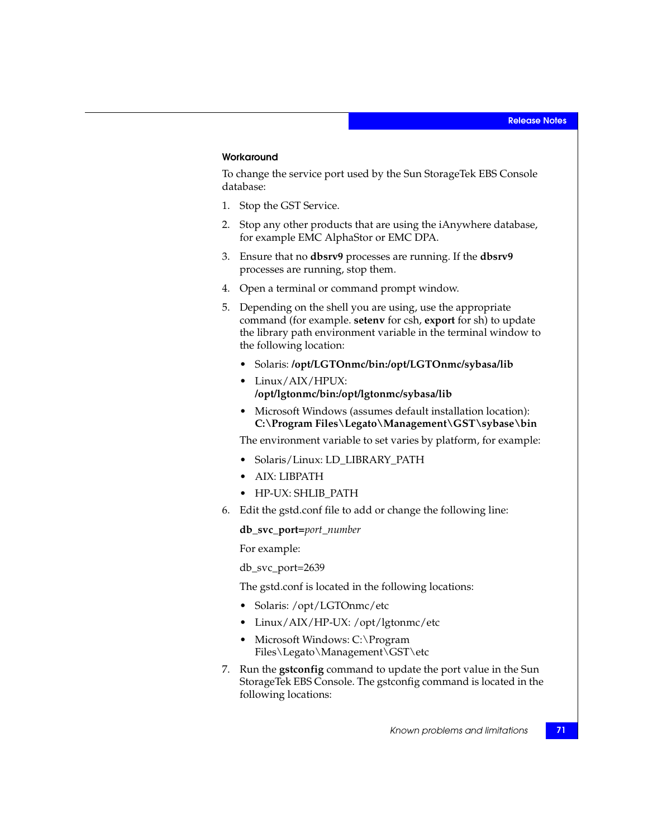To change the service port used by the Sun StorageTek EBS Console database:

- 1. Stop the GST Service.
- 2. Stop any other products that are using the iAnywhere database, for example EMC AlphaStor or EMC DPA.
- 3. Ensure that no **dbsrv9** processes are running. If the **dbsrv9** processes are running, stop them.
- 4. Open a terminal or command prompt window.
- 5. Depending on the shell you are using, use the appropriate command (for example. **setenv** for csh, **export** for sh) to update the library path environment variable in the terminal window to the following location:
	- Solaris: **/opt/LGTOnmc/bin:/opt/LGTOnmc/sybasa/lib**
	- Linux/AIX/HPUX: **/opt/lgtonmc/bin:/opt/lgtonmc/sybasa/lib**
	- Microsoft Windows (assumes default installation location): **C:\Program Files\Legato\Management\GST\sybase\bin**

The environment variable to set varies by platform, for example:

- Solaris/Linux: LD\_LIBRARY\_PATH
- AIX: LIBPATH
- HP-UX: SHLIB\_PATH
- 6. Edit the gstd.conf file to add or change the following line:

**db\_svc\_port=***port\_number*

For example:

db\_svc\_port=2639

The gstd.conf is located in the following locations:

- Solaris: /opt/LGTOnmc/etc
- Linux/AIX/HP-UX: /opt/lgtonmc/etc
- Microsoft Windows: C:\Program Files\Legato\Management\GST\etc
- 7. Run the **gstconfig** command to update the port value in the Sun StorageTek EBS Console. The gstconfig command is located in the following locations: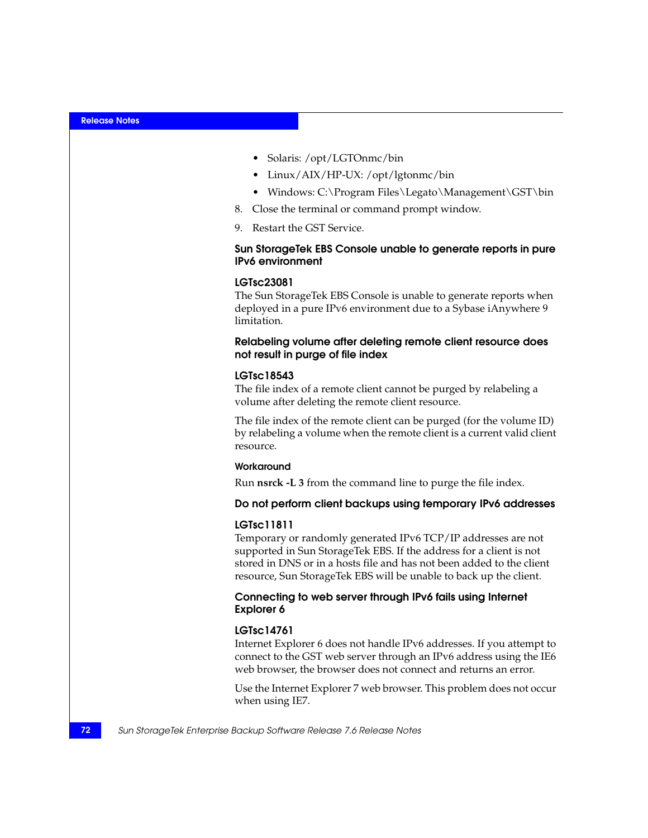- Solaris: /opt/LGTOnmc/bin
- Linux/AIX/HP-UX: /opt/lgtonmc/bin
- Windows: C:\Program Files\Legato\Management\GST\bin
- 8. Close the terminal or command prompt window.
- 9. Restart the GST Service.

# **Sun StorageTek EBS Console unable to generate reports in pure IPv6 environment**

#### <span id="page-71-0"></span>**LGTsc23081**

The Sun StorageTek EBS Console is unable to generate reports when deployed in a pure IPv6 environment due to a Sybase iAnywhere 9 limitation.

## **Relabeling volume after deleting remote client resource does not result in purge of file index**

#### <span id="page-71-1"></span>**LGTsc18543**

The file index of a remote client cannot be purged by relabeling a volume after deleting the remote client resource.

The file index of the remote client can be purged (for the volume ID) by relabeling a volume when the remote client is a current valid client resource.

## **Workaround**

Run **nsrck -L 3** from the command line to purge the file index.

## **Do not perform client backups using temporary IPv6 addresses**

## <span id="page-71-2"></span>**LGTsc11811**

Temporary or randomly generated IPv6 TCP/IP addresses are not supported in Sun StorageTek EBS. If the address for a client is not stored in DNS or in a hosts file and has not been added to the client resource, Sun StorageTek EBS will be unable to back up the client.

# **Connecting to web server through IPv6 fails using Internet Explorer 6**

#### <span id="page-71-3"></span>**LGTsc14761**

Internet Explorer 6 does not handle IPv6 addresses. If you attempt to connect to the GST web server through an IPv6 address using the IE6 web browser, the browser does not connect and returns an error.

Use the Internet Explorer 7 web browser. This problem does not occur when using IE7.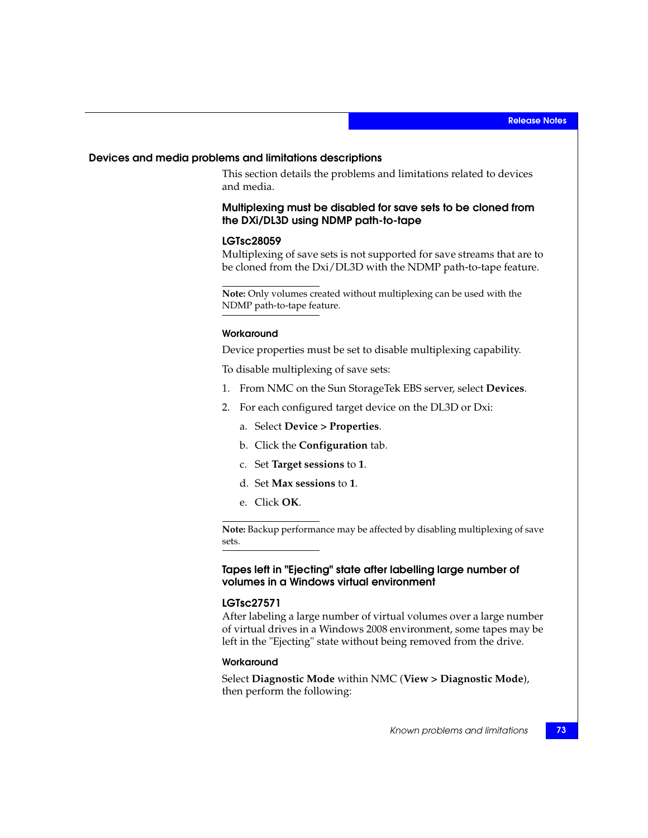## **Devices and media problems and limitations descriptions**

This section details the problems and limitations related to devices and media.

# **Multiplexing must be disabled for save sets to be cloned from the DXi/DL3D using NDMP path-to-tape**

#### **LGTsc28059**

Multiplexing of save sets is not supported for save streams that are to be cloned from the Dxi/DL3D with the NDMP path-to-tape feature.

**Note:** Only volumes created without multiplexing can be used with the NDMP path-to-tape feature.

#### **Workaround**

Device properties must be set to disable multiplexing capability.

To disable multiplexing of save sets:

- 1. From NMC on the Sun StorageTek EBS server, select **Devices**.
- 2. For each configured target device on the DL3D or Dxi:
	- a. Select **Device > Properties**.
	- b. Click the **Configuration** tab.
	- c. Set **Target sessions** to **1**.
	- d. Set **Max sessions** to **1**.
	- e. Click **OK**.

**Note:** Backup performance may be affected by disabling multiplexing of save sets.

# **Tapes left in "Ejecting" state after labelling large number of volumes in a Windows virtual environment**

# **LGTsc27571**

After labeling a large number of virtual volumes over a large number of virtual drives in a Windows 2008 environment, some tapes may be left in the "Ejecting" state without being removed from the drive.

#### **Workaround**

Select **Diagnostic Mode** within NMC (**View > Diagnostic Mode**), then perform the following: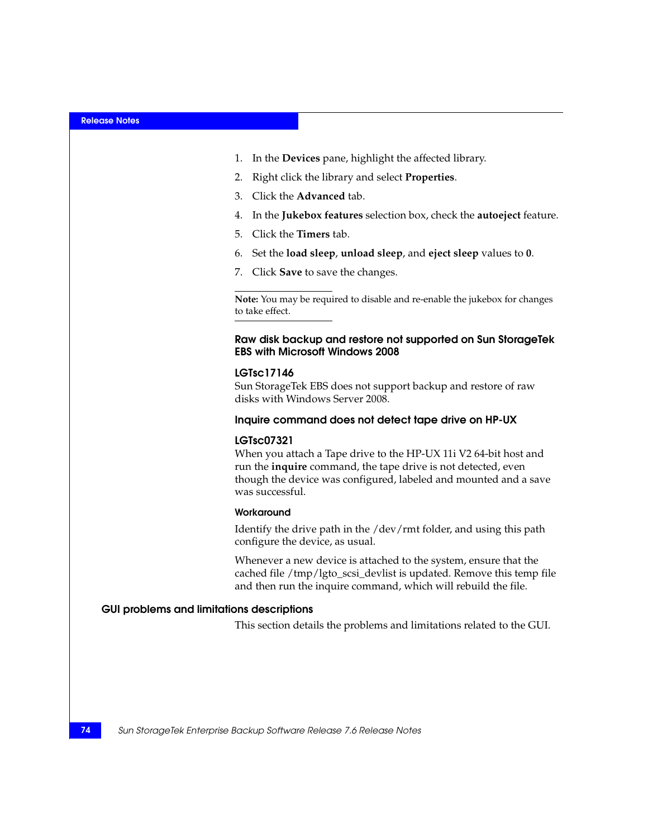- 1. In the **Devices** pane, highlight the affected library.
- 2. Right click the library and select **Properties**.
- 3. Click the **Advanced** tab.
- 4. In the **Jukebox features** selection box, check the **autoeject** feature.
- 5. Click the **Timers** tab.
- 6. Set the **load sleep**, **unload sleep**, and **eject sleep** values to **0**.
- 7. Click **Save** to save the changes.

**Note:** You may be required to disable and re-enable the jukebox for changes to take effect.

# **Raw disk backup and restore not supported on Sun StorageTek EBS with Microsoft Windows 2008**

#### **LGTsc17146**

Sun StorageTek EBS does not support backup and restore of raw disks with Windows Server 2008.

#### **Inquire command does not detect tape drive on HP-UX**

#### **LGTsc07321**

When you attach a Tape drive to the HP-UX 11i V2 64-bit host and run the **inquire** command, the tape drive is not detected, even though the device was configured, labeled and mounted and a save was successful.

#### **Workaround**

Identify the drive path in the /dev/rmt folder, and using this path configure the device, as usual.

Whenever a new device is attached to the system, ensure that the cached file /tmp/lgto\_scsi\_devlist is updated. Remove this temp file and then run the inquire command, which will rebuild the file.

## **GUI problems and limitations descriptions**

This section details the problems and limitations related to the GUI.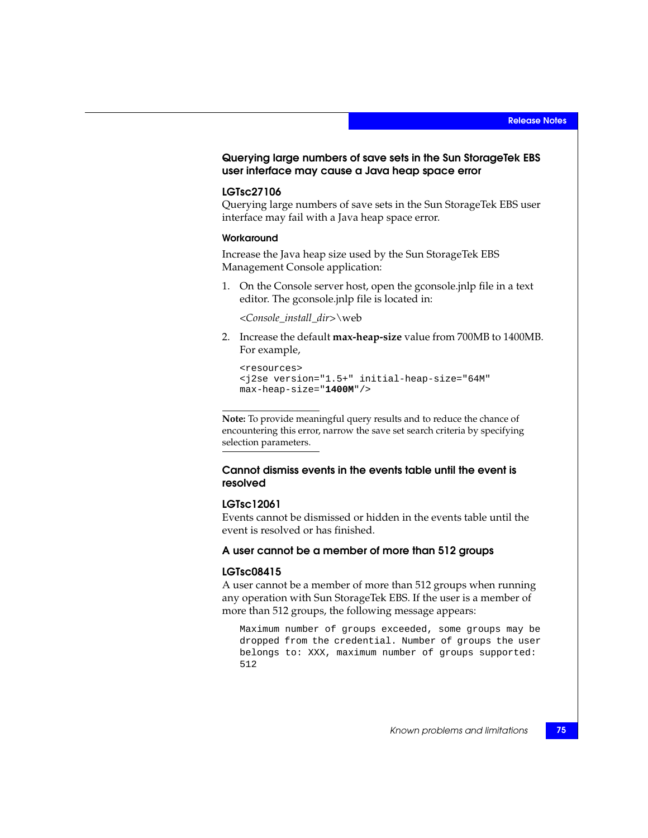# **Querying large numbers of save sets in the Sun StorageTek EBS user interface may cause a Java heap space error**

# **LGTsc27106**

Querying large numbers of save sets in the Sun StorageTek EBS user interface may fail with a Java heap space error.

#### **Workaround**

Increase the Java heap size used by the Sun StorageTek EBS Management Console application:

1. On the Console server host, open the gconsole.jnlp file in a text editor. The gconsole.jnlp file is located in:

*<Console\_install\_dir>*\web

2. Increase the default **max-heap-size** value from 700MB to 1400MB. For example,

```
<resources>
<j2se version="1.5+" initial-heap-size="64M" 
max-heap-size="1400M"/>
```
**Note:** To provide meaningful query results and to reduce the chance of encountering this error, narrow the save set search criteria by specifying selection parameters.

# **Cannot dismiss events in the events table until the event is resolved**

## **LGTsc12061**

Events cannot be dismissed or hidden in the events table until the event is resolved or has finished.

#### **A user cannot be a member of more than 512 groups**

#### **LGTsc08415**

A user cannot be a member of more than 512 groups when running any operation with Sun StorageTek EBS. If the user is a member of more than 512 groups, the following message appears:

Maximum number of groups exceeded, some groups may be dropped from the credential. Number of groups the user belongs to: XXX, maximum number of groups supported: 512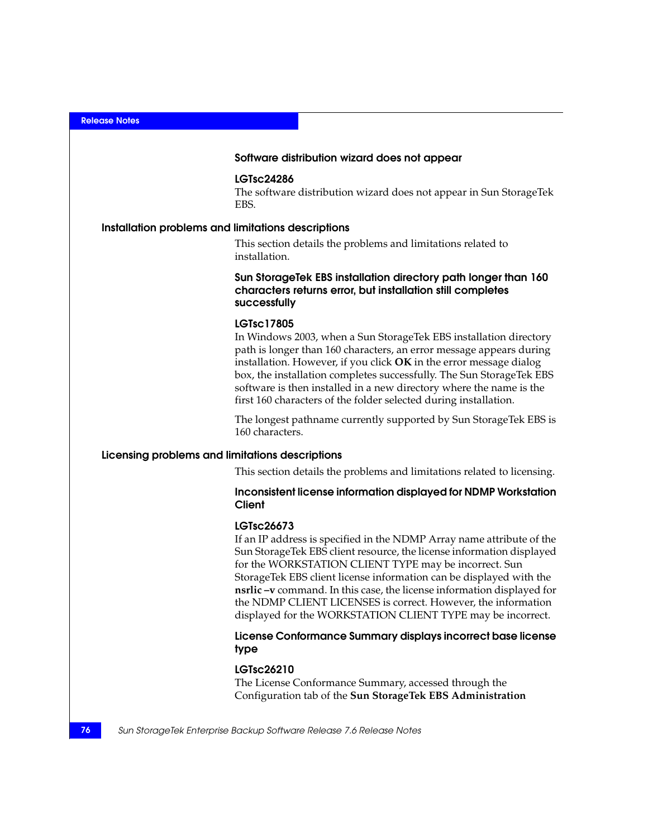#### **Software distribution wizard does not appear**

## **LGTsc24286**

The software distribution wizard does not appear in Sun StorageTek EBS.

### **Installation problems and limitations descriptions**

This section details the problems and limitations related to installation.

**Sun StorageTek EBS installation directory path longer than 160 characters returns error, but installation still completes successfully**

#### **LGTsc17805**

In Windows 2003, when a Sun StorageTek EBS installation directory path is longer than 160 characters, an error message appears during installation. However, if you click **OK** in the error message dialog box, the installation completes successfully. The Sun StorageTek EBS software is then installed in a new directory where the name is the first 160 characters of the folder selected during installation.

The longest pathname currently supported by Sun StorageTek EBS is 160 characters.

#### **Licensing problems and limitations descriptions**

This section details the problems and limitations related to licensing.

# **Inconsistent license information displayed for NDMP Workstation Client**

#### **LGTsc26673**

If an IP address is specified in the NDMP Array name attribute of the Sun StorageTek EBS client resource, the license information displayed for the WORKSTATION CLIENT TYPE may be incorrect. Sun StorageTek EBS client license information can be displayed with the **nsrlic –v** command. In this case, the license information displayed for the NDMP CLIENT LICENSES is correct. However, the information displayed for the WORKSTATION CLIENT TYPE may be incorrect.

# **License Conformance Summary displays incorrect base license type**

### **LGTsc26210**

The License Conformance Summary, accessed through the Configuration tab of the **Sun StorageTek EBS Administration**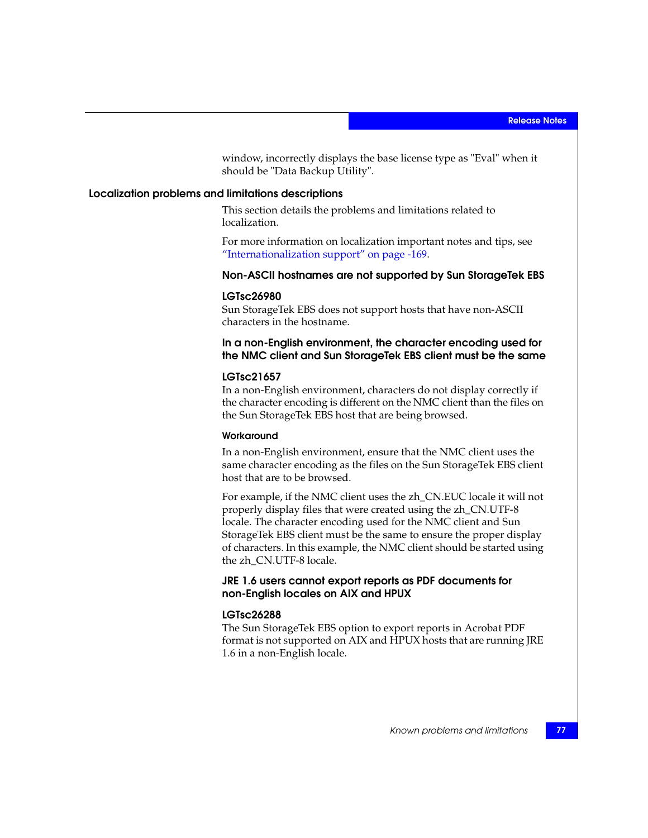window, incorrectly displays the base license type as "Eval" when it should be "Data Backup Utility".

## **Localization problems and limitations descriptions**

This section details the problems and limitations related to localization.

For more information on localization important notes and tips, see ["Internationalization support" on page -169.](#page-168-0)

## **Non-ASCII hostnames are not supported by Sun StorageTek EBS**

## **LGTsc26980**

Sun StorageTek EBS does not support hosts that have non-ASCII characters in the hostname.

# **In a non-English environment, the character encoding used for the NMC client and Sun StorageTek EBS client must be the same**

# **LGTsc21657**

In a non-English environment, characters do not display correctly if the character encoding is different on the NMC client than the files on the Sun StorageTek EBS host that are being browsed.

## **Workaround**

In a non-English environment, ensure that the NMC client uses the same character encoding as the files on the Sun StorageTek EBS client host that are to be browsed.

For example, if the NMC client uses the zh\_CN.EUC locale it will not properly display files that were created using the zh\_CN.UTF-8 locale. The character encoding used for the NMC client and Sun StorageTek EBS client must be the same to ensure the proper display of characters. In this example, the NMC client should be started using the zh\_CN.UTF-8 locale.

# **JRE 1.6 users cannot export reports as PDF documents for non-English locales on AIX and HPUX**

# **LGTsc26288**

The Sun StorageTek EBS option to export reports in Acrobat PDF format is not supported on AIX and HPUX hosts that are running JRE 1.6 in a non-English locale.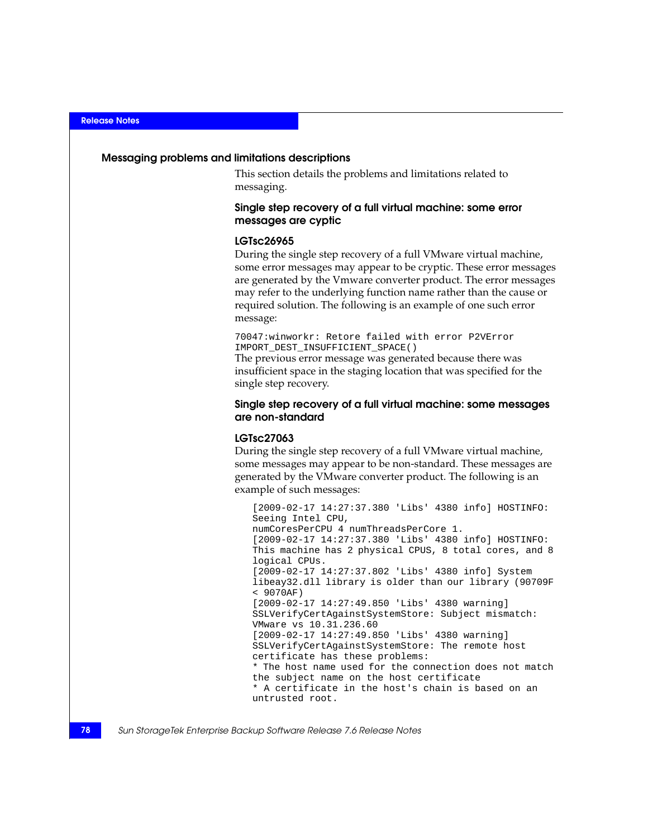## **Messaging problems and limitations descriptions**

This section details the problems and limitations related to messaging.

## **Single step recovery of a full virtual machine: some error messages are cyptic**

#### **LGTsc26965**

During the single step recovery of a full VMware virtual machine, some error messages may appear to be cryptic. These error messages are generated by the Vmware converter product. The error messages may refer to the underlying function name rather than the cause or required solution. The following is an example of one such error message:

70047:winworkr: Retore failed with error P2VError IMPORT\_DEST\_INSUFFICIENT\_SPACE()

The previous error message was generated because there was insufficient space in the staging location that was specified for the single step recovery.

# **Single step recovery of a full virtual machine: some messages are non-standard**

## **LGTsc27063**

During the single step recovery of a full VMware virtual machine, some messages may appear to be non-standard. These messages are generated by the VMware converter product. The following is an example of such messages:

```
[2009-02-17 14:27:37.380 'Libs' 4380 info] HOSTINFO: 
Seeing Intel CPU, 
numCoresPerCPU 4 numThreadsPerCore 1.
[2009-02-17 14:27:37.380 'Libs' 4380 info] HOSTINFO: 
This machine has 2 physical CPUS, 8 total cores, and 8 
logical CPUs.
[2009-02-17 14:27:37.802 'Libs' 4380 info] System 
libeay32.dll library is older than our library (90709F 
< 9070AF)
[2009-02-17 14:27:49.850 'Libs' 4380 warning] 
SSLVerifyCertAgainstSystemStore: Subject mismatch: 
VMware vs 10.31.236.60
[2009-02-17 14:27:49.850 'Libs' 4380 warning] 
SSLVerifyCertAgainstSystemStore: The remote host 
certificate has these problems:
* The host name used for the connection does not match 
the subject name on the host certificate
* A certificate in the host's chain is based on an 
untrusted root.
```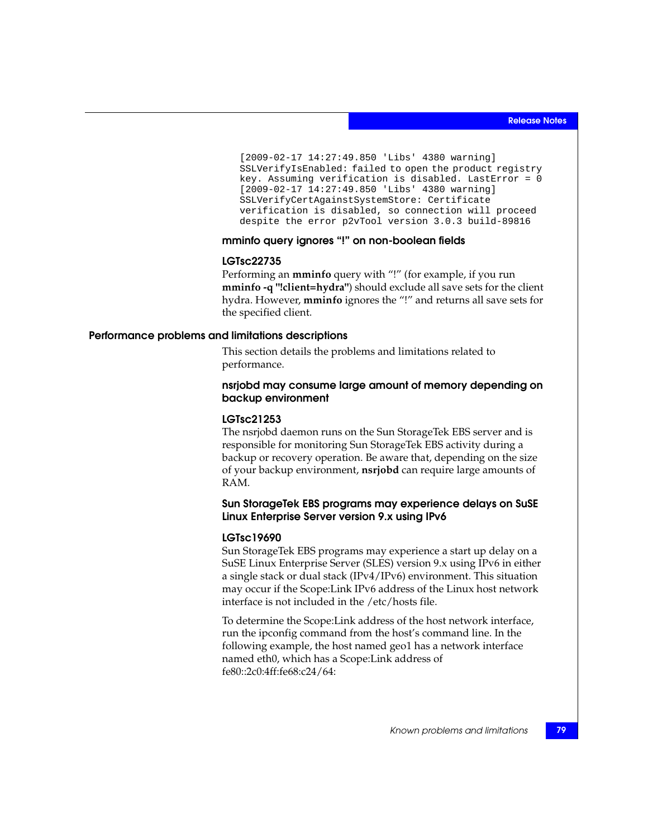[2009-02-17 14:27:49.850 'Libs' 4380 warning] SSLVerifyIsEnabled: failed to open the product registry key. Assuming verification is disabled. LastError = 0 [2009-02-17 14:27:49.850 'Libs' 4380 warning] SSLVerifyCertAgainstSystemStore: Certificate verification is disabled, so connection will proceed despite the error p2vTool version 3.0.3 build-89816

#### **mminfo query ignores "!" on non-boolean fields**

#### **LGTsc22735**

Performing an **mminfo** query with "!" (for example, if you run **mminfo -q "!client=hydra"**) should exclude all save sets for the client hydra. However, **mminfo** ignores the "!" and returns all save sets for the specified client.

#### **Performance problems and limitations descriptions**

This section details the problems and limitations related to performance.

# **nsrjobd may consume large amount of memory depending on backup environment**

## **LGTsc21253**

The nsrjobd daemon runs on the Sun StorageTek EBS server and is responsible for monitoring Sun StorageTek EBS activity during a backup or recovery operation. Be aware that, depending on the size of your backup environment, **nsrjobd** can require large amounts of RAM.

# **Sun StorageTek EBS programs may experience delays on SuSE Linux Enterprise Server version 9.x using IPv6**

## **LGTsc19690**

Sun StorageTek EBS programs may experience a start up delay on a SuSE Linux Enterprise Server (SLES) version 9.x using IPv6 in either a single stack or dual stack (IPv4/IPv6) environment. This situation may occur if the Scope:Link IPv6 address of the Linux host network interface is not included in the /etc/hosts file.

To determine the Scope:Link address of the host network interface, run the ipconfig command from the host's command line. In the following example, the host named geo1 has a network interface named eth0, which has a Scope:Link address of fe80::2c0:4ff:fe68:c24/64: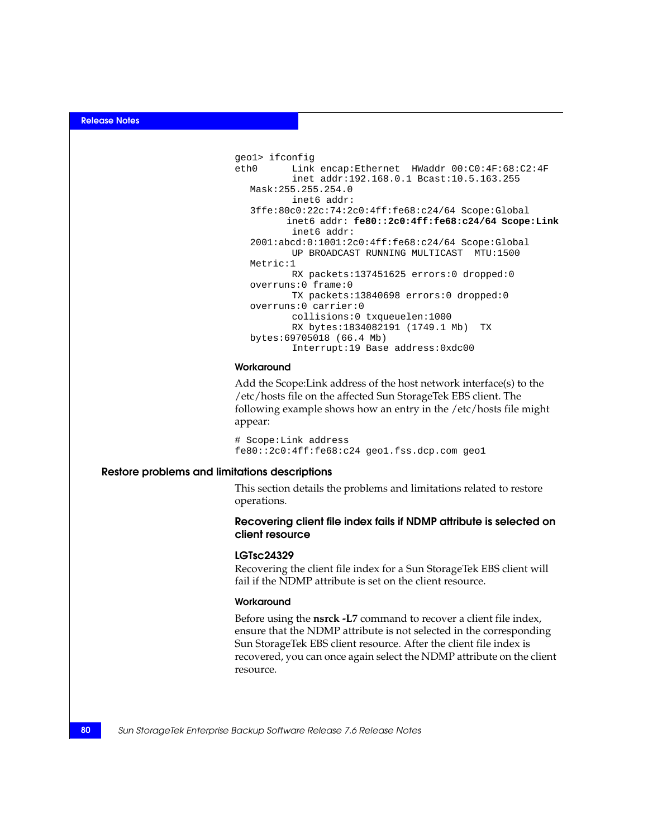```
geo1> ifconfig
eth0 Link encap:Ethernet HWaddr 00:C0:4F:68:C2:4F
           inet addr:192.168.0.1 Bcast:10.5.163.255 
  Mask:255.255.254.0
           inet6 addr: 
  3ffe:80c0:22c:74:2c0:4ff:fe68:c24/64 Scope:Global
          inet6 addr: fe80::2c0:4ff:fe68:c24/64 Scope:Link
           inet6 addr: 
   2001:abcd:0:1001:2c0:4ff:fe68:c24/64 Scope:Global
           UP BROADCAST RUNNING MULTICAST MTU:1500 
  Metric:1
           RX packets:137451625 errors:0 dropped:0 
  overruns:0 frame:0
           TX packets:13840698 errors:0 dropped:0 
  overruns:0 carrier:0
           collisions:0 txqueuelen:1000
           RX bytes:1834082191 (1749.1 Mb) TX 
  bytes:69705018 (66.4 Mb)
           Interrupt:19 Base address:0xdc00
```
#### **Workaround**

Add the Scope:Link address of the host network interface(s) to the /etc/hosts file on the affected Sun StorageTek EBS client. The following example shows how an entry in the /etc/hosts file might appear:

# Scope:Link address fe80::2c0:4ff:fe68:c24 geo1.fss.dcp.com geo1

## **Restore problems and limitations descriptions**

This section details the problems and limitations related to restore operations.

**Recovering client file index fails if NDMP attribute is selected on client resource**

#### **LGTsc24329**

Recovering the client file index for a Sun StorageTek EBS client will fail if the NDMP attribute is set on the client resource.

#### **Workaround**

Before using the **nsrck -L7** command to recover a client file index, ensure that the NDMP attribute is not selected in the corresponding Sun StorageTek EBS client resource. After the client file index is recovered, you can once again select the NDMP attribute on the client resource.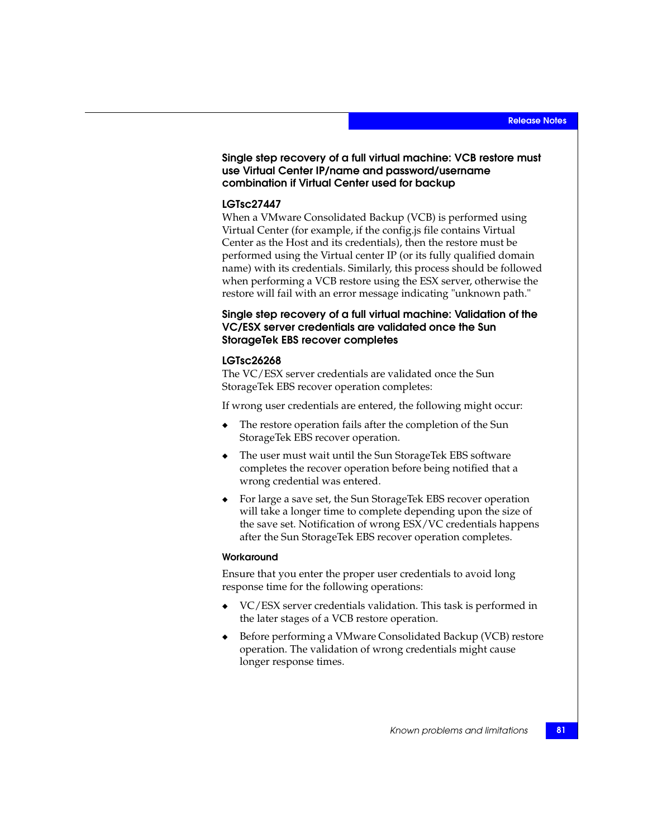**Single step recovery of a full virtual machine: VCB restore must use Virtual Center IP/name and password/username combination if Virtual Center used for backup**

## **LGTsc27447**

When a VMware Consolidated Backup (VCB) is performed using Virtual Center (for example, if the config.js file contains Virtual Center as the Host and its credentials), then the restore must be performed using the Virtual center IP (or its fully qualified domain name) with its credentials. Similarly, this process should be followed when performing a VCB restore using the ESX server, otherwise the restore will fail with an error message indicating "unknown path."

# **Single step recovery of a full virtual machine: Validation of the VC/ESX server credentials are validated once the Sun StorageTek EBS recover completes**

## **LGTsc26268**

The VC/ESX server credentials are validated once the Sun StorageTek EBS recover operation completes:

If wrong user credentials are entered, the following might occur:

- The restore operation fails after the completion of the Sun StorageTek EBS recover operation.
- ◆ The user must wait until the Sun StorageTek EBS software completes the recover operation before being notified that a wrong credential was entered.
- For large a save set, the Sun StorageTek EBS recover operation will take a longer time to complete depending upon the size of the save set. Notification of wrong ESX/VC credentials happens after the Sun StorageTek EBS recover operation completes.

#### **Workaround**

Ensure that you enter the proper user credentials to avoid long response time for the following operations:

- ◆ VC/ESX server credentials validation. This task is performed in the later stages of a VCB restore operation.
- Before performing a VMware Consolidated Backup (VCB) restore operation. The validation of wrong credentials might cause longer response times.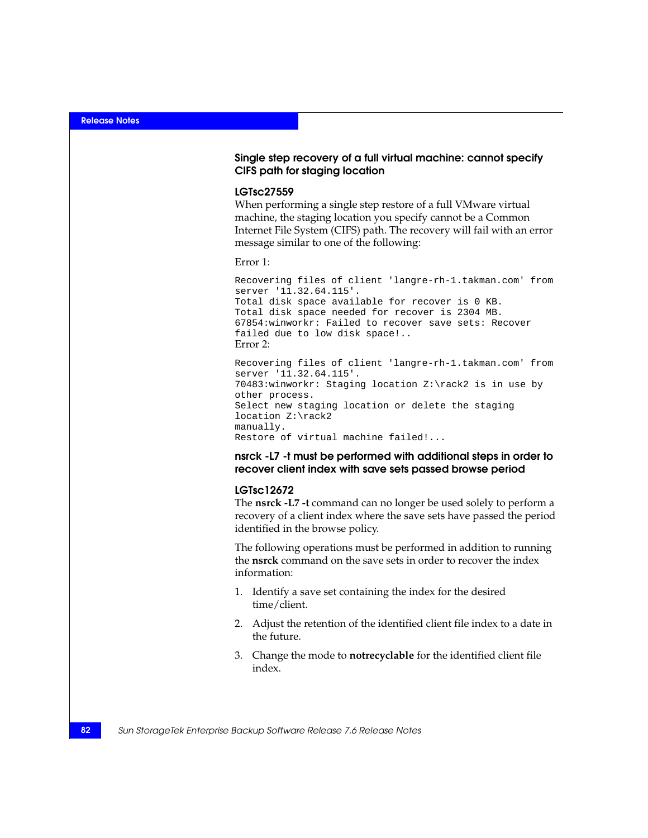# **Single step recovery of a full virtual machine: cannot specify CIFS path for staging location**

## **LGTsc27559**

When performing a single step restore of a full VMware virtual machine, the staging location you specify cannot be a Common Internet File System (CIFS) path. The recovery will fail with an error message similar to one of the following:

Error 1:

Recovering files of client 'langre-rh-1.takman.com' from server '11.32.64.115'. Total disk space available for recover is 0 KB. Total disk space needed for recover is 2304 MB. 67854:winworkr: Failed to recover save sets: Recover failed due to low disk space!.. Error 2:

```
Recovering files of client 'langre-rh-1.takman.com' from 
server '11.32.64.115'.
70483:winworkr: Staging location Z:\rack2 is in use by 
other process.
Select new staging location or delete the staging 
location Z:\rack2 
manually.
Restore of virtual machine failed!...
```
**nsrck -L7 -t must be performed with additional steps in order to recover client index with save sets passed browse period**

## **LGTsc12672**

The **nsrck -L7 -t** command can no longer be used solely to perform a recovery of a client index where the save sets have passed the period identified in the browse policy.

The following operations must be performed in addition to running the **nsrck** command on the save sets in order to recover the index information:

- 1. Identify a save set containing the index for the desired time/client.
- 2. Adjust the retention of the identified client file index to a date in the future.
- 3. Change the mode to **notrecyclable** for the identified client file index.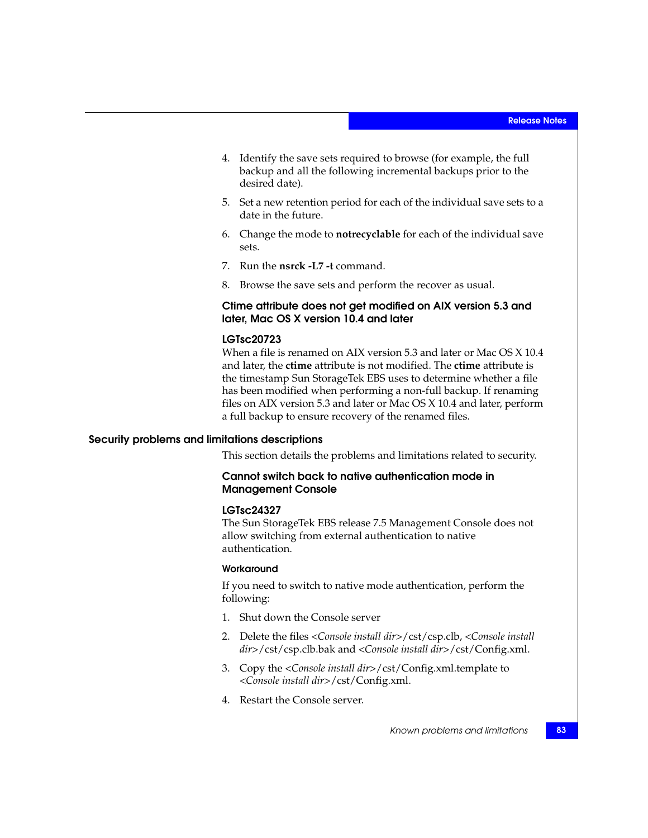- 4. Identify the save sets required to browse (for example, the full backup and all the following incremental backups prior to the desired date).
- 5. Set a new retention period for each of the individual save sets to a date in the future.
- 6. Change the mode to **notrecyclable** for each of the individual save sets.
- 7. Run the **nsrck -L7 -t** command.
- 8. Browse the save sets and perform the recover as usual.

# **Ctime attribute does not get modified on AIX version 5.3 and later, Mac OS X version 10.4 and later**

# **LGTsc20723**

When a file is renamed on AIX version 5.3 and later or Mac OS X 10.4 and later, the **ctime** attribute is not modified. The **ctime** attribute is the timestamp Sun StorageTek EBS uses to determine whether a file has been modified when performing a non-full backup. If renaming files on AIX version 5.3 and later or Mac OS X 10.4 and later, perform a full backup to ensure recovery of the renamed files.

# **Security problems and limitations descriptions**

This section details the problems and limitations related to security.

# **Cannot switch back to native authentication mode in Management Console**

# **LGTsc24327**

The Sun StorageTek EBS release 7.5 Management Console does not allow switching from external authentication to native authentication.

## **Workaround**

If you need to switch to native mode authentication, perform the following:

- 1. Shut down the Console server
- 2. Delete the files <*Console install dir*>/cst/csp.clb, <*Console install dir*>/cst/csp.clb.bak and <*Console install dir*>/cst/Config.xml.
- 3. Copy the <*Console install dir*>/cst/Config.xml.template to <*Console install dir*>/cst/Config.xml.
- 4. Restart the Console server.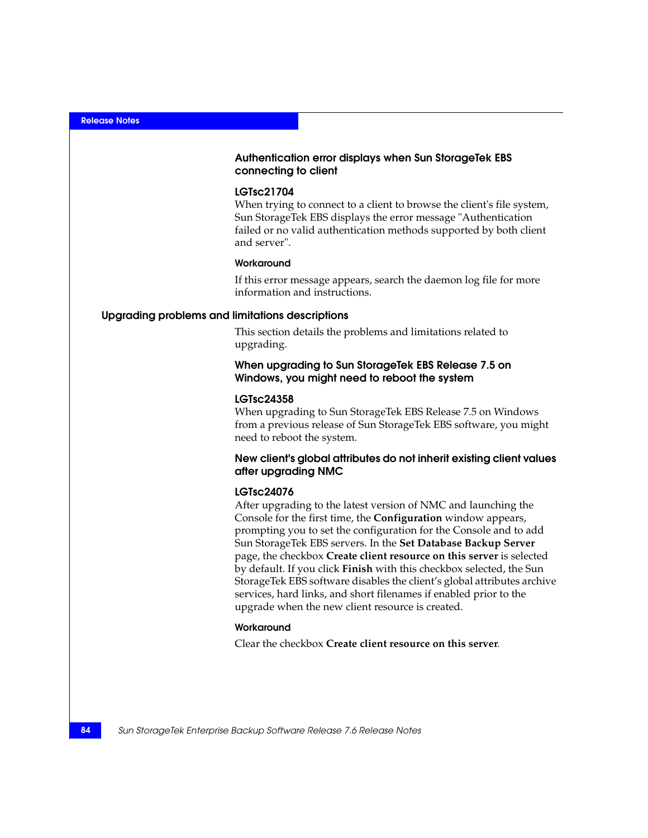# **Authentication error displays when Sun StorageTek EBS connecting to client**

## **LGTsc21704**

When trying to connect to a client to browse the client's file system, Sun StorageTek EBS displays the error message "Authentication failed or no valid authentication methods supported by both client and server".

#### **Workaround**

If this error message appears, search the daemon log file for more information and instructions.

## **Upgrading problems and limitations descriptions**

This section details the problems and limitations related to upgrading.

# **When upgrading to Sun StorageTek EBS Release 7.5 on Windows, you might need to reboot the system**

## **LGTsc24358**

When upgrading to Sun StorageTek EBS Release 7.5 on Windows from a previous release of Sun StorageTek EBS software, you might need to reboot the system.

# **New client's global attributes do not inherit existing client values after upgrading NMC**

## **LGTsc24076**

After upgrading to the latest version of NMC and launching the Console for the first time, the **Configuration** window appears, prompting you to set the configuration for the Console and to add Sun StorageTek EBS servers. In the **Set Database Backup Server**  page, the checkbox **Create client resource on this server** is selected by default. If you click **Finish** with this checkbox selected, the Sun StorageTek EBS software disables the client's global attributes archive services, hard links, and short filenames if enabled prior to the upgrade when the new client resource is created.

## **Workaround**

Clear the checkbox **Create client resource on this server**.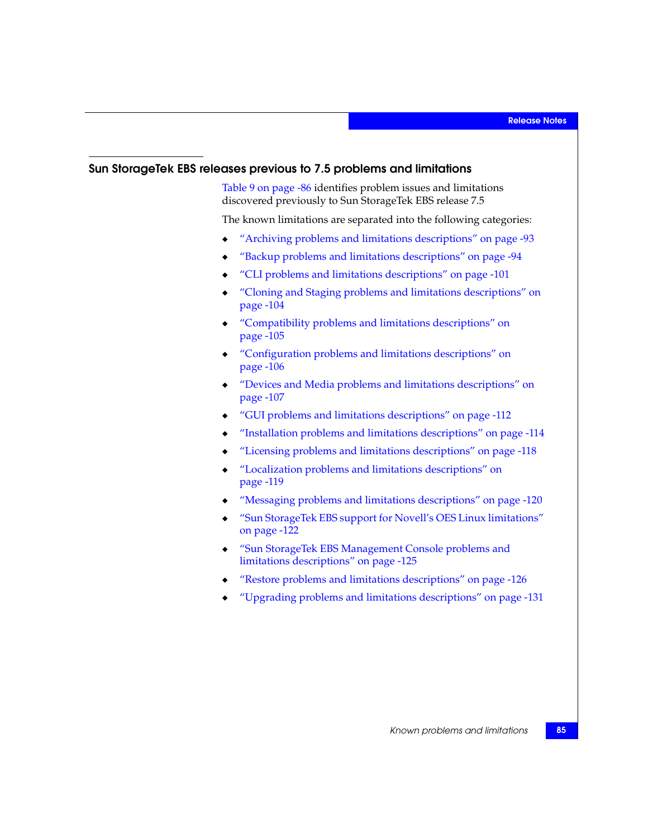# **Sun StorageTek EBS releases previous to 7.5 problems and limitations**

[Table 9 on page -86](#page-85-0) identifies problem issues and limitations discovered previously to Sun StorageTek EBS release 7.5

The known limitations are separated into the following categories:

- ◆ ["Archiving problems and limitations descriptions" on page -93](#page-92-0)
- ◆ ["Backup problems and limitations descriptions" on page -94](#page-93-0)
- ◆ ["CLI problems and limitations descriptions" on page -101](#page-100-0)
- ◆ ["Cloning and Staging problems and limitations descriptions" on](#page-103-0)  [page -104](#page-103-0)
- ◆ ["Compatibility problems and limitations descriptions" on](#page-104-0)  [page -105](#page-104-0)
- ◆ ["Configuration problems and limitations descriptions" on](#page-105-0)  [page -106](#page-105-0)
- ◆ ["Devices and Media problems and limitations descriptions" on](#page-106-0)  [page -107](#page-106-0)
- ◆ ["GUI problems and limitations descriptions" on page -112](#page-111-0)
- ◆ ["Installation problems and limitations descriptions" on page -114](#page-113-0)
- ◆ ["Licensing problems and limitations descriptions" on page -118](#page-117-0)
- ◆ ["Localization problems and limitations descriptions" on](#page-118-0)  [page -119](#page-118-0)
- ◆ ["Messaging problems and limitations descriptions" on page -120](#page-119-0)
- ◆ ["Sun StorageTek EBS support for Novell's OES Linux limitations"](#page-121-0)  [on page -122](#page-121-0)
- ◆ ["Sun StorageTek EBS Management Console problems and](#page-124-0)  [limitations descriptions" on page -125](#page-124-0)
- ["Restore problems and limitations descriptions" on page -126](#page-125-0)
- ◆ ["Upgrading problems and limitations descriptions" on page -131](#page-130-0)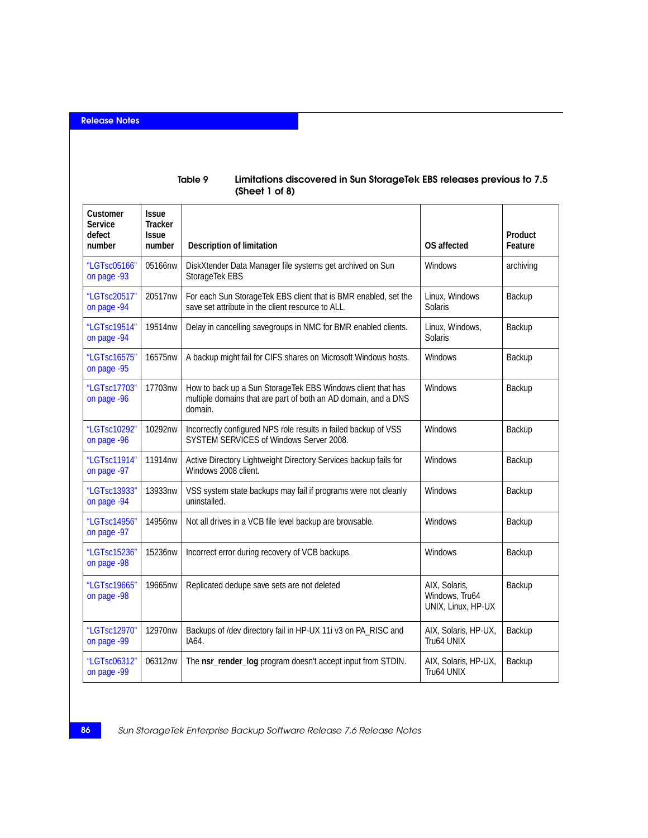**Table 9 Limitations discovered in Sun StorageTek EBS releases previous to 7.5 (Sheet 1 of 8)**

<span id="page-85-0"></span>

| <b>Customer</b><br><b>Service</b><br>defect<br>number | Issue<br><b>Tracker</b><br><b>Issue</b><br>number | <b>Description of limitation</b>                                                                                                         | OS affected                                           | <b>Product</b><br>Feature |
|-------------------------------------------------------|---------------------------------------------------|------------------------------------------------------------------------------------------------------------------------------------------|-------------------------------------------------------|---------------------------|
| "LGTsc05166"<br>on page -93                           | 05166nw                                           | DiskXtender Data Manager file systems get archived on Sun<br>StorageTek EBS                                                              | Windows                                               | archiving                 |
| "LGTsc20517"<br>on page -94                           | 20517nw                                           | For each Sun StorageTek EBS client that is BMR enabled, set the<br>save set attribute in the client resource to ALL.                     | Linux, Windows<br>Solaris                             | Backup                    |
| "LGTsc19514"<br>on page -94                           | 19514nw                                           | Delay in cancelling savegroups in NMC for BMR enabled clients.                                                                           | Linux, Windows,<br>Solaris                            | Backup                    |
| "LGTsc16575"<br>on page -95                           | 16575nw                                           | A backup might fail for CIFS shares on Microsoft Windows hosts.                                                                          | <b>Windows</b>                                        | Backup                    |
| "LGTsc17703"<br>on page -96                           | 17703nw                                           | How to back up a Sun StorageTek EBS Windows client that has<br>multiple domains that are part of both an AD domain, and a DNS<br>domain. | Windows                                               | Backup                    |
| "LGTsc10292"<br>on page -96                           | 10292nw                                           | Incorrectly configured NPS role results in failed backup of VSS<br>SYSTEM SERVICES of Windows Server 2008.                               | Windows                                               | Backup                    |
| "LGTsc11914"<br>on page -97                           | 11914nw                                           | Active Directory Lightweight Directory Services backup fails for<br>Windows 2008 client.                                                 | Windows                                               | Backup                    |
| "LGTsc13933"<br>on page -94                           | 13933nw                                           | VSS system state backups may fail if programs were not cleanly<br>uninstalled.                                                           | Windows                                               | Backup                    |
| "LGTsc14956"<br>on page -97                           | 14956nw                                           | Not all drives in a VCB file level backup are browsable.                                                                                 | Windows                                               | Backup                    |
| "LGTsc15236"<br>on page -98                           | 15236nw                                           | Incorrect error during recovery of VCB backups.                                                                                          | Windows                                               | Backup                    |
| "LGTsc19665"<br>on page -98                           | 19665nw                                           | Replicated dedupe save sets are not deleted                                                                                              | AIX, Solaris,<br>Windows, Tru64<br>UNIX, Linux, HP-UX | Backup                    |
| "LGTsc12970"<br>on page -99                           | 12970nw                                           | Backups of /dev directory fail in HP-UX 11i v3 on PA_RISC and<br>IA64.                                                                   | AIX, Solaris, HP-UX,<br>Tru64 UNIX                    | Backup                    |
| "LGTsc06312"<br>on page -99                           | 06312nw                                           | The nsr_render_log program doesn't accept input from STDIN.                                                                              | AIX, Solaris, HP-UX,<br>Tru64 UNIX                    | Backup                    |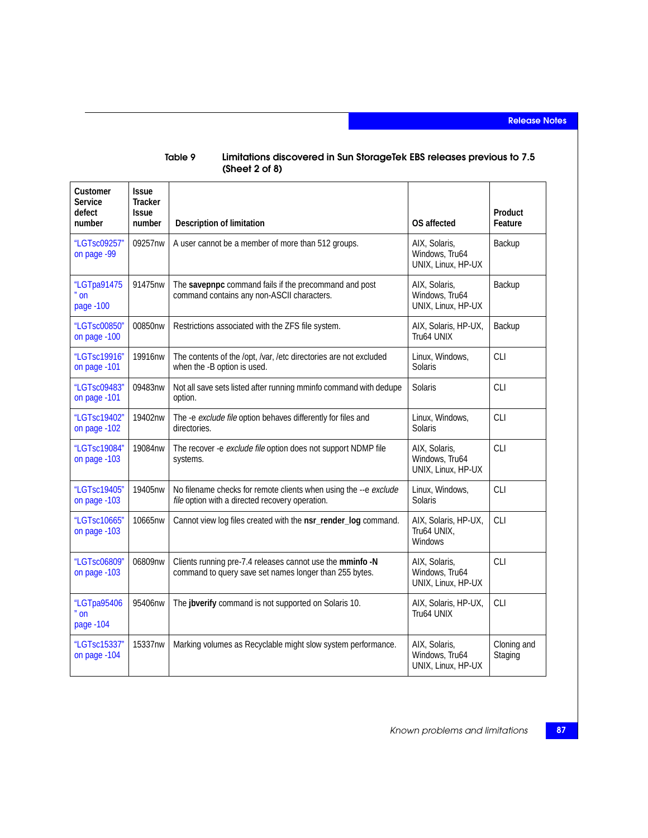| <b>Customer</b><br><b>Service</b><br>defect<br>number | <b>Issue</b><br><b>Tracker</b><br><b>Issue</b><br>number | <b>Description of limitation</b>                                                                                    | <b>OS</b> affected                                    | <b>Product</b><br>Feature |
|-------------------------------------------------------|----------------------------------------------------------|---------------------------------------------------------------------------------------------------------------------|-------------------------------------------------------|---------------------------|
| "LGTsc09257"<br>on page -99                           | 09257nw                                                  | A user cannot be a member of more than 512 groups.                                                                  | AIX, Solaris,<br>Windows, Tru64<br>UNIX, Linux, HP-UX | Backup                    |
| "LGTpa91475<br>" on<br>page -100                      | 91475nw                                                  | The savepnpc command fails if the precommand and post<br>command contains any non-ASCII characters.                 | AIX, Solaris,<br>Windows, Tru64<br>UNIX, Linux, HP-UX | Backup                    |
| "LGTsc00850"<br>on page -100                          | 00850nw                                                  | Restrictions associated with the ZFS file system.                                                                   | AIX, Solaris, HP-UX,<br>Tru64 UNIX                    | Backup                    |
| "LGTsc19916"<br>on page -101                          | 19916nw                                                  | The contents of the /opt, /var, /etc directories are not excluded<br>when the -B option is used.                    | Linux, Windows,<br>Solaris                            | <b>CLI</b>                |
| "LGTsc09483"<br>on page -101                          | 09483nw                                                  | Not all save sets listed after running mminfo command with dedupe<br>option.                                        | <b>Solaris</b>                                        | <b>CLI</b>                |
| "LGTsc19402"<br>on page -102                          | 19402nw                                                  | The -e exclude file option behaves differently for files and<br>directories.                                        | Linux, Windows,<br>Solaris                            | <b>CLI</b>                |
| "LGTsc19084"<br>on page -103                          | 19084nw                                                  | The recover -e exclude file option does not support NDMP file<br>systems.                                           | AIX, Solaris,<br>Windows, Tru64<br>UNIX, Linux, HP-UX | CLI                       |
| "LGTsc19405"<br>on page -103                          | 19405nw                                                  | No filename checks for remote clients when using the --e exclude<br>file option with a directed recovery operation. | Linux, Windows,<br>Solaris                            | <b>CLI</b>                |
| "LGTsc10665"<br>on page -103                          | 10665nw                                                  | Cannot view log files created with the nsr_render_log command.                                                      | AIX, Solaris, HP-UX,<br>Tru64 UNIX,<br>Windows        | CLI                       |
| "LGTsc06809"<br>on page -103                          | 06809nw                                                  | Clients running pre-7.4 releases cannot use the mminfo -N<br>command to query save set names longer than 255 bytes. | AIX, Solaris,<br>Windows, Tru64<br>UNIX, Linux, HP-UX | CLI                       |
| "LGTpa95406<br>$"$ on<br>page -104                    | 95406nw                                                  | The jbverify command is not supported on Solaris 10.                                                                | AIX, Solaris, HP-UX,<br>Tru64 UNIX                    | <b>CLI</b>                |
| "LGTsc15337"<br>on page -104                          | 15337nw                                                  | Marking volumes as Recyclable might slow system performance.                                                        | AIX, Solaris,<br>Windows, Tru64<br>UNIX, Linux, HP-UX | Cloning and<br>Staging    |

# **Table 9 Limitations discovered in Sun StorageTek EBS releases previous to 7.5 (Sheet 2 of 8)**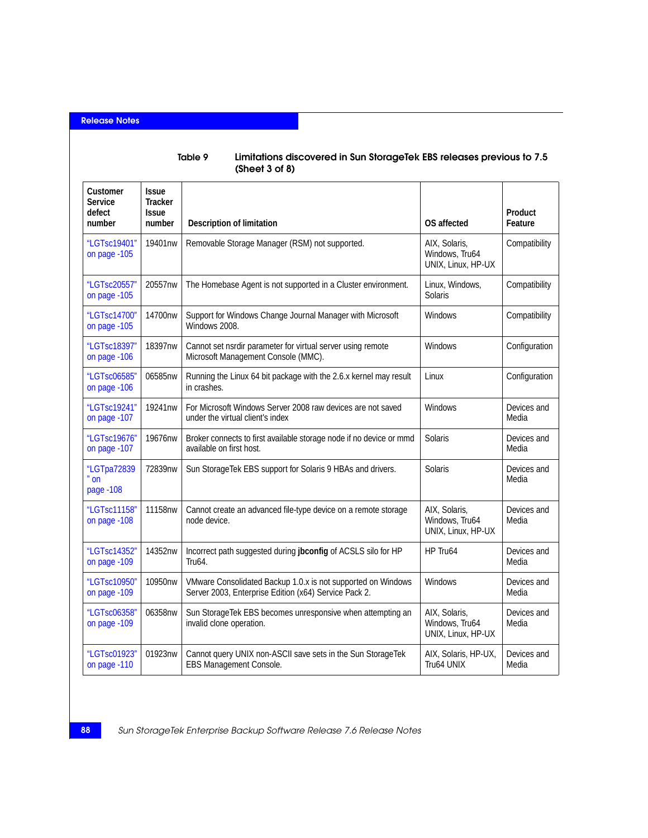**Table 9 Limitations discovered in Sun StorageTek EBS releases previous to 7.5 (Sheet 3 of 8)**

| <b>Customer</b><br><b>Service</b><br>defect<br>number | <b>Issue</b><br><b>Tracker</b><br><b>Issue</b><br>number | <b>Description of limitation</b>                                                                                      | <b>OS</b> affected                                    | <b>Product</b><br>Feature |
|-------------------------------------------------------|----------------------------------------------------------|-----------------------------------------------------------------------------------------------------------------------|-------------------------------------------------------|---------------------------|
| "LGTsc19401"<br>on page -105                          | 19401nw                                                  | Removable Storage Manager (RSM) not supported.                                                                        | AIX, Solaris,<br>Windows, Tru64<br>UNIX, Linux, HP-UX | Compatibility             |
| "LGTsc20557"<br>on page -105                          | 20557nw                                                  | The Homebase Agent is not supported in a Cluster environment.                                                         | Linux, Windows,<br>Solaris                            | Compatibility             |
| "LGTsc14700"<br>on page -105                          | 14700nw                                                  | Support for Windows Change Journal Manager with Microsoft<br>Windows 2008.                                            | <b>Windows</b>                                        | Compatibility             |
| "LGTsc18397"<br>on page -106                          | 18397nw                                                  | Cannot set nsrdir parameter for virtual server using remote<br>Microsoft Management Console (MMC).                    | Windows                                               | Configuration             |
| "LGTsc06585"<br>on page -106                          | 06585nw                                                  | Running the Linux 64 bit package with the 2.6.x kernel may result<br>in crashes.                                      | Linux                                                 | Configuration             |
| "LGTsc19241"<br>on page -107                          | 19241nw                                                  | For Microsoft Windows Server 2008 raw devices are not saved<br>under the virtual client's index                       | <b>Windows</b>                                        | Devices and<br>Media      |
| "LGTsc19676"<br>on page -107                          | 19676nw                                                  | Broker connects to first available storage node if no device or mmd<br>available on first host.                       | Solaris                                               | Devices and<br>Media      |
| "LGTpa72839<br>" on<br>page -108                      | 72839nw                                                  | Sun Storage Tek EBS support for Solaris 9 HBAs and drivers.                                                           | Solaris                                               | Devices and<br>Media      |
| "LGTsc11158"<br>on page -108                          | 11158nw                                                  | Cannot create an advanced file-type device on a remote storage<br>node device.                                        | AIX, Solaris,<br>Windows, Tru64<br>UNIX, Linux, HP-UX | Devices and<br>Media      |
| "LGTsc14352"<br>on page -109                          | 14352nw                                                  | Incorrect path suggested during jbconfig of ACSLS silo for HP<br>Tru64.                                               | HP Tru64                                              | Devices and<br>Media      |
| "LGTsc10950"<br>on page -109                          | 10950nw                                                  | VMware Consolidated Backup 1.0.x is not supported on Windows<br>Server 2003, Enterprise Edition (x64) Service Pack 2. | Windows                                               | Devices and<br>Media      |
| "LGTsc06358"<br>on page -109                          | 06358nw                                                  | Sun StorageTek EBS becomes unresponsive when attempting an<br>invalid clone operation.                                | AIX, Solaris,<br>Windows, Tru64<br>UNIX, Linux, HP-UX | Devices and<br>Media      |
| "LGTsc01923"<br>on page -110                          | 01923nw                                                  | Cannot query UNIX non-ASCII save sets in the Sun StorageTek<br>EBS Management Console.                                | AIX, Solaris, HP-UX,<br>Tru64 UNIX                    | Devices and<br>Media      |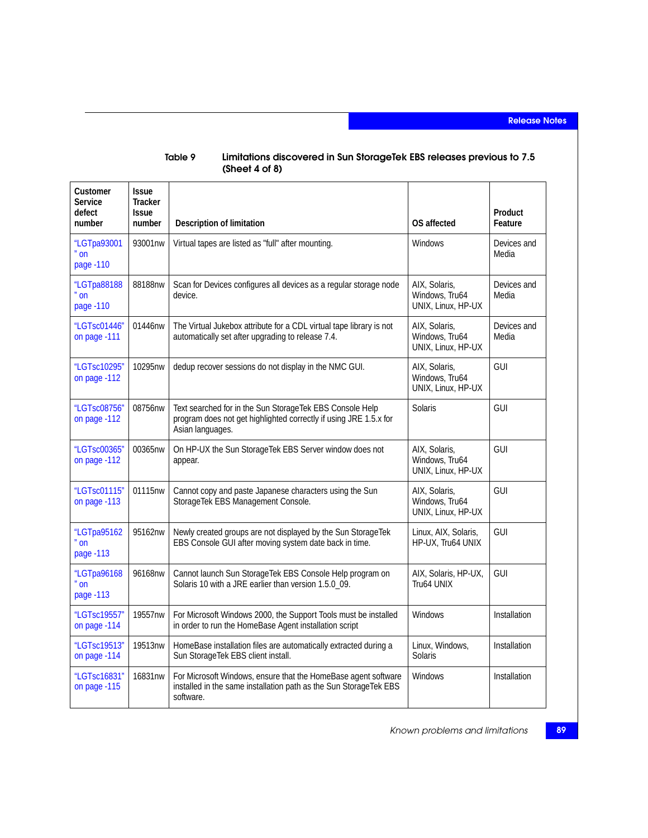|                                                       | ש וט – וטשווט                                            |                                                                                                                                                   |                                                       |                      |  |  |
|-------------------------------------------------------|----------------------------------------------------------|---------------------------------------------------------------------------------------------------------------------------------------------------|-------------------------------------------------------|----------------------|--|--|
| <b>Customer</b><br><b>Service</b><br>defect<br>number | <b>Issue</b><br><b>Tracker</b><br><b>Issue</b><br>number | <b>Description of limitation</b>                                                                                                                  | OS affected                                           | Product<br>Feature   |  |  |
| "LGTpa93001<br>$"$ on<br>page -110                    | 93001nw                                                  | Virtual tapes are listed as "full" after mounting.                                                                                                | Windows                                               | Devices and<br>Media |  |  |
| "LGTpa88188<br>$"$ on<br>page -110                    | 88188nw                                                  | Scan for Devices configures all devices as a regular storage node<br>device.                                                                      | AIX, Solaris,<br>Windows, Tru64<br>UNIX, Linux, HP-UX | Devices and<br>Media |  |  |
| "LGTsc01446"<br>on page -111                          | 01446nw                                                  | The Virtual Jukebox attribute for a CDL virtual tape library is not<br>automatically set after upgrading to release 7.4.                          | AIX, Solaris,<br>Windows, Tru64<br>UNIX, Linux, HP-UX | Devices and<br>Media |  |  |
| "LGTsc10295"<br>on page -112                          | 10295nw                                                  | dedup recover sessions do not display in the NMC GUI.                                                                                             | AIX, Solaris,<br>Windows, Tru64<br>UNIX, Linux, HP-UX | <b>GUI</b>           |  |  |
| "LGTsc08756"<br>on page -112                          | 08756nw                                                  | Text searched for in the Sun StorageTek EBS Console Help<br>program does not get highlighted correctly if using JRE 1.5.x for<br>Asian languages. | Solaris                                               | <b>GUI</b>           |  |  |
| "LGTsc00365"<br>on page -112                          | 00365nw                                                  | On HP-UX the Sun StorageTek EBS Server window does not<br>appear.                                                                                 | AIX, Solaris,<br>Windows, Tru64<br>UNIX, Linux, HP-UX | <b>GUI</b>           |  |  |
| "LGTsc01115"<br>on page -113                          | 01115nw                                                  | Cannot copy and paste Japanese characters using the Sun<br>StorageTek EBS Management Console.                                                     | AIX, Solaris,<br>Windows, Tru64<br>UNIX, Linux, HP-UX | GUI                  |  |  |
| "LGTpa95162<br>$"$ on<br>page -113                    | 95162nw                                                  | Newly created groups are not displayed by the Sun StorageTek<br>EBS Console GUI after moving system date back in time.                            | Linux, AIX, Solaris,<br>HP-UX, Tru64 UNIX             | <b>GUI</b>           |  |  |
| "LGTpa96168<br>$\rlap{.}^{n}$ on                      | 96168nw                                                  | Cannot launch Sun StorageTek EBS Console Help program on<br>Solaris 10 with a JRE earlier than version 1.5.0 09.                                  | AIX, Solaris, HP-UX,<br>Tru64 UNIX                    | <b>GUI</b>           |  |  |

19557nw | For Microsoft Windows 2000, the Support Tools must be installed in order to run the HomeBase Agent installation script

19513nw | HomeBase installation files are automatically extracted during a

16831nw | For Microsoft Windows, ensure that the HomeBase agent software

installed in the same installation path as the Sun StorageTek EBS

Sun StorageTek EBS client install.

software.

[page -113](#page-112-2)

["LGTsc19557"](#page-113-1)  [on page -114](#page-113-1)

["LGTsc19513"](#page-113-2)  [on page -114](#page-113-2)

["LGTsc16831"](#page-114-0)  [on page -115](#page-114-0)

# **Table 9 Limitations discovered in Sun StorageTek EBS releases previous to 7.5 (Sheet 4 of 8)**

Windows Installation

Windows Installation

**Installation** 

Linux, Windows, Solaris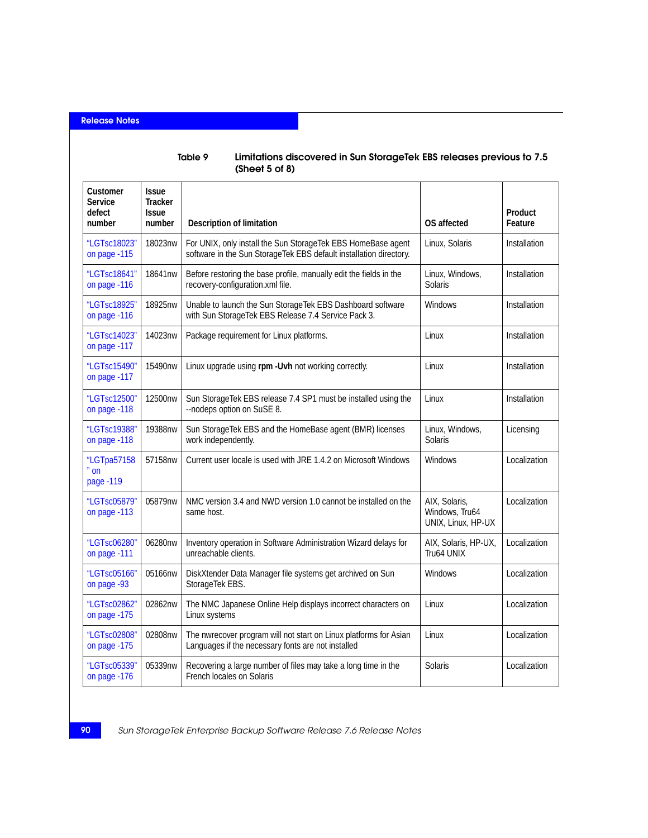**Table 9 Limitations discovered in Sun StorageTek EBS releases previous to 7.5 (Sheet 5 of 8)**

| <b>Customer</b><br>Service<br>defect<br>number | <b>Issue</b><br>Tracker<br><b>Issue</b><br>number | <b>Description of limitation</b>                                                                                                   | OS affected                                           | <b>Product</b><br><b>Feature</b> |
|------------------------------------------------|---------------------------------------------------|------------------------------------------------------------------------------------------------------------------------------------|-------------------------------------------------------|----------------------------------|
| "LGTsc18023"<br>on page -115                   | 18023nw                                           | For UNIX, only install the Sun StorageTek EBS HomeBase agent<br>software in the Sun StorageTek EBS default installation directory. | Linux, Solaris                                        | Installation                     |
| "LGTsc18641"<br>on page -116                   | 18641nw                                           | Before restoring the base profile, manually edit the fields in the<br>recovery-configuration.xml file.                             | Linux, Windows,<br>Solaris                            | Installation                     |
| "LGTsc18925"<br>on page -116                   | 18925nw                                           | Unable to launch the Sun Storage Tek EBS Dashboard software<br>with Sun StorageTek EBS Release 7.4 Service Pack 3.                 | Windows                                               | Installation                     |
| "LGTsc14023"<br>on page -117                   | 14023nw                                           | Package requirement for Linux platforms.                                                                                           | Linux                                                 | Installation                     |
| "LGTsc15490"<br>on page -117                   | 15490nw                                           | Linux upgrade using rpm -Uvh not working correctly.                                                                                | Linux                                                 | Installation                     |
| "LGTsc12500"<br>on page -118                   | 12500nw                                           | Sun StorageTek EBS release 7.4 SP1 must be installed using the<br>--nodeps option on SuSE 8.                                       | Linux                                                 | Installation                     |
| "LGTsc19388"<br>on page -118                   | 19388nw                                           | Sun StorageTek EBS and the HomeBase agent (BMR) licenses<br>work independently.                                                    | Linux, Windows,<br>Solaris                            | Licensing                        |
| "LGTpa57158<br>$"$ on<br>page -119             | 57158nw                                           | Current user locale is used with JRE 1.4.2 on Microsoft Windows                                                                    | <b>Windows</b>                                        | Localization                     |
| "LGTsc05879"<br>on page -113                   | 05879nw                                           | NMC version 3.4 and NWD version 1.0 cannot be installed on the<br>same host.                                                       | AIX, Solaris,<br>Windows, Tru64<br>UNIX, Linux, HP-UX | Localization                     |
| "LGTsc06280"<br>on page -111                   | 06280nw                                           | Inventory operation in Software Administration Wizard delays for<br>unreachable clients.                                           | AIX, Solaris, HP-UX,<br>Tru64 UNIX                    | Localization                     |
| "LGTsc05166"<br>on page -93                    | 05166nw                                           | DiskXtender Data Manager file systems get archived on Sun<br>StorageTek EBS.                                                       | Windows                                               | Localization                     |
| "LGTsc02862"<br>on page -175                   | 02862nw                                           | The NMC Japanese Online Help displays incorrect characters on<br>Linux systems                                                     | Linux                                                 | Localization                     |
| "LGTsc02808"<br>on page -175                   | 02808nw                                           | The nwrecover program will not start on Linux platforms for Asian<br>Languages if the necessary fonts are not installed            | Linux                                                 | Localization                     |
| "LGTsc05339"<br>on page -176                   | 05339nw                                           | Recovering a large number of files may take a long time in the<br>French locales on Solaris                                        | Solaris                                               | Localization                     |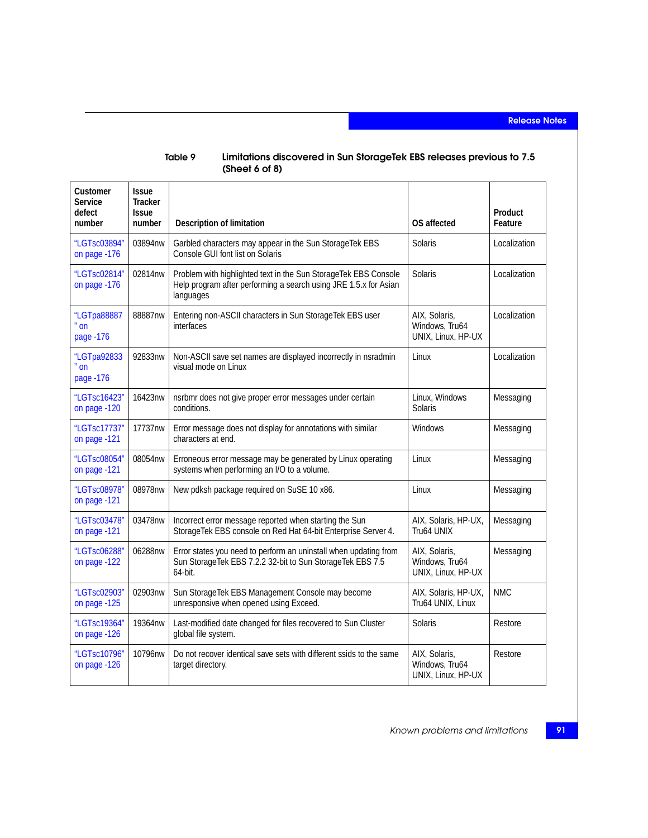| Table 9 | Limitations discovered in Sun StorageTek EBS releases previous to 7.5 |
|---------|-----------------------------------------------------------------------|
|         | (Sheet $6$ of $8$ )                                                   |

| Customer<br><b>Service</b><br>defect<br>number | <b>Issue</b><br><b>Tracker</b><br><b>Issue</b><br>number | <b>Description of limitation</b>                                                                                                                 | <b>OS</b> affected                                    | <b>Product</b><br>Feature |
|------------------------------------------------|----------------------------------------------------------|--------------------------------------------------------------------------------------------------------------------------------------------------|-------------------------------------------------------|---------------------------|
| "LGTsc03894"<br>on page -176                   | 03894nw                                                  | Garbled characters may appear in the Sun StorageTek EBS<br>Console GUI font list on Solaris                                                      | Solaris                                               | Localization              |
| "LGTsc02814"<br>on page -176                   | 02814nw                                                  | Problem with highlighted text in the Sun StorageTek EBS Console<br>Help program after performing a search using JRE 1.5.x for Asian<br>languages | Solaris                                               | Localization              |
| "LGTpa88887<br>" on<br>page -176               | 88887nw                                                  | Entering non-ASCII characters in Sun StorageTek EBS user<br>interfaces                                                                           | AIX, Solaris,<br>Windows, Tru64<br>UNIX, Linux, HP-UX | Localization              |
| "LGTpa92833<br>" on<br>page -176               | 92833nw                                                  | Non-ASCII save set names are displayed incorrectly in nsradmin<br>visual mode on Linux                                                           | Linux                                                 | Localization              |
| "LGTsc16423"<br>on page -120                   | 16423nw                                                  | nsrbmr does not give proper error messages under certain<br>conditions.                                                                          | Linux, Windows<br>Solaris                             | Messaging                 |
| "LGTsc17737"<br>on page -121                   | 17737nw                                                  | Error message does not display for annotations with similar<br>characters at end.                                                                | <b>Windows</b>                                        | Messaging                 |
| "LGTsc08054"<br>on page -121                   | 08054nw                                                  | Erroneous error message may be generated by Linux operating<br>systems when performing an I/O to a volume.                                       | Linux                                                 | Messaging                 |
| "LGTsc08978"<br>on page -121                   | 08978nw                                                  | New pdksh package required on SuSE 10 x86.                                                                                                       | Linux                                                 | Messaging                 |
| "LGTsc03478"<br>on page -121                   | 03478nw                                                  | Incorrect error message reported when starting the Sun<br>StorageTek EBS console on Red Hat 64-bit Enterprise Server 4.                          | AIX, Solaris, HP-UX,<br>Tru64 UNIX                    | Messaging                 |
| "LGTsc06288"<br>on page -122                   | 06288nw                                                  | Error states you need to perform an uninstall when updating from<br>Sun Storage Tek EBS 7.2.2 32-bit to Sun Storage Tek EBS 7.5<br>64-bit.       | AIX, Solaris,<br>Windows, Tru64<br>UNIX, Linux, HP-UX | Messaging                 |
| "LGTsc02903"<br>on page -125                   | 02903nw                                                  | Sun StorageTek EBS Management Console may become<br>unresponsive when opened using Exceed.                                                       | AIX, Solaris, HP-UX,<br>Tru64 UNIX, Linux             | <b>NMC</b>                |
| "LGTsc19364"<br>on page -126                   | 19364nw                                                  | Last-modified date changed for files recovered to Sun Cluster<br>global file system.                                                             | Solaris                                               | Restore                   |
| "LGTsc10796"<br>on page -126                   | 10796nw                                                  | Do not recover identical save sets with different ssids to the same<br>target directory.                                                         | AIX, Solaris,<br>Windows, Tru64<br>UNIX, Linux, HP-UX | Restore                   |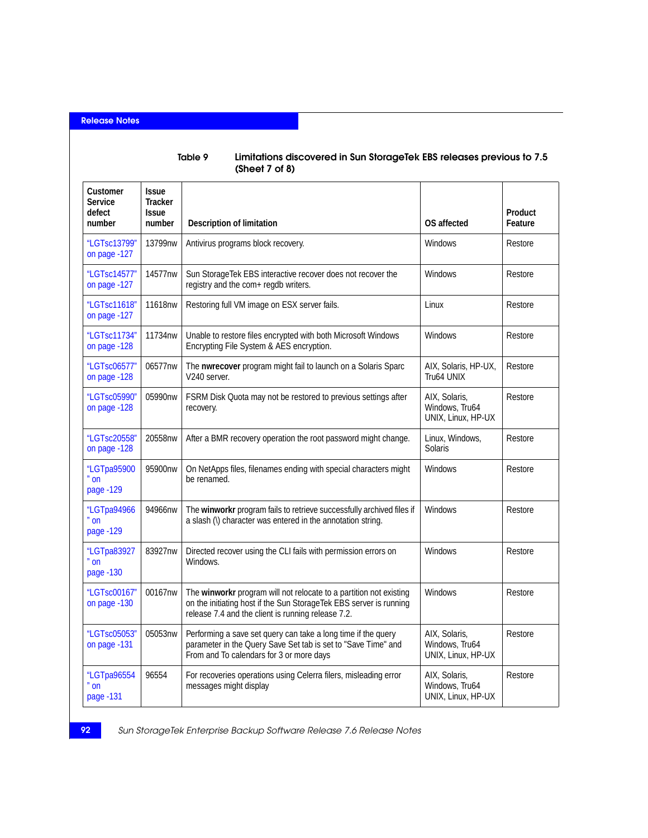**Table 9 Limitations discovered in Sun StorageTek EBS releases previous to 7.5 (Sheet 7 of 8)**

| <b>Customer</b><br><b>Service</b><br>defect<br>number | <b>Issue</b><br>Tracker<br><b>Issue</b><br>number | <b>Description of limitation</b>                                                                                                                                                               | OS affected                                           | <b>Product</b><br>Feature |
|-------------------------------------------------------|---------------------------------------------------|------------------------------------------------------------------------------------------------------------------------------------------------------------------------------------------------|-------------------------------------------------------|---------------------------|
| "LGTsc13799"<br>on page -127                          | 13799nw                                           | Antivirus programs block recovery.                                                                                                                                                             | Windows                                               | Restore                   |
| "LGTsc14577"<br>on page -127                          | 14577nw                                           | Sun StorageTek EBS interactive recover does not recover the<br>registry and the com+ regdb writers.                                                                                            | Windows                                               | Restore                   |
| "LGTsc11618"<br>on page -127                          | 11618nw                                           | Restoring full VM image on ESX server fails.                                                                                                                                                   | Linux                                                 | Restore                   |
| "LGTsc11734"<br>on page -128                          | 11734nw                                           | Unable to restore files encrypted with both Microsoft Windows<br>Encrypting File System & AES encryption.                                                                                      | Windows                                               | Restore                   |
| "LGTsc06577"<br>on page -128                          | 06577nw                                           | The nwrecover program might fail to launch on a Solaris Sparc<br>V240 server.                                                                                                                  | AIX, Solaris, HP-UX,<br>Tru64 UNIX                    | Restore                   |
| "LGTsc05990"<br>on page -128                          | 05990nw                                           | FSRM Disk Quota may not be restored to previous settings after<br>recovery.                                                                                                                    | AIX, Solaris,<br>Windows, Tru64<br>UNIX, Linux, HP-UX | Restore                   |
| "LGTsc20558"<br>on page -128                          | 20558nw                                           | After a BMR recovery operation the root password might change.                                                                                                                                 | Linux, Windows,<br><b>Solaris</b>                     | Restore                   |
| "LGTpa95900<br>" on<br>page -129                      | 95900nw                                           | On NetApps files, filenames ending with special characters might<br>be renamed.                                                                                                                | Windows                                               | Restore                   |
| "LGTpa94966<br>" on<br>page -129                      | 94966nw                                           | The winworkr program fails to retrieve successfully archived files if<br>a slash (\) character was entered in the annotation string.                                                           | Windows                                               | Restore                   |
| "LGTpa83927<br>$"$ on<br>page -130                    | 83927nw                                           | Directed recover using the CLI fails with permission errors on<br>Windows.                                                                                                                     | Windows                                               | Restore                   |
| "LGTsc00167"<br>on page -130                          | 00167nw                                           | The winworkr program will not relocate to a partition not existing<br>on the initiating host if the Sun StorageTek EBS server is running<br>release 7.4 and the client is running release 7.2. | Windows                                               | Restore                   |
| "LGTsc05053"<br>on page -131                          | 05053nw                                           | Performing a save set query can take a long time if the query<br>parameter in the Query Save Set tab is set to "Save Time" and<br>From and To calendars for 3 or more days                     | AIX, Solaris,<br>Windows, Tru64<br>UNIX, Linux, HP-UX | Restore                   |
| "LGTpa96554<br>$"$ on<br>page -131                    | 96554                                             | For recoveries operations using Celerra filers, misleading error<br>messages might display                                                                                                     | AIX, Solaris,<br>Windows, Tru64<br>UNIX, Linux, HP-UX | Restore                   |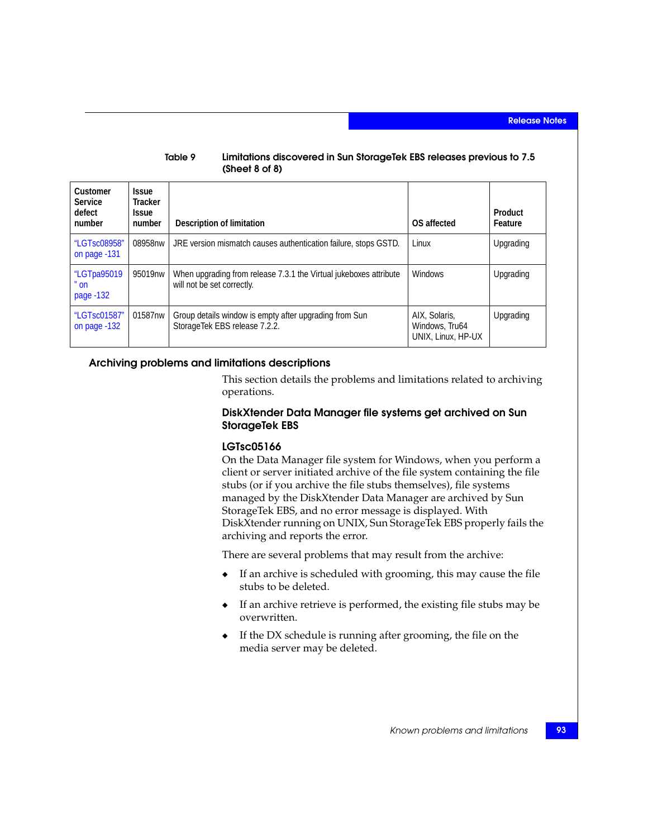| Table 9 | Limitations discovered in Sun StorageTek EBS releases previous to 7.5 |
|---------|-----------------------------------------------------------------------|
|         | (Sheet 8 of 8)                                                        |

| <b>Customer</b><br><b>Service</b><br>defect<br>number | <b>Issue</b><br><b>Tracker</b><br><b>Issue</b><br>number | <b>Description of limitation</b>                                                                | OS affected                                           | Product<br>Feature |
|-------------------------------------------------------|----------------------------------------------------------|-------------------------------------------------------------------------------------------------|-------------------------------------------------------|--------------------|
| "LGTsc08958"<br>on page -131                          | 08958nw                                                  | JRE version mismatch causes authentication failure, stops GSTD.                                 | Linux                                                 | Upgrading          |
| "LGTpa95019<br>" on<br>page -132                      | 95019nw                                                  | When upgrading from release 7.3.1 the Virtual jukeboxes attribute<br>will not be set correctly. | <b>Windows</b>                                        | Upgrading          |
| "LGTsc01587"<br>on page -132                          | 01587nw                                                  | Group details window is empty after upgrading from Sun<br>StorageTek EBS release 7.2.2.         | AIX, Solaris,<br>Windows, Tru64<br>UNIX, Linux, HP-UX | Upgrading          |

# <span id="page-92-0"></span>**Archiving problems and limitations descriptions**

This section details the problems and limitations related to archiving operations.

# **DiskXtender Data Manager file systems get archived on Sun StorageTek EBS**

# <span id="page-92-1"></span>**LGTsc05166**

On the Data Manager file system for Windows, when you perform a client or server initiated archive of the file system containing the file stubs (or if you archive the file stubs themselves), file systems managed by the DiskXtender Data Manager are archived by Sun StorageTek EBS, and no error message is displayed. With DiskXtender running on UNIX, Sun StorageTek EBS properly fails the archiving and reports the error.

There are several problems that may result from the archive:

- ◆ If an archive is scheduled with grooming, this may cause the file stubs to be deleted.
- ◆ If an archive retrieve is performed, the existing file stubs may be overwritten.
- ◆ If the DX schedule is running after grooming, the file on the media server may be deleted.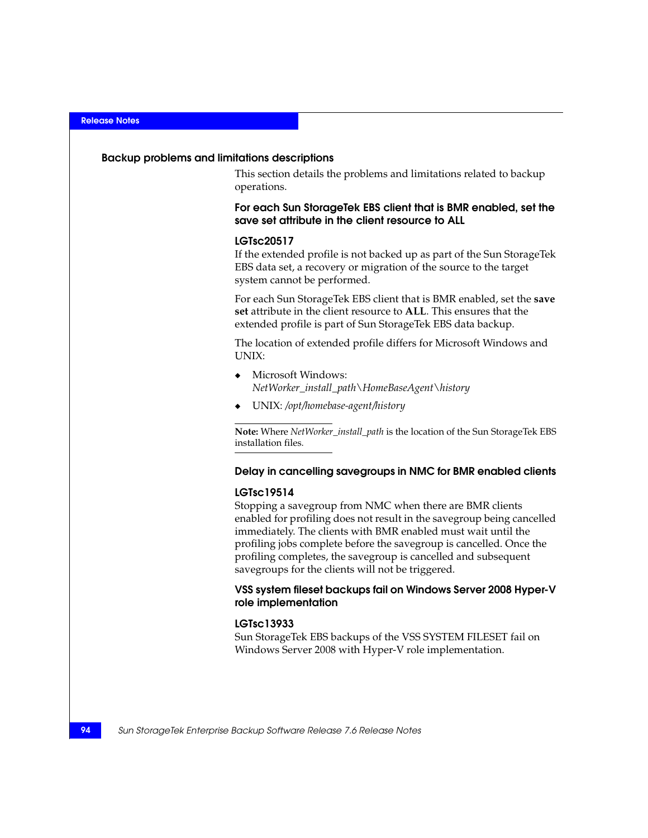## <span id="page-93-0"></span>**Backup problems and limitations descriptions**

This section details the problems and limitations related to backup operations.

**For each Sun StorageTek EBS client that is BMR enabled, set the save set attribute in the client resource to ALL**

#### <span id="page-93-1"></span>**LGTsc20517**

If the extended profile is not backed up as part of the Sun StorageTek EBS data set, a recovery or migration of the source to the target system cannot be performed.

For each Sun StorageTek EBS client that is BMR enabled, set the **save set** attribute in the client resource to **ALL**. This ensures that the extended profile is part of Sun StorageTek EBS data backup.

The location of extended profile differs for Microsoft Windows and UNIX:

- ◆ Microsoft Windows: *NetWorker\_install\_path\HomeBaseAgent\history*
- ◆ UNIX: */opt/homebase-agent/history*

**Note:** Where *NetWorker\_install\_path* is the location of the Sun StorageTek EBS installation files.

## **Delay in cancelling savegroups in NMC for BMR enabled clients**

#### <span id="page-93-2"></span>**LGTsc19514**

Stopping a savegroup from NMC when there are BMR clients enabled for profiling does not result in the savegroup being cancelled immediately. The clients with BMR enabled must wait until the profiling jobs complete before the savegroup is cancelled. Once the profiling completes, the savegroup is cancelled and subsequent savegroups for the clients will not be triggered.

# **VSS system fileset backups fail on Windows Server 2008 Hyper-V role implementation**

#### <span id="page-93-3"></span>**LGTsc13933**

Sun StorageTek EBS backups of the VSS SYSTEM FILESET fail on Windows Server 2008 with Hyper-V role implementation.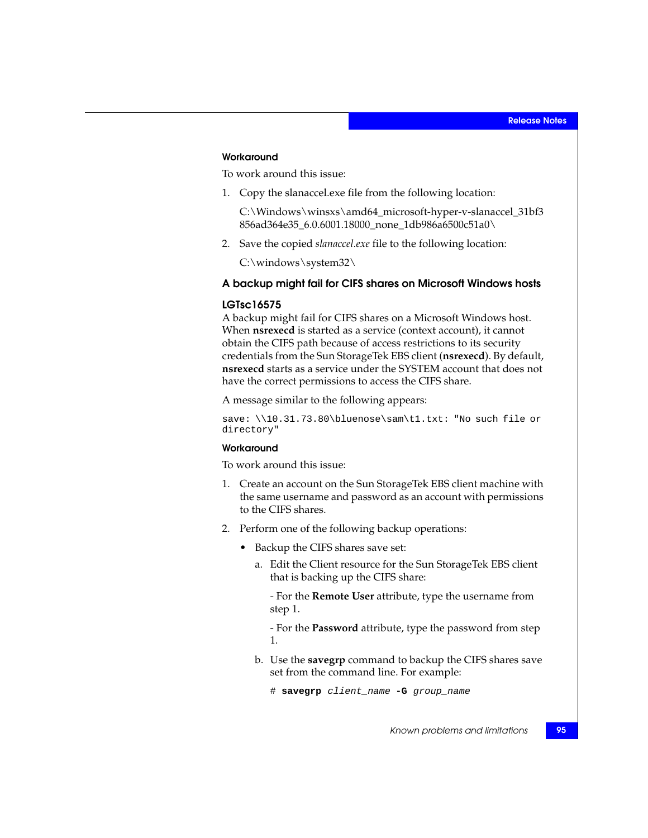### **Workaround**

To work around this issue:

1. Copy the slanaccel.exe file from the following location:

C:\Windows\winsxs\amd64\_microsoft-hyper-v-slanaccel\_31bf3 856ad364e35\_6.0.6001.18000\_none\_1db986a6500c51a0\

2. Save the copied *slanaccel.exe* file to the following location:

C:\windows\system32\

## **A backup might fail for CIFS shares on Microsoft Windows hosts**

# <span id="page-94-0"></span>**LGTsc16575**

A backup might fail for CIFS shares on a Microsoft Windows host. When **nsrexecd** is started as a service (context account), it cannot obtain the CIFS path because of access restrictions to its security credentials from the Sun StorageTek EBS client (**nsrexecd**). By default, **nsrexecd** starts as a service under the SYSTEM account that does not have the correct permissions to access the CIFS share.

A message similar to the following appears:

save: \\10.31.73.80\bluenose\sam\t1.txt: "No such file or directory"

#### **Workaround**

To work around this issue:

- 1. Create an account on the Sun StorageTek EBS client machine with the same username and password as an account with permissions to the CIFS shares.
- 2. Perform one of the following backup operations:
	- Backup the CIFS shares save set:
		- a. Edit the Client resource for the Sun StorageTek EBS client that is backing up the CIFS share:

- For the **Remote User** attribute, type the username from step 1.

- For the **Password** attribute, type the password from step 1.

b. Use the **savegrp** command to backup the CIFS shares save set from the command line. For example:

# **savegrp** client\_name **-G** group\_name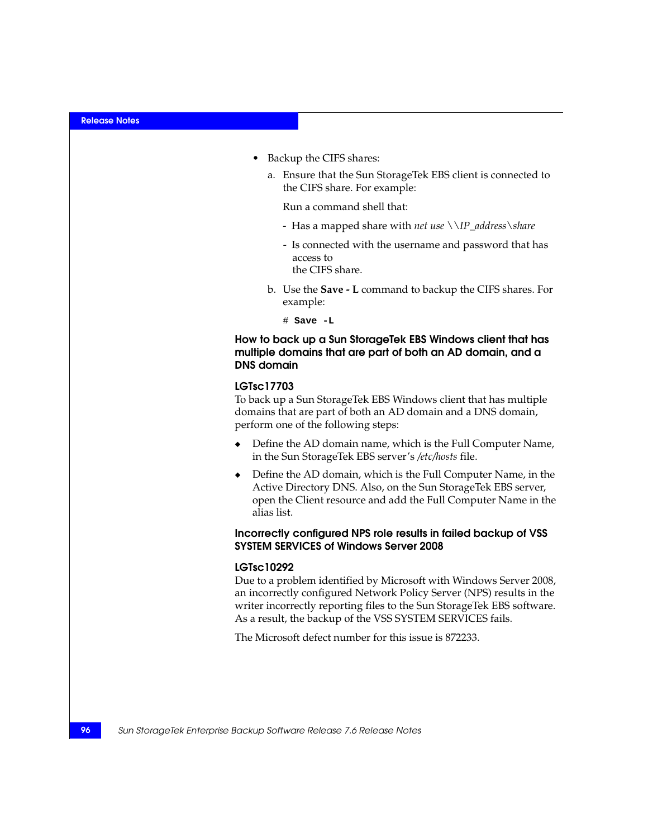- Backup the CIFS shares:
	- a. Ensure that the Sun StorageTek EBS client is connected to the CIFS share. For example:

Run a command shell that:

- Has a mapped share with *net use \\IP\_address\share*
- Is connected with the username and password that has access to the CIFS share.
- b. Use the **Save L** command to backup the CIFS shares. For example:

# **Save -L**

# **How to back up a Sun StorageTek EBS Windows client that has multiple domains that are part of both an AD domain, and a DNS domain**

# <span id="page-95-0"></span>**LGTsc17703**

To back up a Sun StorageTek EBS Windows client that has multiple domains that are part of both an AD domain and a DNS domain, perform one of the following steps:

- ◆ Define the AD domain name, which is the Full Computer Name, in the Sun StorageTek EBS server's */etc/hosts* file.
- ◆ Define the AD domain, which is the Full Computer Name, in the Active Directory DNS. Also, on the Sun StorageTek EBS server, open the Client resource and add the Full Computer Name in the alias list.

# **Incorrectly configured NPS role results in failed backup of VSS SYSTEM SERVICES of Windows Server 2008**

### <span id="page-95-1"></span>**LGTsc10292**

Due to a problem identified by Microsoft with Windows Server 2008, an incorrectly configured Network Policy Server (NPS) results in the writer incorrectly reporting files to the Sun StorageTek EBS software. As a result, the backup of the VSS SYSTEM SERVICES fails.

The Microsoft defect number for this issue is 872233.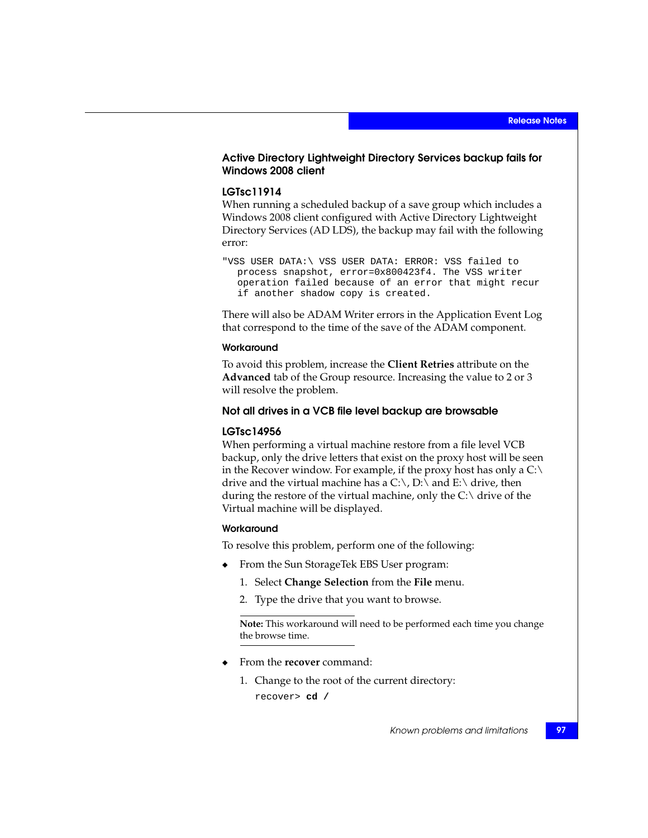# **Active Directory Lightweight Directory Services backup fails for Windows 2008 client**

# <span id="page-96-0"></span>**LGTsc11914**

When running a scheduled backup of a save group which includes a Windows 2008 client configured with Active Directory Lightweight Directory Services (AD LDS), the backup may fail with the following error:

"VSS USER DATA:\ VSS USER DATA: ERROR: VSS failed to process snapshot, error=0x800423f4. The VSS writer operation failed because of an error that might recur if another shadow copy is created.

There will also be ADAM Writer errors in the Application Event Log that correspond to the time of the save of the ADAM component.

### **Workaround**

To avoid this problem, increase the **Client Retries** attribute on the **Advanced** tab of the Group resource. Increasing the value to 2 or 3 will resolve the problem.

## **Not all drives in a VCB file level backup are browsable**

# <span id="page-96-1"></span>**LGTsc14956**

When performing a virtual machine restore from a file level VCB backup, only the drive letters that exist on the proxy host will be seen in the Recover window. For example, if the proxy host has only a  $C:\mathcal{N}$ drive and the virtual machine has a  $C:\Sigma$ , D:  $\lambda$  and E:  $\lambda$  drive, then during the restore of the virtual machine, only the  $C \setminus$  drive of the Virtual machine will be displayed.

## **Workaround**

To resolve this problem, perform one of the following:

- ◆ From the Sun StorageTek EBS User program:
	- 1. Select **Change Selection** from the **File** menu.
	- 2. Type the drive that you want to browse.

**Note:** This workaround will need to be performed each time you change the browse time.

- From the **recover** command:
	- 1. Change to the root of the current directory:

recover> **cd /**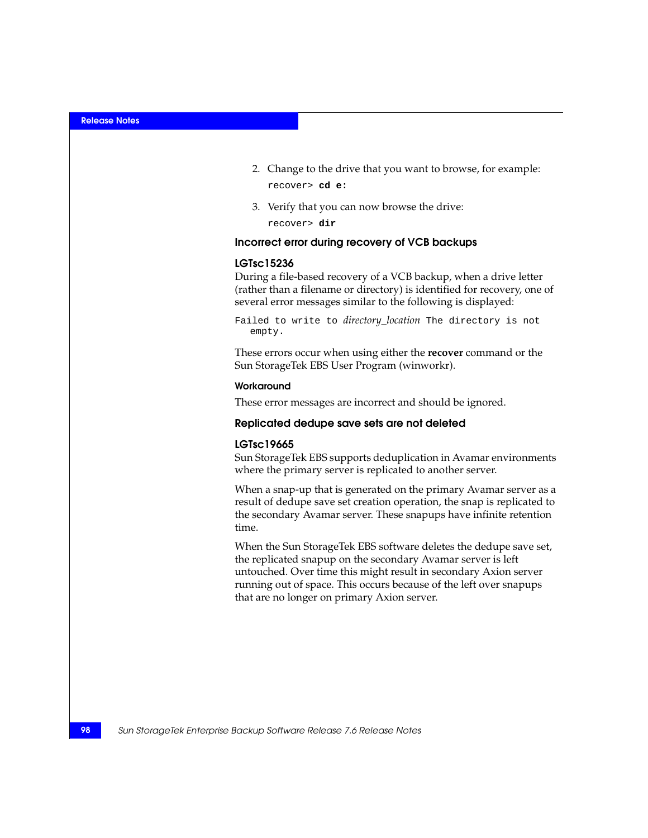- 2. Change to the drive that you want to browse, for example: recover> **cd e:**
- 3. Verify that you can now browse the drive: recover> **dir**

#### **Incorrect error during recovery of VCB backups**

#### <span id="page-97-0"></span>**LGTsc15236**

During a file-based recovery of a VCB backup, when a drive letter (rather than a filename or directory) is identified for recovery, one of several error messages similar to the following is displayed:

These errors occur when using either the **recover** command or the Sun StorageTek EBS User Program (winworkr).

#### **Workaround**

These error messages are incorrect and should be ignored.

## **Replicated dedupe save sets are not deleted**

#### <span id="page-97-1"></span>**LGTsc19665**

Sun StorageTek EBS supports deduplication in Avamar environments where the primary server is replicated to another server.

When a snap-up that is generated on the primary Avamar server as a result of dedupe save set creation operation, the snap is replicated to the secondary Avamar server. These snapups have infinite retention time.

When the Sun StorageTek EBS software deletes the dedupe save set, the replicated snapup on the secondary Avamar server is left untouched. Over time this might result in secondary Axion server running out of space. This occurs because of the left over snapups that are no longer on primary Axion server.

Failed to write to *directory\_location* The directory is not empty.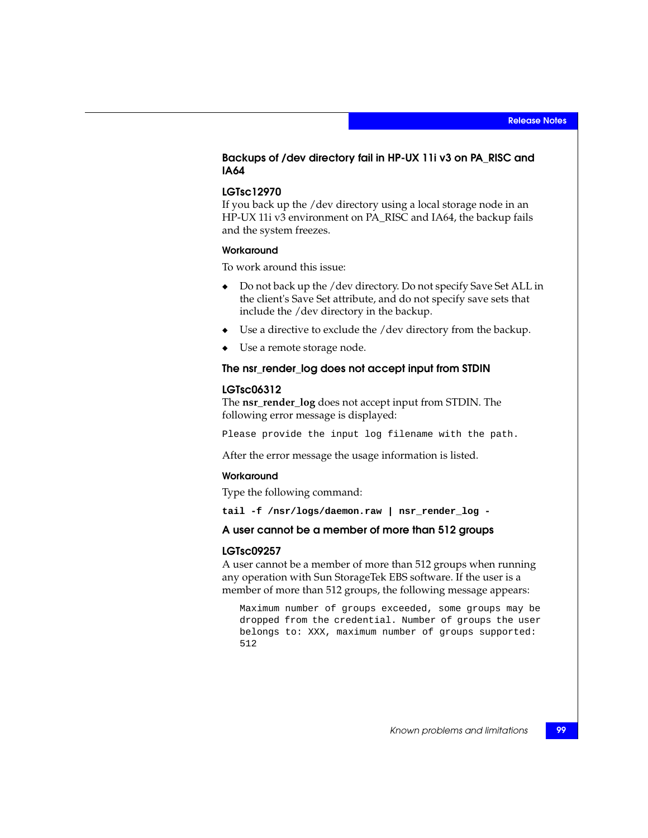# **Backups of /dev directory fail in HP-UX 11i v3 on PA\_RISC and IA64**

# <span id="page-98-0"></span>**LGTsc12970**

If you back up the /dev directory using a local storage node in an HP-UX 11i v3 environment on PA\_RISC and IA64, the backup fails and the system freezes.

## **Workaround**

To work around this issue:

- Do not back up the /dev directory. Do not specify Save Set ALL in the client's Save Set attribute, and do not specify save sets that include the /dev directory in the backup.
- Use a directive to exclude the /dev directory from the backup.
- ◆ Use a remote storage node.

## **The nsr\_render\_log does not accept input from STDIN**

## <span id="page-98-1"></span>**LGTsc06312**

The **nsr\_render\_log** does not accept input from STDIN. The following error message is displayed:

Please provide the input log filename with the path.

After the error message the usage information is listed.

#### **Workaround**

Type the following command:

**tail -f /nsr/logs/daemon.raw | nsr\_render\_log -**

### **A user cannot be a member of more than 512 groups**

#### <span id="page-98-2"></span>**LGTsc09257**

A user cannot be a member of more than 512 groups when running any operation with Sun StorageTek EBS software. If the user is a member of more than 512 groups, the following message appears:

Maximum number of groups exceeded, some groups may be dropped from the credential. Number of groups the user belongs to: XXX, maximum number of groups supported: 512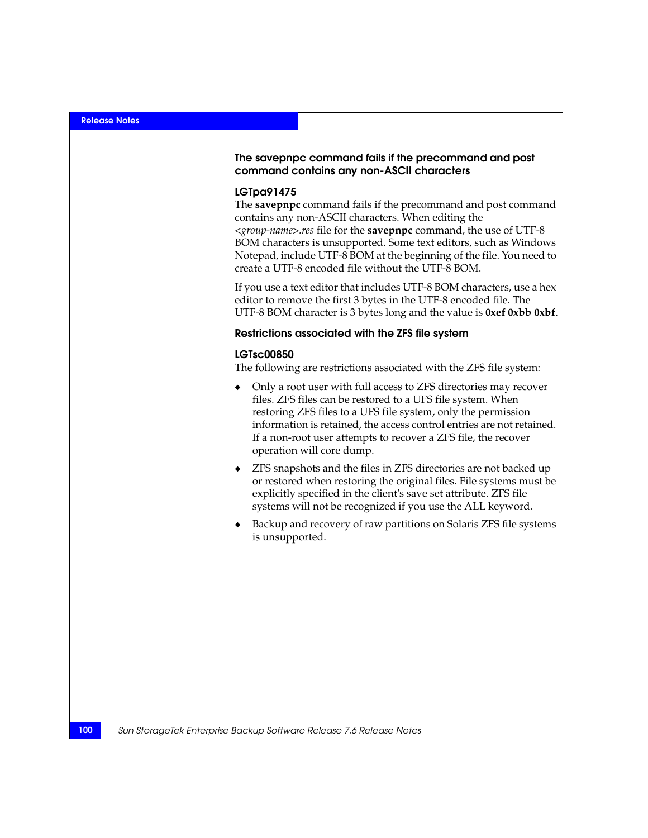# **The savepnpc command fails if the precommand and post command contains any non-ASCII characters**

## <span id="page-99-0"></span>**LGTpa91475**

The **savepnpc** command fails if the precommand and post command contains any non-ASCII characters. When editing the *<group-name>.res* file for the **savepnpc** command, the use of UTF-8 BOM characters is unsupported. Some text editors, such as Windows Notepad, include UTF-8 BOM at the beginning of the file. You need to create a UTF-8 encoded file without the UTF-8 BOM.

If you use a text editor that includes UTF-8 BOM characters, use a hex editor to remove the first 3 bytes in the UTF-8 encoded file. The UTF-8 BOM character is 3 bytes long and the value is **0xef 0xbb 0xbf**.

### **Restrictions associated with the ZFS file system**

#### <span id="page-99-1"></span>**LGTsc00850**

The following are restrictions associated with the ZFS file system:

- ◆ Only a root user with full access to ZFS directories may recover files. ZFS files can be restored to a UFS file system. When restoring ZFS files to a UFS file system, only the permission information is retained, the access control entries are not retained. If a non-root user attempts to recover a ZFS file, the recover operation will core dump.
- ZFS snapshots and the files in ZFS directories are not backed up or restored when restoring the original files. File systems must be explicitly specified in the client's save set attribute. ZFS file systems will not be recognized if you use the ALL keyword.
- Backup and recovery of raw partitions on Solaris ZFS file systems is unsupported.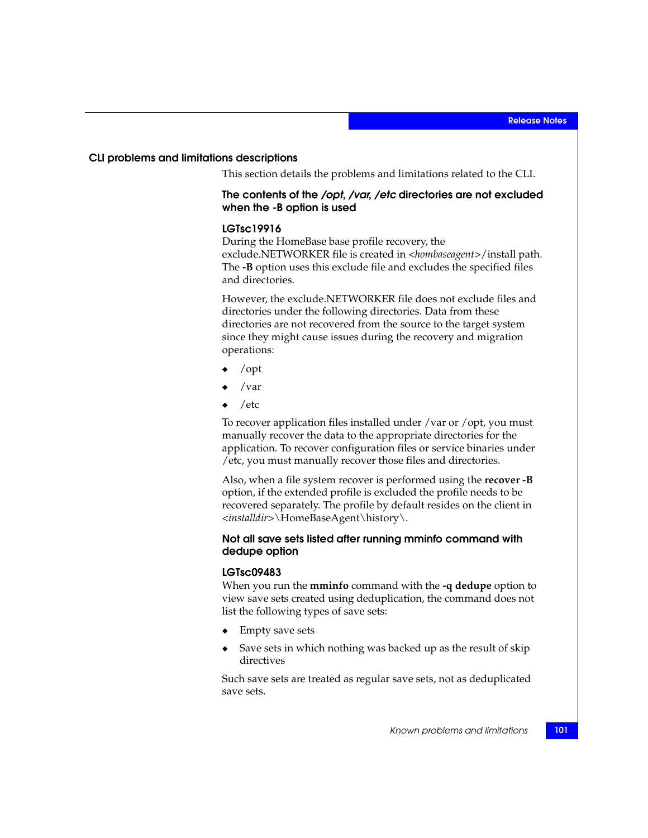# <span id="page-100-0"></span>**CLI problems and limitations descriptions**

This section details the problems and limitations related to the CLI.

# **The contents of the /opt, /var, /etc directories are not excluded when the -B option is used**

# <span id="page-100-1"></span>**LGTsc19916**

During the HomeBase base profile recovery, the exclude.NETWORKER file is created in <*hombaseagent*>/install path. The **-B** option uses this exclude file and excludes the specified files and directories.

However, the exclude.NETWORKER file does not exclude files and directories under the following directories. Data from these directories are not recovered from the source to the target system since they might cause issues during the recovery and migration operations:

- $\sqrt{\mathrm{opt}}$
- /var
- $/$ etc

To recover application files installed under /var or /opt, you must manually recover the data to the appropriate directories for the application. To recover configuration files or service binaries under /etc, you must manually recover those files and directories.

Also, when a file system recover is performed using the **recover -B** option, if the extended profile is excluded the profile needs to be recovered separately. The profile by default resides on the client in *<installdir>*\HomeBaseAgent\history\.

# **Not all save sets listed after running mminfo command with dedupe option**

# <span id="page-100-2"></span>**LGTsc09483**

When you run the **mminfo** command with the **-q dedupe** option to view save sets created using deduplication, the command does not list the following types of save sets:

- Empty save sets
- Save sets in which nothing was backed up as the result of skip directives

Such save sets are treated as regular save sets, not as deduplicated save sets.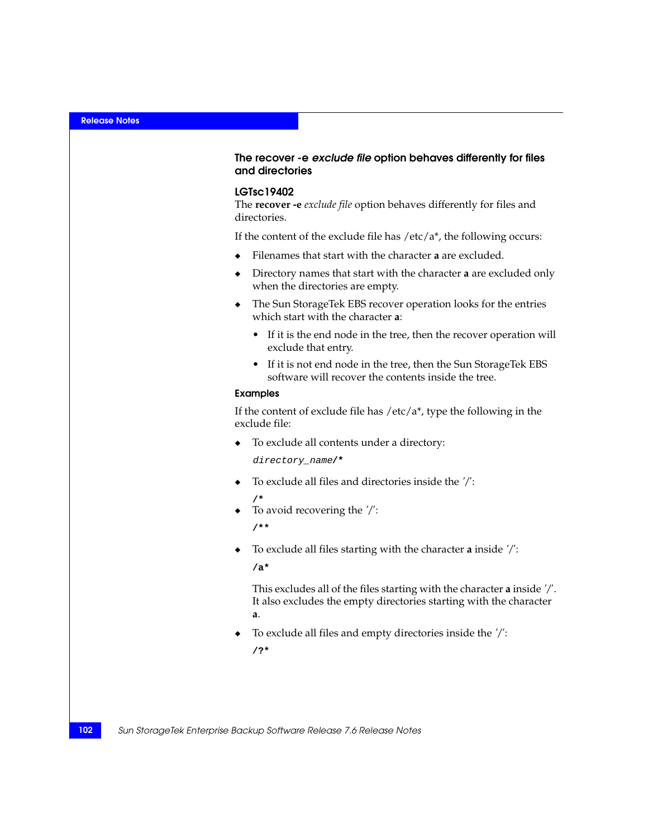# **The recover -e exclude file option behaves differently for files and directories**

### <span id="page-101-0"></span>**LGTsc19402**

The **recover -e** *exclude file* option behaves differently for files and directories.

If the content of the exclude file has  $/etc/a^*$ , the following occurs:

- Filenames that start with the character **a** are excluded.
- ◆ Directory names that start with the character **a** are excluded only when the directories are empty.
- ◆ The Sun StorageTek EBS recover operation looks for the entries which start with the character **a**:
	- If it is the end node in the tree, then the recover operation will exclude that entry.
	- If it is not end node in the tree, then the Sun StorageTek EBS software will recover the contents inside the tree.

#### **Examples**

If the content of exclude file has /etc/a\*, type the following in the exclude file:

◆ To exclude all contents under a directory:

directory\_name**/\***

- ◆ To exclude all files and directories inside the *'/'*:
	- **/\***
- ◆ To avoid recovering the *'/'*:

**/\*\***

◆ To exclude all files starting with the character **a** inside *'/'*:

**/a\***

This excludes all of the files starting with the character **a** inside *'/'*. It also excludes the empty directories starting with the character **a**.

To exclude all files and empty directories inside the  $\frac{\gamma}{\gamma}$ :

**/?\***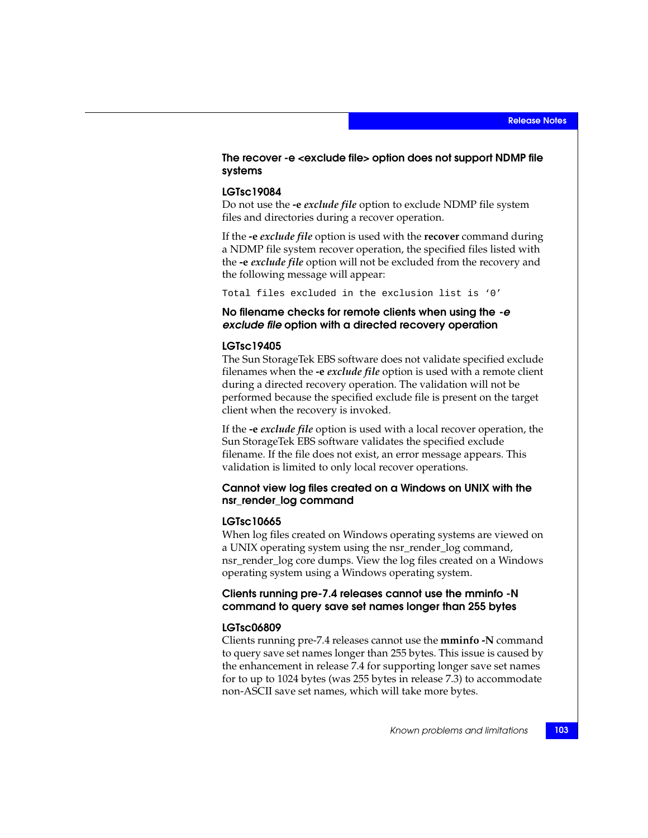# **The recover -e <exclude file> option does not support NDMP file systems**

# <span id="page-102-0"></span>**LGTsc19084**

Do not use the **-e** *exclude file* option to exclude NDMP file system files and directories during a recover operation.

If the **-e** *exclude file* option is used with the **recover** command during a NDMP file system recover operation, the specified files listed with the **-e** *exclude file* option will not be excluded from the recovery and the following message will appear:

Total files excluded in the exclusion list is '0'

# **No filename checks for remote clients when using the -e exclude file option with a directed recovery operation**

# <span id="page-102-1"></span>**LGTsc19405**

The Sun StorageTek EBS software does not validate specified exclude filenames when the **-e** *exclude file* option is used with a remote client during a directed recovery operation. The validation will not be performed because the specified exclude file is present on the target client when the recovery is invoked.

If the **-e** *exclude file* option is used with a local recover operation, the Sun StorageTek EBS software validates the specified exclude filename. If the file does not exist, an error message appears. This validation is limited to only local recover operations.

# **Cannot view log files created on a Windows on UNIX with the nsr\_render\_log command**

# <span id="page-102-2"></span>**LGTsc10665**

When log files created on Windows operating systems are viewed on a UNIX operating system using the nsr\_render\_log command, nsr\_render\_log core dumps. View the log files created on a Windows operating system using a Windows operating system.

# **Clients running pre-7.4 releases cannot use the mminfo -N command to query save set names longer than 255 bytes**

# <span id="page-102-3"></span>**LGTsc06809**

Clients running pre-7.4 releases cannot use the **mminfo -N** command to query save set names longer than 255 bytes. This issue is caused by the enhancement in release 7.4 for supporting longer save set names for to up to 1024 bytes (was 255 bytes in release 7.3) to accommodate non-ASCII save set names, which will take more bytes.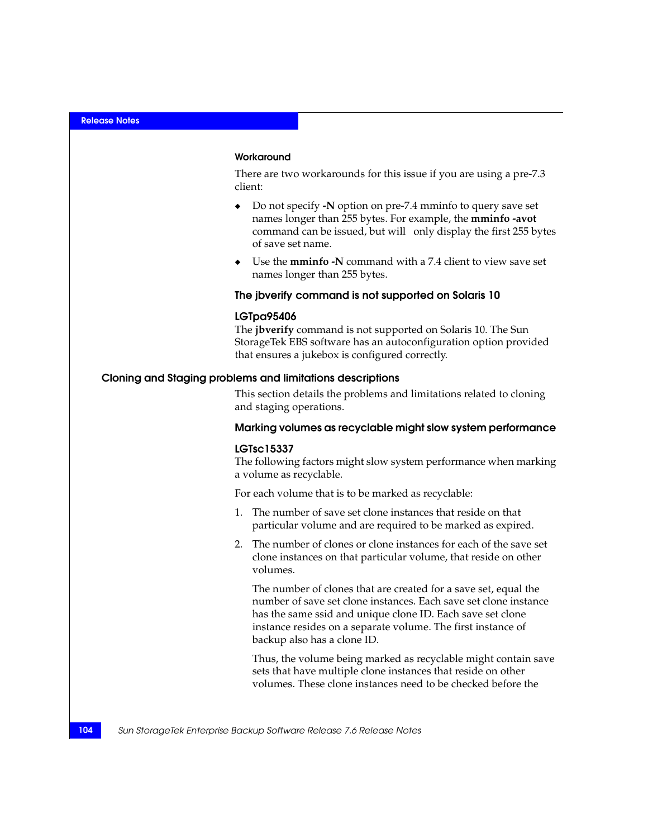#### **Workaround**

There are two workarounds for this issue if you are using a pre-7.3 client:

- ◆ Do not specify **-N** option on pre-7.4 mminfo to query save set names longer than 255 bytes. For example, the **mminfo -avot**  command can be issued, but will only display the first 255 bytes of save set name.
- ◆ Use the **mminfo -N** command with a 7.4 client to view save set names longer than 255 bytes.

#### **The jbverify command is not supported on Solaris 10**

#### <span id="page-103-1"></span>**LGTpa95406**

The **jbverify** command is not supported on Solaris 10. The Sun StorageTek EBS software has an autoconfiguration option provided that ensures a jukebox is configured correctly.

## <span id="page-103-0"></span>**Cloning and Staging problems and limitations descriptions**

This section details the problems and limitations related to cloning and staging operations.

#### **Marking volumes as recyclable might slow system performance**

#### <span id="page-103-2"></span>**LGTsc15337**

The following factors might slow system performance when marking a volume as recyclable.

For each volume that is to be marked as recyclable:

- 1. The number of save set clone instances that reside on that particular volume and are required to be marked as expired.
- 2. The number of clones or clone instances for each of the save set clone instances on that particular volume, that reside on other volumes.

The number of clones that are created for a save set, equal the number of save set clone instances. Each save set clone instance has the same ssid and unique clone ID. Each save set clone instance resides on a separate volume. The first instance of backup also has a clone ID.

Thus, the volume being marked as recyclable might contain save sets that have multiple clone instances that reside on other volumes. These clone instances need to be checked before the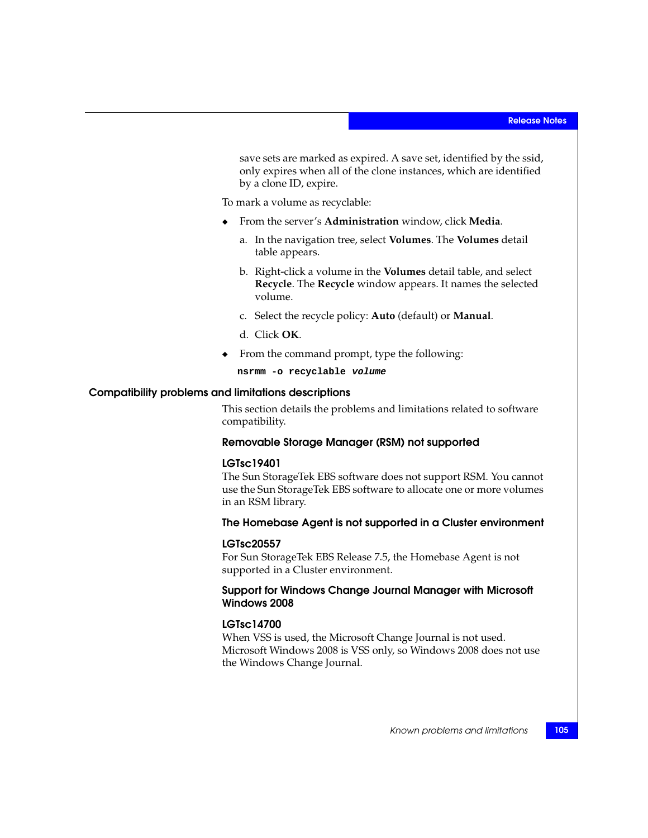save sets are marked as expired. A save set, identified by the ssid, only expires when all of the clone instances, which are identified by a clone ID, expire.

To mark a volume as recyclable:

- ◆ From the server's **Administration** window, click **Media**.
	- a. In the navigation tree, select **Volumes**. The **Volumes** detail table appears.
	- b. Right-click a volume in the **Volumes** detail table, and select **Recycle**. The **Recycle** window appears. It names the selected volume.
	- c. Select the recycle policy: **Auto** (default) or **Manual**.
	- d. Click **OK**.
- From the command prompt, type the following:

**nsrmm -o recyclable volume**

# <span id="page-104-0"></span>**Compatibility problems and limitations descriptions**

This section details the problems and limitations related to software compatibility.

#### **Removable Storage Manager (RSM) not supported**

#### <span id="page-104-1"></span>**LGTsc19401**

The Sun StorageTek EBS software does not support RSM. You cannot use the Sun StorageTek EBS software to allocate one or more volumes in an RSM library.

#### **The Homebase Agent is not supported in a Cluster environment**

#### <span id="page-104-2"></span>**LGTsc20557**

For Sun StorageTek EBS Release 7.5, the Homebase Agent is not supported in a Cluster environment.

# **Support for Windows Change Journal Manager with Microsoft Windows 2008**

# <span id="page-104-3"></span>**LGTsc14700**

When VSS is used, the Microsoft Change Journal is not used. Microsoft Windows 2008 is VSS only, so Windows 2008 does not use the Windows Change Journal.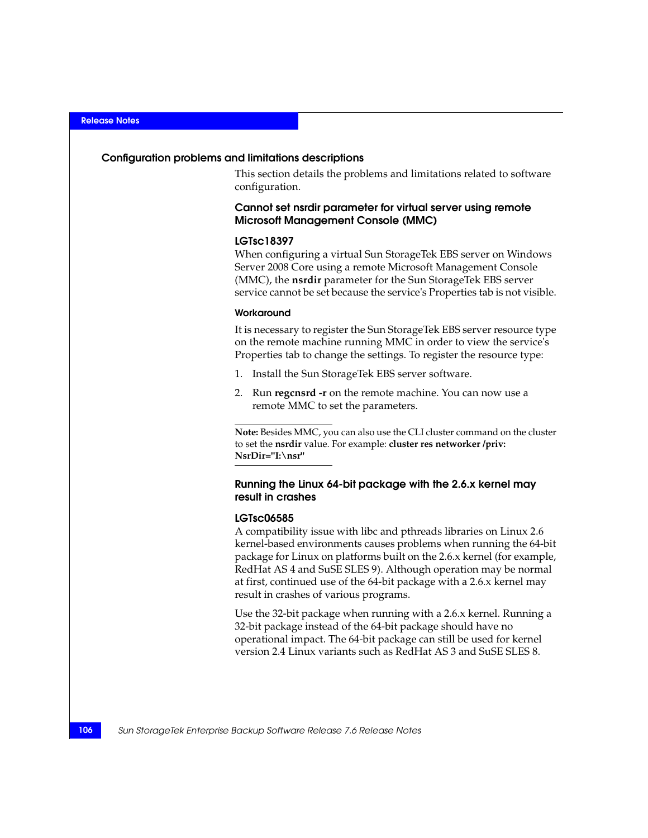## <span id="page-105-0"></span>**Configuration problems and limitations descriptions**

This section details the problems and limitations related to software configuration.

# **Cannot set nsrdir parameter for virtual server using remote Microsoft Management Console (MMC)**

#### <span id="page-105-1"></span>**LGTsc18397**

When configuring a virtual Sun StorageTek EBS server on Windows Server 2008 Core using a remote Microsoft Management Console (MMC), the **nsrdir** parameter for the Sun StorageTek EBS server service cannot be set because the service's Properties tab is not visible.

#### **Workaround**

It is necessary to register the Sun StorageTek EBS server resource type on the remote machine running MMC in order to view the service's Properties tab to change the settings. To register the resource type:

- 1. Install the Sun StorageTek EBS server software.
- 2. Run **regcnsrd -r** on the remote machine. You can now use a remote MMC to set the parameters.

**Note:** Besides MMC, you can also use the CLI cluster command on the cluster to set the **nsrdir** value. For example: **cluster res networker /priv: NsrDir="I:\nsr"**

# **Running the Linux 64-bit package with the 2.6.x kernel may result in crashes**

#### <span id="page-105-2"></span>**LGTsc06585**

A compatibility issue with libc and pthreads libraries on Linux 2.6 kernel-based environments causes problems when running the 64-bit package for Linux on platforms built on the 2.6.x kernel (for example, RedHat AS 4 and SuSE SLES 9). Although operation may be normal at first, continued use of the 64-bit package with a 2.6.x kernel may result in crashes of various programs.

Use the 32-bit package when running with a 2.6.x kernel. Running a 32-bit package instead of the 64-bit package should have no operational impact. The 64-bit package can still be used for kernel version 2.4 Linux variants such as RedHat AS 3 and SuSE SLES 8.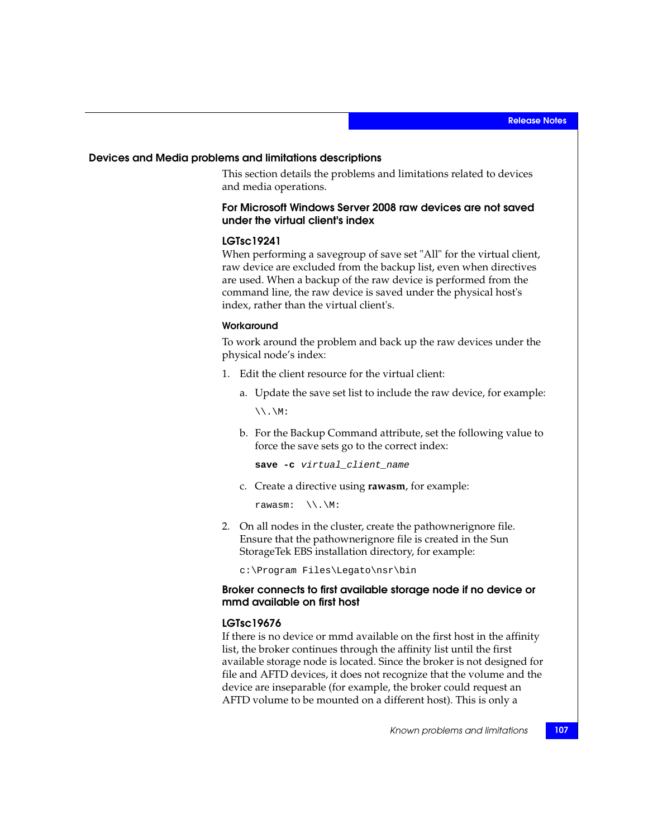## <span id="page-106-0"></span>**Devices and Media problems and limitations descriptions**

This section details the problems and limitations related to devices and media operations.

# **For Microsoft Windows Server 2008 raw devices are not saved under the virtual client's index**

## <span id="page-106-1"></span>**LGTsc19241**

When performing a savegroup of save set "All" for the virtual client, raw device are excluded from the backup list, even when directives are used. When a backup of the raw device is performed from the command line, the raw device is saved under the physical host's index, rather than the virtual client's.

## **Workaround**

To work around the problem and back up the raw devices under the physical node's index:

- 1. Edit the client resource for the virtual client:
	- a. Update the save set list to include the raw device, for example:

 $\setminus \setminus \setminus M$ :

b. For the Backup Command attribute, set the following value to force the save sets go to the correct index:

save -c virtual client name

c. Create a directive using **rawasm**, for example:

rawasm: \\.\M:

2. On all nodes in the cluster, create the pathownerignore file. Ensure that the pathownerignore file is created in the Sun StorageTek EBS installation directory, for example:

c:\Program Files\Legato\nsr\bin

# **Broker connects to first available storage node if no device or mmd available on first host**

## <span id="page-106-2"></span>**LGTsc19676**

If there is no device or mmd available on the first host in the affinity list, the broker continues through the affinity list until the first available storage node is located. Since the broker is not designed for file and AFTD devices, it does not recognize that the volume and the device are inseparable (for example, the broker could request an AFTD volume to be mounted on a different host). This is only a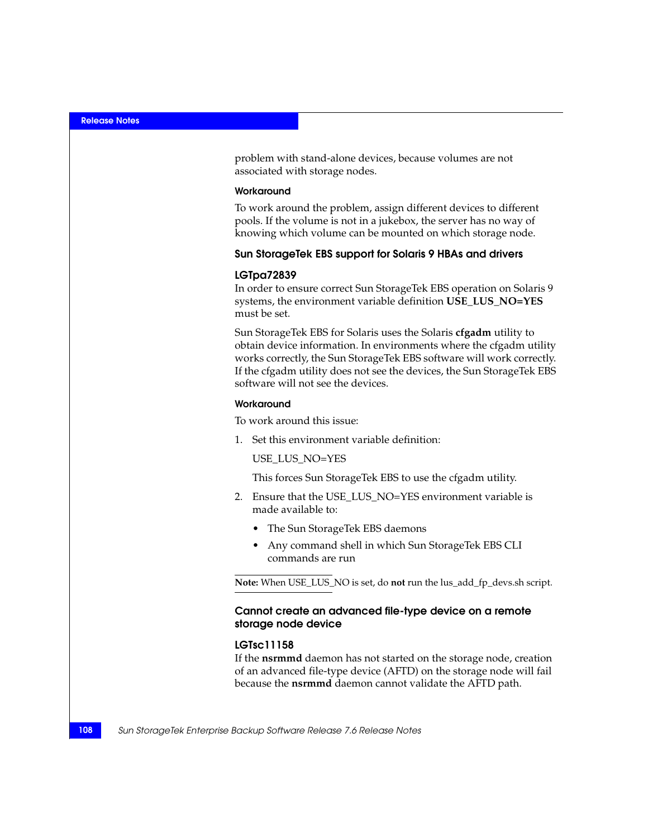problem with stand-alone devices, because volumes are not associated with storage nodes.

#### **Workaround**

To work around the problem, assign different devices to different pools. If the volume is not in a jukebox, the server has no way of knowing which volume can be mounted on which storage node.

## **Sun StorageTek EBS support for Solaris 9 HBAs and drivers**

## <span id="page-107-0"></span>**LGTpa72839**

In order to ensure correct Sun StorageTek EBS operation on Solaris 9 systems, the environment variable definition **USE\_LUS\_NO=YES** must be set.

Sun StorageTek EBS for Solaris uses the Solaris **cfgadm** utility to obtain device information. In environments where the cfgadm utility works correctly, the Sun StorageTek EBS software will work correctly. If the cfgadm utility does not see the devices, the Sun StorageTek EBS software will not see the devices.

## **Workaround**

To work around this issue:

1. Set this environment variable definition:

USE\_LUS\_NO=YES

This forces Sun StorageTek EBS to use the cfgadm utility.

- 2. Ensure that the USE\_LUS\_NO=YES environment variable is made available to:
	- The Sun StorageTek EBS daemons
	- Any command shell in which Sun StorageTek EBS CLI commands are run

**Note:** When USE\_LUS\_NO is set, do **not** run the lus\_add\_fp\_devs.sh script.

# **Cannot create an advanced file-type device on a remote storage node device**

#### <span id="page-107-1"></span>**LGTsc11158**

If the **nsrmmd** daemon has not started on the storage node, creation of an advanced file-type device (AFTD) on the storage node will fail because the **nsrmmd** daemon cannot validate the AFTD path.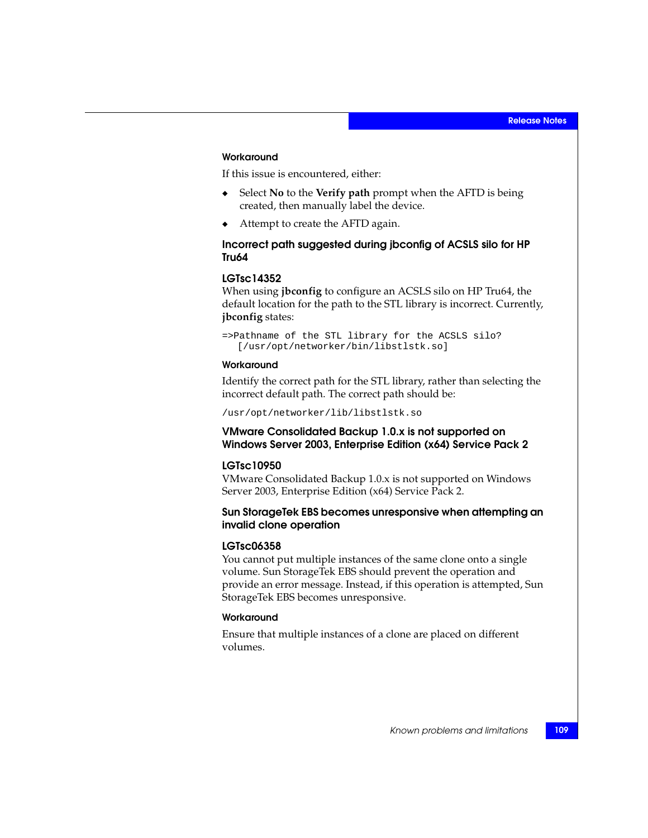### **Workaround**

If this issue is encountered, either:

- ◆ Select **No** to the **Verify path** prompt when the AFTD is being created, then manually label the device.
- Attempt to create the AFTD again.

## **Incorrect path suggested during jbconfig of ACSLS silo for HP Tru64**

# **LGTsc14352**

When using **jbconfig** to configure an ACSLS silo on HP Tru64, the default location for the path to the STL library is incorrect. Currently, **jbconfig** states:

```
=>Pathname of the STL library for the ACSLS silo? 
  [/usr/opt/networker/bin/libstlstk.so]
```
#### **Workaround**

Identify the correct path for the STL library, rather than selecting the incorrect default path. The correct path should be:

/usr/opt/networker/lib/libstlstk.so

## **VMware Consolidated Backup 1.0.x is not supported on Windows Server 2003, Enterprise Edition (x64) Service Pack 2**

### **LGTsc10950**

VMware Consolidated Backup 1.0.x is not supported on Windows Server 2003, Enterprise Edition (x64) Service Pack 2.

## **Sun StorageTek EBS becomes unresponsive when attempting an invalid clone operation**

#### **LGTsc06358**

You cannot put multiple instances of the same clone onto a single volume. Sun StorageTek EBS should prevent the operation and provide an error message. Instead, if this operation is attempted, Sun StorageTek EBS becomes unresponsive.

#### **Workaround**

Ensure that multiple instances of a clone are placed on different volumes.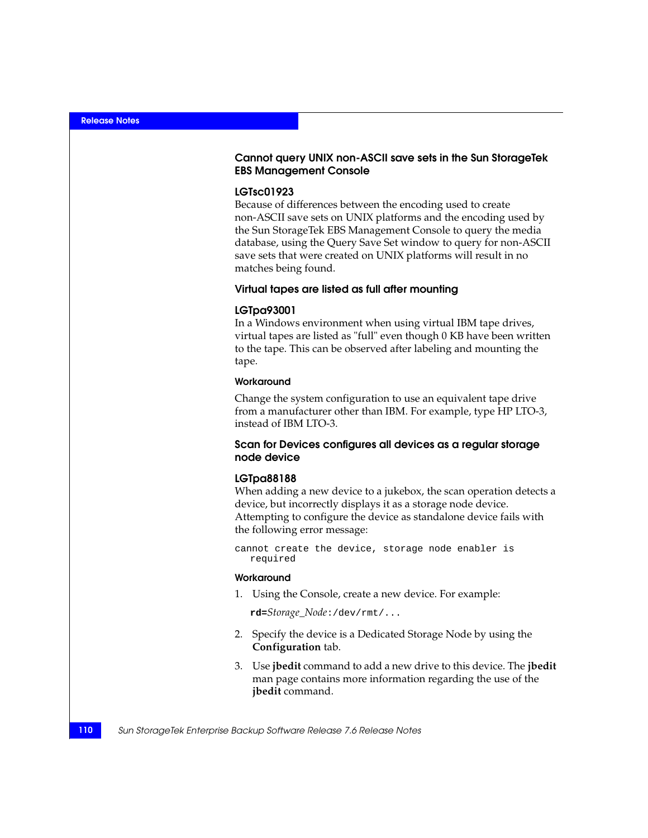# **Cannot query UNIX non-ASCII save sets in the Sun StorageTek EBS Management Console**

## **LGTsc01923**

Because of differences between the encoding used to create non-ASCII save sets on UNIX platforms and the encoding used by the Sun StorageTek EBS Management Console to query the media database, using the Query Save Set window to query for non-ASCII save sets that were created on UNIX platforms will result in no matches being found.

## **Virtual tapes are listed as full after mounting**

## **LGTpa93001**

In a Windows environment when using virtual IBM tape drives, virtual tapes are listed as "full" even though 0 KB have been written to the tape. This can be observed after labeling and mounting the tape.

#### **Workaround**

Change the system configuration to use an equivalent tape drive from a manufacturer other than IBM. For example, type HP LTO-3, instead of IBM LTO-3.

# **Scan for Devices configures all devices as a regular storage node device**

### **LGTpa88188**

When adding a new device to a jukebox, the scan operation detects a device, but incorrectly displays it as a storage node device. Attempting to configure the device as standalone device fails with the following error message:

```
cannot create the device, storage node enabler is 
  required
```
#### **Workaround**

1. Using the Console, create a new device. For example:

**rd=***Storage\_Node*:/dev/rmt/...

- 2. Specify the device is a Dedicated Storage Node by using the **Configuration** tab.
- 3. Use **jbedit** command to add a new drive to this device. The **jbedit** man page contains more information regarding the use of the **jbedit** command.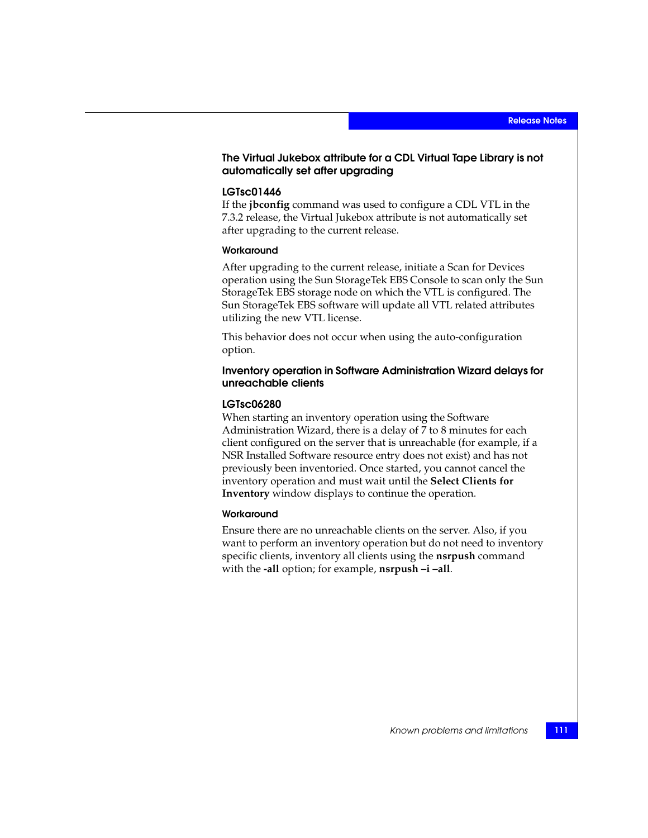# **The Virtual Jukebox attribute for a CDL Virtual Tape Library is not automatically set after upgrading**

# **LGTsc01446**

If the **jbconfig** command was used to configure a CDL VTL in the 7.3.2 release, the Virtual Jukebox attribute is not automatically set after upgrading to the current release.

## **Workaround**

After upgrading to the current release, initiate a Scan for Devices operation using the Sun StorageTek EBS Console to scan only the Sun StorageTek EBS storage node on which the VTL is configured. The Sun StorageTek EBS software will update all VTL related attributes utilizing the new VTL license.

This behavior does not occur when using the auto-configuration option.

# **Inventory operation in Software Administration Wizard delays for unreachable clients**

## **LGTsc06280**

When starting an inventory operation using the Software Administration Wizard, there is a delay of 7 to 8 minutes for each client configured on the server that is unreachable (for example, if a NSR Installed Software resource entry does not exist) and has not previously been inventoried. Once started, you cannot cancel the inventory operation and must wait until the **Select Clients for Inventory** window displays to continue the operation.

## **Workaround**

Ensure there are no unreachable clients on the server. Also, if you want to perform an inventory operation but do not need to inventory specific clients, inventory all clients using the **nsrpush** command with the **-all** option; for example, **nsrpush –i –all**.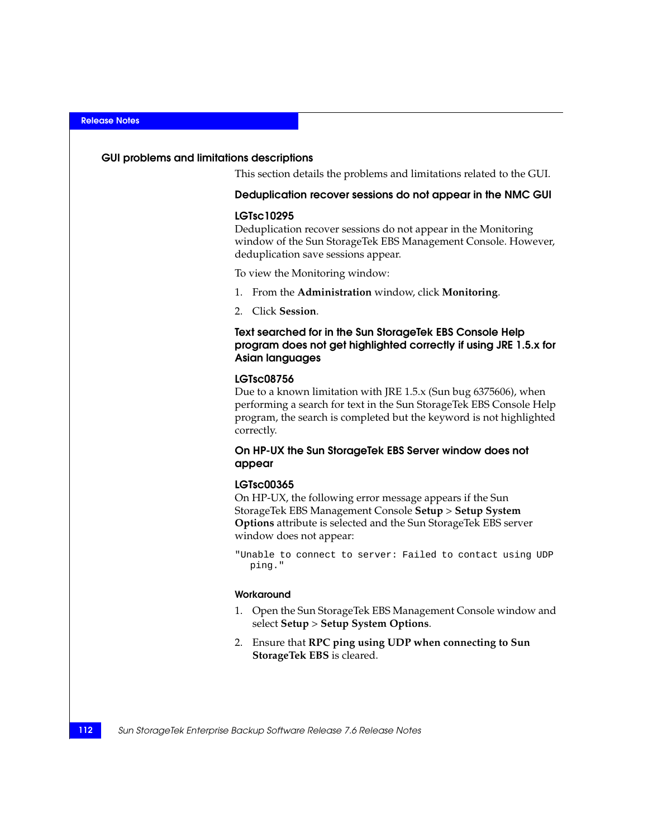### **GUI problems and limitations descriptions**

This section details the problems and limitations related to the GUI.

#### **Deduplication recover sessions do not appear in the NMC GUI**

#### **LGTsc10295**

Deduplication recover sessions do not appear in the Monitoring window of the Sun StorageTek EBS Management Console. However, deduplication save sessions appear.

To view the Monitoring window:

- 1. From the **Administration** window, click **Monitoring**.
- 2. Click **Session**.

# **Text searched for in the Sun StorageTek EBS Console Help program does not get highlighted correctly if using JRE 1.5.x for Asian languages**

#### **LGTsc08756**

Due to a known limitation with JRE 1.5.x (Sun bug 6375606), when performing a search for text in the Sun StorageTek EBS Console Help program, the search is completed but the keyword is not highlighted correctly.

# **On HP-UX the Sun StorageTek EBS Server window does not appear**

### **LGTsc00365**

On HP-UX, the following error message appears if the Sun StorageTek EBS Management Console **Setup** > **Setup System Options** attribute is selected and the Sun StorageTek EBS server window does not appear:

"Unable to connect to server: Failed to contact using UDP ping."

#### **Workaround**

- 1. Open the Sun StorageTek EBS Management Console window and select **Setup** > **Setup System Options**.
- 2. Ensure that **RPC ping using UDP when connecting to Sun StorageTek EBS** is cleared.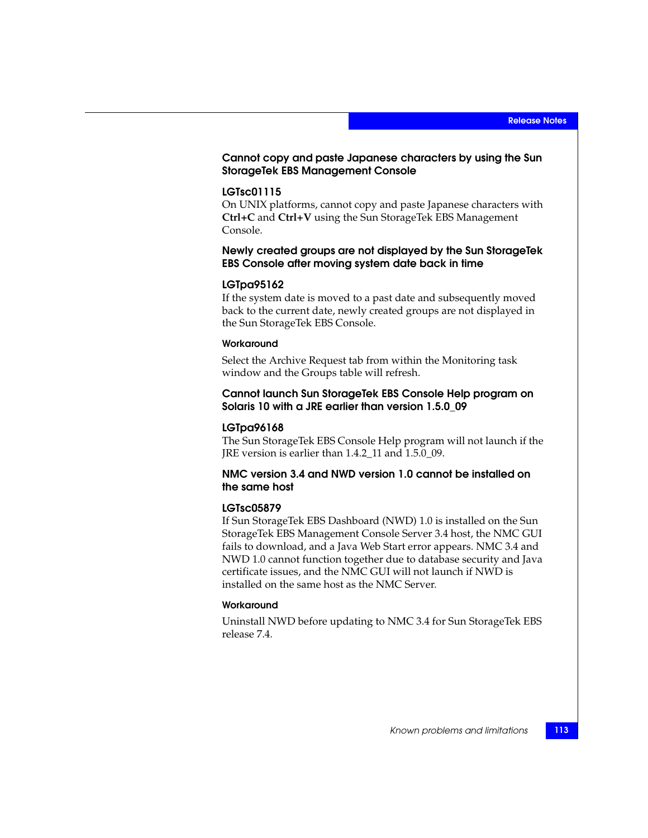# **Cannot copy and paste Japanese characters by using the Sun StorageTek EBS Management Console**

# **LGTsc01115**

On UNIX platforms, cannot copy and paste Japanese characters with **Ctrl+C** and **Ctrl+V** using the Sun StorageTek EBS Management Console.

# **Newly created groups are not displayed by the Sun StorageTek EBS Console after moving system date back in time**

# **LGTpa95162**

If the system date is moved to a past date and subsequently moved back to the current date, newly created groups are not displayed in the Sun StorageTek EBS Console.

## **Workaround**

Select the Archive Request tab from within the Monitoring task window and the Groups table will refresh.

# **Cannot launch Sun StorageTek EBS Console Help program on Solaris 10 with a JRE earlier than version 1.5.0\_09**

# **LGTpa96168**

The Sun StorageTek EBS Console Help program will not launch if the JRE version is earlier than 1.4.2\_11 and 1.5.0\_09.

# **NMC version 3.4 and NWD version 1.0 cannot be installed on the same host**

## **LGTsc05879**

If Sun StorageTek EBS Dashboard (NWD) 1.0 is installed on the Sun StorageTek EBS Management Console Server 3.4 host, the NMC GUI fails to download, and a Java Web Start error appears. NMC 3.4 and NWD 1.0 cannot function together due to database security and Java certificate issues, and the NMC GUI will not launch if NWD is installed on the same host as the NMC Server.

## **Workaround**

Uninstall NWD before updating to NMC 3.4 for Sun StorageTek EBS release 7.4.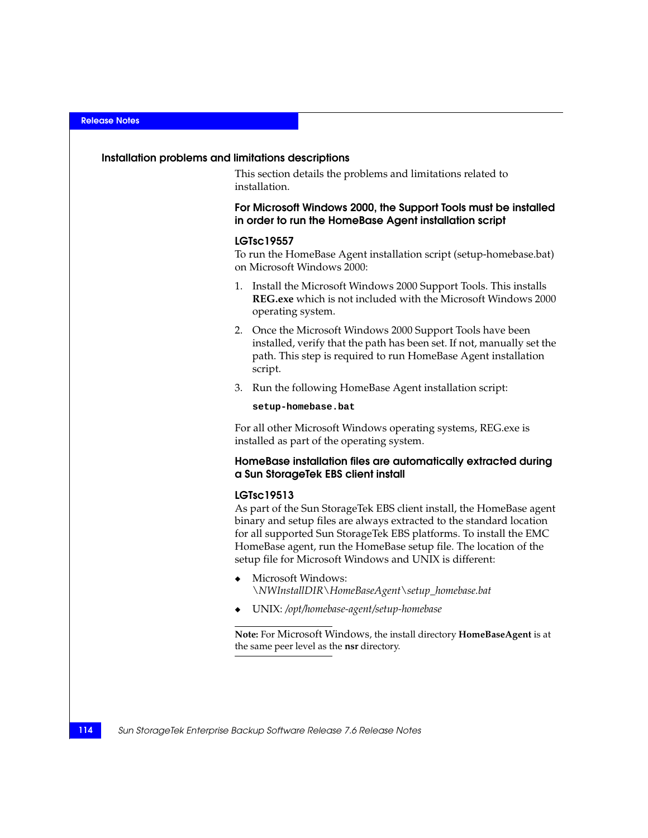### **Installation problems and limitations descriptions**

This section details the problems and limitations related to installation.

**For Microsoft Windows 2000, the Support Tools must be installed in order to run the HomeBase Agent installation script**

#### **LGTsc19557**

To run the HomeBase Agent installation script (setup-homebase.bat) on Microsoft Windows 2000:

- 1. Install the Microsoft Windows 2000 Support Tools. This installs **REG.exe** which is not included with the Microsoft Windows 2000 operating system.
- 2. Once the Microsoft Windows 2000 Support Tools have been installed, verify that the path has been set. If not, manually set the path. This step is required to run HomeBase Agent installation script.
- 3. Run the following HomeBase Agent installation script:

#### **setup-homebase.bat**

For all other Microsoft Windows operating systems, REG.exe is installed as part of the operating system.

# **HomeBase installation files are automatically extracted during a Sun StorageTek EBS client install**

### **LGTsc19513**

As part of the Sun StorageTek EBS client install, the HomeBase agent binary and setup files are always extracted to the standard location for all supported Sun StorageTek EBS platforms. To install the EMC HomeBase agent, run the HomeBase setup file. The location of the setup file for Microsoft Windows and UNIX is different:

- Microsoft Windows: *\NWInstallDIR\HomeBaseAgent\setup\_homebase.bat*
- ◆ UNIX: */opt/homebase-agent/setup-homebase*

**Note:** For Microsoft Windows, the install directory **HomeBaseAgent** is at the same peer level as the **nsr** directory.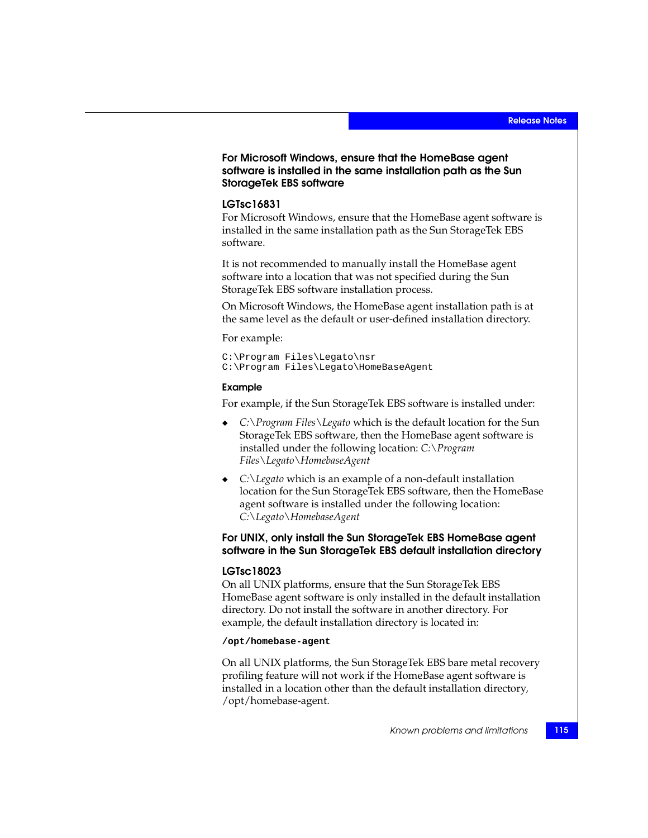# **For Microsoft Windows, ensure that the HomeBase agent software is installed in the same installation path as the Sun StorageTek EBS software**

## **LGTsc16831**

For Microsoft Windows, ensure that the HomeBase agent software is installed in the same installation path as the Sun StorageTek EBS software.

It is not recommended to manually install the HomeBase agent software into a location that was not specified during the Sun StorageTek EBS software installation process.

On Microsoft Windows, the HomeBase agent installation path is at the same level as the default or user-defined installation directory.

For example:

C:\Program Files\Legato\nsr C:\Program Files\Legato\HomeBaseAgent

### **Example**

For example, if the Sun StorageTek EBS software is installed under:

- *C:\Program Files\Legato* which is the default location for the Sun StorageTek EBS software, then the HomeBase agent software is installed under the following location: *C:\Program Files\Legato\HomebaseAgent*
- *C:∖Legato* which is an example of a non-default installation location for the Sun StorageTek EBS software, then the HomeBase agent software is installed under the following location: *C:\Legato\HomebaseAgent*

# **For UNIX, only install the Sun StorageTek EBS HomeBase agent software in the Sun StorageTek EBS default installation directory**

## **LGTsc18023**

On all UNIX platforms, ensure that the Sun StorageTek EBS HomeBase agent software is only installed in the default installation directory. Do not install the software in another directory. For example, the default installation directory is located in:

### **/opt/homebase-agent**

On all UNIX platforms, the Sun StorageTek EBS bare metal recovery profiling feature will not work if the HomeBase agent software is installed in a location other than the default installation directory*,* /opt/homebase-agent.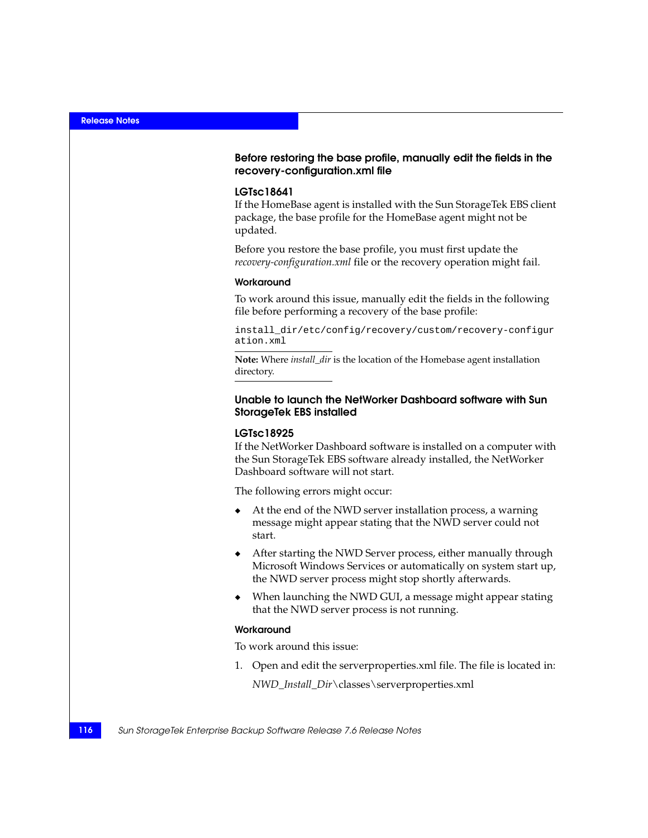## **Before restoring the base profile, manually edit the fields in the recovery-configuration.xml file**

## **LGTsc18641**

If the HomeBase agent is installed with the Sun StorageTek EBS client package, the base profile for the HomeBase agent might not be updated.

Before you restore the base profile, you must first update the *recovery-configuration.xml* file or the recovery operation might fail.

## **Workaround**

To work around this issue, manually edit the fields in the following file before performing a recovery of the base profile:

install\_dir/etc/config/recovery/custom/recovery-configur ation.xml

**Note:** Where *install\_dir* is the location of the Homebase agent installation directory.

# **Unable to launch the NetWorker Dashboard software with Sun StorageTek EBS installed**

## **LGTsc18925**

If the NetWorker Dashboard software is installed on a computer with the Sun StorageTek EBS software already installed, the NetWorker Dashboard software will not start.

The following errors might occur:

- ◆ At the end of the NWD server installation process, a warning message might appear stating that the NWD server could not start.
- ◆ After starting the NWD Server process, either manually through Microsoft Windows Services or automatically on system start up, the NWD server process might stop shortly afterwards.
- ◆ When launching the NWD GUI, a message might appear stating that the NWD server process is not running.

### **Workaround**

To work around this issue:

1. Open and edit the serverproperties.xml file. The file is located in:

*NWD\_Install\_Dir*\classes\serverproperties.xml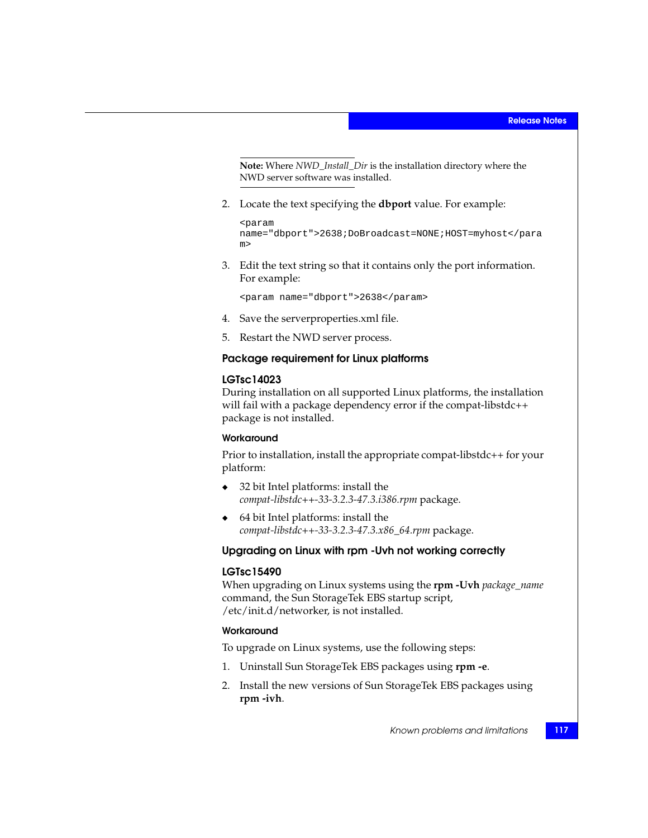**Note:** Where *NWD\_Install\_Dir* is the installation directory where the NWD server software was installed.

2. Locate the text specifying the **dbport** value. For example:

```
<param 
name="dbport">2638;DoBroadcast=NONE;HOST=myhost</para
m>
```
3. Edit the text string so that it contains only the port information. For example:

<param name="dbport">2638</param>

- 4. Save the serverproperties.xml file.
- 5. Restart the NWD server process.

## **Package requirement for Linux platforms**

# **LGTsc14023**

During installation on all supported Linux platforms, the installation will fail with a package dependency error if the compat-libstdc++ package is not installed.

### **Workaround**

Prior to installation, install the appropriate compat-libstdc++ for your platform:

- 32 bit Intel platforms: install the *compat-libstdc++-33-3.2.3-47.3.i386.rpm* package.
- ◆ 64 bit Intel platforms: install the *compat-libstdc++-33-3.2.3-47.3.x86\_64.rpm* package.

### **Upgrading on Linux with rpm -Uvh not working correctly**

## **LGTsc15490**

When upgrading on Linux systems using the **rpm -Uvh** *package\_name* command, the Sun StorageTek EBS startup script, /etc/init.d/networker, is not installed.

## **Workaround**

To upgrade on Linux systems, use the following steps:

- 1. Uninstall Sun StorageTek EBS packages using **rpm -e**.
- 2. Install the new versions of Sun StorageTek EBS packages using **rpm -ivh**.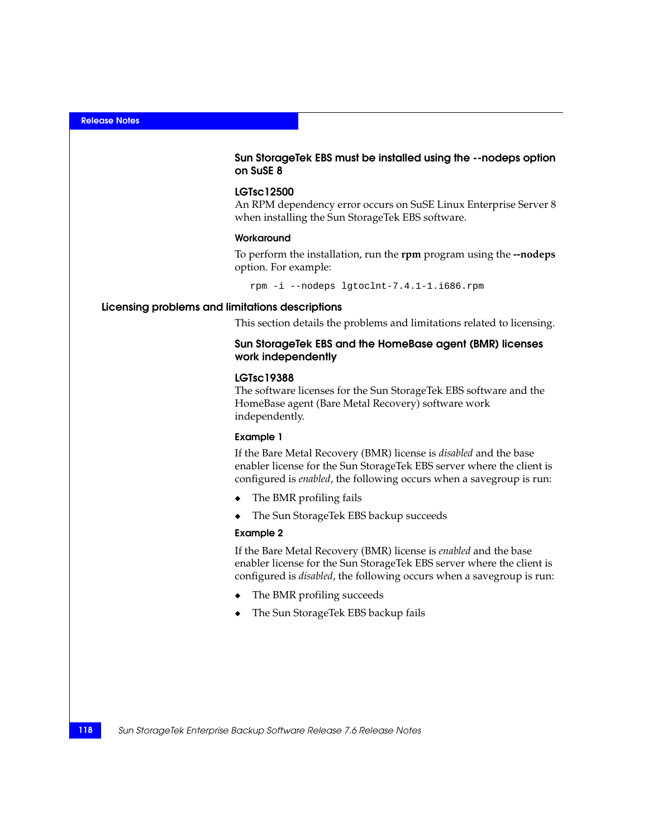# **Sun StorageTek EBS must be installed using the --nodeps option on SuSE 8**

## **LGTsc12500**

An RPM dependency error occurs on SuSE Linux Enterprise Server 8 when installing the Sun StorageTek EBS software.

#### **Workaround**

To perform the installation, run the **rpm** program using the **--nodeps** option. For example:

rpm -i --nodeps lgtoclnt-7.4.1-1.i686.rpm

#### **Licensing problems and limitations descriptions**

This section details the problems and limitations related to licensing.

# **Sun StorageTek EBS and the HomeBase agent (BMR) licenses work independently**

#### **LGTsc19388**

The software licenses for the Sun StorageTek EBS software and the HomeBase agent (Bare Metal Recovery) software work independently.

#### **Example 1**

If the Bare Metal Recovery (BMR) license is *disabled* and the base enabler license for the Sun StorageTek EBS server where the client is configured is *enabled*, the following occurs when a savegroup is run:

- The BMR profiling fails
- The Sun StorageTek EBS backup succeeds

#### **Example 2**

If the Bare Metal Recovery (BMR) license is *enabled* and the base enabler license for the Sun StorageTek EBS server where the client is configured is *disabled*, the following occurs when a savegroup is run:

- The BMR profiling succeeds
- The Sun StorageTek EBS backup fails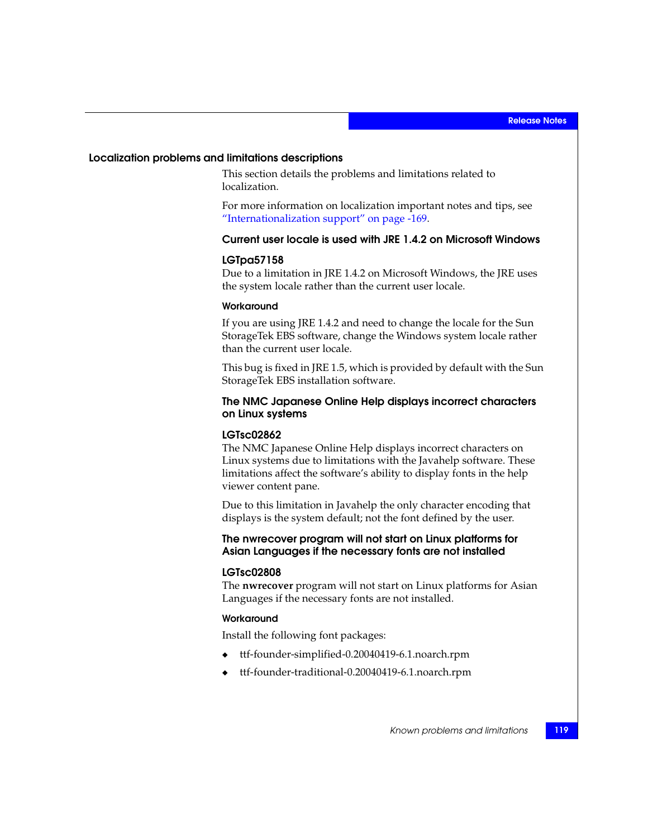## **Localization problems and limitations descriptions**

This section details the problems and limitations related to localization.

For more information on localization important notes and tips, see ["Internationalization support" on page -169.](#page-168-0)

## **Current user locale is used with JRE 1.4.2 on Microsoft Windows**

### **LGTpa57158**

Due to a limitation in JRE 1.4.2 on Microsoft Windows, the JRE uses the system locale rather than the current user locale.

## **Workaround**

If you are using JRE 1.4.2 and need to change the locale for the Sun StorageTek EBS software, change the Windows system locale rather than the current user locale.

This bug is fixed in JRE 1.5, which is provided by default with the Sun StorageTek EBS installation software.

# **The NMC Japanese Online Help displays incorrect characters on Linux systems**

## **LGTsc02862**

The NMC Japanese Online Help displays incorrect characters on Linux systems due to limitations with the Javahelp software. These limitations affect the software's ability to display fonts in the help viewer content pane.

Due to this limitation in Javahelp the only character encoding that displays is the system default; not the font defined by the user.

# **The nwrecover program will not start on Linux platforms for Asian Languages if the necessary fonts are not installed**

#### **LGTsc02808**

The **nwrecover** program will not start on Linux platforms for Asian Languages if the necessary fonts are not installed.

## **Workaround**

Install the following font packages:

- ◆ ttf-founder-simplified-0.20040419-6.1.noarch.rpm
- ◆ ttf-founder-traditional-0.20040419-6.1.noarch.rpm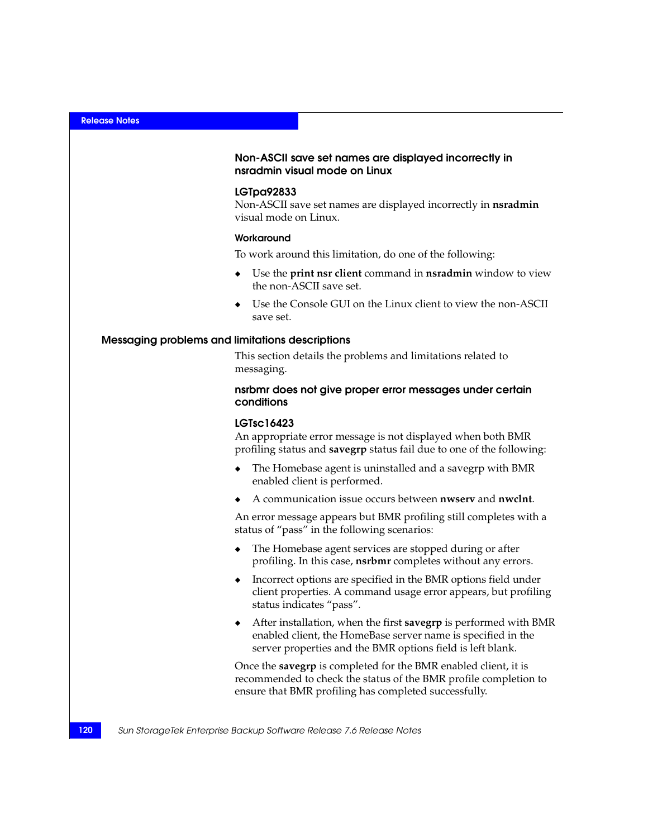# **Non-ASCII save set names are displayed incorrectly in nsradmin visual mode on Linux**

#### **LGTpa92833**

Non-ASCII save set names are displayed incorrectly in **nsradmin** visual mode on Linux.

### **Workaround**

To work around this limitation, do one of the following:

- Use the **print nsr client** command in **nsradmin** window to view the non-ASCII save set.
- Use the Console GUI on the Linux client to view the non-ASCII save set.

### **Messaging problems and limitations descriptions**

This section details the problems and limitations related to messaging.

# **nsrbmr does not give proper error messages under certain conditions**

### **LGTsc16423**

An appropriate error message is not displayed when both BMR profiling status and **savegrp** status fail due to one of the following:

- The Homebase agent is uninstalled and a savegrp with BMR enabled client is performed.
- ◆ A communication issue occurs between **nwserv** and **nwclnt**.

An error message appears but BMR profiling still completes with a status of "pass" in the following scenarios:

- The Homebase agent services are stopped during or after profiling. In this case, **nsrbmr** completes without any errors.
- Incorrect options are specified in the BMR options field under client properties. A command usage error appears, but profiling status indicates "pass".
- ◆ After installation, when the first **savegrp** is performed with BMR enabled client, the HomeBase server name is specified in the server properties and the BMR options field is left blank.

Once the **savegrp** is completed for the BMR enabled client, it is recommended to check the status of the BMR profile completion to ensure that BMR profiling has completed successfully.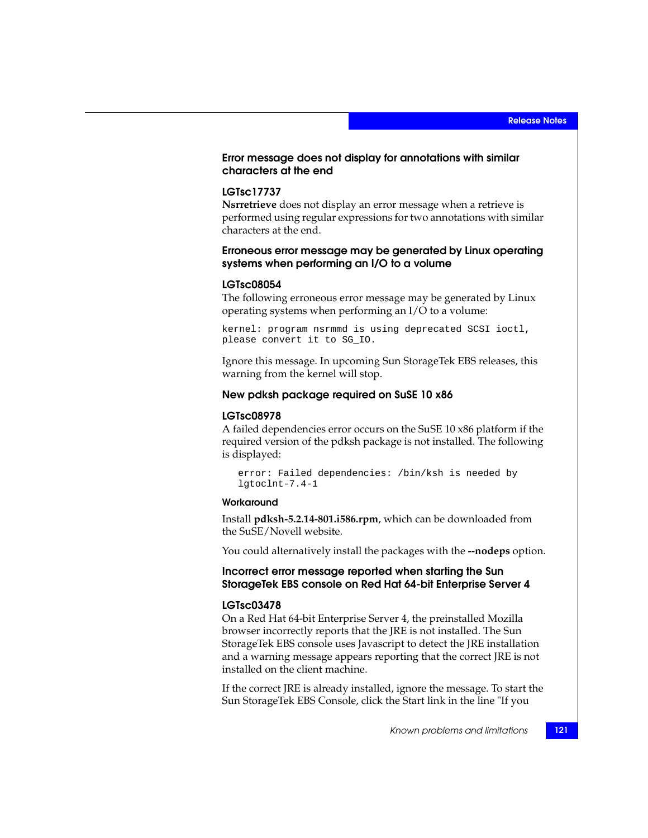# **Error message does not display for annotations with similar characters at the end**

# **LGTsc17737**

**Nsrretrieve** does not display an error message when a retrieve is performed using regular expressions for two annotations with similar characters at the end.

**Erroneous error message may be generated by Linux operating systems when performing an I/O to a volume**

# **LGTsc08054**

The following erroneous error message may be generated by Linux operating systems when performing an I/O to a volume:

kernel: program nsrmmd is using deprecated SCSI ioctl, please convert it to SG\_IO.

Ignore this message. In upcoming Sun StorageTek EBS releases, this warning from the kernel will stop.

# **New pdksh package required on SuSE 10 x86**

# **LGTsc08978**

A failed dependencies error occurs on the SuSE 10 x86 platform if the required version of the pdksh package is not installed. The following is displayed:

```
error: Failed dependencies: /bin/ksh is needed by 
lgtoclnt-7.4-1
```
## **Workaround**

Install **pdksh-5.2.14-801.i586.rpm**, which can be downloaded from the SuSE/Novell website.

You could alternatively install the packages with the **--nodeps** option.

# **Incorrect error message reported when starting the Sun StorageTek EBS console on Red Hat 64-bit Enterprise Server 4**

## **LGTsc03478**

On a Red Hat 64-bit Enterprise Server 4, the preinstalled Mozilla browser incorrectly reports that the JRE is not installed. The Sun StorageTek EBS console uses Javascript to detect the JRE installation and a warning message appears reporting that the correct JRE is not installed on the client machine.

If the correct JRE is already installed, ignore the message. To start the Sun StorageTek EBS Console, click the Start link in the line "If you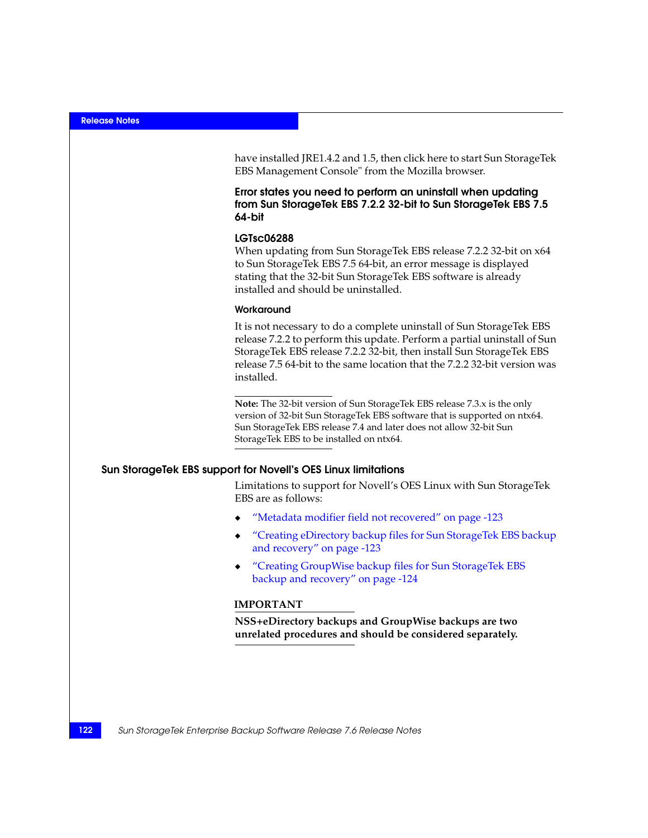have installed JRE1.4.2 and 1.5, then click here to start Sun StorageTek EBS Management Console" from the Mozilla browser.

**Error states you need to perform an uninstall when updating from Sun StorageTek EBS 7.2.2 32-bit to Sun StorageTek EBS 7.5 64-bit** 

### **LGTsc06288**

When updating from Sun StorageTek EBS release 7.2.2 32-bit on x64 to Sun StorageTek EBS 7.5 64-bit, an error message is displayed stating that the 32-bit Sun StorageTek EBS software is already installed and should be uninstalled.

#### **Workaround**

It is not necessary to do a complete uninstall of Sun StorageTek EBS release 7.2.2 to perform this update. Perform a partial uninstall of Sun StorageTek EBS release 7.2.2 32-bit, then install Sun StorageTek EBS release 7.5 64-bit to the same location that the 7.2.2 32-bit version was installed.

**Note:** The 32-bit version of Sun StorageTek EBS release 7.3.x is the only version of 32-bit Sun StorageTek EBS software that is supported on ntx64. Sun StorageTek EBS release 7.4 and later does not allow 32-bit Sun StorageTek EBS to be installed on ntx64.

#### **Sun StorageTek EBS support for Novell's OES Linux limitations**

Limitations to support for Novell's OES Linux with Sun StorageTek EBS are as follows:

- ◆ ["Metadata modifier field not recovered" on page -123](#page-122-0)
- ◆ "Creating eDirectory backup files for Sun StorageTek EBS backup [and recovery" on page -123](#page-122-1)
- ◆ ["Creating GroupWise backup files for Sun StorageTek EBS](#page-123-0)  [backup and recovery" on page -124](#page-123-0)

## **IMPORTANT**

**NSS+eDirectory backups and GroupWise backups are two unrelated procedures and should be considered separately.**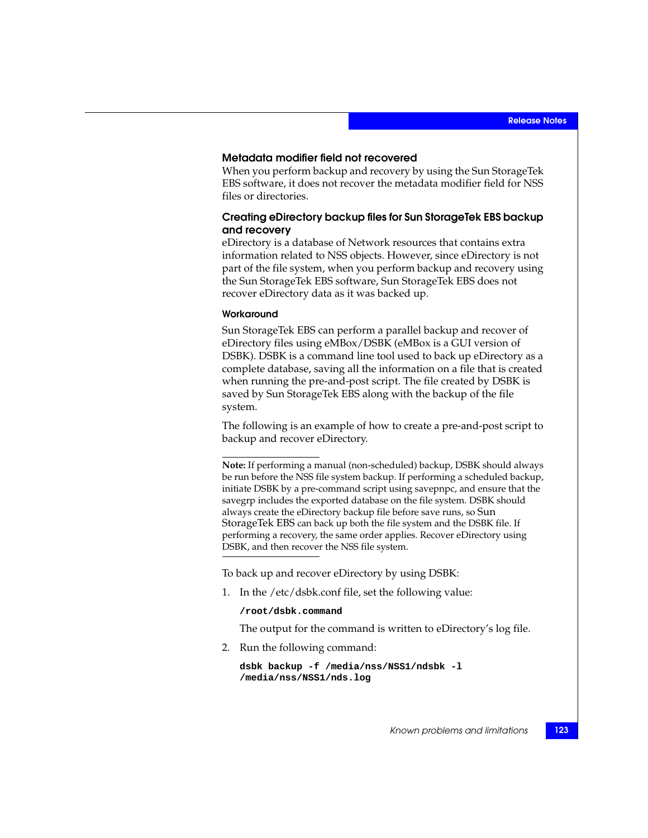# <span id="page-122-0"></span>**Metadata modifier field not recovered**

When you perform backup and recovery by using the Sun StorageTek EBS software, it does not recover the metadata modifier field for NSS files or directories.

# <span id="page-122-1"></span>**Creating eDirectory backup files for Sun StorageTek EBS backup and recovery**

eDirectory is a database of Network resources that contains extra information related to NSS objects. However, since eDirectory is not part of the file system, when you perform backup and recovery using the Sun StorageTek EBS software, Sun StorageTek EBS does not recover eDirectory data as it was backed up.

#### **Workaround**

Sun StorageTek EBS can perform a parallel backup and recover of eDirectory files using eMBox/DSBK (eMBox is a GUI version of DSBK). DSBK is a command line tool used to back up eDirectory as a complete database, saving all the information on a file that is created when running the pre-and-post script. The file created by DSBK is saved by Sun StorageTek EBS along with the backup of the file system.

The following is an example of how to create a pre-and-post script to backup and recover eDirectory.

**Note:** If performing a manual (non-scheduled) backup, DSBK should always be run before the NSS file system backup. If performing a scheduled backup, initiate DSBK by a pre-command script using savepnpc, and ensure that the savegrp includes the exported database on the file system. DSBK should always create the eDirectory backup file before save runs, so Sun StorageTek EBS can back up both the file system and the DSBK file. If performing a recovery, the same order applies. Recover eDirectory using DSBK, and then recover the NSS file system.

To back up and recover eDirectory by using DSBK:

1. In the /etc/dsbk.conf file, set the following value:

### **/root/dsbk.command**

The output for the command is written to eDirectory's log file.

2. Run the following command:

**dsbk backup -f /media/nss/NSS1/ndsbk -l /media/nss/NSS1/nds.log**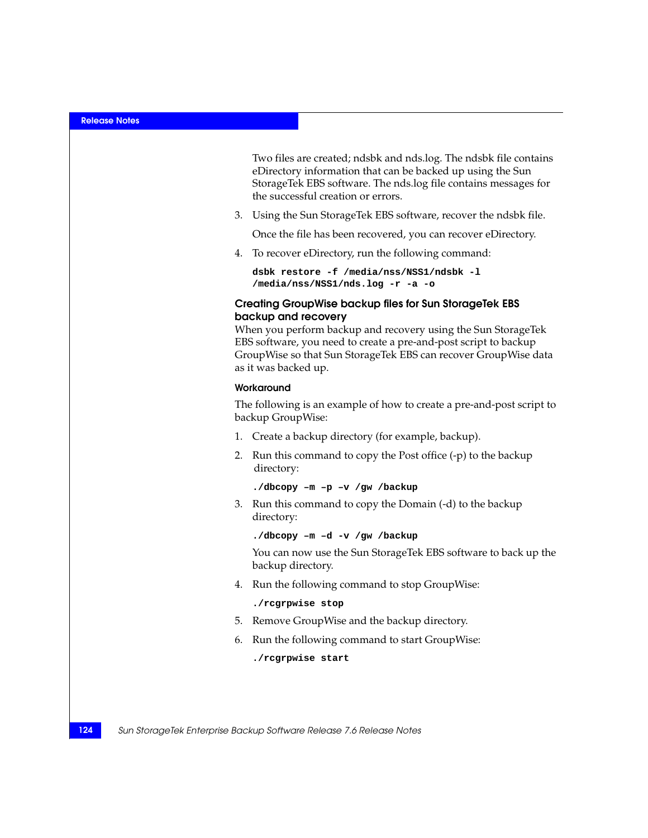Two files are created; ndsbk and nds.log. The ndsbk file contains eDirectory information that can be backed up using the Sun StorageTek EBS software. The nds.log file contains messages for the successful creation or errors.

3. Using the Sun StorageTek EBS software, recover the ndsbk file.

Once the file has been recovered, you can recover eDirectory.

4. To recover eDirectory, run the following command:

```
dsbk restore -f /media/nss/NSS1/ndsbk -l 
/media/nss/NSS1/nds.log -r -a -o
```
## <span id="page-123-0"></span>**Creating GroupWise backup files for Sun StorageTek EBS backup and recovery**

When you perform backup and recovery using the Sun StorageTek EBS software, you need to create a pre-and-post script to backup GroupWise so that Sun StorageTek EBS can recover GroupWise data as it was backed up.

### **Workaround**

The following is an example of how to create a pre-and-post script to backup GroupWise:

- 1. Create a backup directory (for example, backup).
- 2. Run this command to copy the Post office (-p) to the backup directory:

**./dbcopy –m –p –v /gw /backup** 

3. Run this command to copy the Domain (-d) to the backup directory:

**./dbcopy –m –d -v /gw /backup** 

You can now use the Sun StorageTek EBS software to back up the backup directory.

4. Run the following command to stop GroupWise:

#### **./rcgrpwise stop**

- 5. Remove GroupWise and the backup directory.
- 6. Run the following command to start GroupWise:

**./rcgrpwise start**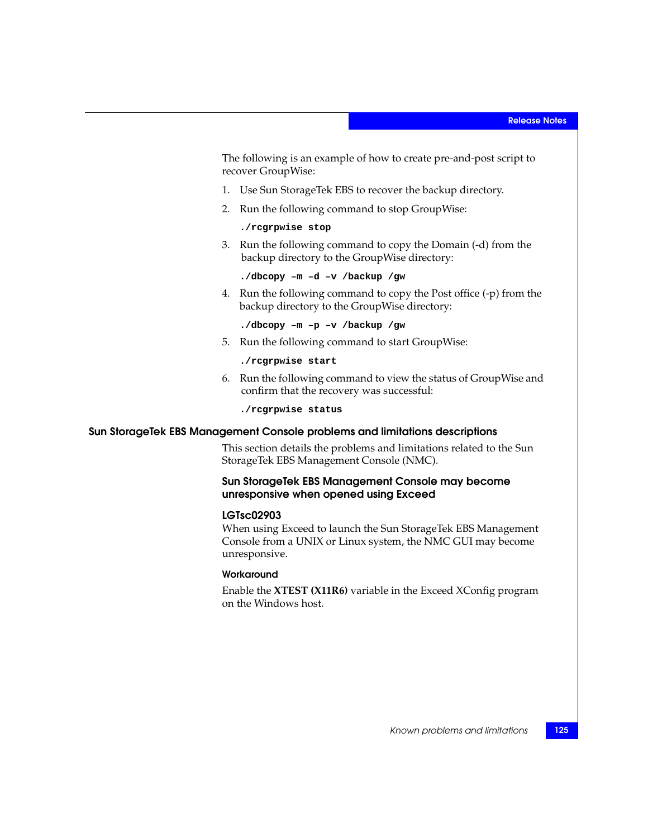The following is an example of how to create pre-and-post script to recover GroupWise:

- 1. Use Sun StorageTek EBS to recover the backup directory.
- 2. Run the following command to stop GroupWise:

#### **./rcgrpwise stop**

3. Run the following command to copy the Domain (-d) from the backup directory to the GroupWise directory:

```
./dbcopy –m –d –v /backup /gw
```
4. Run the following command to copy the Post office (-p) from the backup directory to the GroupWise directory:

**./dbcopy –m –p –v /backup /gw** 

5. Run the following command to start GroupWise:

**./rcgrpwise start** 

6. Run the following command to view the status of GroupWise and confirm that the recovery was successful:

**./rcgrpwise status**

#### **Sun StorageTek EBS Management Console problems and limitations descriptions**

This section details the problems and limitations related to the Sun StorageTek EBS Management Console (NMC).

# **Sun StorageTek EBS Management Console may become unresponsive when opened using Exceed**

## **LGTsc02903**

When using Exceed to launch the Sun StorageTek EBS Management Console from a UNIX or Linux system, the NMC GUI may become unresponsive.

### **Workaround**

Enable the **XTEST (X11R6)** variable in the Exceed XConfig program on the Windows host.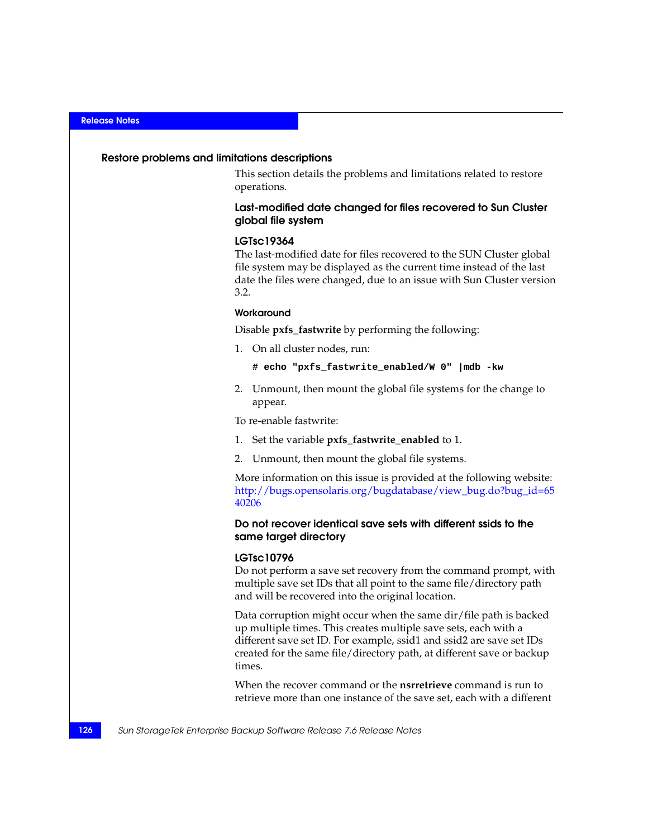### **Restore problems and limitations descriptions**

This section details the problems and limitations related to restore operations.

## **Last-modified date changed for files recovered to Sun Cluster global file system**

#### **LGTsc19364**

The last-modified date for files recovered to the SUN Cluster global file system may be displayed as the current time instead of the last date the files were changed, due to an issue with Sun Cluster version 3.2.

### **Workaround**

Disable **pxfs\_fastwrite** by performing the following:

1. On all cluster nodes, run:

```
# echo "pxfs_fastwrite_enabled/W 0" |mdb -kw
```
2. Unmount, then mount the global file systems for the change to appear.

To re-enable fastwrite:

- 1. Set the variable **pxfs\_fastwrite\_enabled** to 1.
- 2. Unmount, then mount the global file systems.

More information on this issue is provided at the following website: [http://bugs.opensolaris.org/bugdatabase/view\\_bug.do?bug\\_id=65](http://bugs.opensolaris.org/bugdatabase/view_bug.do?bug_id=6540206) 40206

# **Do not recover identical save sets with different ssids to the same target directory**

## **LGTsc10796**

Do not perform a save set recovery from the command prompt, with multiple save set IDs that all point to the same file/directory path and will be recovered into the original location.

Data corruption might occur when the same dir/file path is backed up multiple times. This creates multiple save sets, each with a different save set ID. For example, ssid1 and ssid2 are save set IDs created for the same file/directory path, at different save or backup times.

When the recover command or the **nsrretrieve** command is run to retrieve more than one instance of the save set, each with a different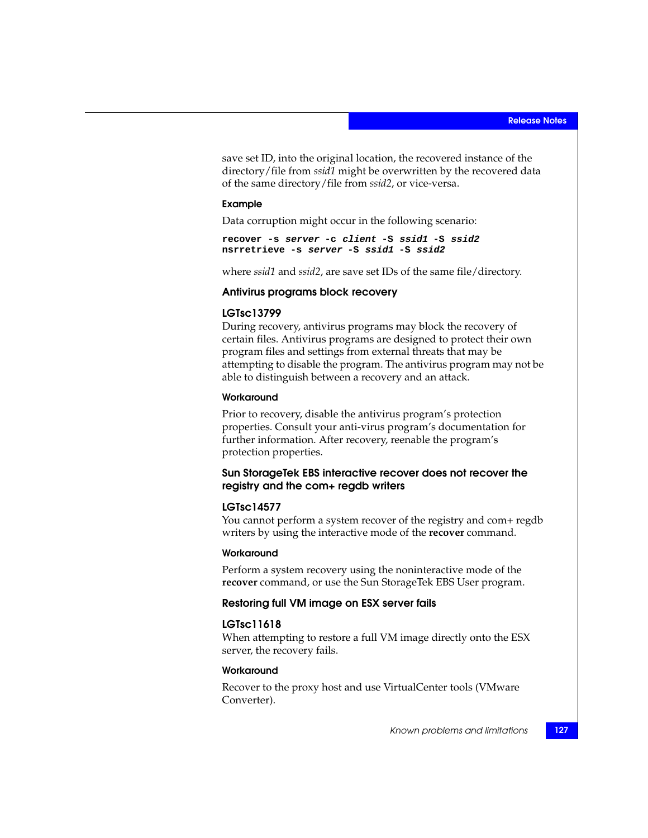save set ID, into the original location, the recovered instance of the directory/file from *ssid1* might be overwritten by the recovered data of the same directory/file from *ssid2*, or vice-versa.

#### **Example**

Data corruption might occur in the following scenario:

**recover -s server -c client -S ssid1 -S ssid2 nsrretrieve -s server -S ssid1 -S ssid2**

where *ssid1* and *ssid2*, are save set IDs of the same file/directory.

#### **Antivirus programs block recovery**

## **LGTsc13799**

During recovery, antivirus programs may block the recovery of certain files. Antivirus programs are designed to protect their own program files and settings from external threats that may be attempting to disable the program. The antivirus program may not be able to distinguish between a recovery and an attack.

## **Workaround**

Prior to recovery, disable the antivirus program's protection properties. Consult your anti-virus program's documentation for further information. After recovery, reenable the program's protection properties.

# **Sun StorageTek EBS interactive recover does not recover the registry and the com+ regdb writers**

### **LGTsc14577**

You cannot perform a system recover of the registry and com+ regdb writers by using the interactive mode of the **recover** command.

### **Workaround**

Perform a system recovery using the noninteractive mode of the **recover** command, or use the Sun StorageTek EBS User program.

### **Restoring full VM image on ESX server fails**

## **LGTsc11618**

When attempting to restore a full VM image directly onto the ESX server, the recovery fails.

### **Workaround**

Recover to the proxy host and use VirtualCenter tools (VMware Converter).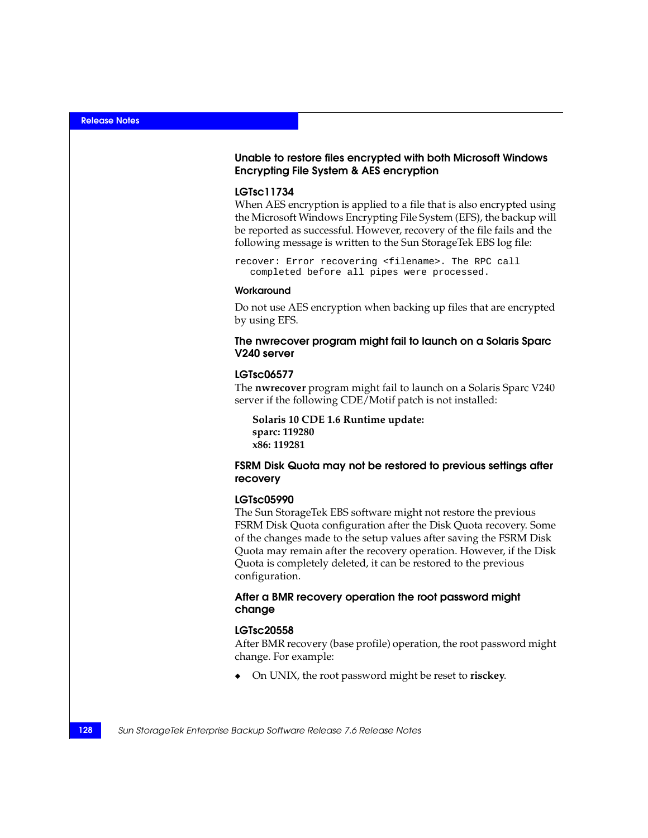## **Unable to restore files encrypted with both Microsoft Windows Encrypting File System & AES encryption**

## **LGTsc11734**

When AES encryption is applied to a file that is also encrypted using the Microsoft Windows Encrypting File System (EFS), the backup will be reported as successful. However, recovery of the file fails and the following message is written to the Sun StorageTek EBS log file:

recover: Error recovering <filename>. The RPC call completed before all pipes were processed.

#### **Workaround**

Do not use AES encryption when backing up files that are encrypted by using EFS.

## **The nwrecover program might fail to launch on a Solaris Sparc V240 server**

### **LGTsc06577**

The **nwrecover** program might fail to launch on a Solaris Sparc V240 server if the following CDE/Motif patch is not installed:

**Solaris 10 CDE 1.6 Runtime update: sparc: 119280 x86: 119281**

## **FSRM Disk Quota may not be restored to previous settings after recovery**

#### **LGTsc05990**

The Sun StorageTek EBS software might not restore the previous FSRM Disk Quota configuration after the Disk Quota recovery. Some of the changes made to the setup values after saving the FSRM Disk Quota may remain after the recovery operation. However, if the Disk Quota is completely deleted, it can be restored to the previous configuration.

## **After a BMR recovery operation the root password might change**

### **LGTsc20558**

After BMR recovery (base profile) operation, the root password might change. For example:

◆ On UNIX, the root password might be reset to **risckey**.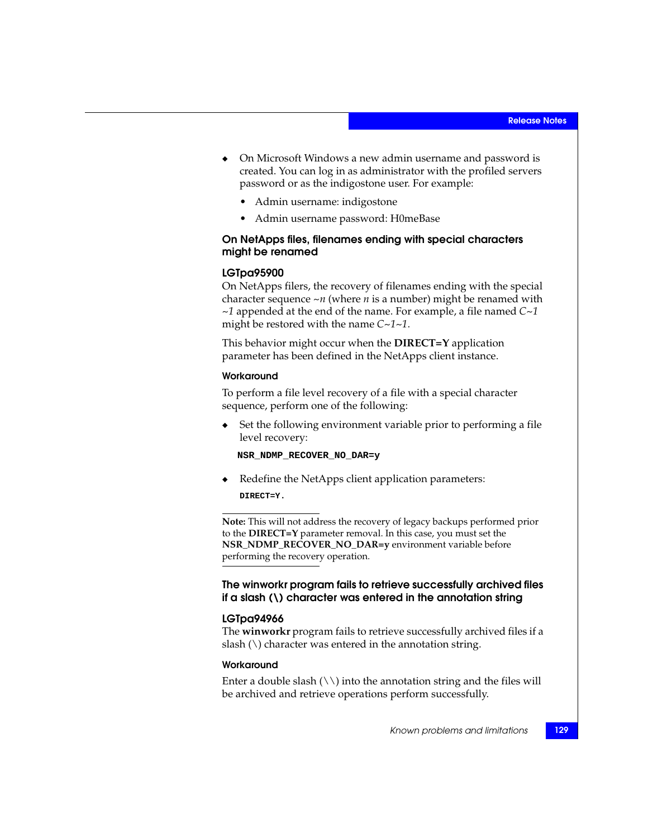- On Microsoft Windows a new admin username and password is created. You can log in as administrator with the profiled servers password or as the indigostone user. For example:
	- Admin username: indigostone
	- Admin username password: H0meBase

# **On NetApps files, filenames ending with special characters might be renamed**

#### **LGTpa95900**

On NetApps filers, the recovery of filenames ending with the special character sequence *~n* (where *n* is a number) might be renamed with *~1* appended at the end of the name. For example, a file named *C~1* might be restored with the name *C~1~1*.

This behavior might occur when the **DIRECT=Y** application parameter has been defined in the NetApps client instance.

### **Workaround**

To perform a file level recovery of a file with a special character sequence, perform one of the following:

◆ Set the following environment variable prior to performing a file level recovery:

#### **NSR\_NDMP\_RECOVER\_NO\_DAR=y**

Redefine the NetApps client application parameters: **DIRECT=Y.** 

**Note:** This will not address the recovery of legacy backups performed prior to the **DIRECT=Y** parameter removal. In this case, you must set the **NSR\_NDMP\_RECOVER\_NO\_DAR=y** environment variable before performing the recovery operation.

# **The winworkr program fails to retrieve successfully archived files if a slash (\) character was entered in the annotation string**

## **LGTpa94966**

The **winworkr** program fails to retrieve successfully archived files if a slash  $(\lambda)$  character was entered in the annotation string.

## **Workaround**

Enter a double slash  $(\setminus)$  into the annotation string and the files will be archived and retrieve operations perform successfully.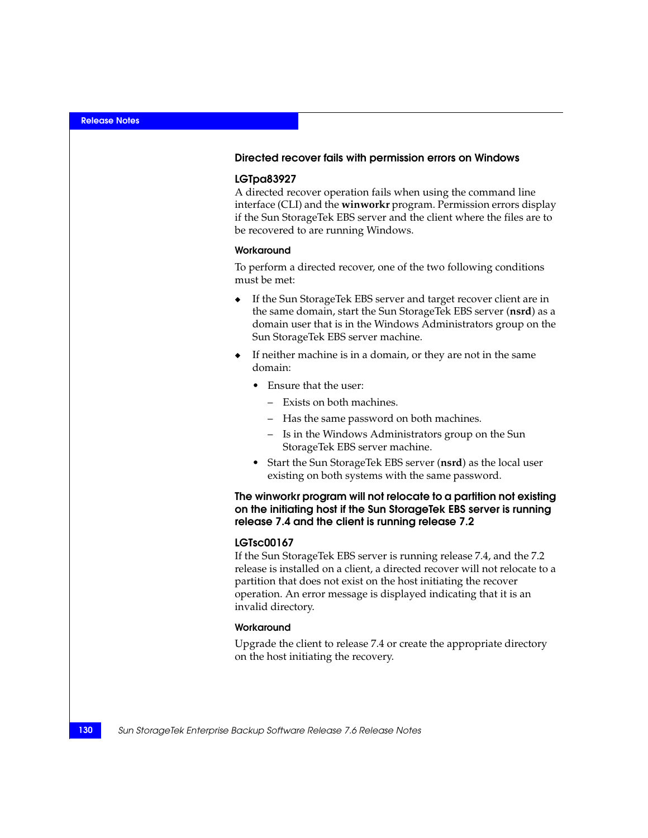#### **Directed recover fails with permission errors on Windows**

### **LGTpa83927**

A directed recover operation fails when using the command line interface (CLI) and the **winworkr** program. Permission errors display if the Sun StorageTek EBS server and the client where the files are to be recovered to are running Windows.

#### **Workaround**

To perform a directed recover, one of the two following conditions must be met:

- ◆ If the Sun StorageTek EBS server and target recover client are in the same domain, start the Sun StorageTek EBS server (**nsrd**) as a domain user that is in the Windows Administrators group on the Sun StorageTek EBS server machine.
- ◆ If neither machine is in a domain, or they are not in the same domain:
	- Ensure that the user:
		- Exists on both machines.
		- Has the same password on both machines.
		- Is in the Windows Administrators group on the Sun StorageTek EBS server machine.
	- Start the Sun StorageTek EBS server (**nsrd**) as the local user existing on both systems with the same password.

**The winworkr program will not relocate to a partition not existing on the initiating host if the Sun StorageTek EBS server is running release 7.4 and the client is running release 7.2**

### **LGTsc00167**

If the Sun StorageTek EBS server is running release 7.4, and the 7.2 release is installed on a client, a directed recover will not relocate to a partition that does not exist on the host initiating the recover operation. An error message is displayed indicating that it is an invalid directory.

## **Workaround**

Upgrade the client to release 7.4 or create the appropriate directory on the host initiating the recovery.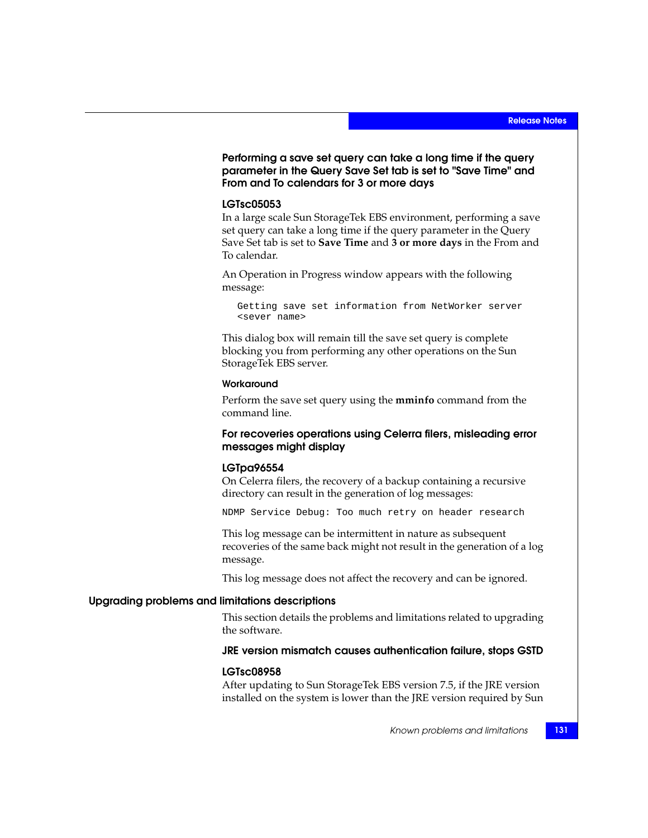**Performing a save set query can take a long time if the query parameter in the Query Save Set tab is set to "Save Time" and From and To calendars for 3 or more days**

### **LGTsc05053**

In a large scale Sun StorageTek EBS environment, performing a save set query can take a long time if the query parameter in the Query Save Set tab is set to **Save Time** and **3 or more days** in the From and To calendar.

An Operation in Progress window appears with the following message:

Getting save set information from NetWorker server <sever name>

This dialog box will remain till the save set query is complete blocking you from performing any other operations on the Sun StorageTek EBS server.

#### **Workaround**

Perform the save set query using the **mminfo** command from the command line.

## **For recoveries operations using Celerra filers, misleading error messages might display**

### **LGTpa96554**

On Celerra filers, the recovery of a backup containing a recursive directory can result in the generation of log messages:

NDMP Service Debug: Too much retry on header research

This log message can be intermittent in nature as subsequent recoveries of the same back might not result in the generation of a log message.

This log message does not affect the recovery and can be ignored.

### **Upgrading problems and limitations descriptions**

This section details the problems and limitations related to upgrading the software.

#### **JRE version mismatch causes authentication failure, stops GSTD**

#### **LGTsc08958**

After updating to Sun StorageTek EBS version 7.5, if the JRE version installed on the system is lower than the JRE version required by Sun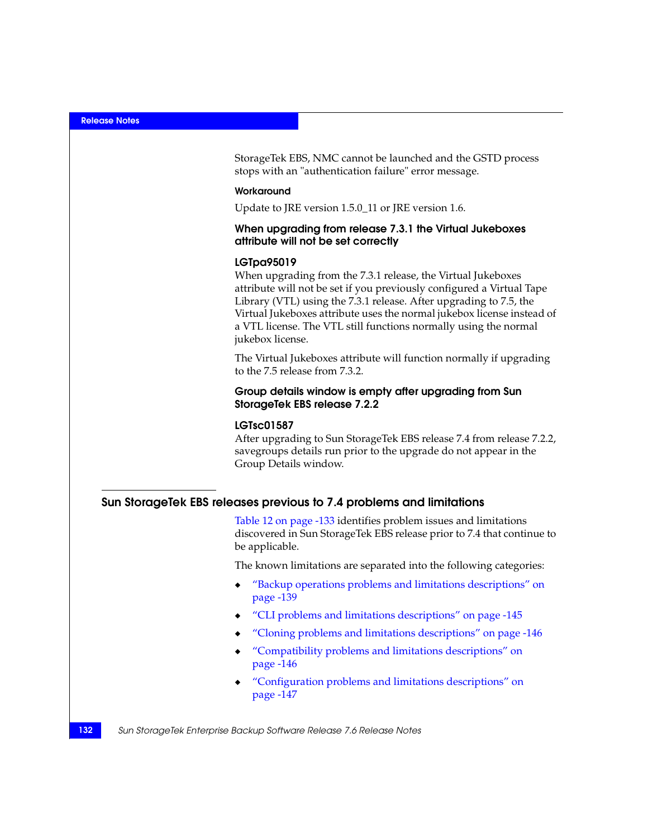StorageTek EBS, NMC cannot be launched and the GSTD process stops with an "authentication failure" error message.

### **Workaround**

Update to JRE version 1.5.0\_11 or JRE version 1.6.

# **When upgrading from release 7.3.1 the Virtual Jukeboxes attribute will not be set correctly**

#### **LGTpa95019**

When upgrading from the 7.3.1 release, the Virtual Jukeboxes attribute will not be set if you previously configured a Virtual Tape Library (VTL) using the 7.3.1 release. After upgrading to 7.5, the Virtual Jukeboxes attribute uses the normal jukebox license instead of a VTL license. The VTL still functions normally using the normal jukebox license.

The Virtual Jukeboxes attribute will function normally if upgrading to the 7.5 release from 7.3.2.

## **Group details window is empty after upgrading from Sun StorageTek EBS release 7.2.2**

#### **LGTsc01587**

After upgrading to Sun StorageTek EBS release 7.4 from release 7.2.2, savegroups details run prior to the upgrade do not appear in the Group Details window.

## **Sun StorageTek EBS releases previous to 7.4 problems and limitations**

[Table 12 on page -133](#page-132-0) identifies problem issues and limitations discovered in Sun StorageTek EBS release prior to 7.4 that continue to be applicable.

The known limitations are separated into the following categories:

- "Backup operations problems and limitations descriptions" on [page -139](#page-138-0)
- ◆ ["CLI problems and limitations descriptions" on page -145](#page-144-0)
- ◆ ["Cloning problems and limitations descriptions" on page -146](#page-145-0)
- ◆ ["Compatibility problems and limitations descriptions" on](#page-145-1)  [page -146](#page-145-1)
- ◆ ["Configuration problems and limitations descriptions" on](#page-146-0)  [page -147](#page-146-0)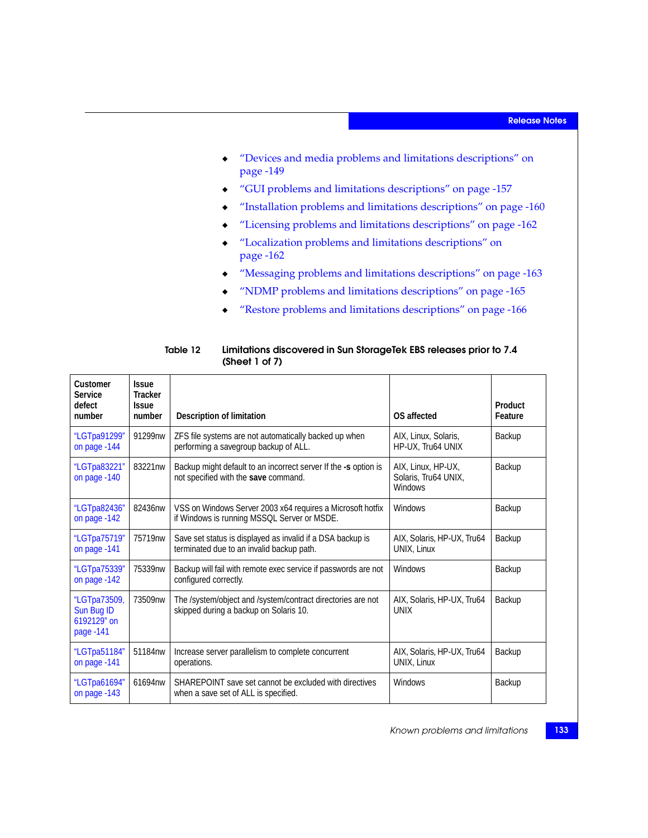- "Devices and media problems and limitations descriptions" on [page -149](#page-148-0)
- ◆ ["GUI problems and limitations descriptions" on page -157](#page-156-0)
- ["Installation problems and limitations descriptions" on page -160](#page-159-0)
- ◆ ["Licensing problems and limitations descriptions" on page -162](#page-161-0)
- ◆ ["Localization problems and limitations descriptions" on](#page-161-1)  [page -162](#page-161-1)
- ["Messaging problems and limitations descriptions" on page -163](#page-162-0)
- ◆ ["NDMP problems and limitations descriptions" on page -165](#page-164-0)
- ["Restore problems and limitations descriptions" on page -166](#page-165-0)

| Table 12 | Limitations discovered in Sun StorageTek EBS releases prior to 7.4 |
|----------|--------------------------------------------------------------------|
|          | (Sheet 1 of 7)                                                     |

<span id="page-132-0"></span>

| <b>Customer</b><br>Service<br>defect<br>number         | <b>Issue</b><br><b>Tracker</b><br><b>Issue</b><br>number | <b>Description of limitation</b>                                                                          | <b>OS</b> affected                                    | Product<br><b>Feature</b> |
|--------------------------------------------------------|----------------------------------------------------------|-----------------------------------------------------------------------------------------------------------|-------------------------------------------------------|---------------------------|
| "LGTpa91299"<br>on page -144                           | 91299nw                                                  | ZFS file systems are not automatically backed up when<br>performing a savegroup backup of ALL.            | AIX, Linux, Solaris,<br>HP-UX, Tru64 UNIX             | Backup                    |
| "LGTpa83221"<br>on page -140                           | 83221nw                                                  | Backup might default to an incorrect server If the -s option is<br>not specified with the save command.   | AIX, Linux, HP-UX,<br>Solaris, Tru64 UNIX,<br>Windows | Backup                    |
| "LGTpa82436"<br>on page -142                           | 82436nw                                                  | VSS on Windows Server 2003 x64 requires a Microsoft hotfix<br>if Windows is running MSSQL Server or MSDE. | Windows                                               | Backup                    |
| "LGTpa75719"<br>on page -141                           | 75719nw                                                  | Save set status is displayed as invalid if a DSA backup is<br>terminated due to an invalid backup path.   | AIX, Solaris, HP-UX, Tru64<br>UNIX, Linux             | Backup                    |
| "LGTpa75339"<br>on page -142                           | 75339nw                                                  | Backup will fail with remote exec service if passwords are not<br>configured correctly.                   | Windows                                               | Backup                    |
| "LGTpa73509,<br>Sun Bug ID<br>6192129" on<br>page -141 | 73509nw                                                  | The /system/object and /system/contract directories are not<br>skipped during a backup on Solaris 10.     | AIX, Solaris, HP-UX, Tru64<br><b>UNIX</b>             | Backup                    |
| "LGTpa51184"<br>on page -141                           | 51184nw                                                  | Increase server parallelism to complete concurrent<br>operations.                                         | AIX, Solaris, HP-UX, Tru64<br>UNIX, Linux             | Backup                    |
| "LGTpa61694"<br>on page -143                           | 61694nw                                                  | SHAREPOINT save set cannot be excluded with directives<br>when a save set of ALL is specified.            | Windows                                               | Backup                    |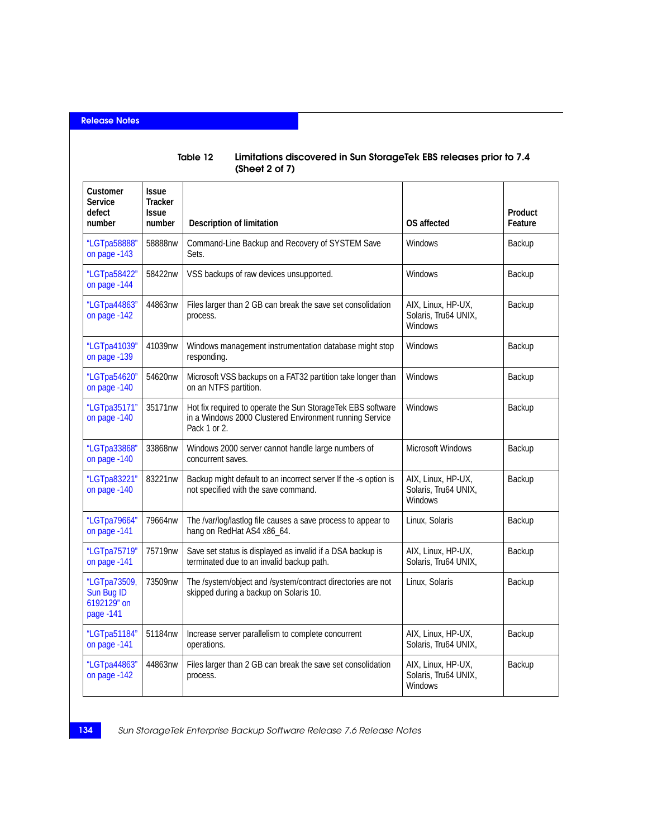**Table 12 Limitations discovered in Sun StorageTek EBS releases prior to 7.4 (Sheet 2 of 7)**

| <b>Customer</b><br>Service<br>defect<br>number         | <b>Issue</b><br>Tracker<br><b>Issue</b><br>number | <b>Description of limitation</b>                                                                                                       | OS affected                                                  | <b>Product</b><br><b>Feature</b> |
|--------------------------------------------------------|---------------------------------------------------|----------------------------------------------------------------------------------------------------------------------------------------|--------------------------------------------------------------|----------------------------------|
| "LGTpa58888"<br>on page -143                           | 58888nw                                           | Command-Line Backup and Recovery of SYSTEM Save<br>Sets.                                                                               | Windows                                                      | Backup                           |
| "LGTpa58422"<br>on page -144                           | 58422nw                                           | VSS backups of raw devices unsupported.                                                                                                | <b>Windows</b>                                               | Backup                           |
| "LGTpa44863"<br>on page -142                           | 44863nw                                           | Files larger than 2 GB can break the save set consolidation<br>process.                                                                | AIX, Linux, HP-UX,<br>Solaris, Tru64 UNIX,<br>Windows        | Backup                           |
| "LGTpa41039"<br>on page -139                           | 41039nw                                           | Windows management instrumentation database might stop<br>responding.                                                                  | <b>Windows</b>                                               | Backup                           |
| "LGTpa54620"<br>on page -140                           | 54620nw                                           | Microsoft VSS backups on a FAT32 partition take longer than<br>on an NTFS partition.                                                   | Windows                                                      | Backup                           |
| "LGTpa35171"<br>on page -140                           | 35171nw                                           | Hot fix required to operate the Sun StorageTek EBS software<br>in a Windows 2000 Clustered Environment running Service<br>Pack 1 or 2. | Windows                                                      | Backup                           |
| "LGTpa33868"<br>on page -140                           | 33868nw                                           | Windows 2000 server cannot handle large numbers of<br>concurrent saves.                                                                | Microsoft Windows                                            | Backup                           |
| "LGTpa83221"<br>on page -140                           | 83221nw                                           | Backup might default to an incorrect server If the -s option is<br>not specified with the save command.                                | AIX, Linux, HP-UX,<br>Solaris, Tru64 UNIX,<br><b>Windows</b> | Backup                           |
| "LGTpa79664"<br>on page -141                           | 79664nw                                           | The /var/log/lastlog file causes a save process to appear to<br>hang on RedHat AS4 x86_64.                                             | Linux, Solaris                                               | Backup                           |
| "LGTpa75719"<br>on page -141                           | 75719nw                                           | Save set status is displayed as invalid if a DSA backup is<br>terminated due to an invalid backup path.                                | AIX, Linux, HP-UX,<br>Solaris, Tru64 UNIX,                   | Backup                           |
| "LGTpa73509,<br>Sun Bug ID<br>6192129" on<br>page -141 | 73509nw                                           | The /system/object and /system/contract directories are not<br>skipped during a backup on Solaris 10.                                  | Linux, Solaris                                               | Backup                           |
| "LGTpa51184"<br>on page -141                           | 51184nw                                           | Increase server parallelism to complete concurrent<br>operations.                                                                      | AIX, Linux, HP-UX,<br>Solaris, Tru64 UNIX,                   | Backup                           |
| "LGTpa44863"<br>on page -142                           | 44863nw                                           | Files larger than 2 GB can break the save set consolidation<br>process.                                                                | AIX, Linux, HP-UX,<br>Solaris, Tru64 UNIX,<br>Windows        | Backup                           |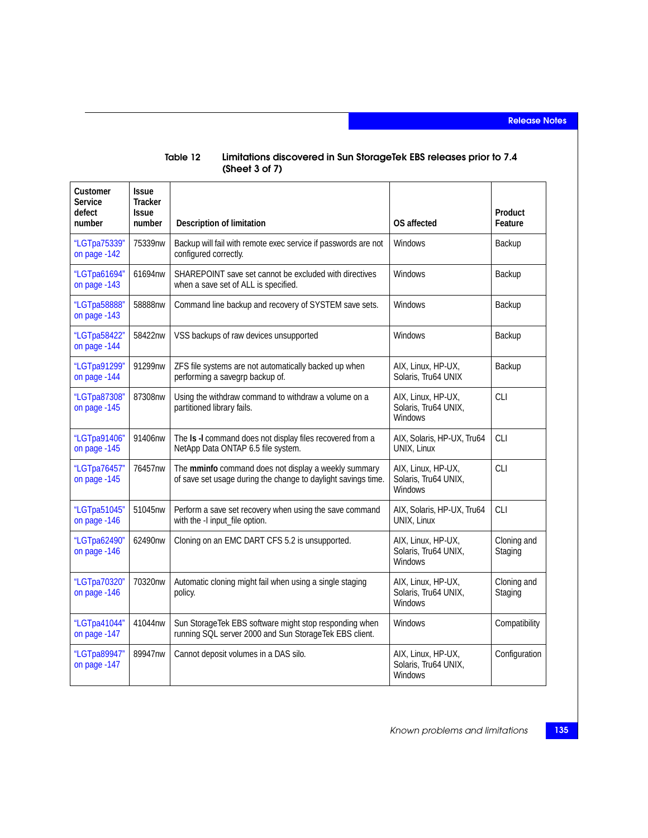| Table 12 | Limitations discovered in Sun StorageTek EBS releases prior to 7.4 |
|----------|--------------------------------------------------------------------|
|          | (Sheet 3 of 7)                                                     |

| <b>Customer</b><br>Service<br>defect<br>number | <b>Issue</b><br><b>Tracker</b><br>Issue<br>number | <b>Description of limitation</b>                                                                                      | OS affected                                                  | Product<br><b>Feature</b> |
|------------------------------------------------|---------------------------------------------------|-----------------------------------------------------------------------------------------------------------------------|--------------------------------------------------------------|---------------------------|
| "LGTpa75339"<br>on page -142                   | 75339nw                                           | Backup will fail with remote exec service if passwords are not<br>configured correctly.                               | Windows                                                      | Backup                    |
| "LGTpa61694"<br>on page -143                   | 61694nw                                           | SHAREPOINT save set cannot be excluded with directives<br>when a save set of ALL is specified.                        | Windows                                                      | Backup                    |
| "LGTpa58888"<br>on page -143                   | 58888nw                                           | Command line backup and recovery of SYSTEM save sets.                                                                 | Windows                                                      | Backup                    |
| "LGTpa58422"<br>on page -144                   | 58422nw                                           | VSS backups of raw devices unsupported                                                                                | Windows                                                      | Backup                    |
| "LGTpa91299"<br>on page -144                   | 91299nw                                           | ZFS file systems are not automatically backed up when<br>performing a savegrp backup of.                              | AIX, Linux, HP-UX,<br>Solaris, Tru64 UNIX                    | Backup                    |
| "LGTpa87308"<br>on page -145                   | 87308nw                                           | Using the withdraw command to withdraw a volume on a<br>partitioned library fails.                                    | AIX, Linux, HP-UX,<br>Solaris, Tru64 UNIX,<br>Windows        | <b>CLI</b>                |
| "LGTpa91406"<br>on page -145                   | 91406nw                                           | The Is -I command does not display files recovered from a<br>NetApp Data ONTAP 6.5 file system.                       | AIX, Solaris, HP-UX, Tru64<br>UNIX, Linux                    | <b>CLI</b>                |
| "LGTpa76457"<br>on page -145                   | 76457nw                                           | The mminfo command does not display a weekly summary<br>of save set usage during the change to daylight savings time. | AIX, Linux, HP-UX,<br>Solaris, Tru64 UNIX,<br><b>Windows</b> | CLI                       |
| "LGTpa51045"<br>on page -146                   | 51045nw                                           | Perform a save set recovery when using the save command<br>with the -I input file option.                             | AIX, Solaris, HP-UX, Tru64<br>UNIX, Linux                    | <b>CLI</b>                |
| "LGTpa62490"<br>on page -146                   | 62490nw                                           | Cloning on an EMC DART CFS 5.2 is unsupported.                                                                        | AIX, Linux, HP-UX,<br>Solaris, Tru64 UNIX,<br>Windows        | Cloning and<br>Staging    |
| "LGTpa70320"<br>on page -146                   | 70320nw                                           | Automatic cloning might fail when using a single staging<br>policy.                                                   | AIX, Linux, HP-UX,<br>Solaris, Tru64 UNIX,<br><b>Windows</b> | Cloning and<br>Staging    |
| "LGTpa41044"<br>on page -147                   | 41044nw                                           | Sun StorageTek EBS software might stop responding when<br>running SQL server 2000 and Sun StorageTek EBS client.      | Windows                                                      | Compatibility             |
| "LGTpa89947"<br>on page -147                   | 89947nw                                           | Cannot deposit volumes in a DAS silo.                                                                                 | AIX, Linux, HP-UX,<br>Solaris, Tru64 UNIX,<br>Windows        | Configuration             |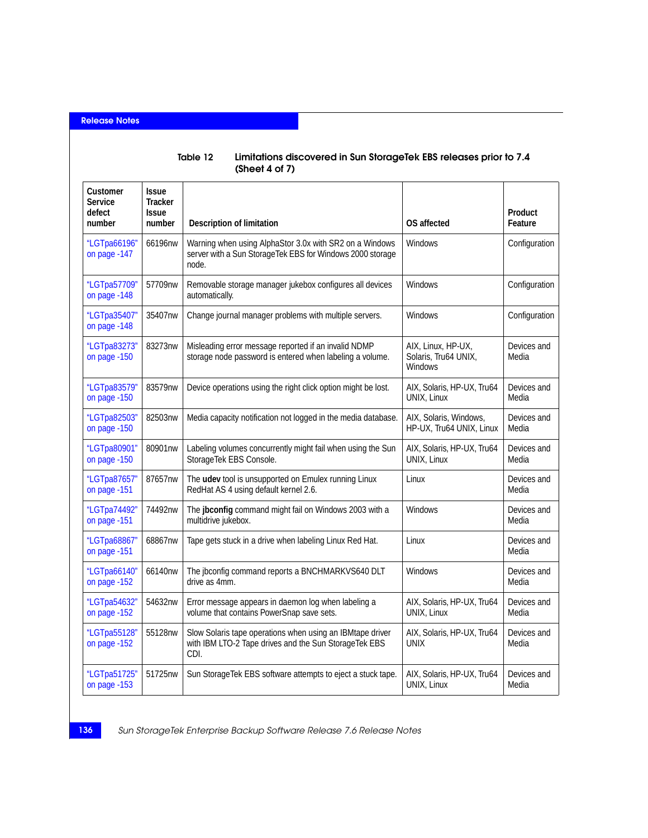| Table 12 | Limitations discovered in Sun StorageTek EBS releases prior to 7.4 |
|----------|--------------------------------------------------------------------|
|          | (Sheet 4 of 7)                                                     |

| <b>Customer</b><br>Service<br>defect<br>number | <b>Issue</b><br><b>Tracker</b><br><b>Issue</b><br>number | <b>Description of limitation</b>                                                                                               | <b>OS</b> affected                                    | <b>Product</b><br><b>Feature</b> |
|------------------------------------------------|----------------------------------------------------------|--------------------------------------------------------------------------------------------------------------------------------|-------------------------------------------------------|----------------------------------|
| "LGTpa66196"<br>on page -147                   | 66196nw                                                  | Warning when using AlphaStor 3.0x with SR2 on a Windows<br>server with a Sun Storage Tek EBS for Windows 2000 storage<br>node. | Windows                                               | Configuration                    |
| "LGTpa57709"<br>on page -148                   | 57709nw                                                  | Removable storage manager jukebox configures all devices<br>automatically.                                                     | Windows                                               | Configuration                    |
| "LGTpa35407"<br>on page -148                   | 35407nw                                                  | Change journal manager problems with multiple servers.                                                                         | Windows                                               | Configuration                    |
| "LGTpa83273"<br>on page -150                   | 83273nw                                                  | Misleading error message reported if an invalid NDMP<br>storage node password is entered when labeling a volume.               | AIX, Linux, HP-UX,<br>Solaris, Tru64 UNIX,<br>Windows | Devices and<br>Media             |
| "LGTpa83579"<br>on page -150                   | 83579nw                                                  | Device operations using the right click option might be lost.                                                                  | AIX, Solaris, HP-UX, Tru64<br>UNIX, Linux             | Devices and<br>Media             |
| "LGTpa82503"<br>on page -150                   | 82503nw                                                  | Media capacity notification not logged in the media database.                                                                  | AIX, Solaris, Windows,<br>HP-UX, Tru64 UNIX, Linux    | Devices and<br>Media             |
| "LGTpa80901"<br>on page -150                   | 80901nw                                                  | Labeling volumes concurrently might fail when using the Sun<br>StorageTek EBS Console.                                         | AIX, Solaris, HP-UX, Tru64<br>UNIX, Linux             | Devices and<br>Media             |
| "LGTpa87657"<br>on page -151                   | 87657nw                                                  | The udev tool is unsupported on Emulex running Linux<br>RedHat AS 4 using default kernel 2.6.                                  | Linux                                                 | Devices and<br>Media             |
| "LGTpa74492"<br>on page -151                   | 74492nw                                                  | The jbconfig command might fail on Windows 2003 with a<br>multidrive jukebox.                                                  | Windows                                               | Devices and<br>Media             |
| "LGTpa68867"<br>on page -151                   | 68867nw                                                  | Tape gets stuck in a drive when labeling Linux Red Hat.                                                                        | Linux                                                 | Devices and<br>Media             |
| "LGTpa66140"<br>on page -152                   | 66140nw                                                  | The jbconfig command reports a BNCHMARKVS640 DLT<br>drive as 4mm.                                                              | Windows                                               | Devices and<br>Media             |
| "LGTpa54632"<br>on page -152                   | 54632nw                                                  | Error message appears in daemon log when labeling a<br>volume that contains PowerSnap save sets.                               | AIX, Solaris, HP-UX, Tru64<br>UNIX, Linux             | Devices and<br>Media             |
| "LGTpa55128"<br>on page -152                   | 55128nw                                                  | Slow Solaris tape operations when using an IBMtape driver<br>with IBM LTO-2 Tape drives and the Sun StorageTek EBS<br>CDI.     | AIX, Solaris, HP-UX, Tru64<br><b>UNIX</b>             | Devices and<br>Media             |
| "LGTpa51725"<br>on page -153                   | 51725nw                                                  | Sun StorageTek EBS software attempts to eject a stuck tape.                                                                    | AIX, Solaris, HP-UX, Tru64<br>UNIX, Linux             | Devices and<br>Media             |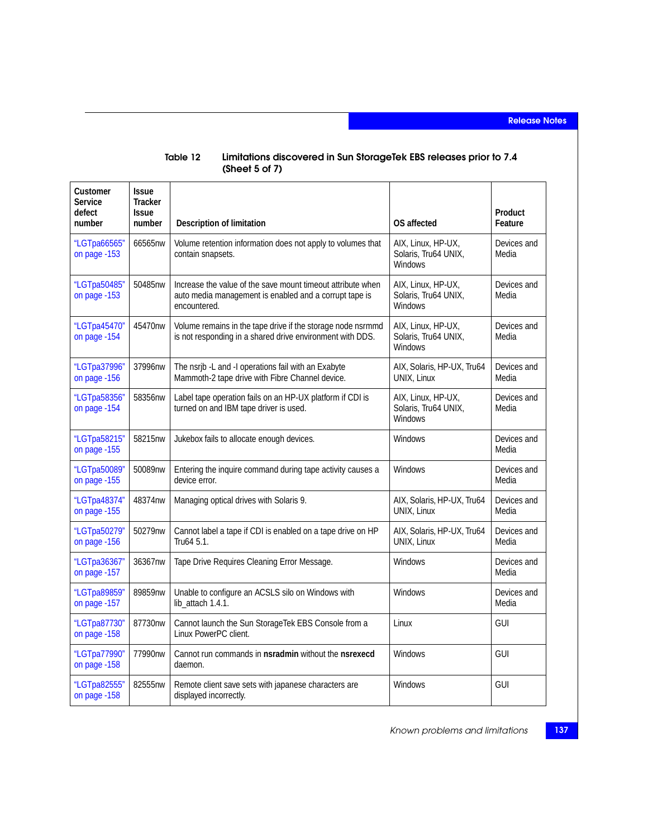| <b>Customer</b><br><b>Service</b><br>defect<br>number | <b>Issue</b><br><b>Tracker</b><br><b>Issue</b><br>number | <b>Description of limitation</b>                                                                                                      | <b>OS</b> affected                                           | <b>Product</b><br>Feature |
|-------------------------------------------------------|----------------------------------------------------------|---------------------------------------------------------------------------------------------------------------------------------------|--------------------------------------------------------------|---------------------------|
| "LGTpa66565"<br>on page -153                          | 66565nw                                                  | Volume retention information does not apply to volumes that<br>contain snapsets.                                                      | AIX, Linux, HP-UX,<br>Solaris, Tru64 UNIX,<br>Windows        | Devices and<br>Media      |
| "LGTpa50485"<br>on page -153                          | 50485nw                                                  | Increase the value of the save mount timeout attribute when<br>auto media management is enabled and a corrupt tape is<br>encountered. | AIX, Linux, HP-UX,<br>Solaris, Tru64 UNIX,<br><b>Windows</b> | Devices and<br>Media      |
| "LGTpa45470"<br>on page -154                          | 45470nw                                                  | Volume remains in the tape drive if the storage node nsrmmd<br>is not responding in a shared drive environment with DDS.              | AIX, Linux, HP-UX,<br>Solaris, Tru64 UNIX,<br>Windows        | Devices and<br>Media      |
| "LGTpa37996"<br>on page -156                          | 37996nw                                                  | The nsrjb -L and -I operations fail with an Exabyte<br>Mammoth-2 tape drive with Fibre Channel device.                                | AIX, Solaris, HP-UX, Tru64<br>UNIX, Linux                    | Devices and<br>Media      |
| "LGTpa58356"<br>on page -154                          | 58356nw                                                  | Label tape operation fails on an HP-UX platform if CDI is<br>turned on and IBM tape driver is used.                                   | AIX, Linux, HP-UX,<br>Solaris, Tru64 UNIX,<br>Windows        | Devices and<br>Media      |
| "LGTpa58215"<br>on page -155                          | 58215nw                                                  | Jukebox fails to allocate enough devices.                                                                                             | <b>Windows</b>                                               | Devices and<br>Media      |
| "LGTpa50089"<br>on page -155                          | 50089nw                                                  | Entering the inquire command during tape activity causes a<br>device error.                                                           | Windows                                                      | Devices and<br>Media      |
| "LGTpa48374"<br>on page -155                          | 48374nw                                                  | Managing optical drives with Solaris 9.                                                                                               | AIX, Solaris, HP-UX, Tru64<br>UNIX, Linux                    | Devices and<br>Media      |
| "LGTpa50279"<br>on page -156                          | 50279nw                                                  | Cannot label a tape if CDI is enabled on a tape drive on HP<br>Tru64 5.1.                                                             | AIX, Solaris, HP-UX, Tru64<br>UNIX, Linux                    | Devices and<br>Media      |
| "LGTpa36367"<br>on page -157                          | 36367nw                                                  | Tape Drive Requires Cleaning Error Message.                                                                                           | Windows                                                      | Devices and<br>Media      |
| "LGTpa89859"<br>on page -157                          | 89859nw                                                  | Unable to configure an ACSLS silo on Windows with<br>lib_attach 1.4.1.                                                                | Windows                                                      | Devices and<br>Media      |
| "LGTpa87730"<br>on page -158                          | 87730nw                                                  | Cannot launch the Sun StorageTek EBS Console from a<br>Linux PowerPC client.                                                          | Linux                                                        | <b>GUI</b>                |
| "LGTpa77990"<br>on page -158                          | 77990nw                                                  | Cannot run commands in <b>nsradmin</b> without the <b>nsrexecd</b><br>daemon.                                                         | Windows                                                      | GUI                       |
| "LGTpa82555"<br>on page -158                          | 82555nw                                                  | Remote client save sets with japanese characters are<br>displayed incorrectly.                                                        | Windows                                                      | GUI                       |

# **Table 12 Limitations discovered in Sun StorageTek EBS releases prior to 7.4 (Sheet 5 of 7)**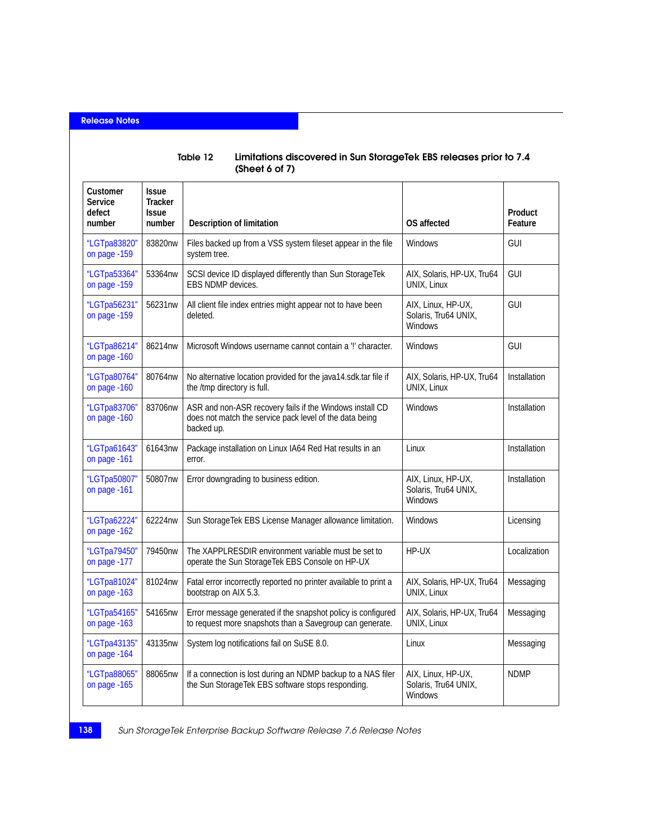**Table 12 Limitations discovered in Sun StorageTek EBS releases prior to 7.4 (Sheet 6 of 7)**

| <b>Customer</b><br><b>Service</b><br>defect<br>number | <b>Issue</b><br><b>Tracker</b><br><b>Issue</b><br>number | <b>Description of limitation</b>                                                                                                  | <b>OS</b> affected                                           | <b>Product</b><br>Feature |
|-------------------------------------------------------|----------------------------------------------------------|-----------------------------------------------------------------------------------------------------------------------------------|--------------------------------------------------------------|---------------------------|
| "LGTpa83820"<br>on page -159                          | 83820nw                                                  | Files backed up from a VSS system fileset appear in the file<br>system tree.                                                      | Windows                                                      | GUI                       |
| "LGTpa53364"<br>on page -159                          | 53364nw                                                  | SCSI device ID displayed differently than Sun StorageTek<br>EBS NDMP devices.                                                     | AIX, Solaris, HP-UX, Tru64<br>UNIX, Linux                    | GUI                       |
| "LGTpa56231"<br>on page -159                          | 56231nw                                                  | All client file index entries might appear not to have been<br>deleted.                                                           | AIX, Linux, HP-UX,<br>Solaris, Tru64 UNIX,<br><b>Windows</b> | <b>GUI</b>                |
| "LGTpa86214"<br>on page -160                          | 86214nw                                                  | Microsoft Windows username cannot contain a "!' character.                                                                        | <b>Windows</b>                                               | GUI                       |
| "LGTpa80764"<br>on page -160                          | 80764nw                                                  | No alternative location provided for the java14.sdk.tar file if<br>the /tmp directory is full.                                    | AIX, Solaris, HP-UX, Tru64<br>UNIX, Linux                    | Installation              |
| "LGTpa83706"<br>on page -160                          | 83706nw                                                  | ASR and non-ASR recovery fails if the Windows install CD<br>does not match the service pack level of the data being<br>backed up. | <b>Windows</b>                                               | Installation              |
| "LGTpa61643"<br>on page -161                          | 61643nw                                                  | Package installation on Linux IA64 Red Hat results in an<br>error.                                                                | Linux                                                        | Installation              |
| "LGTpa50807"<br>on page -161                          | 50807nw                                                  | Error downgrading to business edition.                                                                                            | AIX, Linux, HP-UX,<br>Solaris, Tru64 UNIX,<br><b>Windows</b> | Installation              |
| "LGTpa62224"<br>on page -162                          | 62224nw                                                  | Sun StorageTek EBS License Manager allowance limitation.                                                                          | <b>Windows</b>                                               | Licensing                 |
| "LGTpa79450"<br>on page -177                          | 79450nw                                                  | The XAPPLRESDIR environment variable must be set to<br>operate the Sun StorageTek EBS Console on HP-UX                            | HP-UX                                                        | Localization              |
| "LGTpa81024"<br>on page -163                          | 81024nw                                                  | Fatal error incorrectly reported no printer available to print a<br>bootstrap on AIX 5.3.                                         | AIX, Solaris, HP-UX, Tru64<br>UNIX, Linux                    | Messaging                 |
| "LGTpa54165"<br>on page -163                          | 54165nw                                                  | Error message generated if the snapshot policy is configured<br>to request more snapshots than a Savegroup can generate.          | AIX, Solaris, HP-UX, Tru64<br>UNIX, Linux                    | Messaging                 |
| "LGTpa43135"<br>on page -164                          | 43135nw                                                  | System log notifications fail on SuSE 8.0.                                                                                        | Linux                                                        | Messaging                 |
| "LGTpa88065"<br>on page -165                          | 88065nw                                                  | If a connection is lost during an NDMP backup to a NAS filer<br>the Sun StorageTek EBS software stops responding.                 | AIX, Linux, HP-UX,<br>Solaris, Tru64 UNIX,<br><b>Windows</b> | <b>NDMP</b>               |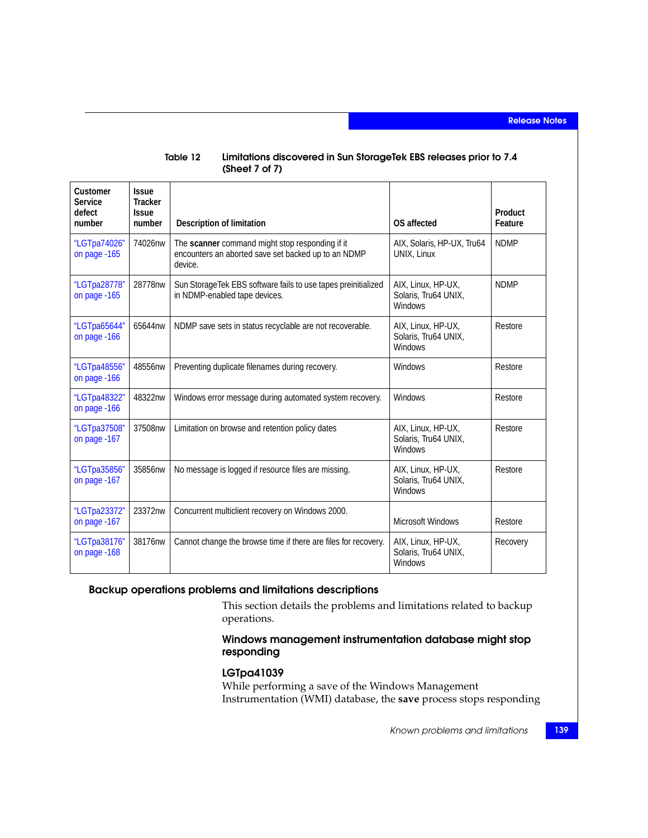| <b>Customer</b><br><b>Service</b><br>defect<br>number | <b>Issue</b><br><b>Tracker</b><br><b>Issue</b><br>number | <b>Description of limitation</b>                                                                                  | <b>OS affected</b>                                    | <b>Product</b><br>Feature |
|-------------------------------------------------------|----------------------------------------------------------|-------------------------------------------------------------------------------------------------------------------|-------------------------------------------------------|---------------------------|
| "LGTpa74026"<br>on page -165                          | 74026nw                                                  | The scanner command might stop responding if it<br>encounters an aborted save set backed up to an NDMP<br>device. | AIX, Solaris, HP-UX, Tru64<br>UNIX, Linux             | <b>NDMP</b>               |
| "LGTpa28778"<br>on page -165                          | 28778nw                                                  | Sun Storage Tek EBS software fails to use tapes preinitialized<br>in NDMP-enabled tape devices.                   | AIX, Linux, HP-UX,<br>Solaris, Tru64 UNIX,<br>Windows | <b>NDMP</b>               |
| "LGTpa65644"<br>on page -166                          | 65644nw                                                  | NDMP save sets in status recyclable are not recoverable.                                                          | AIX, Linux, HP-UX,<br>Solaris, Tru64 UNIX,<br>Windows | Restore                   |
| "LGTpa48556"<br>on page -166                          | 48556nw                                                  | Preventing duplicate filenames during recovery.                                                                   | Windows                                               | Restore                   |
| "LGTpa48322"<br>on page -166                          | 48322nw                                                  | Windows error message during automated system recovery.                                                           | Windows                                               | Restore                   |
| "LGTpa37508"<br>on page -167                          | 37508nw                                                  | Limitation on browse and retention policy dates                                                                   | AIX, Linux, HP-UX,<br>Solaris, Tru64 UNIX,<br>Windows | Restore                   |
| "LGTpa35856"<br>on page -167                          | 35856nw                                                  | No message is logged if resource files are missing.                                                               | AIX, Linux, HP-UX,<br>Solaris, Tru64 UNIX,<br>Windows | Restore                   |
| "LGTpa23372"<br>on page -167                          | 23372nw                                                  | Concurrent multiclient recovery on Windows 2000.                                                                  | Microsoft Windows                                     | Restore                   |
| "LGTpa38176"<br>on page -168                          | 38176nw                                                  | Cannot change the browse time if there are files for recovery.                                                    | AIX, Linux, HP-UX,<br>Solaris, Tru64 UNIX,<br>Windows | Recovery                  |

## **Table 12 Limitations discovered in Sun StorageTek EBS releases prior to 7.4 (Sheet 7 of 7)**

# <span id="page-138-0"></span>**Backup operations problems and limitations descriptions**

This section details the problems and limitations related to backup operations.

# **Windows management instrumentation database might stop responding**

# <span id="page-138-1"></span>**LGTpa41039**

While performing a save of the Windows Management Instrumentation (WMI) database, the **save** process stops responding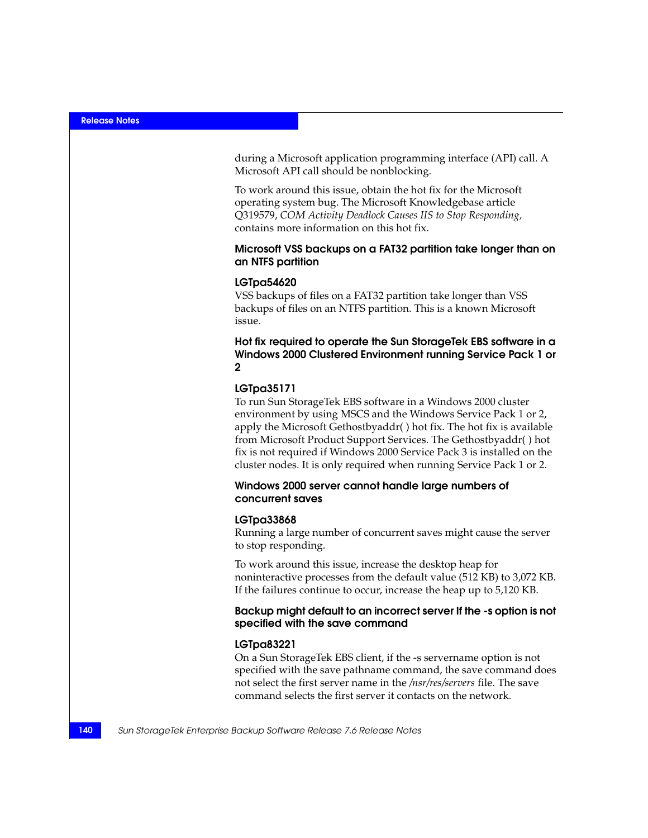during a Microsoft application programming interface (API) call. A Microsoft API call should be nonblocking.

To work around this issue, obtain the hot fix for the Microsoft operating system bug. The Microsoft Knowledgebase article Q319579, *COM Activity Deadlock Causes IIS to Stop Responding,*  contains more information on this hot fix.

# **Microsoft VSS backups on a FAT32 partition take longer than on an NTFS partition**

## <span id="page-139-1"></span>**LGTpa54620**

VSS backups of files on a FAT32 partition take longer than VSS backups of files on an NTFS partition. This is a known Microsoft issue.

# **Hot fix required to operate the Sun StorageTek EBS software in a Windows 2000 Clustered Environment running Service Pack 1 or 2**

## <span id="page-139-2"></span>**LGTpa35171**

To run Sun StorageTek EBS software in a Windows 2000 cluster environment by using MSCS and the Windows Service Pack 1 or 2, apply the Microsoft Gethostbyaddr( ) hot fix. The hot fix is available from Microsoft Product Support Services. The Gethostbyaddr( ) hot fix is not required if Windows 2000 Service Pack 3 is installed on the cluster nodes. It is only required when running Service Pack 1 or 2.

# **Windows 2000 server cannot handle large numbers of concurrent saves**

### <span id="page-139-3"></span>**LGTpa33868**

Running a large number of concurrent saves might cause the server to stop responding.

To work around this issue, increase the desktop heap for noninteractive processes from the default value (512 KB) to 3,072 KB. If the failures continue to occur, increase the heap up to 5,120 KB.

# **Backup might default to an incorrect server If the -s option is not specified with the save command**

### <span id="page-139-0"></span>**LGTpa83221**

On a Sun StorageTek EBS client, if the -s servername option is not specified with the save pathname command, the save command does not select the first server name in the */nsr/res/servers* file. The save command selects the first server it contacts on the network.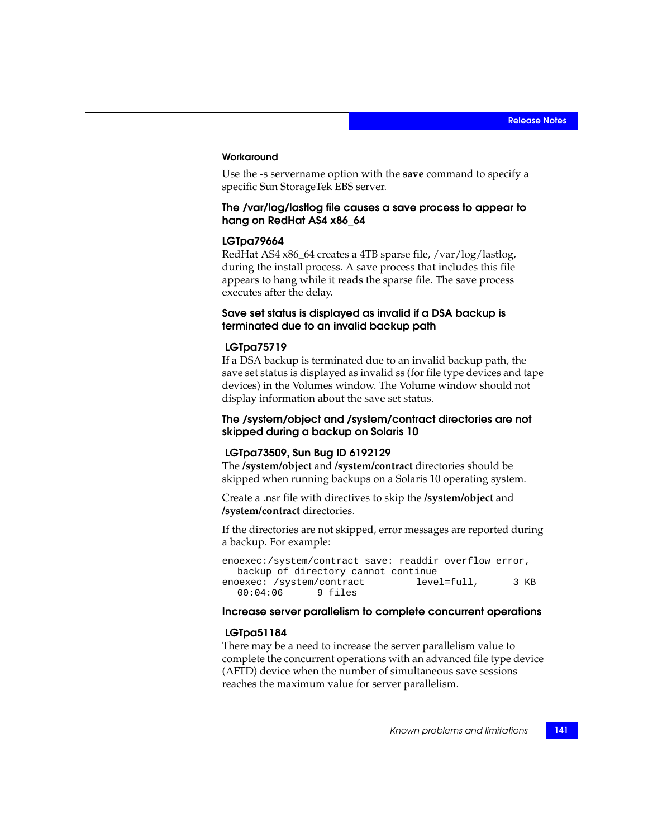### **Workaround**

Use the -s servername option with the **save** command to specify a specific Sun StorageTek EBS server.

## **The /var/log/lastlog file causes a save process to appear to hang on RedHat AS4 x86\_64**

## <span id="page-140-3"></span>**LGTpa79664**

RedHat AS4 x86\_64 creates a 4TB sparse file, /var/log/lastlog, during the install process. A save process that includes this file appears to hang while it reads the sparse file. The save process executes after the delay.

## **Save set status is displayed as invalid if a DSA backup is terminated due to an invalid backup path**

## <span id="page-140-0"></span> **LGTpa75719**

If a DSA backup is terminated due to an invalid backup path, the save set status is displayed as invalid ss (for file type devices and tape devices) in the Volumes window. The Volume window should not display information about the save set status.

# **The /system/object and /system/contract directories are not skipped during a backup on Solaris 10**

### <span id="page-140-1"></span> **LGTpa73509, Sun Bug ID 6192129**

The **/system/object** and **/system/contract** directories should be skipped when running backups on a Solaris 10 operating system.

Create a .nsr file with directives to skip the **/system/object** and **/system/contract** directories.

If the directories are not skipped, error messages are reported during a backup. For example:

| enoexec:/system/contract save: readdir overflow error, |         |             |      |
|--------------------------------------------------------|---------|-------------|------|
| backup of directory cannot continue                    |         |             |      |
| enoexec: /system/contract                              |         | level=full, | 3 KB |
| 00:04:06                                               | 9 files |             |      |

#### **Increase server parallelism to complete concurrent operations**

### <span id="page-140-2"></span> **LGTpa51184**

There may be a need to increase the server parallelism value to complete the concurrent operations with an advanced file type device (AFTD) device when the number of simultaneous save sessions reaches the maximum value for server parallelism.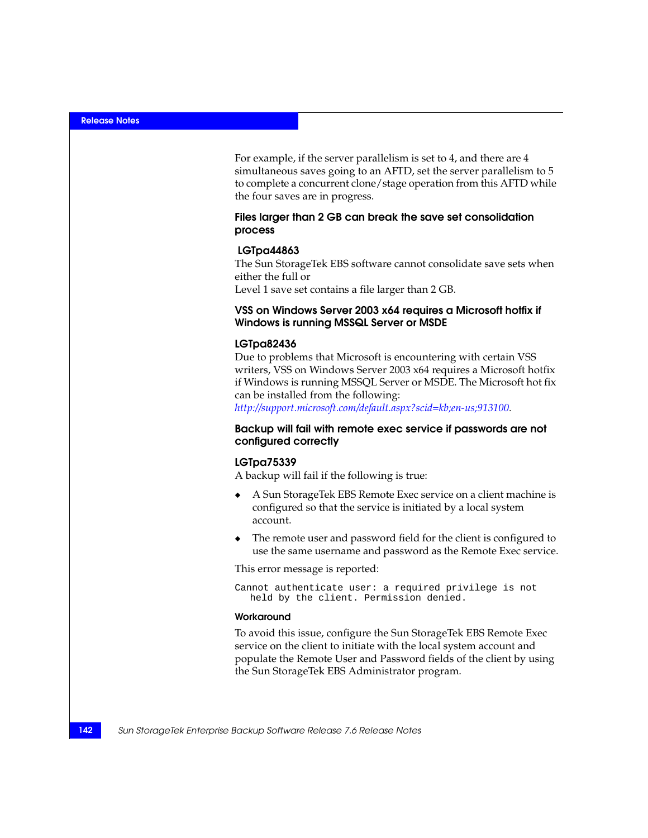For example, if the server parallelism is set to 4, and there are 4 simultaneous saves going to an AFTD, set the server parallelism to 5 to complete a concurrent clone/stage operation from this AFTD while the four saves are in progress.

# **Files larger than 2 GB can break the save set consolidation process**

### <span id="page-141-2"></span> **LGTpa44863**

The Sun StorageTek EBS software cannot consolidate save sets when either the full or Level 1 save set contains a file larger than 2 GB.

# **VSS on Windows Server 2003 x64 requires a Microsoft hotfix if Windows is running MSSQL Server or MSDE**

### <span id="page-141-0"></span>**LGTpa82436**

Due to problems that Microsoft is encountering with certain VSS writers, VSS on Windows Server 2003 x64 requires a Microsoft hotfix if Windows is running MSSQL Server or MSDE. The Microsoft hot fix can be installed from the following:

*http://support.microsoft.com/default.aspx?scid=kb;en-us;913100.*

# **Backup will fail with remote exec service if passwords are not configured correctly**

### <span id="page-141-1"></span>**LGTpa75339**

A backup will fail if the following is true:

- A Sun StorageTek EBS Remote Exec service on a client machine is configured so that the service is initiated by a local system account.
- The remote user and password field for the client is configured to use the same username and password as the Remote Exec service.

This error message is reported:

```
Cannot authenticate user: a required privilege is not 
  held by the client. Permission denied.
```
#### **Workaround**

To avoid this issue, configure the Sun StorageTek EBS Remote Exec service on the client to initiate with the local system account and populate the Remote User and Password fields of the client by using the Sun StorageTek EBS Administrator program.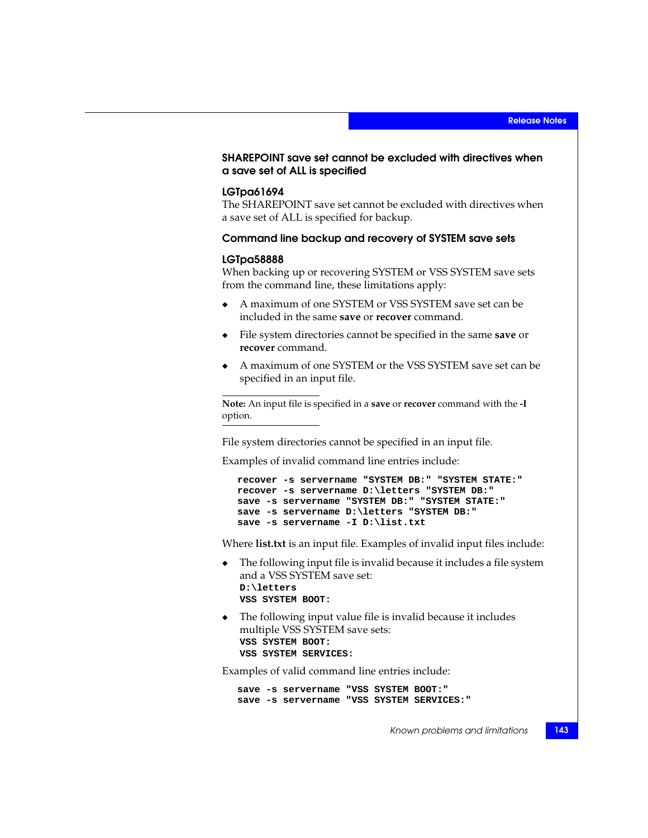# **SHAREPOINT save set cannot be excluded with directives when a save set of ALL is specified**

#### <span id="page-142-0"></span>**LGTpa61694**

The SHAREPOINT save set cannot be excluded with directives when a save set of ALL is specified for backup.

#### **Command line backup and recovery of SYSTEM save sets**

### <span id="page-142-1"></span>**LGTpa58888**

When backing up or recovering SYSTEM or VSS SYSTEM save sets from the command line, these limitations apply:

- A maximum of one SYSTEM or VSS SYSTEM save set can be included in the same **save** or **recover** command.
- ◆ File system directories cannot be specified in the same **save** or **recover** command.
- A maximum of one SYSTEM or the VSS SYSTEM save set can be specified in an input file.

**Note:** An input file is specified in a **save** or **recover** command with the **-I** option.

File system directories cannot be specified in an input file.

Examples of invalid command line entries include:

```
recover -s servername "SYSTEM DB:" "SYSTEM STATE:"
recover -s servername D:\letters "SYSTEM DB:"
save -s servername "SYSTEM DB:" "SYSTEM STATE:"
save -s servername D:\letters "SYSTEM DB:"
save -s servername -I D:\list.txt
```
Where **list.txt** is an input file. Examples of invalid input files include:

- The following input file is invalid because it includes a file system and a VSS SYSTEM save set: **D:\letters VSS SYSTEM BOOT:**
- The following input value file is invalid because it includes multiple VSS SYSTEM save sets: **VSS SYSTEM BOOT: VSS SYSTEM SERVICES:**

Examples of valid command line entries include:

**save -s servername "VSS SYSTEM BOOT:" save -s servername "VSS SYSTEM SERVICES:"**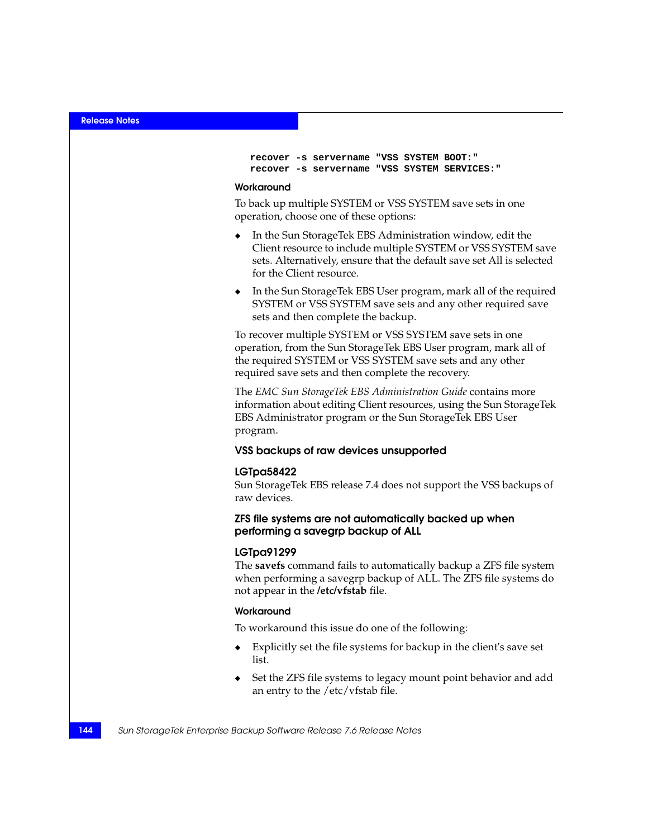```
recover -s servername "VSS SYSTEM BOOT:"
recover -s servername "VSS SYSTEM SERVICES:"
```
#### **Workaround**

To back up multiple SYSTEM or VSS SYSTEM save sets in one operation, choose one of these options:

- ◆ In the Sun StorageTek EBS Administration window, edit the Client resource to include multiple SYSTEM or VSS SYSTEM save sets. Alternatively, ensure that the default save set All is selected for the Client resource.
- ◆ In the Sun StorageTek EBS User program, mark all of the required SYSTEM or VSS SYSTEM save sets and any other required save sets and then complete the backup.

To recover multiple SYSTEM or VSS SYSTEM save sets in one operation, from the Sun StorageTek EBS User program, mark all of the required SYSTEM or VSS SYSTEM save sets and any other required save sets and then complete the recovery.

The *EMC Sun StorageTek EBS Administration Guide* contains more information about editing Client resources, using the Sun StorageTek EBS Administrator program or the Sun StorageTek EBS User program.

### **VSS backups of raw devices unsupported**

#### <span id="page-143-1"></span>**LGTpa58422**

Sun StorageTek EBS release 7.4 does not support the VSS backups of raw devices.

# **ZFS file systems are not automatically backed up when performing a savegrp backup of ALL**

#### <span id="page-143-0"></span>**LGTpa91299**

The **savefs** command fails to automatically backup a ZFS file system when performing a savegrp backup of ALL. The ZFS file systems do not appear in the **/etc/vfstab** file.

#### **Workaround**

To workaround this issue do one of the following:

- ◆ Explicitly set the file systems for backup in the client's save set list.
- ◆ Set the ZFS file systems to legacy mount point behavior and add an entry to the /etc/vfstab file.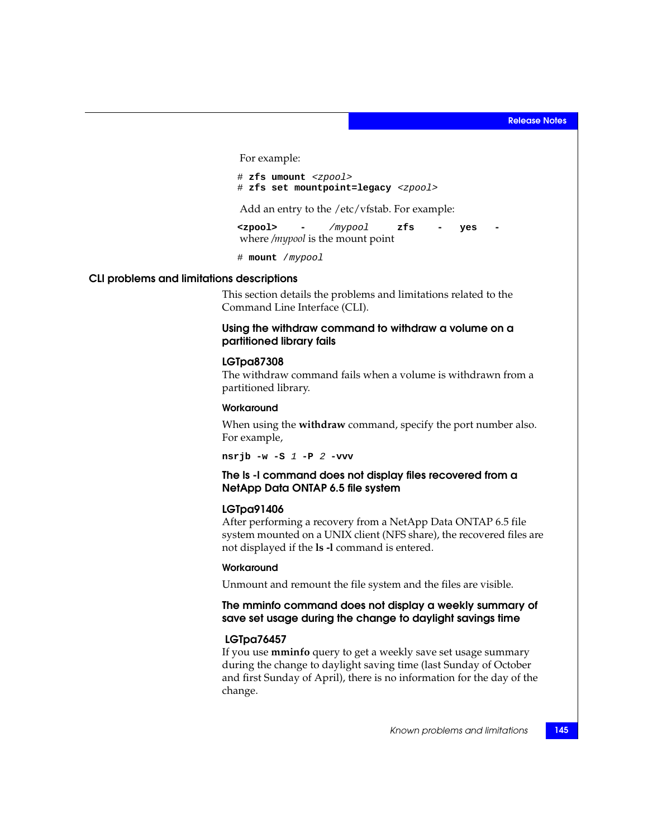For example:

# **zfs umount** <zpool> # **zfs set mountpoint=legacy** <zpool>

Add an entry to the /etc/vfstab. For example:

**<zpool> -** /mypool **zfs - yes**  where */mypool* is the mount point

# **mount** /mypool

# **CLI problems and limitations descriptions**

This section details the problems and limitations related to the Command Line Interface (CLI).

# **Using the withdraw command to withdraw a volume on a partitioned library fails**

#### **LGTpa87308**

The withdraw command fails when a volume is withdrawn from a partitioned library.

### **Workaround**

When using the **withdraw** command, specify the port number also. For example,

**nsrjb -w -S** <sup>1</sup> **-P** <sup>2</sup> **-vvv**

# **The ls -l command does not display files recovered from a NetApp Data ONTAP 6.5 file system**

#### **LGTpa91406**

After performing a recovery from a NetApp Data ONTAP 6.5 file system mounted on a UNIX client (NFS share), the recovered files are not displayed if the **ls -l** command is entered.

### **Workaround**

Unmount and remount the file system and the files are visible.

# **The mminfo command does not display a weekly summary of save set usage during the change to daylight savings time**

#### **LGTpa76457**

If you use **mminfo** query to get a weekly save set usage summary during the change to daylight saving time (last Sunday of October and first Sunday of April), there is no information for the day of the change.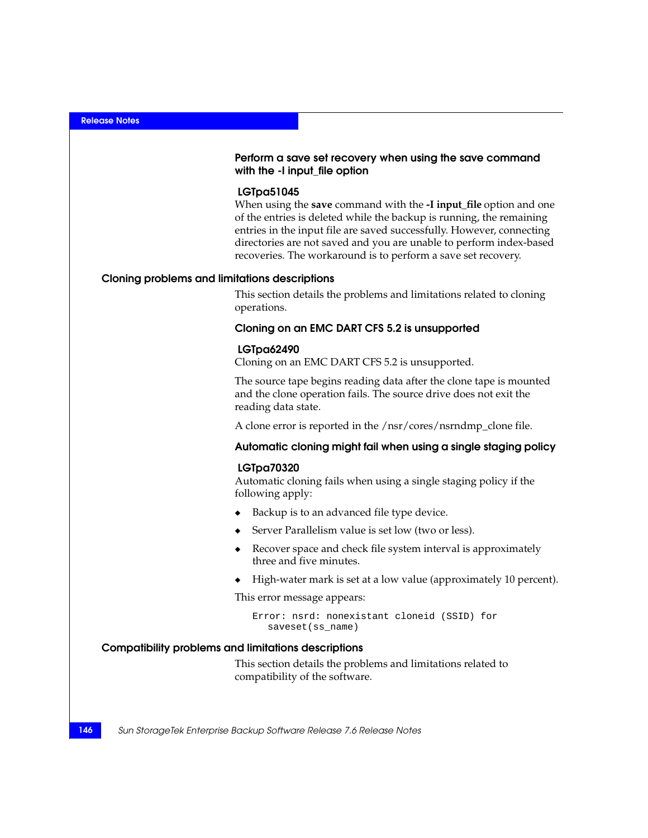# **Perform a save set recovery when using the save command with the -I input\_file option**

#### **LGTpa51045**

When using the **save** command with the **-I input\_file** option and one of the entries is deleted while the backup is running, the remaining entries in the input file are saved successfully. However, connecting directories are not saved and you are unable to perform index-based recoveries. The workaround is to perform a save set recovery.

### **Cloning problems and limitations descriptions**

This section details the problems and limitations related to cloning operations.

### **Cloning on an EMC DART CFS 5.2 is unsupported**

#### **LGTpa62490**

Cloning on an EMC DART CFS 5.2 is unsupported.

The source tape begins reading data after the clone tape is mounted and the clone operation fails. The source drive does not exit the reading data state.

A clone error is reported in the /nsr/cores/nsrndmp\_clone file.

### **Automatic cloning might fail when using a single staging policy**

#### **LGTpa70320**

Automatic cloning fails when using a single staging policy if the following apply:

- Backup is to an advanced file type device.
- Server Parallelism value is set low (two or less).
- ◆ Recover space and check file system interval is approximately three and five minutes.
- High-water mark is set at a low value (approximately 10 percent).

This error message appears:

```
Error: nsrd: nonexistant cloneid (SSID) for 
  saveset(ss_name)
```
#### **Compatibility problems and limitations descriptions**

This section details the problems and limitations related to compatibility of the software.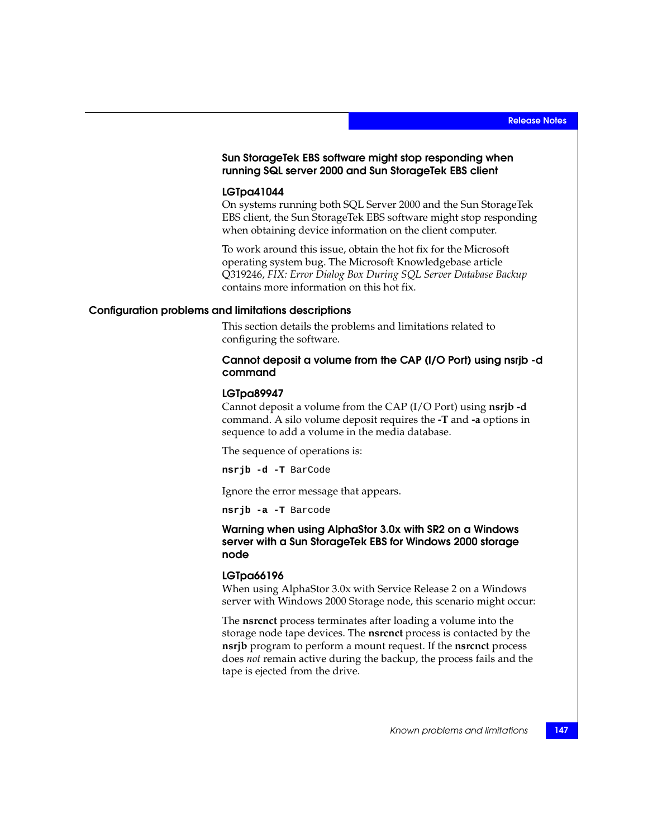# **Sun StorageTek EBS software might stop responding when running SQL server 2000 and Sun StorageTek EBS client**

#### **LGTpa41044**

On systems running both SQL Server 2000 and the Sun StorageTek EBS client, the Sun StorageTek EBS software might stop responding when obtaining device information on the client computer.

To work around this issue, obtain the hot fix for the Microsoft operating system bug. The Microsoft Knowledgebase article Q319246, *FIX: Error Dialog Box During SQL Server Database Backup*  contains more information on this hot fix.

### **Configuration problems and limitations descriptions**

This section details the problems and limitations related to configuring the software.

# **Cannot deposit a volume from the CAP (I/O Port) using nsrjb -d command**

#### **LGTpa89947**

Cannot deposit a volume from the CAP (I/O Port) using **nsrjb -d** command. A silo volume deposit requires the **-T** and **-a** options in sequence to add a volume in the media database.

The sequence of operations is:

**nsrjb -d -T** BarCode

Ignore the error message that appears.

**nsrjb -a -T** Barcode

# **Warning when using AlphaStor 3.0x with SR2 on a Windows server with a Sun StorageTek EBS for Windows 2000 storage node**

### **LGTpa66196**

When using AlphaStor 3.0x with Service Release 2 on a Windows server with Windows 2000 Storage node, this scenario might occur:

The **nsrcnct** process terminates after loading a volume into the storage node tape devices. The **nsrcnct** process is contacted by the **nsrjb** program to perform a mount request. If the **nsrcnct** process does *not* remain active during the backup, the process fails and the tape is ejected from the drive.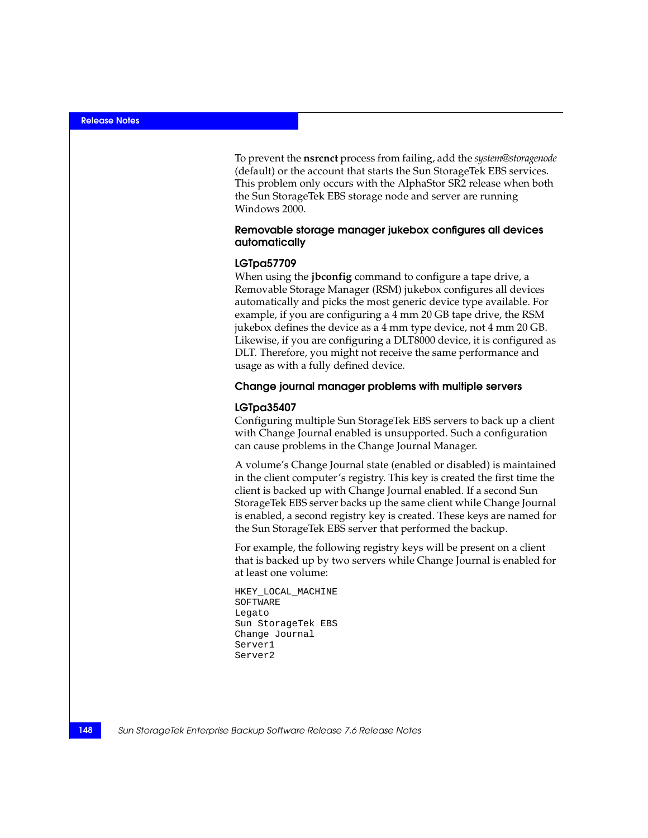To prevent the **nsrcnct** process from failing, add the *system@storagenode*  (default) or the account that starts the Sun StorageTek EBS services. This problem only occurs with the AlphaStor SR2 release when both the Sun StorageTek EBS storage node and server are running Windows 2000.

# **Removable storage manager jukebox configures all devices automatically**

#### **LGTpa57709**

When using the **jbconfig** command to configure a tape drive, a Removable Storage Manager (RSM) jukebox configures all devices automatically and picks the most generic device type available. For example, if you are configuring a 4 mm 20 GB tape drive, the RSM jukebox defines the device as a 4 mm type device, not 4 mm 20 GB. Likewise, if you are configuring a DLT8000 device, it is configured as DLT. Therefore, you might not receive the same performance and usage as with a fully defined device.

#### **Change journal manager problems with multiple servers**

#### **LGTpa35407**

Configuring multiple Sun StorageTek EBS servers to back up a client with Change Journal enabled is unsupported. Such a configuration can cause problems in the Change Journal Manager.

A volume's Change Journal state (enabled or disabled) is maintained in the client computer's registry. This key is created the first time the client is backed up with Change Journal enabled. If a second Sun StorageTek EBS server backs up the same client while Change Journal is enabled, a second registry key is created. These keys are named for the Sun StorageTek EBS server that performed the backup.

For example, the following registry keys will be present on a client that is backed up by two servers while Change Journal is enabled for at least one volume:

HKEY\_LOCAL\_MACHINE SOFTWARE Legato Sun StorageTek EBS Change Journal Server1 Server2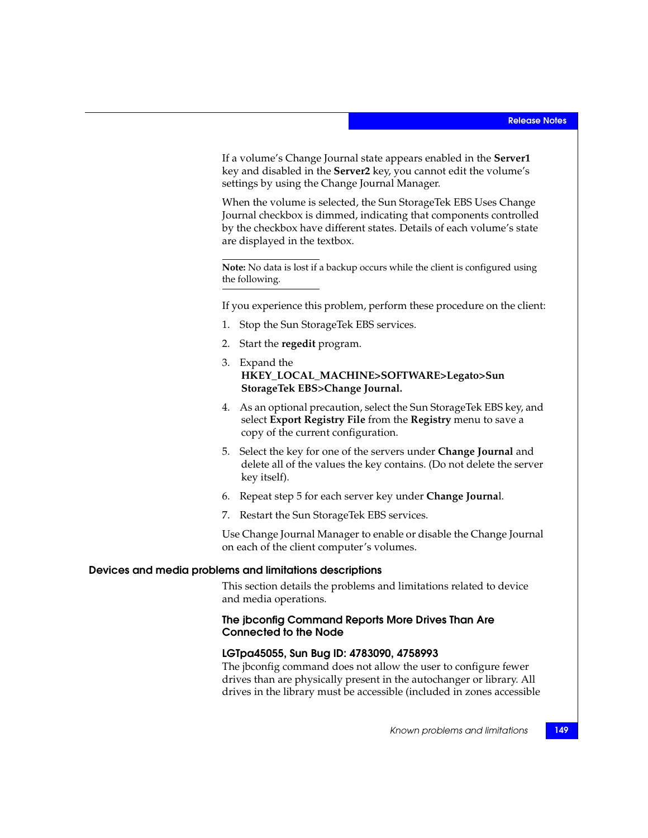If a volume's Change Journal state appears enabled in the **Server1** key and disabled in the **Server2** key, you cannot edit the volume's settings by using the Change Journal Manager.

When the volume is selected, the Sun StorageTek EBS Uses Change Journal checkbox is dimmed, indicating that components controlled by the checkbox have different states. Details of each volume's state are displayed in the textbox.

**Note:** No data is lost if a backup occurs while the client is configured using the following.

If you experience this problem, perform these procedure on the client:

- 1. Stop the Sun StorageTek EBS services.
- 2. Start the **regedit** program.
- 3. Expand the **HKEY\_LOCAL\_MACHINE>SOFTWARE>Legato>Sun StorageTek EBS>Change Journal.**
- 4. As an optional precaution, select the Sun StorageTek EBS key, and select **Export Registry File** from the **Registry** menu to save a copy of the current configuration.
- 5. Select the key for one of the servers under **Change Journal** and delete all of the values the key contains. (Do not delete the server key itself).
- 6. Repeat step 5 for each server key under **Change Journa**l.
- 7. Restart the Sun StorageTek EBS services.

Use Change Journal Manager to enable or disable the Change Journal on each of the client computer's volumes.

#### **Devices and media problems and limitations descriptions**

This section details the problems and limitations related to device and media operations.

# **The jbconfig Command Reports More Drives Than Are Connected to the Node**

### **LGTpa45055, Sun Bug ID: 4783090, 4758993**

The jbconfig command does not allow the user to configure fewer drives than are physically present in the autochanger or library. All drives in the library must be accessible (included in zones accessible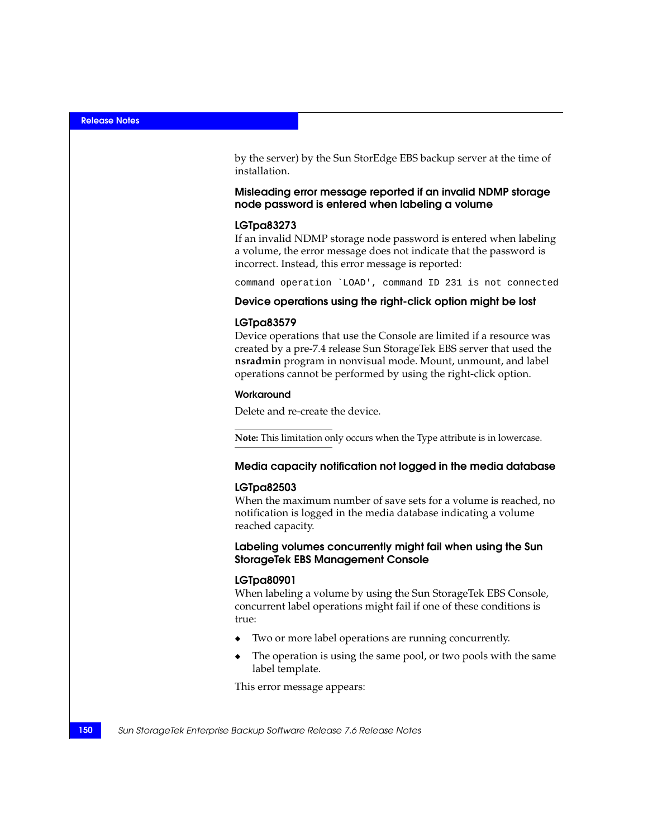by the server) by the Sun StorEdge EBS backup server at the time of installation.

# **Misleading error message reported if an invalid NDMP storage node password is entered when labeling a volume**

### **LGTpa83273**

If an invalid NDMP storage node password is entered when labeling a volume, the error message does not indicate that the password is incorrect. Instead, this error message is reported:

command operation `LOAD', command ID 231 is not connected

#### **Device operations using the right-click option might be lost**

### **LGTpa83579**

Device operations that use the Console are limited if a resource was created by a pre-7.4 release Sun StorageTek EBS server that used the **nsradmin** program in nonvisual mode. Mount, unmount, and label operations cannot be performed by using the right-click option.

# **Workaround**

Delete and re-create the device.

**Note:** This limitation only occurs when the Type attribute is in lowercase.

### **Media capacity notification not logged in the media database**

#### **LGTpa82503**

When the maximum number of save sets for a volume is reached, no notification is logged in the media database indicating a volume reached capacity.

# **Labeling volumes concurrently might fail when using the Sun StorageTek EBS Management Console**

### **LGTpa80901**

When labeling a volume by using the Sun StorageTek EBS Console, concurrent label operations might fail if one of these conditions is true:

- Two or more label operations are running concurrently.
- The operation is using the same pool, or two pools with the same label template.

This error message appears: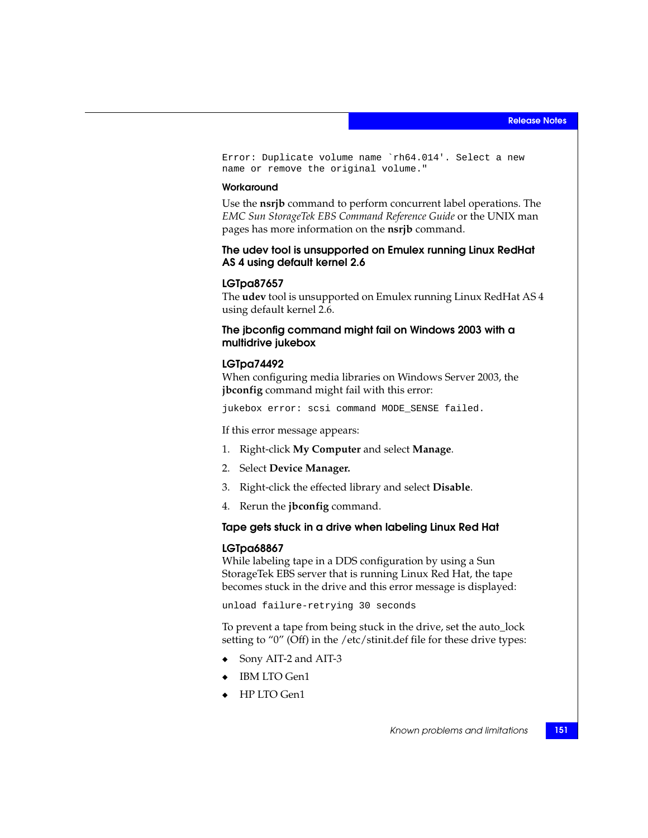Error: Duplicate volume name `rh64.014'. Select a new name or remove the original volume."

#### **Workaround**

Use the **nsrjb** command to perform concurrent label operations. The *EMC Sun StorageTek EBS Command Reference Guide* or the UNIX man pages has more information on the **nsrjb** command.

# **The udev tool is unsupported on Emulex running Linux RedHat AS 4 using default kernel 2.6**

#### **LGTpa87657**

The **udev** tool is unsupported on Emulex running Linux RedHat AS 4 using default kernel 2.6.

# **The jbconfig command might fail on Windows 2003 with a multidrive jukebox**

#### **LGTpa74492**

When configuring media libraries on Windows Server 2003, the **jbconfig** command might fail with this error:

jukebox error: scsi command MODE\_SENSE failed.

If this error message appears:

- 1. Right-click **My Computer** and select **Manage**.
- 2. Select **Device Manager.**
- 3. Right-click the effected library and select **Disable**.
- 4. Rerun the **jbconfig** command.

#### **Tape gets stuck in a drive when labeling Linux Red Hat**

#### **LGTpa68867**

While labeling tape in a DDS configuration by using a Sun StorageTek EBS server that is running Linux Red Hat, the tape becomes stuck in the drive and this error message is displayed:

unload failure-retrying 30 seconds

To prevent a tape from being stuck in the drive, set the auto\_lock setting to "0" (Off) in the /etc/stinit.def file for these drive types:

- Sony AIT-2 and AIT-3
- IBM LTO Gen1
- ◆ HP LTO Gen1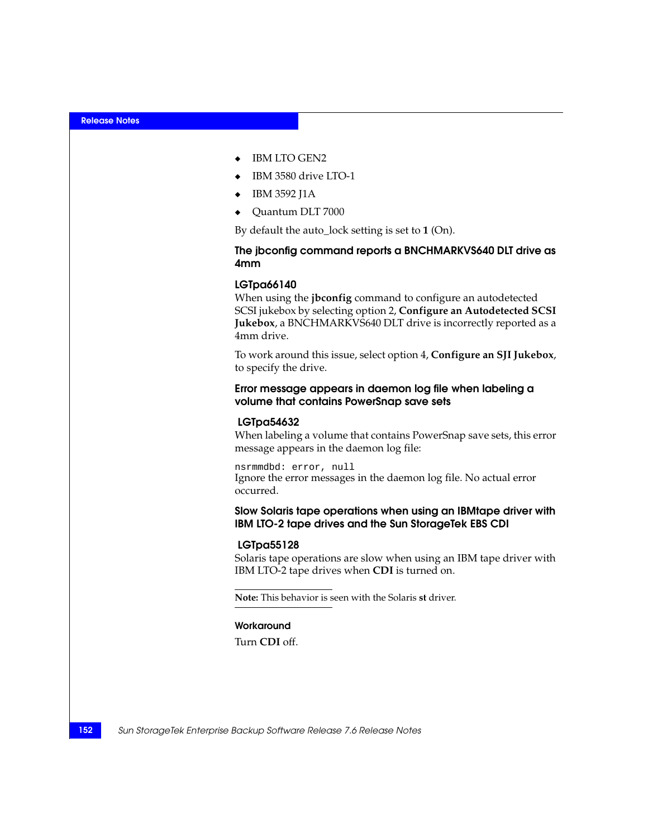- **IBM LTO GEN2**
- IBM 3580 drive LTO-1
- ◆ IBM 3592 J1A
- ◆ Quantum DLT 7000

By default the auto\_lock setting is set to **1** (On).

# **The jbconfig command reports a BNCHMARKVS640 DLT drive as 4mm**

### **LGTpa66140**

When using the **jbconfig** command to configure an autodetected SCSI jukebox by selecting option 2, **Configure an Autodetected SCSI Jukebox**, a BNCHMARKVS640 DLT drive is incorrectly reported as a 4mm drive.

To work around this issue, select option 4, **Configure an SJI Jukebox**, to specify the drive.

# **Error message appears in daemon log file when labeling a volume that contains PowerSnap save sets**

### **LGTpa54632**

When labeling a volume that contains PowerSnap save sets, this error message appears in the daemon log file:

nsrmmdbd: error, null Ignore the error messages in the daemon log file. No actual error occurred.

# **Slow Solaris tape operations when using an IBMtape driver with IBM LTO-2 tape drives and the Sun StorageTek EBS CDI**

#### **LGTpa55128**

Solaris tape operations are slow when using an IBM tape driver with IBM LTO-2 tape drives when **CDI** is turned on.

**Note:** This behavior is seen with the Solaris **st** driver.

#### **Workaround**

Turn **CDI** off.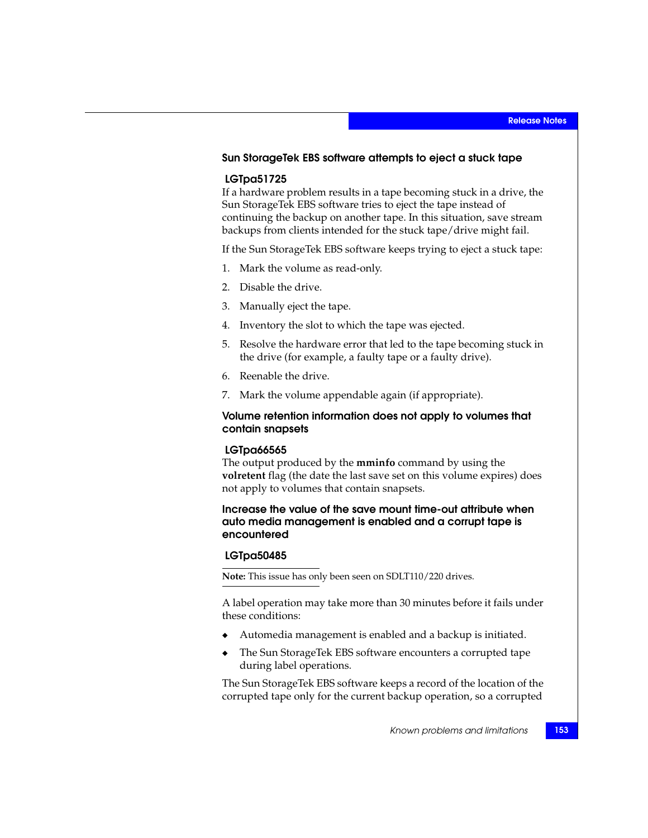# **Sun StorageTek EBS software attempts to eject a stuck tape**

### **LGTpa51725**

If a hardware problem results in a tape becoming stuck in a drive, the Sun StorageTek EBS software tries to eject the tape instead of continuing the backup on another tape. In this situation, save stream backups from clients intended for the stuck tape/drive might fail.

If the Sun StorageTek EBS software keeps trying to eject a stuck tape:

- 1. Mark the volume as read-only.
- 2. Disable the drive.
- 3. Manually eject the tape.
- 4. Inventory the slot to which the tape was ejected.
- 5. Resolve the hardware error that led to the tape becoming stuck in the drive (for example, a faulty tape or a faulty drive).
- 6. Reenable the drive.
- 7. Mark the volume appendable again (if appropriate).

# **Volume retention information does not apply to volumes that contain snapsets**

### **LGTpa66565**

The output produced by the **mminfo** command by using the **volretent** flag (the date the last save set on this volume expires) does not apply to volumes that contain snapsets.

# **Increase the value of the save mount time-out attribute when auto media management is enabled and a corrupt tape is encountered**

# **LGTpa50485**

**Note:** This issue has only been seen on SDLT110/220 drives.

A label operation may take more than 30 minutes before it fails under these conditions:

- Automedia management is enabled and a backup is initiated.
- The Sun StorageTek EBS software encounters a corrupted tape during label operations.

The Sun StorageTek EBS software keeps a record of the location of the corrupted tape only for the current backup operation, so a corrupted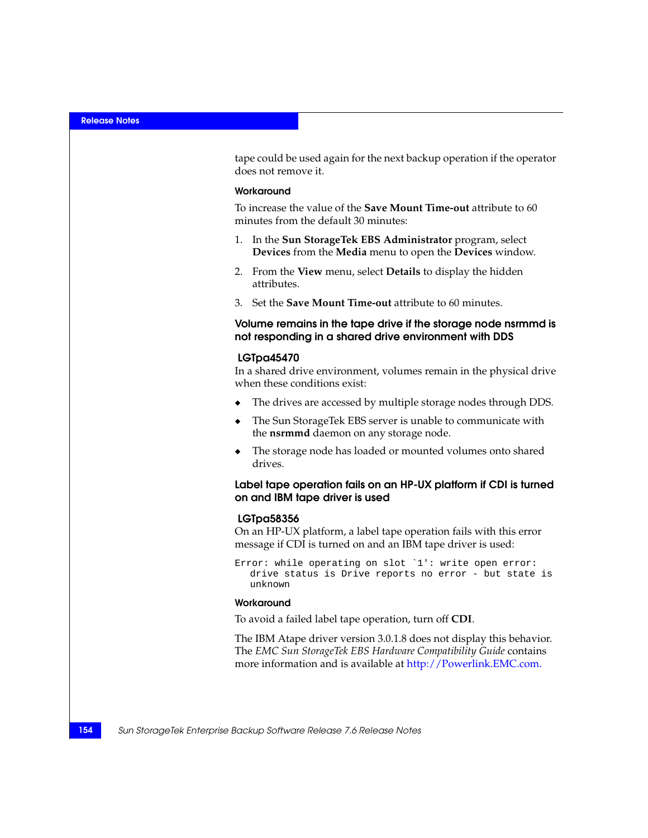tape could be used again for the next backup operation if the operator does not remove it.

#### **Workaround**

To increase the value of the **Save Mount Time-out** attribute to 60 minutes from the default 30 minutes:

- 1. In the **Sun StorageTek EBS Administrator** program, select **Devices** from the **Media** menu to open the **Devices** window.
- 2. From the **View** menu, select **Details** to display the hidden attributes.
- 3. Set the **Save Mount Time-out** attribute to 60 minutes.

# **Volume remains in the tape drive if the storage node nsrmmd is not responding in a shared drive environment with DDS**

#### **LGTpa45470**

In a shared drive environment, volumes remain in the physical drive when these conditions exist:

- The drives are accessed by multiple storage nodes through DDS.
- The Sun StorageTek EBS server is unable to communicate with the **nsrmmd** daemon on any storage node.
- The storage node has loaded or mounted volumes onto shared drives.

# **Label tape operation fails on an HP-UX platform if CDI is turned on and IBM tape driver is used**

#### **LGTpa58356**

On an HP-UX platform, a label tape operation fails with this error message if CDI is turned on and an IBM tape driver is used:

Error: while operating on slot `1': write open error: drive status is Drive reports no error - but state is unknown

# **Workaround**

To avoid a failed label tape operation, turn off **CDI**.

The IBM Atape driver version 3.0.1.8 does not display this behavior. The *EMC Sun StorageTek EBS Hardware Compatibility Guide* contains more information and is available at [http://Powerlink.EMC.com.](http://Powerlink.EMC.com)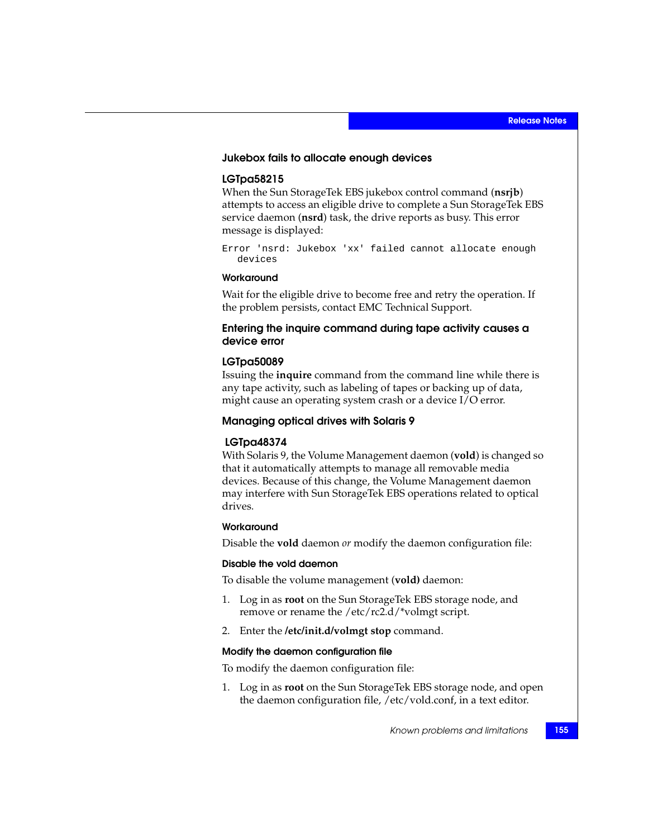### **Jukebox fails to allocate enough devices**

# **LGTpa58215**

When the Sun StorageTek EBS jukebox control command (**nsrjb**) attempts to access an eligible drive to complete a Sun StorageTek EBS service daemon (**nsrd**) task, the drive reports as busy. This error message is displayed:

Error 'nsrd: Jukebox 'xx' failed cannot allocate enough devices

# **Workaround**

Wait for the eligible drive to become free and retry the operation. If the problem persists, contact EMC Technical Support.

# **Entering the inquire command during tape activity causes a device error**

### **LGTpa50089**

Issuing the **inquire** command from the command line while there is any tape activity, such as labeling of tapes or backing up of data, might cause an operating system crash or a device I/O error.

### **Managing optical drives with Solaris 9**

### **LGTpa48374**

With Solaris 9, the Volume Management daemon (**vold**) is changed so that it automatically attempts to manage all removable media devices. Because of this change, the Volume Management daemon may interfere with Sun StorageTek EBS operations related to optical drives.

### **Workaround**

Disable the **vold** daemon *or* modify the daemon configuration file:

#### **Disable the vold daemon**

To disable the volume management (**vold)** daemon:

- 1. Log in as **root** on the Sun StorageTek EBS storage node, and remove or rename the /etc/rc2.d/\*volmgt script.
- 2. Enter the **/etc/init.d/volmgt stop** command.

#### **Modify the daemon configuration file**

To modify the daemon configuration file:

1. Log in as **root** on the Sun StorageTek EBS storage node, and open the daemon configuration file, /etc/vold.conf, in a text editor.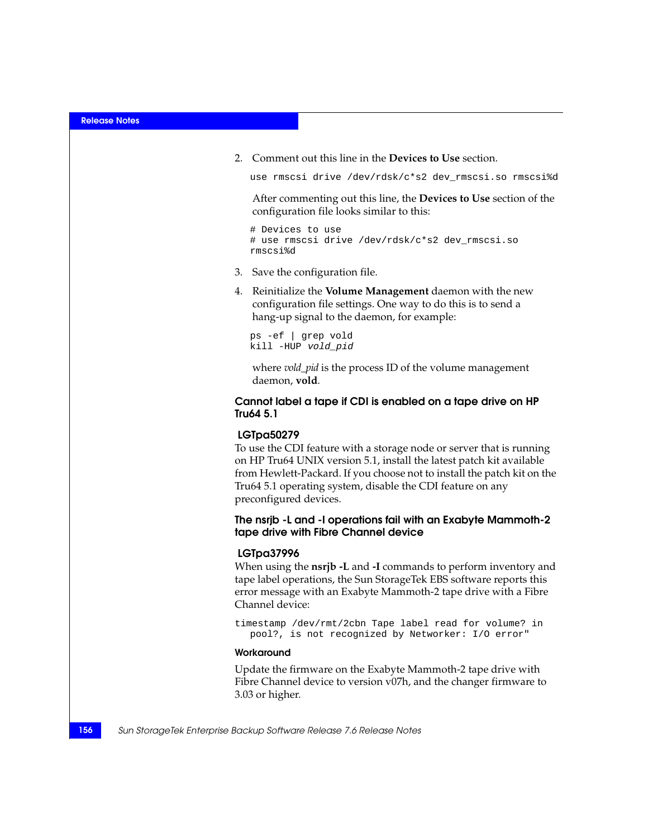2. Comment out this line in the **Devices to Use** section.

use rmscsi drive /dev/rdsk/c\*s2 dev\_rmscsi.so rmscsi%d

After commenting out this line, the **Devices to Use** section of the configuration file looks similar to this:

```
# Devices to use
# use rmscsi drive /dev/rdsk/c*s2 dev_rmscsi.so 
rmscsi%d
```
- 3. Save the configuration file.
- 4. Reinitialize the **Volume Management** daemon with the new configuration file settings. One way to do this is to send a hang-up signal to the daemon, for example:

ps -ef | grep vold kill -HUP vold\_pid

where *vold\_pid* is the process ID of the volume management daemon, **vold**.

# **Cannot label a tape if CDI is enabled on a tape drive on HP Tru64 5.1**

#### **LGTpa50279**

To use the CDI feature with a storage node or server that is running on HP Tru64 UNIX version 5.1, install the latest patch kit available from Hewlett-Packard. If you choose not to install the patch kit on the Tru64 5.1 operating system, disable the CDI feature on any preconfigured devices.

### **The nsrjb -L and -I operations fail with an Exabyte Mammoth-2 tape drive with Fibre Channel device**

#### **LGTpa37996**

When using the **nsrjb -L** and **-I** commands to perform inventory and tape label operations, the Sun StorageTek EBS software reports this error message with an Exabyte Mammoth-2 tape drive with a Fibre Channel device:

timestamp /dev/rmt/2cbn Tape label read for volume? in pool?, is not recognized by Networker: I/O error"

#### **Workaround**

Update the firmware on the Exabyte Mammoth-2 tape drive with Fibre Channel device to version v07h, and the changer firmware to 3.03 or higher.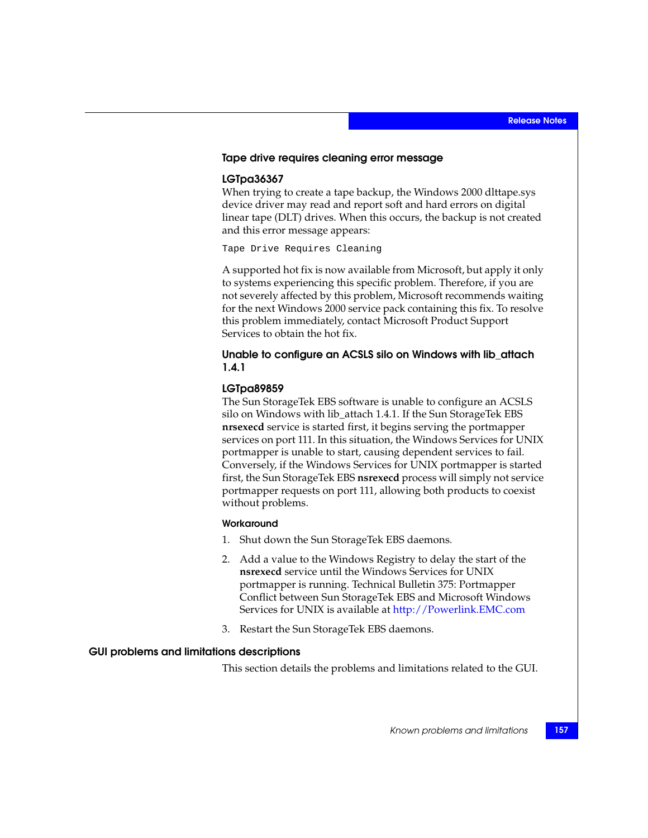### **Tape drive requires cleaning error message**

### **LGTpa36367**

When trying to create a tape backup, the Windows 2000 dlttape.sys device driver may read and report soft and hard errors on digital linear tape (DLT) drives. When this occurs, the backup is not created and this error message appears:

Tape Drive Requires Cleaning

A supported hot fix is now available from Microsoft, but apply it only to systems experiencing this specific problem. Therefore, if you are not severely affected by this problem, Microsoft recommends waiting for the next Windows 2000 service pack containing this fix. To resolve this problem immediately, contact Microsoft Product Support Services to obtain the hot fix.

# **Unable to configure an ACSLS silo on Windows with lib\_attach 1.4.1**

# **LGTpa89859**

The Sun StorageTek EBS software is unable to configure an ACSLS silo on Windows with lib\_attach 1.4.1. If the Sun StorageTek EBS **nrsexecd** service is started first, it begins serving the portmapper services on port 111. In this situation, the Windows Services for UNIX portmapper is unable to start, causing dependent services to fail. Conversely, if the Windows Services for UNIX portmapper is started first, the Sun StorageTek EBS **nsrexecd** process will simply not service portmapper requests on port 111, allowing both products to coexist without problems.

### **Workaround**

- 1. Shut down the Sun StorageTek EBS daemons.
- 2. Add a value to the Windows Registry to delay the start of the **nsrexecd** service until the Windows Services for UNIX portmapper is running. Technical Bulletin 375: Portmapper Conflict between Sun StorageTek EBS and Microsoft Windows Services for UNIX is available a[t http://Powerlink.EMC.com](http://Powerlink.EMC.com)
- 3. Restart the Sun StorageTek EBS daemons.

# **GUI problems and limitations descriptions**

This section details the problems and limitations related to the GUI.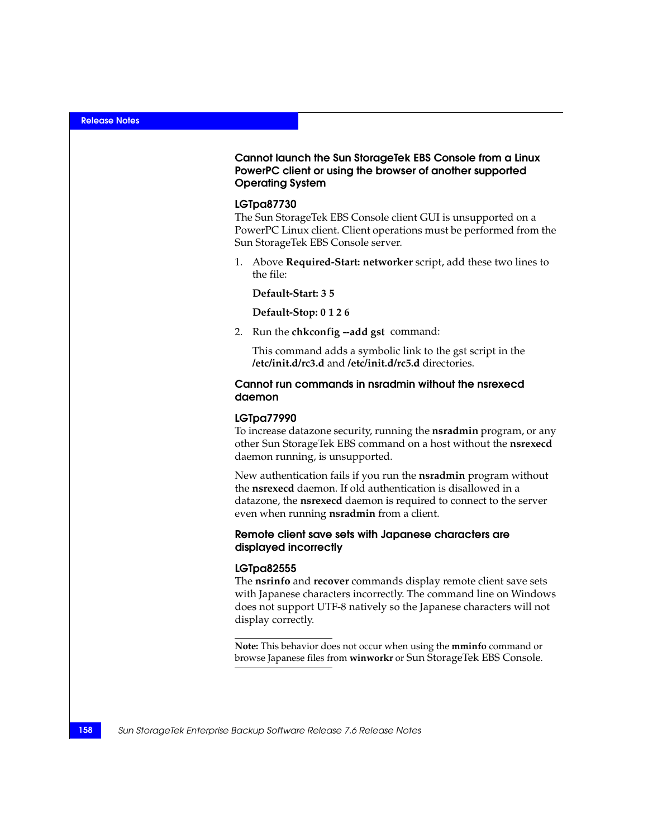**Cannot launch the Sun StorageTek EBS Console from a Linux PowerPC client or using the browser of another supported Operating System**

#### **LGTpa87730**

The Sun StorageTek EBS Console client GUI is unsupported on a PowerPC Linux client. Client operations must be performed from the Sun StorageTek EBS Console server.

1. Above **Required-Start: networker** script, add these two lines to the file:

**Default-Start: 3 5** 

**Default-Stop: 0 1 2 6**

2. Run the **chkconfig --add gst** command:

This command adds a symbolic link to the gst script in the **/etc/init.d/rc3.d** and **/etc/init.d/rc5.d** directories.

# **Cannot run commands in nsradmin without the nsrexecd daemon**

#### **LGTpa77990**

To increase datazone security, running the **nsradmin** program, or any other Sun StorageTek EBS command on a host without the **nsrexecd** daemon running, is unsupported.

New authentication fails if you run the **nsradmin** program without the **nsrexecd** daemon. If old authentication is disallowed in a datazone, the **nsrexecd** daemon is required to connect to the server even when running **nsradmin** from a client.

# **Remote client save sets with Japanese characters are displayed incorrectly**

#### **LGTpa82555**

The **nsrinfo** and **recover** commands display remote client save sets with Japanese characters incorrectly. The command line on Windows does not support UTF-8 natively so the Japanese characters will not display correctly.

**Note:** This behavior does not occur when using the **mminfo** command or browse Japanese files from **winworkr** or Sun StorageTek EBS Console.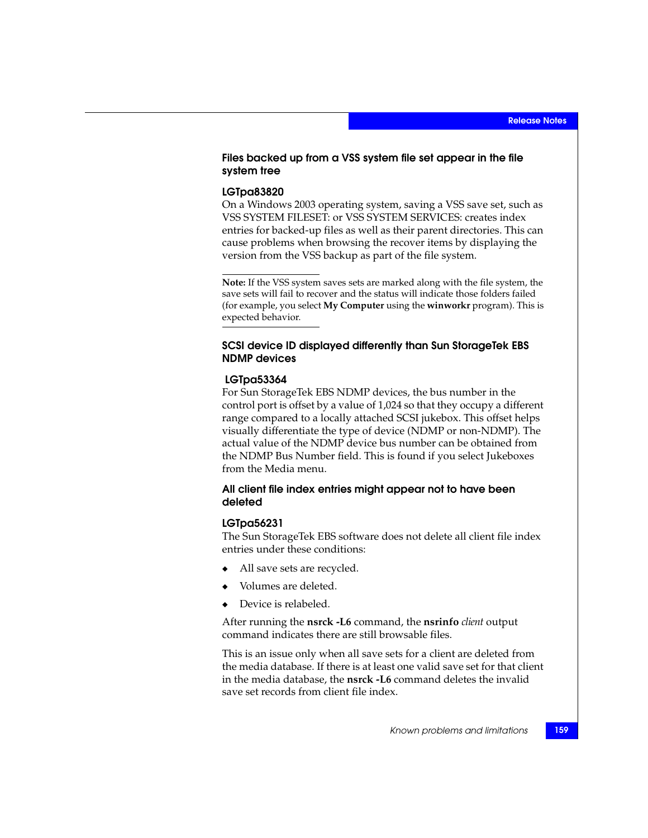# **Files backed up from a VSS system file set appear in the file system tree**

# **LGTpa83820**

On a Windows 2003 operating system, saving a VSS save set, such as VSS SYSTEM FILESET: or VSS SYSTEM SERVICES: creates index entries for backed-up files as well as their parent directories. This can cause problems when browsing the recover items by displaying the version from the VSS backup as part of the file system.

**Note:** If the VSS system saves sets are marked along with the file system, the save sets will fail to recover and the status will indicate those folders failed (for example, you select **My Computer** using the **winworkr** program). This is expected behavior.

# **SCSI device ID displayed differently than Sun StorageTek EBS NDMP devices**

# **LGTpa53364**

For Sun StorageTek EBS NDMP devices, the bus number in the control port is offset by a value of 1,024 so that they occupy a different range compared to a locally attached SCSI jukebox. This offset helps visually differentiate the type of device (NDMP or non-NDMP). The actual value of the NDMP device bus number can be obtained from the NDMP Bus Number field. This is found if you select Jukeboxes from the Media menu.

# **All client file index entries might appear not to have been deleted**

# **LGTpa56231**

The Sun StorageTek EBS software does not delete all client file index entries under these conditions:

- All save sets are recycled.
- Volumes are deleted.
- Device is relabeled.

After running the **nsrck -L6** command, the **nsrinfo** *client* output command indicates there are still browsable files.

This is an issue only when all save sets for a client are deleted from the media database. If there is at least one valid save set for that client in the media database, the **nsrck -L6** command deletes the invalid save set records from client file index.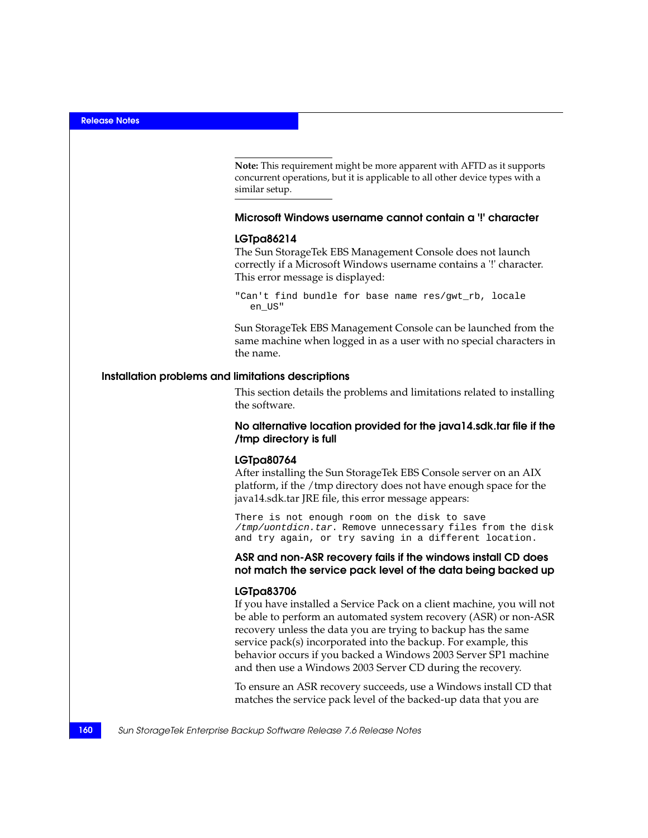**Note:** This requirement might be more apparent with AFTD as it supports concurrent operations, but it is applicable to all other device types with a similar setup.

### **Microsoft Windows username cannot contain a '!' character**

#### **LGTpa86214**

The Sun StorageTek EBS Management Console does not launch correctly if a Microsoft Windows username contains a '!' character. This error message is displayed:

```
"Can't find bundle for base name res/gwt_rb, locale 
  en_US"
```
Sun StorageTek EBS Management Console can be launched from the same machine when logged in as a user with no special characters in the name.

### **Installation problems and limitations descriptions**

This section details the problems and limitations related to installing the software.

# **No alternative location provided for the java14.sdk.tar file if the /tmp directory is full**

#### **LGTpa80764**

After installing the Sun StorageTek EBS Console server on an AIX platform, if the /tmp directory does not have enough space for the java14.sdk.tar JRE file, this error message appears:

There is not enough room on the disk to save /tmp/uontdicn.tar. Remove unnecessary files from the disk and try again, or try saving in a different location.

**ASR and non-ASR recovery fails if the windows install CD does not match the service pack level of the data being backed up** 

### **LGTpa83706**

If you have installed a Service Pack on a client machine, you will not be able to perform an automated system recovery (ASR) or non-ASR recovery unless the data you are trying to backup has the same service pack(s) incorporated into the backup. For example, this behavior occurs if you backed a Windows 2003 Server SP1 machine and then use a Windows 2003 Server CD during the recovery.

To ensure an ASR recovery succeeds, use a Windows install CD that matches the service pack level of the backed-up data that you are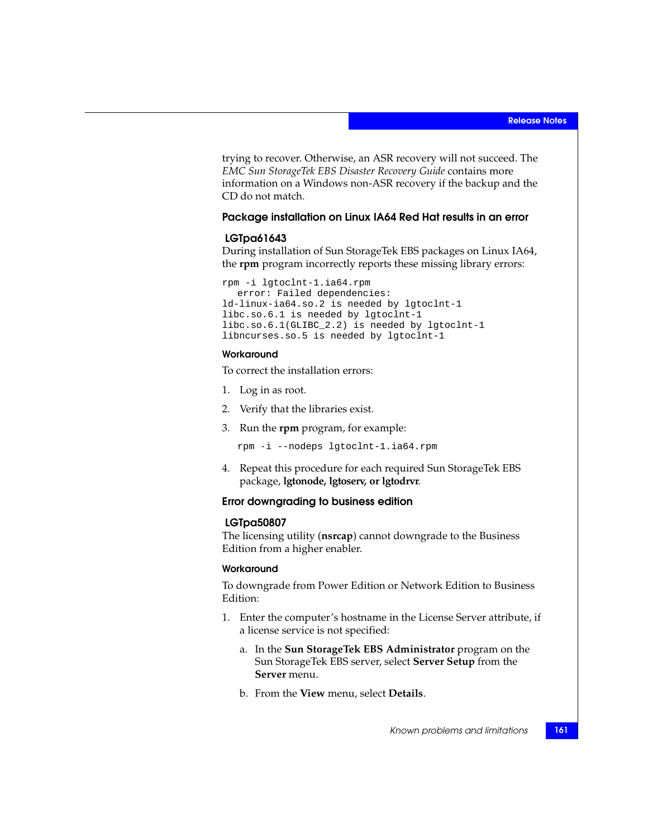trying to recover. Otherwise, an ASR recovery will not succeed. The *EMC Sun StorageTek EBS Disaster Recovery Guide* contains more information on a Windows non-ASR recovery if the backup and the CD do not match.

### **Package installation on Linux IA64 Red Hat results in an error**

### **LGTpa61643**

During installation of Sun StorageTek EBS packages on Linux IA64, the **rpm** program incorrectly reports these missing library errors:

```
rpm -i lgtoclnt-1.ia64.rpm
  error: Failed dependencies:
ld-linux-ia64.so.2 is needed by lgtoclnt-1
libc.so.6.1 is needed by lgtoclnt-1
libc.so.6.1(GLIBC 2.2) is needed by lgtoclnt-1
libncurses.so.5 is needed by lgtoclnt-1
```
#### **Workaround**

To correct the installation errors:

- 1. Log in as root.
- 2. Verify that the libraries exist.
- 3. Run the **rpm** program, for example:

rpm -i --nodeps lgtoclnt-1.ia64.rpm

4. Repeat this procedure for each required Sun StorageTek EBS package, **lgtonode, lgtoserv, or lgtodrvr**.

#### **Error downgrading to business edition**

#### **LGTpa50807**

The licensing utility (**nsrcap**) cannot downgrade to the Business Edition from a higher enabler.

#### **Workaround**

To downgrade from Power Edition or Network Edition to Business Edition:

- 1. Enter the computer's hostname in the License Server attribute, if a license service is not specified:
	- a. In the **Sun StorageTek EBS Administrator** program on the Sun StorageTek EBS server, select **Server Setup** from the **Server** menu.
	- b. From the **View** menu, select **Details**.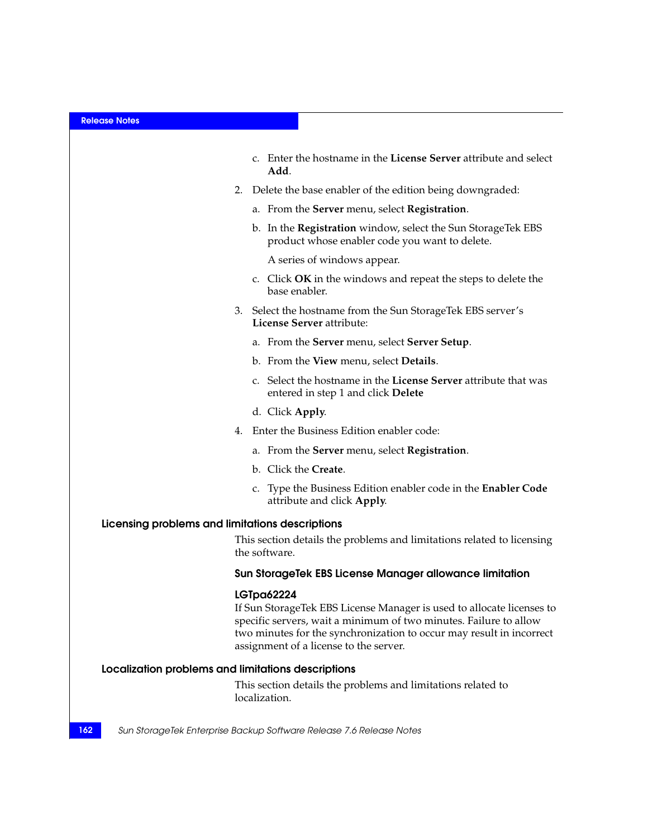- c. Enter the hostname in the **License Server** attribute and select **Add**.
- 2. Delete the base enabler of the edition being downgraded:
	- a. From the **Server** menu, select **Registration**.
	- b. In the **Registration** window, select the Sun StorageTek EBS product whose enabler code you want to delete.

A series of windows appear.

- c. Click **OK** in the windows and repeat the steps to delete the base enabler.
- 3. Select the hostname from the Sun StorageTek EBS server's **License Server** attribute:
	- a. From the **Server** menu, select **Server Setup**.
	- b. From the **View** menu, select **Details**.
	- c. Select the hostname in the **License Server** attribute that was entered in step 1 and click **Delete**
	- d. Click **Apply**.
- 4. Enter the Business Edition enabler code:
	- a. From the **Server** menu, select **Registration**.
	- b. Click the **Create**.
	- c. Type the Business Edition enabler code in the **Enabler Code** attribute and click **Apply**.

#### **Licensing problems and limitations descriptions**

This section details the problems and limitations related to licensing the software.

### **Sun StorageTek EBS License Manager allowance limitation**

#### **LGTpa62224**

If Sun StorageTek EBS License Manager is used to allocate licenses to specific servers, wait a minimum of two minutes. Failure to allow two minutes for the synchronization to occur may result in incorrect assignment of a license to the server.

#### **Localization problems and limitations descriptions**

This section details the problems and limitations related to localization.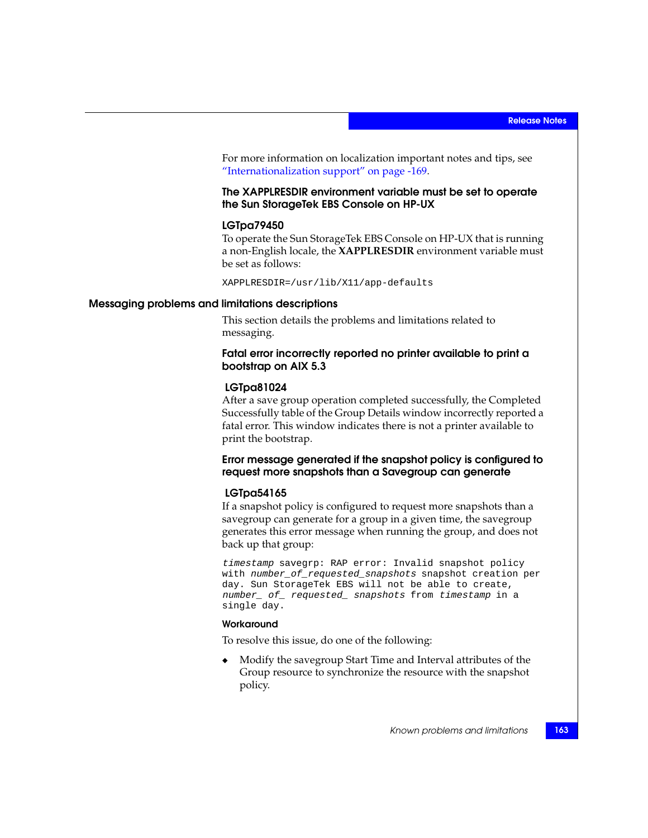For more information on localization important notes and tips, see ["Internationalization support" on page -169.](#page-168-0)

# **The XAPPLRESDIR environment variable must be set to operate the Sun StorageTek EBS Console on HP-UX**

### **LGTpa79450**

To operate the Sun StorageTek EBS Console on HP-UX that is running a non-English locale, the **XAPPLRESDIR** environment variable must be set as follows:

XAPPLRESDIR=/usr/lib/X11/app-defaults

### **Messaging problems and limitations descriptions**

This section details the problems and limitations related to messaging.

# **Fatal error incorrectly reported no printer available to print a bootstrap on AIX 5.3**

### **LGTpa81024**

After a save group operation completed successfully, the Completed Successfully table of the Group Details window incorrectly reported a fatal error. This window indicates there is not a printer available to print the bootstrap.

**Error message generated if the snapshot policy is configured to request more snapshots than a Savegroup can generate** 

### **LGTpa54165**

If a snapshot policy is configured to request more snapshots than a savegroup can generate for a group in a given time, the savegroup generates this error message when running the group, and does not back up that group:

timestamp savegrp: RAP error: Invalid snapshot policy with number\_of\_requested\_snapshots snapshot creation per day. Sun StorageTek EBS will not be able to create, number of requested snapshots from timestamp in a single day.

#### **Workaround**

To resolve this issue, do one of the following:

◆ Modify the savegroup Start Time and Interval attributes of the Group resource to synchronize the resource with the snapshot policy.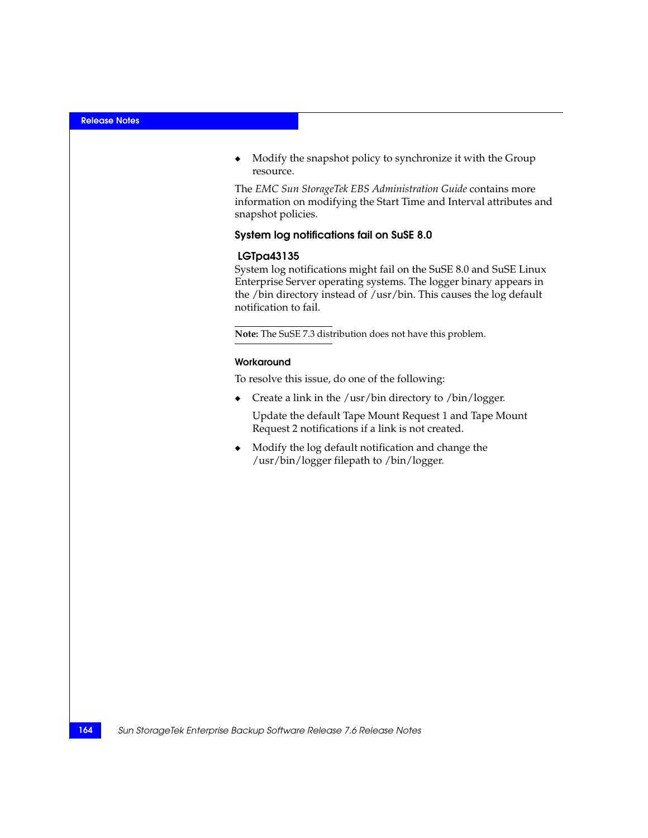Modify the snapshot policy to synchronize it with the Group resource.

The *EMC Sun StorageTek EBS Administration Guide* contains more information on modifying the Start Time and Interval attributes and snapshot policies.

### **System log notifications fail on SuSE 8.0**

### **LGTpa43135**

System log notifications might fail on the SuSE 8.0 and SuSE Linux Enterprise Server operating systems. The logger binary appears in the /bin directory instead of /usr/bin. This causes the log default notification to fail.

**Note:** The SuSE 7.3 distribution does not have this problem.

### **Workaround**

To resolve this issue, do one of the following:

◆ Create a link in the /usr/bin directory to /bin/logger*.*

Update the default Tape Mount Request 1 and Tape Mount Request 2 notifications if a link is not created.

◆ Modify the log default notification and change the /usr/bin/logger filepath to /bin/logger*.*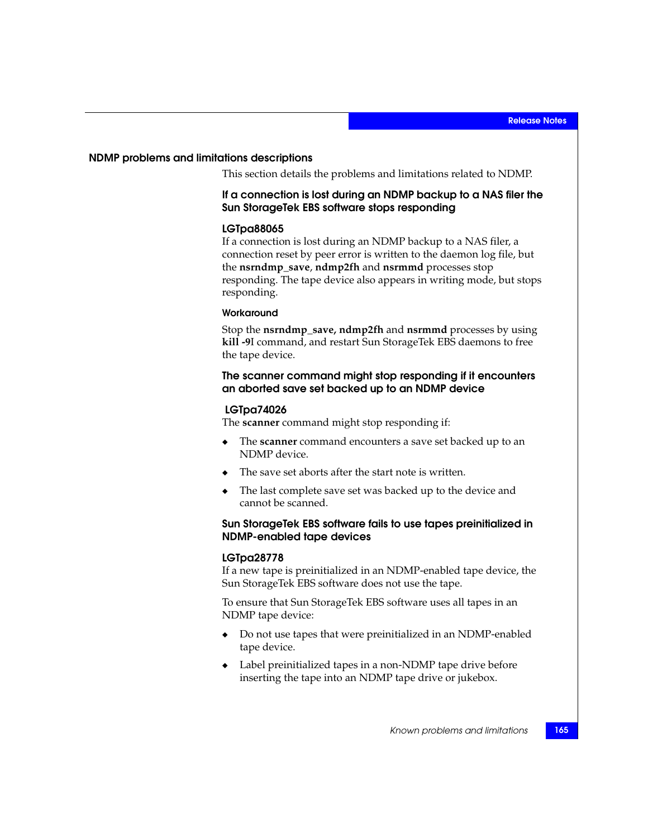# **NDMP problems and limitations descriptions**

This section details the problems and limitations related to NDMP.

# **If a connection is lost during an NDMP backup to a NAS filer the Sun StorageTek EBS software stops responding**

# **LGTpa88065**

If a connection is lost during an NDMP backup to a NAS filer, a connection reset by peer error is written to the daemon log file, but the **nsrndmp\_save**, **ndmp2fh** and **nsrmmd** processes stop responding. The tape device also appears in writing mode, but stops responding.

### **Workaround**

Stop the **nsrndmp\_save, ndmp2fh** and **nsrmmd** processes by using **kill -9**I command, and restart Sun StorageTek EBS daemons to free the tape device.

# **The scanner command might stop responding if it encounters an aborted save set backed up to an NDMP device**

### **LGTpa74026**

The **scanner** command might stop responding if:

- The **scanner** command encounters a save set backed up to an NDMP device.
- The save set aborts after the start note is written.
- The last complete save set was backed up to the device and cannot be scanned.

# **Sun StorageTek EBS software fails to use tapes preinitialized in NDMP-enabled tape devices**

### **LGTpa28778**

If a new tape is preinitialized in an NDMP-enabled tape device, the Sun StorageTek EBS software does not use the tape.

To ensure that Sun StorageTek EBS software uses all tapes in an NDMP tape device:

- ◆ Do not use tapes that were preinitialized in an NDMP-enabled tape device.
- ◆ Label preinitialized tapes in a non-NDMP tape drive before inserting the tape into an NDMP tape drive or jukebox.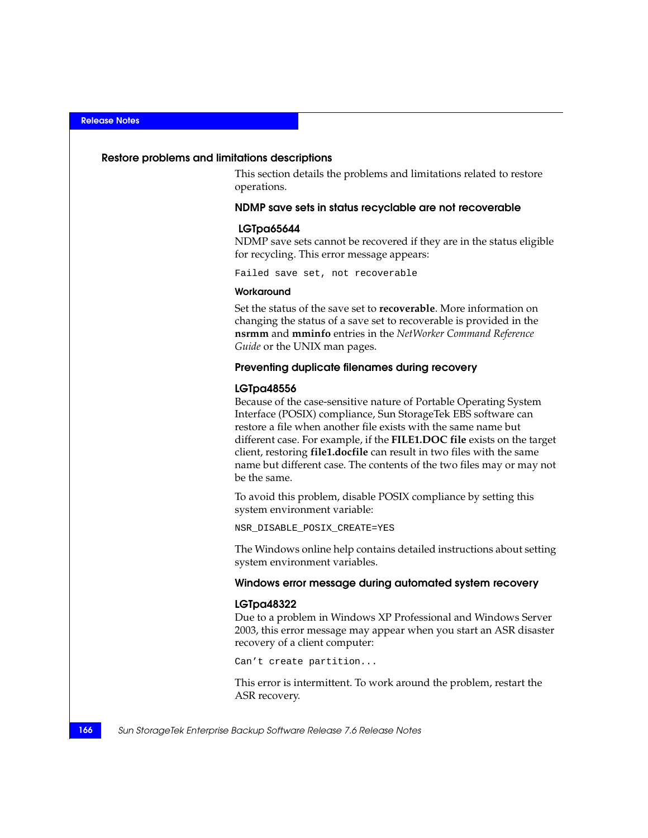#### **Restore problems and limitations descriptions**

This section details the problems and limitations related to restore operations.

#### **NDMP save sets in status recyclable are not recoverable**

#### **LGTpa65644**

NDMP save sets cannot be recovered if they are in the status eligible for recycling. This error message appears:

Failed save set, not recoverable

#### **Workaround**

Set the status of the save set to **recoverable**. More information on changing the status of a save set to recoverable is provided in the **nsrmm** and **mminfo** entries in the *NetWorker Command Reference Guide* or the UNIX man pages.

#### **Preventing duplicate filenames during recovery**

#### **LGTpa48556**

Because of the case-sensitive nature of Portable Operating System Interface (POSIX) compliance, Sun StorageTek EBS software can restore a file when another file exists with the same name but different case. For example, if the **FILE1.DOC file** exists on the target client, restoring **file1.docfile** can result in two files with the same name but different case. The contents of the two files may or may not be the same.

To avoid this problem, disable POSIX compliance by setting this system environment variable:

NSR\_DISABLE\_POSIX\_CREATE=YES

The Windows online help contains detailed instructions about setting system environment variables.

#### **Windows error message during automated system recovery**

#### **LGTpa48322**

Due to a problem in Windows XP Professional and Windows Server 2003, this error message may appear when you start an ASR disaster recovery of a client computer:

Can't create partition...

This error is intermittent. To work around the problem, restart the ASR recovery.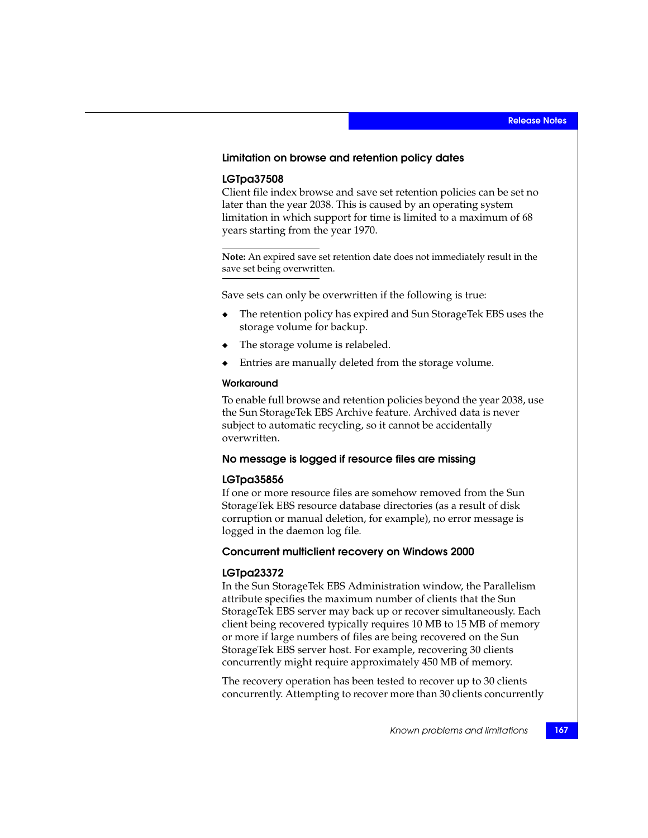# **Limitation on browse and retention policy dates**

### **LGTpa37508**

Client file index browse and save set retention policies can be set no later than the year 2038. This is caused by an operating system limitation in which support for time is limited to a maximum of 68 years starting from the year 1970.

**Note:** An expired save set retention date does not immediately result in the save set being overwritten.

Save sets can only be overwritten if the following is true:

- The retention policy has expired and Sun StorageTek EBS uses the storage volume for backup.
- The storage volume is relabeled.
- Entries are manually deleted from the storage volume.

### **Workaround**

To enable full browse and retention policies beyond the year 2038, use the Sun StorageTek EBS Archive feature. Archived data is never subject to automatic recycling, so it cannot be accidentally overwritten.

# **No message is logged if resource files are missing**

# **LGTpa35856**

If one or more resource files are somehow removed from the Sun StorageTek EBS resource database directories (as a result of disk corruption or manual deletion, for example), no error message is logged in the daemon log file*.*

### **Concurrent multiclient recovery on Windows 2000**

### **LGTpa23372**

In the Sun StorageTek EBS Administration window, the Parallelism attribute specifies the maximum number of clients that the Sun StorageTek EBS server may back up or recover simultaneously. Each client being recovered typically requires 10 MB to 15 MB of memory or more if large numbers of files are being recovered on the Sun StorageTek EBS server host. For example, recovering 30 clients concurrently might require approximately 450 MB of memory.

The recovery operation has been tested to recover up to 30 clients concurrently. Attempting to recover more than 30 clients concurrently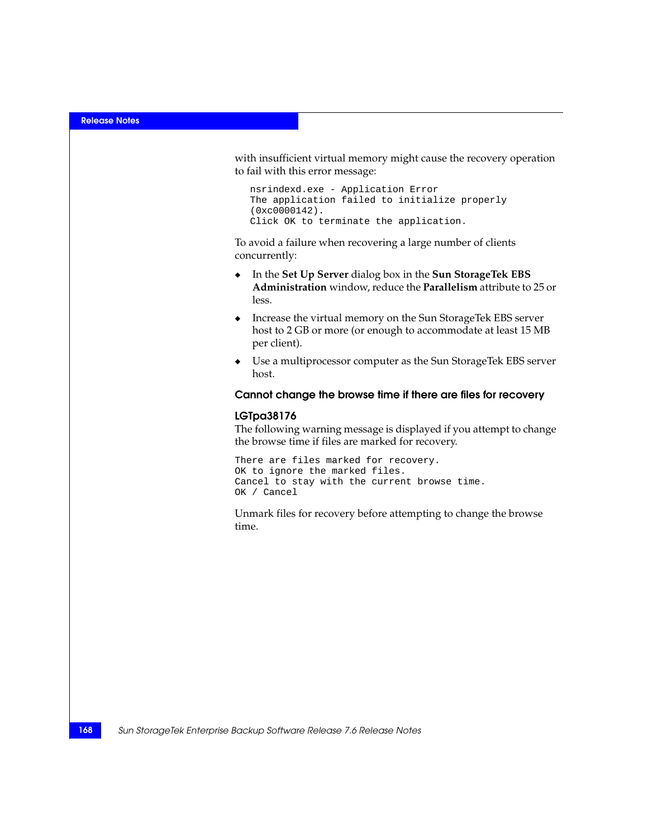with insufficient virtual memory might cause the recovery operation to fail with this error message:

```
nsrindexd.exe - Application Error
The application failed to initialize properly 
(0xc0000142).
Click OK to terminate the application.
```
To avoid a failure when recovering a large number of clients concurrently:

- ◆ In the **Set Up Server** dialog box in the **Sun StorageTek EBS Administration** window, reduce the **Parallelism** attribute to 25 or less.
- ◆ Increase the virtual memory on the Sun StorageTek EBS server host to 2 GB or more (or enough to accommodate at least 15 MB per client).
- Use a multiprocessor computer as the Sun StorageTek EBS server host.

### **Cannot change the browse time if there are files for recovery**

#### **LGTpa38176**

The following warning message is displayed if you attempt to change the browse time if files are marked for recovery.

There are files marked for recovery. OK to ignore the marked files. Cancel to stay with the current browse time. OK / Cancel

Unmark files for recovery before attempting to change the browse time.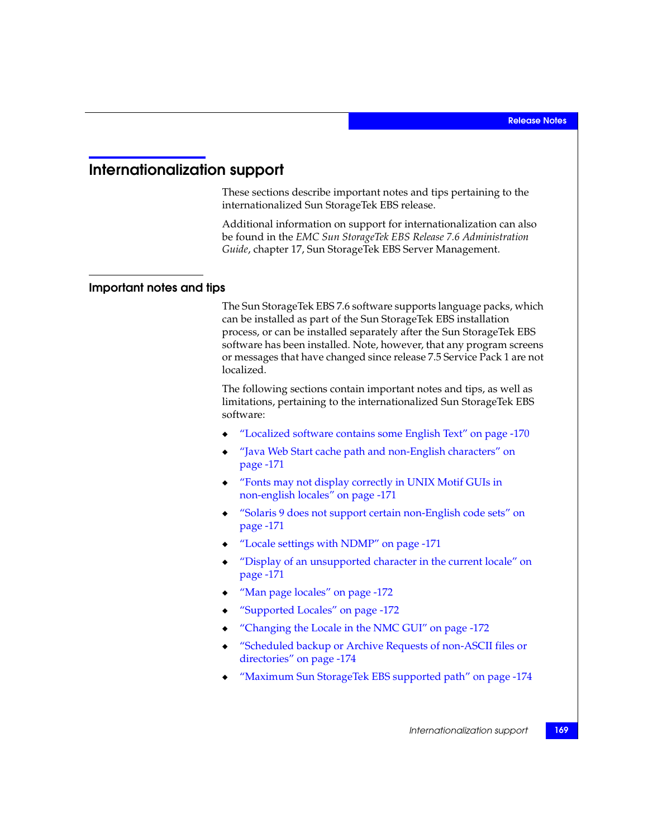# <span id="page-168-0"></span>**Internationalization support**

These sections describe important notes and tips pertaining to the internationalized Sun StorageTek EBS release.

Additional information on support for internationalization can also be found in the *EMC Sun StorageTek EBS Release 7.6 Administration Guide*, chapter 17, Sun StorageTek EBS Server Management.

# **Important notes and tips**

The Sun StorageTek EBS 7.6 software supports language packs, which can be installed as part of the Sun StorageTek EBS installation process, or can be installed separately after the Sun StorageTek EBS software has been installed. Note, however, that any program screens or messages that have changed since release 7.5 Service Pack 1 are not localized.

The following sections contain important notes and tips, as well as limitations, pertaining to the internationalized Sun StorageTek EBS software:

- ◆ ["Localized software contains some English Text" on page -170](#page-169-0)
- "Java Web Start cache path and non-English characters" on [page -171](#page-170-0)
- ◆ ["Fonts may not display correctly in UNIX Motif GUIs in](#page-170-1)  [non-english locales" on page -171](#page-170-1)
- ◆ ["Solaris 9 does not support certain non-English code sets" on](#page-170-2)  [page -171](#page-170-2)
- ◆ ["Locale settings with NDMP" on page -171](#page-170-3)
- "Display of an unsupported character in the current locale" on [page -171](#page-170-4)
- ◆ ["Man page locales" on page -172](#page-171-0)
- ◆ ["Supported Locales" on page -172](#page-171-1)
- ◆ ["Changing the Locale in the NMC GUI" on page -172](#page-171-2)
- ◆ ["Scheduled backup or Archive Requests of non-ASCII files or](#page-173-0)  [directories" on page -174](#page-173-0)
- ["Maximum Sun StorageTek EBS supported path" on page -174](#page-173-1)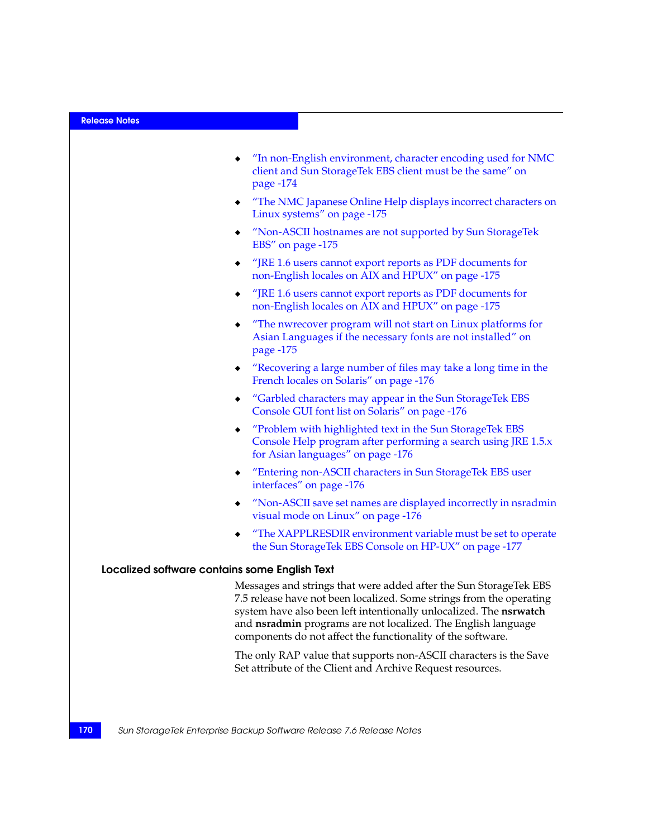- ◆ ["In non-English environment, character encoding used for NMC](#page-173-2)  [client and Sun StorageTek EBS client must be the same" on](#page-173-2)  [page -174](#page-173-2)
- ◆ ["The NMC Japanese Online Help displays incorrect characters on](#page-174-0)  [Linux systems" on page -175](#page-174-0)
- ◆ ["Non-ASCII hostnames are not supported by Sun StorageTek](#page-174-1)  [EBS" on page -175](#page-174-1)
- ◆ ["JRE 1.6 users cannot export reports as PDF documents for](#page-174-2)  [non-English locales on AIX and HPUX" on page -175](#page-174-2)
- ◆ ["JRE 1.6 users cannot export reports as PDF documents for](#page-174-2)  [non-English locales on AIX and HPUX" on page -175](#page-174-2)
- ◆ ["The nwrecover program will not start on Linux platforms for](#page-174-3)  [Asian Languages if the necessary fonts are not installed" on](#page-174-3)  [page -175](#page-174-3)
- ◆ ["Recovering a large number of files may take a long time in the](#page-175-0)  [French locales on Solaris" on page -176](#page-175-0)
- ◆ ["Garbled characters may appear in the Sun StorageTek EBS](#page-175-1)  [Console GUI font list on Solaris" on page -176](#page-175-1)
- ◆ ["Problem with highlighted text in the Sun StorageTek EBS](#page-175-2)  [Console Help program after performing a search using JRE 1.5.x](#page-175-2)  [for Asian languages" on page -176](#page-175-2)
- ◆ ["Entering non-ASCII characters in Sun StorageTek EBS user](#page-175-3)  [interfaces" on page -176](#page-175-3)
- ◆ ["Non-ASCII save set names are displayed incorrectly in nsradmin](#page-175-4)  [visual mode on Linux" on page -176](#page-175-4)
- "The XAPPLRESDIR environment variable must be set to operate [the Sun StorageTek EBS Console on HP-UX" on page -177](#page-176-0)

### <span id="page-169-0"></span>**Localized software contains some English Text**

Messages and strings that were added after the Sun StorageTek EBS 7.5 release have not been localized. Some strings from the operating system have also been left intentionally unlocalized. The **nsrwatch** and **nsradmin** programs are not localized. The English language components do not affect the functionality of the software.

The only RAP value that supports non-ASCII characters is the Save Set attribute of the Client and Archive Request resources.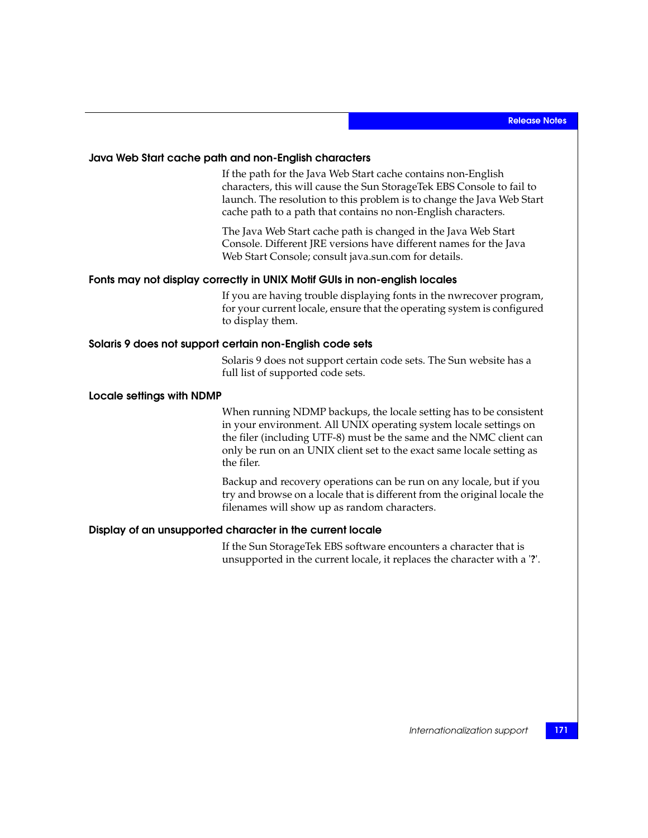### <span id="page-170-0"></span>**Java Web Start cache path and non-English characters**

If the path for the Java Web Start cache contains non-English characters, this will cause the Sun StorageTek EBS Console to fail to launch. The resolution to this problem is to change the Java Web Start cache path to a path that contains no non-English characters.

The Java Web Start cache path is changed in the Java Web Start Console. Different JRE versions have different names for the Java Web Start Console; consult java.sun.com for details.

### <span id="page-170-1"></span>**Fonts may not display correctly in UNIX Motif GUIs in non-english locales**

If you are having trouble displaying fonts in the nwrecover program, for your current locale, ensure that the operating system is configured to display them.

#### <span id="page-170-2"></span>**Solaris 9 does not support certain non-English code sets**

Solaris 9 does not support certain code sets. The Sun website has a full list of supported code sets.

#### <span id="page-170-3"></span>**Locale settings with NDMP**

When running NDMP backups, the locale setting has to be consistent in your environment. All UNIX operating system locale settings on the filer (including UTF-8) must be the same and the NMC client can only be run on an UNIX client set to the exact same locale setting as the filer.

Backup and recovery operations can be run on any locale, but if you try and browse on a locale that is different from the original locale the filenames will show up as random characters.

#### <span id="page-170-4"></span>**Display of an unsupported character in the current locale**

If the Sun StorageTek EBS software encounters a character that is unsupported in the current locale, it replaces the character with a '**?**'.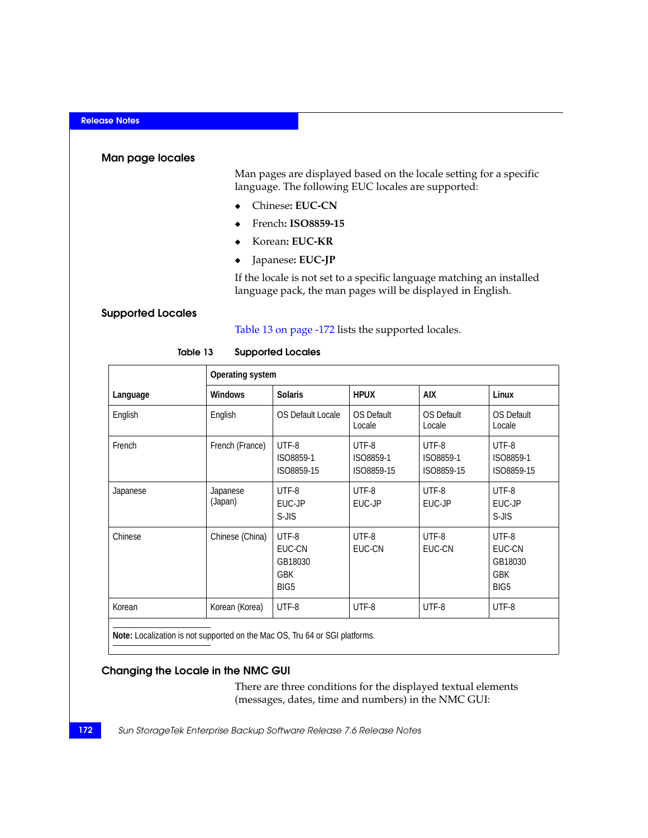# <span id="page-171-0"></span>**Man page locales**

Man pages are displayed based on the locale setting for a specific language. The following EUC locales are supported:

- ◆ Chinese**: EUC-CN**
- ◆ French**: ISO8859-15**
- ◆ Korean**: EUC-KR**
- ◆ Japanese**: EUC-JP**

If the locale is not set to a specific language matching an installed language pack, the man pages will be displayed in English.

### <span id="page-171-1"></span>**Supported Locales**

[Table 13 on page -172](#page-171-3) lists the supported locales.

<span id="page-171-3"></span>

|                                                                             | <b>Operating system</b> |                                                              |                                  |                                  |                                                              |
|-----------------------------------------------------------------------------|-------------------------|--------------------------------------------------------------|----------------------------------|----------------------------------|--------------------------------------------------------------|
| Language                                                                    | Windows                 | <b>Solaris</b>                                               | <b>HPUX</b>                      | <b>AIX</b>                       | Linux                                                        |
| English                                                                     | English                 | OS Default Locale                                            | OS Default<br>Locale             | OS Default<br>Locale             | OS Default<br>Locale                                         |
| French                                                                      | French (France)         | UTF-8<br>ISO8859-1<br>ISO8859-15                             | UTF-8<br>ISO8859-1<br>ISO8859-15 | UTF-8<br>ISO8859-1<br>ISO8859-15 | UTF-8<br>ISO8859-1<br>ISO8859-15                             |
| Japanese                                                                    | Japanese<br>(Japan)     | UTF-8<br>EUC-JP<br>$S-JIS$                                   | UTF-8<br>EUC-JP                  | UTF-8<br>EUC-JP                  | UTF-8<br>EUC-JP<br>S-JIS                                     |
| Chinese                                                                     | Chinese (China)         | UTF-8<br>EUC-CN<br>GB18030<br><b>GBK</b><br>BIG <sub>5</sub> | UTF-8<br>EUC-CN                  | UTF-8<br>EUC-CN                  | UTF-8<br>EUC-CN<br>GB18030<br><b>GBK</b><br>BIG <sub>5</sub> |
| Korean                                                                      | Korean (Korea)          | UTF-8                                                        | UTF-8                            | UTF-8                            | UTF-8                                                        |
| Note: Localization is not supported on the Mac OS, Tru 64 or SGI platforms. |                         |                                                              |                                  |                                  |                                                              |

# <span id="page-171-2"></span>**Changing the Locale in the NMC GUI**

There are three conditions for the displayed textual elements (messages, dates, time and numbers) in the NMC GUI: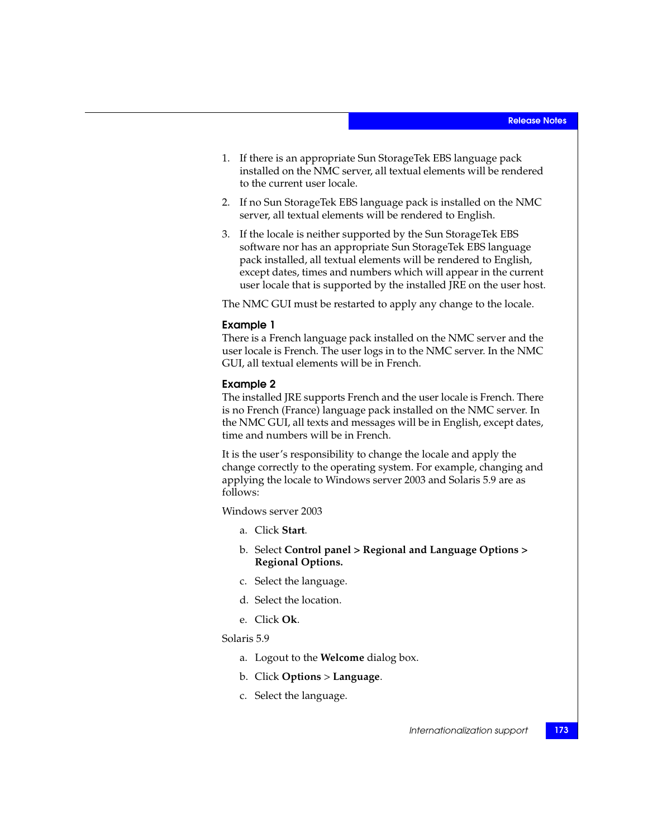- 1. If there is an appropriate Sun StorageTek EBS language pack installed on the NMC server, all textual elements will be rendered to the current user locale.
- 2. If no Sun StorageTek EBS language pack is installed on the NMC server, all textual elements will be rendered to English.
- 3. If the locale is neither supported by the Sun StorageTek EBS software nor has an appropriate Sun StorageTek EBS language pack installed, all textual elements will be rendered to English, except dates, times and numbers which will appear in the current user locale that is supported by the installed JRE on the user host.

The NMC GUI must be restarted to apply any change to the locale.

### **Example 1**

There is a French language pack installed on the NMC server and the user locale is French. The user logs in to the NMC server. In the NMC GUI, all textual elements will be in French.

### **Example 2**

The installed JRE supports French and the user locale is French. There is no French (France) language pack installed on the NMC server. In the NMC GUI, all texts and messages will be in English, except dates, time and numbers will be in French.

It is the user's responsibility to change the locale and apply the change correctly to the operating system. For example, changing and applying the locale to Windows server 2003 and Solaris 5.9 are as follows:

Windows server 2003

- a. Click **Start**.
- b. Select **Control panel > Regional and Language Options > Regional Options.**
- c. Select the language.
- d. Select the location.
- e. Click **Ok**.

#### Solaris 5.9

- a. Logout to the **Welcome** dialog box.
- b. Click **Options** > **Language**.
- c. Select the language.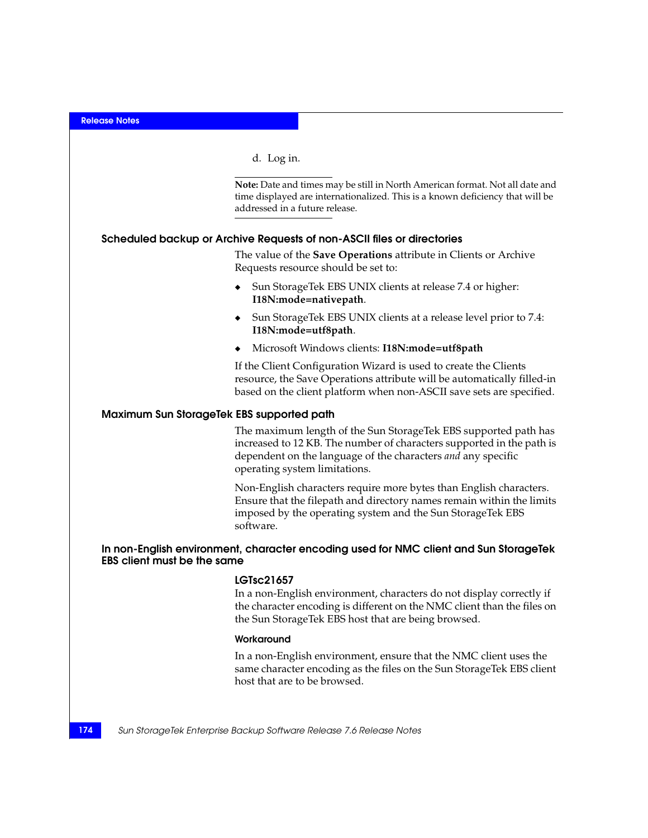d. Log in.

**Note:** Date and times may be still in North American format. Not all date and time displayed are internationalized. This is a known deficiency that will be addressed in a future release.

### <span id="page-173-0"></span>**Scheduled backup or Archive Requests of non-ASCII files or directories**

The value of the **Save Operations** attribute in Clients or Archive Requests resource should be set to:

- ◆ Sun StorageTek EBS UNIX clients at release 7.4 or higher: **I18N:mode=nativepath**.
- ◆ Sun StorageTek EBS UNIX clients at a release level prior to 7.4: **I18N:mode=utf8path**.
- ◆ Microsoft Windows clients: **I18N:mode=utf8path**

If the Client Configuration Wizard is used to create the Clients resource, the Save Operations attribute will be automatically filled-in based on the client platform when non-ASCII save sets are specified.

### <span id="page-173-1"></span>**Maximum Sun StorageTek EBS supported path**

The maximum length of the Sun StorageTek EBS supported path has increased to 12 KB. The number of characters supported in the path is dependent on the language of the characters *and* any specific operating system limitations.

Non-English characters require more bytes than English characters. Ensure that the filepath and directory names remain within the limits imposed by the operating system and the Sun StorageTek EBS software.

# <span id="page-173-2"></span>**In non-English environment, character encoding used for NMC client and Sun StorageTek EBS client must be the same**

#### **LGTsc21657**

In a non-English environment, characters do not display correctly if the character encoding is different on the NMC client than the files on the Sun StorageTek EBS host that are being browsed.

### **Workaround**

In a non-English environment, ensure that the NMC client uses the same character encoding as the files on the Sun StorageTek EBS client host that are to be browsed.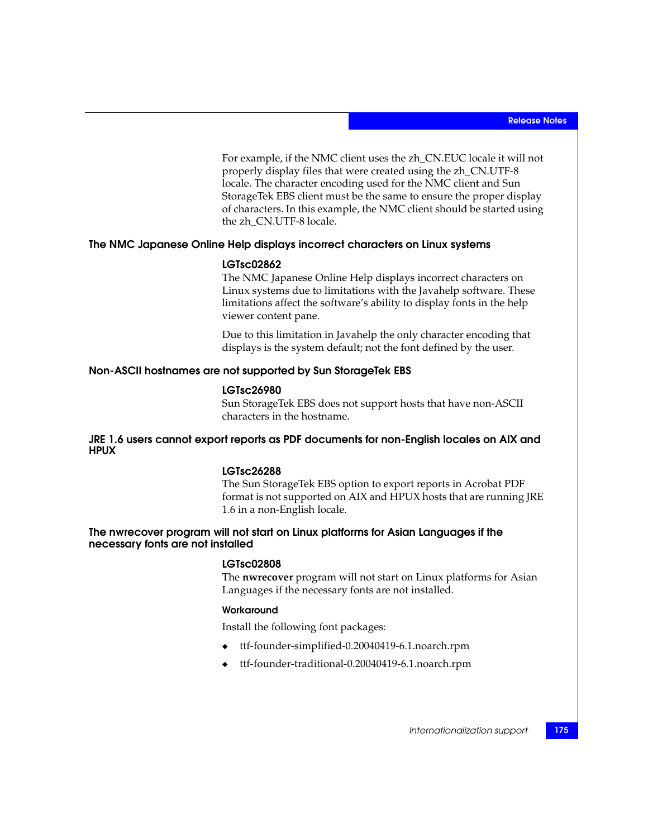For example, if the NMC client uses the zh\_CN.EUC locale it will not properly display files that were created using the zh\_CN.UTF-8 locale. The character encoding used for the NMC client and Sun StorageTek EBS client must be the same to ensure the proper display of characters. In this example, the NMC client should be started using the zh\_CN.UTF-8 locale.

# <span id="page-174-0"></span>**The NMC Japanese Online Help displays incorrect characters on Linux systems**

# **LGTsc02862**

The NMC Japanese Online Help displays incorrect characters on Linux systems due to limitations with the Javahelp software. These limitations affect the software's ability to display fonts in the help viewer content pane.

Due to this limitation in Javahelp the only character encoding that displays is the system default; not the font defined by the user.

# <span id="page-174-1"></span>**Non-ASCII hostnames are not supported by Sun StorageTek EBS**

### **LGTsc26980**

Sun StorageTek EBS does not support hosts that have non-ASCII characters in the hostname.

# <span id="page-174-2"></span>**JRE 1.6 users cannot export reports as PDF documents for non-English locales on AIX and HPUX**

### **LGTsc26288**

The Sun StorageTek EBS option to export reports in Acrobat PDF format is not supported on AIX and HPUX hosts that are running JRE 1.6 in a non-English locale.

# <span id="page-174-3"></span>**The nwrecover program will not start on Linux platforms for Asian Languages if the necessary fonts are not installed**

### **LGTsc02808**

The **nwrecover** program will not start on Linux platforms for Asian Languages if the necessary fonts are not installed.

### **Workaround**

Install the following font packages:

- ◆ ttf-founder-simplified-0.20040419-6.1.noarch.rpm
- ◆ ttf-founder-traditional-0.20040419-6.1.noarch.rpm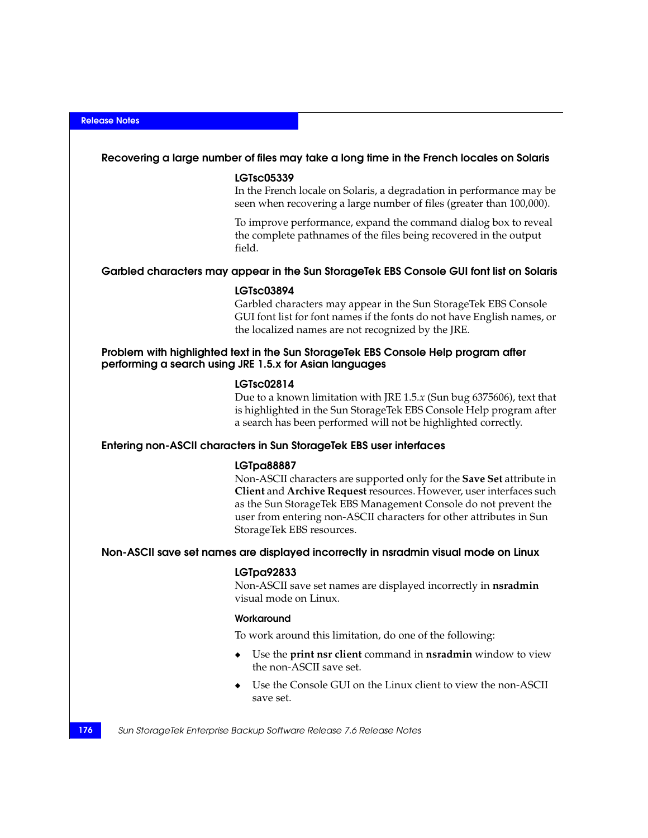### <span id="page-175-0"></span>**Recovering a large number of files may take a long time in the French locales on Solaris**

### **LGTsc05339**

In the French locale on Solaris, a degradation in performance may be seen when recovering a large number of files (greater than 100,000).

To improve performance, expand the command dialog box to reveal the complete pathnames of the files being recovered in the output field.

### <span id="page-175-1"></span>**Garbled characters may appear in the Sun StorageTek EBS Console GUI font list on Solaris**

#### **LGTsc03894**

Garbled characters may appear in the Sun StorageTek EBS Console GUI font list for font names if the fonts do not have English names, or the localized names are not recognized by the JRE.

# <span id="page-175-2"></span>**Problem with highlighted text in the Sun StorageTek EBS Console Help program after performing a search using JRE 1.5.x for Asian languages**

#### **LGTsc02814**

Due to a known limitation with JRE 1.5*.x* (Sun bug 6375606), text that is highlighted in the Sun StorageTek EBS Console Help program after a search has been performed will not be highlighted correctly.

### <span id="page-175-3"></span>**Entering non-ASCII characters in Sun StorageTek EBS user interfaces**

#### **LGTpa88887**

Non-ASCII characters are supported only for the **Save Set** attribute in **Client** and **Archive Request** resources. However, user interfaces such as the Sun StorageTek EBS Management Console do not prevent the user from entering non-ASCII characters for other attributes in Sun StorageTek EBS resources.

### <span id="page-175-4"></span>**Non-ASCII save set names are displayed incorrectly in nsradmin visual mode on Linux**

#### **LGTpa92833**

Non-ASCII save set names are displayed incorrectly in **nsradmin** visual mode on Linux.

#### **Workaround**

To work around this limitation, do one of the following:

- ◆ Use the **print nsr client** command in **nsradmin** window to view the non-ASCII save set.
- ◆ Use the Console GUI on the Linux client to view the non-ASCII save set.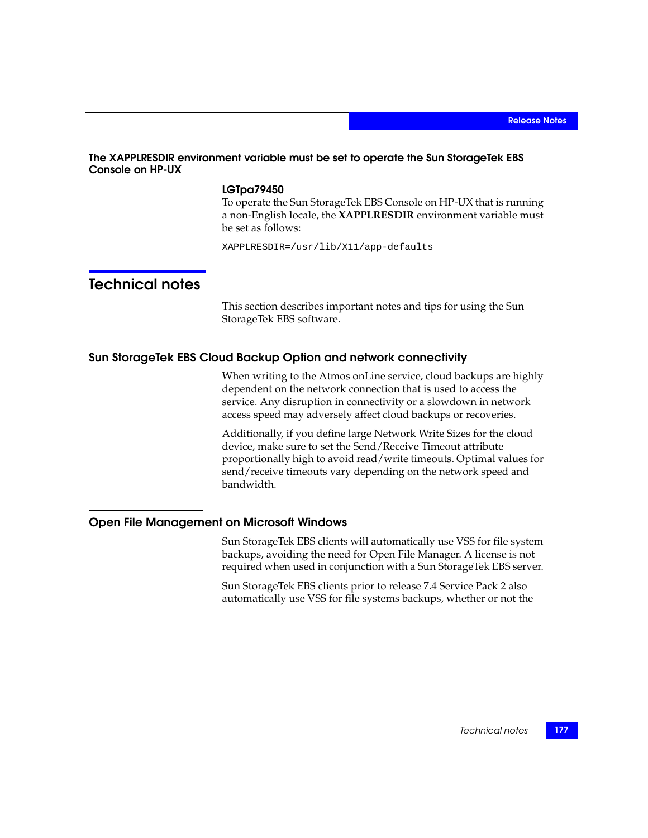# <span id="page-176-0"></span>**The XAPPLRESDIR environment variable must be set to operate the Sun StorageTek EBS Console on HP-UX**

### **LGTpa79450**

To operate the Sun StorageTek EBS Console on HP-UX that is running a non-English locale, the **XAPPLRESDIR** environment variable must be set as follows:

XAPPLRESDIR=/usr/lib/X11/app-defaults

# **Technical notes**

This section describes important notes and tips for using the Sun StorageTek EBS software.

# **Sun StorageTek EBS Cloud Backup Option and network connectivity**

When writing to the Atmos onLine service, cloud backups are highly dependent on the network connection that is used to access the service. Any disruption in connectivity or a slowdown in network access speed may adversely affect cloud backups or recoveries.

Additionally, if you define large Network Write Sizes for the cloud device, make sure to set the Send/Receive Timeout attribute proportionally high to avoid read/write timeouts. Optimal values for send/receive timeouts vary depending on the network speed and bandwidth.

### **Open File Management on Microsoft Windows**

Sun StorageTek EBS clients will automatically use VSS for file system backups, avoiding the need for Open File Manager. A license is not required when used in conjunction with a Sun StorageTek EBS server.

Sun StorageTek EBS clients prior to release 7.4 Service Pack 2 also automatically use VSS for file systems backups, whether or not the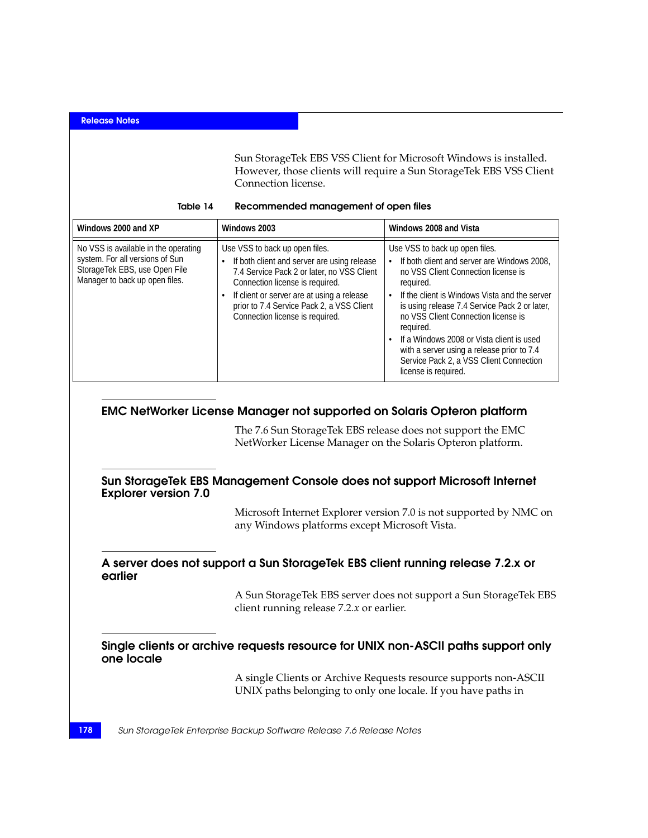Sun StorageTek EBS VSS Client for Microsoft Windows is installed. However, those clients will require a Sun StorageTek EBS VSS Client Connection license.

| Recommended management of open files<br>Table 14 |  |  |  |
|--------------------------------------------------|--|--|--|
|--------------------------------------------------|--|--|--|

| Windows 2000 and XP                                                                                                                        | Windows 2003                                                                                                                                                                                                                                                                                 | Windows 2008 and Vista                                                                                                                                                                                                                                                                                                                                                                                                                                |
|--------------------------------------------------------------------------------------------------------------------------------------------|----------------------------------------------------------------------------------------------------------------------------------------------------------------------------------------------------------------------------------------------------------------------------------------------|-------------------------------------------------------------------------------------------------------------------------------------------------------------------------------------------------------------------------------------------------------------------------------------------------------------------------------------------------------------------------------------------------------------------------------------------------------|
| No VSS is available in the operating<br>system. For all versions of Sun<br>StorageTek EBS, use Open File<br>Manager to back up open files. | Use VSS to back up open files.<br>If both client and server are using release<br>7.4 Service Pack 2 or later, no VSS Client<br>Connection license is required.<br>If client or server are at using a release<br>prior to 7.4 Service Pack 2, a VSS Client<br>Connection license is required. | Use VSS to back up open files.<br>If both client and server are Windows 2008.<br>no VSS Client Connection license is<br>required.<br>If the client is Windows Vista and the server<br>is using release 7.4 Service Pack 2 or later,<br>no VSS Client Connection license is<br>required.<br>If a Windows 2008 or Vista client is used<br>with a server using a release prior to 7.4<br>Service Pack 2, a VSS Client Connection<br>license is required. |

# **EMC NetWorker License Manager not supported on Solaris Opteron platform**

The 7.6 Sun StorageTek EBS release does not support the EMC NetWorker License Manager on the Solaris Opteron platform.

# **Sun StorageTek EBS Management Console does not support Microsoft Internet Explorer version 7.0**

Microsoft Internet Explorer version 7.0 is not supported by NMC on any Windows platforms except Microsoft Vista.

# **A server does not support a Sun StorageTek EBS client running release 7.2.x or earlier**

A Sun StorageTek EBS server does not support a Sun StorageTek EBS client running release 7.2*.x* or earlier.

# **Single clients or archive requests resource for UNIX non-ASCII paths support only one locale**

A single Clients or Archive Requests resource supports non-ASCII UNIX paths belonging to only one locale. If you have paths in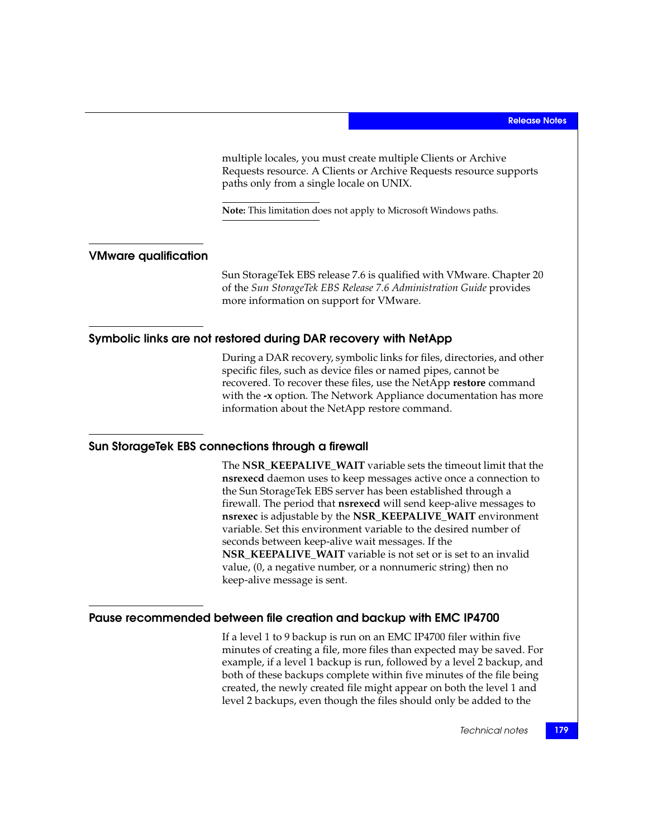multiple locales, you must create multiple Clients or Archive Requests resource. A Clients or Archive Requests resource supports paths only from a single locale on UNIX.

**Note:** This limitation does not apply to Microsoft Windows paths.

# **VMware qualification**

Sun StorageTek EBS release 7.6 is qualified with VMware. Chapter 20 of the *Sun StorageTek EBS Release 7.6 Administration Guide* provides more information on support for VMware.

# **Symbolic links are not restored during DAR recovery with NetApp**

During a DAR recovery, symbolic links for files, directories, and other specific files, such as device files or named pipes, cannot be recovered. To recover these files, use the NetApp **restore** command with the **-x** option. The Network Appliance documentation has more information about the NetApp restore command.

# **Sun StorageTek EBS connections through a firewall**

The **NSR\_KEEPALIVE\_WAIT** variable sets the timeout limit that the **nsrexecd** daemon uses to keep messages active once a connection to the Sun StorageTek EBS server has been established through a firewall. The period that **nsrexecd** will send keep-alive messages to **nsrexec** is adjustable by the **NSR\_KEEPALIVE\_WAIT** environment variable. Set this environment variable to the desired number of seconds between keep-alive wait messages. If the **NSR\_KEEPALIVE\_WAIT** variable is not set or is set to an invalid value, (0, a negative number, or a nonnumeric string) then no keep-alive message is sent.

# **Pause recommended between file creation and backup with EMC IP4700**

If a level 1 to 9 backup is run on an EMC IP4700 filer within five minutes of creating a file, more files than expected may be saved. For example, if a level 1 backup is run, followed by a level 2 backup, and both of these backups complete within five minutes of the file being created, the newly created file might appear on both the level 1 and level 2 backups, even though the files should only be added to the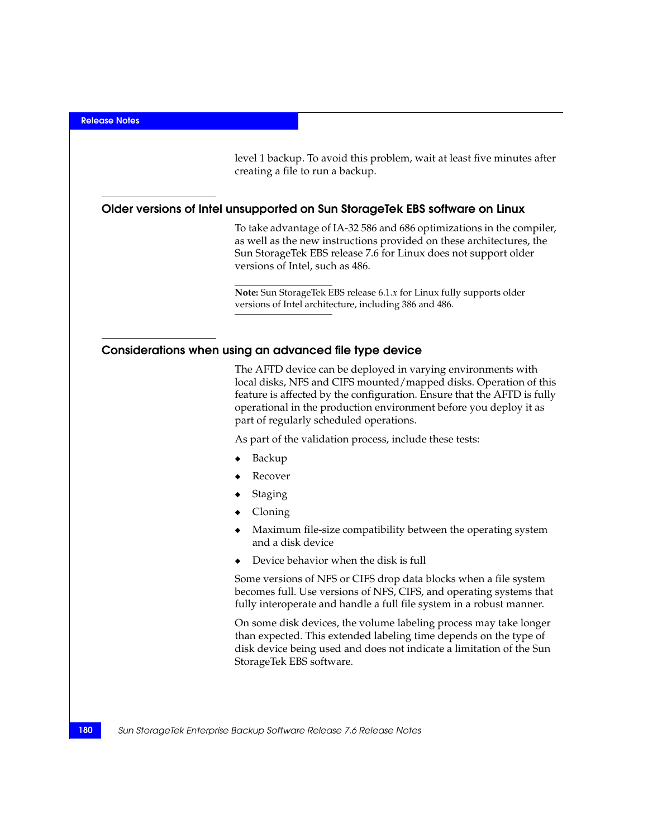level 1 backup. To avoid this problem, wait at least five minutes after creating a file to run a backup.

# **Older versions of Intel unsupported on Sun StorageTek EBS software on Linux**

To take advantage of IA-32 586 and 686 optimizations in the compiler, as well as the new instructions provided on these architectures, the Sun StorageTek EBS release 7.6 for Linux does not support older versions of Intel, such as 486.

**Note:** Sun StorageTek EBS release 6.1.*x* for Linux fully supports older versions of Intel architecture, including 386 and 486.

# **Considerations when using an advanced file type device**

The AFTD device can be deployed in varying environments with local disks, NFS and CIFS mounted/mapped disks. Operation of this feature is affected by the configuration. Ensure that the AFTD is fully operational in the production environment before you deploy it as part of regularly scheduled operations.

As part of the validation process, include these tests:

- Backup
- **Recover**
- Staging
- **Cloning**
- Maximum file-size compatibility between the operating system and a disk device
- Device behavior when the disk is full

Some versions of NFS or CIFS drop data blocks when a file system becomes full. Use versions of NFS, CIFS, and operating systems that fully interoperate and handle a full file system in a robust manner.

On some disk devices, the volume labeling process may take longer than expected. This extended labeling time depends on the type of disk device being used and does not indicate a limitation of the Sun StorageTek EBS software.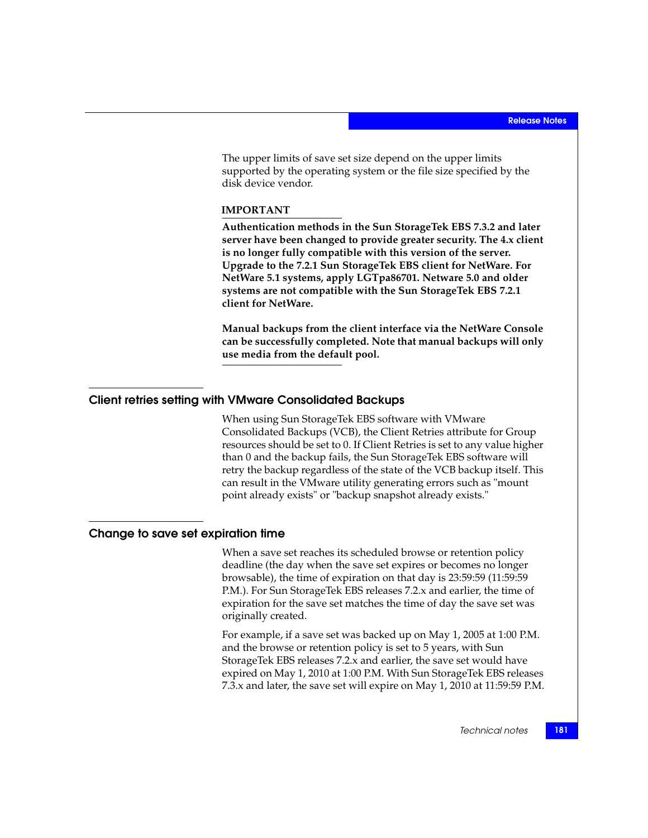The upper limits of save set size depend on the upper limits supported by the operating system or the file size specified by the disk device vendor.

#### **IMPORTANT**

**Authentication methods in the Sun StorageTek EBS 7.3.2 and later server have been changed to provide greater security. The 4.x client is no longer fully compatible with this version of the server. Upgrade to the 7.2.1 Sun StorageTek EBS client for NetWare. For NetWare 5.1 systems, apply LGTpa86701. Netware 5.0 and older systems are not compatible with the Sun StorageTek EBS 7.2.1 client for NetWare.** 

**Manual backups from the client interface via the NetWare Console can be successfully completed. Note that manual backups will only use media from the default pool.**

## **Client retries setting with VMware Consolidated Backups**

When using Sun StorageTek EBS software with VMware Consolidated Backups (VCB), the Client Retries attribute for Group resources should be set to 0. If Client Retries is set to any value higher than 0 and the backup fails, the Sun StorageTek EBS software will retry the backup regardless of the state of the VCB backup itself. This can result in the VMware utility generating errors such as "mount point already exists" or "backup snapshot already exists."

#### **Change to save set expiration time**

When a save set reaches its scheduled browse or retention policy deadline (the day when the save set expires or becomes no longer browsable), the time of expiration on that day is 23:59:59 (11:59:59 P.M.). For Sun StorageTek EBS releases 7.2.x and earlier, the time of expiration for the save set matches the time of day the save set was originally created.

For example, if a save set was backed up on May 1, 2005 at 1:00 P.M. and the browse or retention policy is set to 5 years, with Sun StorageTek EBS releases 7.2.x and earlier, the save set would have expired on May 1, 2010 at 1:00 P.M. With Sun StorageTek EBS releases 7.3.x and later, the save set will expire on May 1, 2010 at 11:59:59 P.M.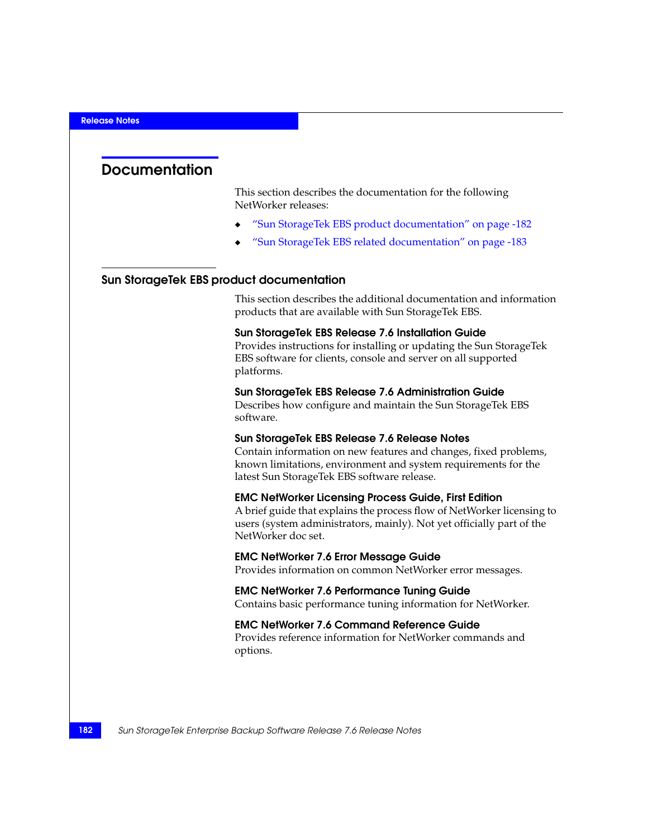# **Documentation**

This section describes the documentation for the following NetWorker releases:

- ◆ ["Sun StorageTek EBS product documentation" on page -182](#page-181-0)
- ◆ ["Sun StorageTek EBS related documentation" on page -183](#page-182-0)

## <span id="page-181-0"></span>**Sun StorageTek EBS product documentation**

This section describes the additional documentation and information products that are available with Sun StorageTek EBS.

## **Sun StorageTek EBS Release 7.6 Installation Guide**

Provides instructions for installing or updating the Sun StorageTek EBS software for clients, console and server on all supported platforms.

#### **Sun StorageTek EBS Release 7.6 Administration Guide**

Describes how configure and maintain the Sun StorageTek EBS software.

#### **Sun StorageTek EBS Release 7.6 Release Notes**

Contain information on new features and changes, fixed problems, known limitations, environment and system requirements for the latest Sun StorageTek EBS software release.

#### **EMC NetWorker Licensing Process Guide, First Edition**

A brief guide that explains the process flow of NetWorker licensing to users (system administrators, mainly). Not yet officially part of the NetWorker doc set.

## **EMC NetWorker 7.6 Error Message Guide**

Provides information on common NetWorker error messages.

## **EMC NetWorker 7.6 Performance Tuning Guide**

Contains basic performance tuning information for NetWorker.

## **EMC NetWorker 7.6 Command Reference Guide**

Provides reference information for NetWorker commands and options.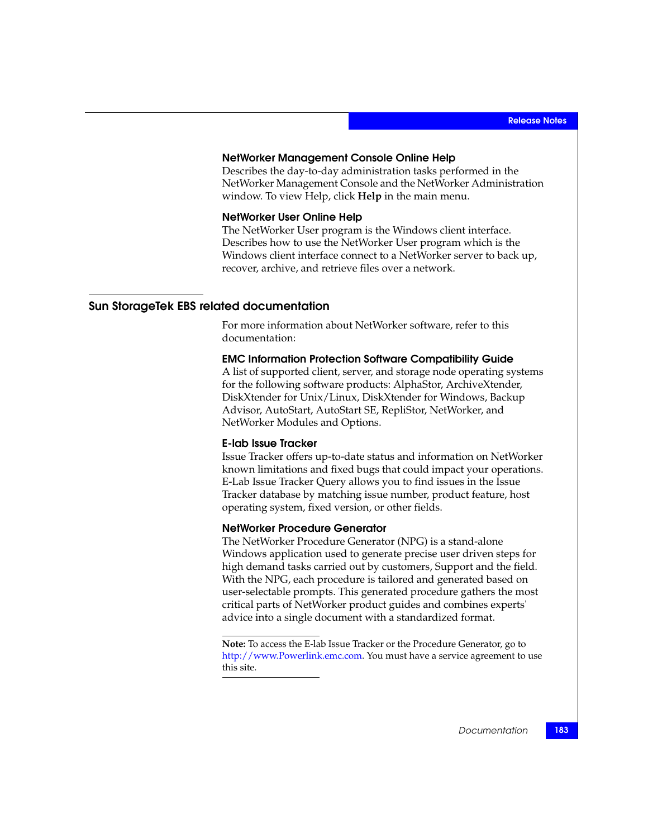## **NetWorker Management Console Online Help**

Describes the day-to-day administration tasks performed in the NetWorker Management Console and the NetWorker Administration window. To view Help, click **Help** in the main menu.

## **NetWorker User Online Help**

The NetWorker User program is the Windows client interface. Describes how to use the NetWorker User program which is the Windows client interface connect to a NetWorker server to back up, recover, archive, and retrieve files over a network.

#### <span id="page-182-0"></span>**Sun StorageTek EBS related documentation**

For more information about NetWorker software, refer to this documentation:

#### **EMC Information Protection Software Compatibility Guide**

A list of supported client, server, and storage node operating systems for the following software products: AlphaStor, ArchiveXtender, DiskXtender for Unix/Linux, DiskXtender for Windows, Backup Advisor, AutoStart, AutoStart SE, RepliStor, NetWorker, and NetWorker Modules and Options.

## **E-lab Issue Tracker**

Issue Tracker offers up-to-date status and information on NetWorker known limitations and fixed bugs that could impact your operations. E-Lab Issue Tracker Query allows you to find issues in the Issue Tracker database by matching issue number, product feature, host operating system, fixed version, or other fields.

## **NetWorker Procedure Generator**

The NetWorker Procedure Generator (NPG) is a stand-alone Windows application used to generate precise user driven steps for high demand tasks carried out by customers, Support and the field. With the NPG, each procedure is tailored and generated based on user-selectable prompts. This generated procedure gathers the most critical parts of NetWorker product guides and combines experts' advice into a single document with a standardized format.

**Note:** To access the E-lab Issue Tracker or the Procedure Generator, go to <http://www.Powerlink.emc.com>. You must have a service agreement to use this site.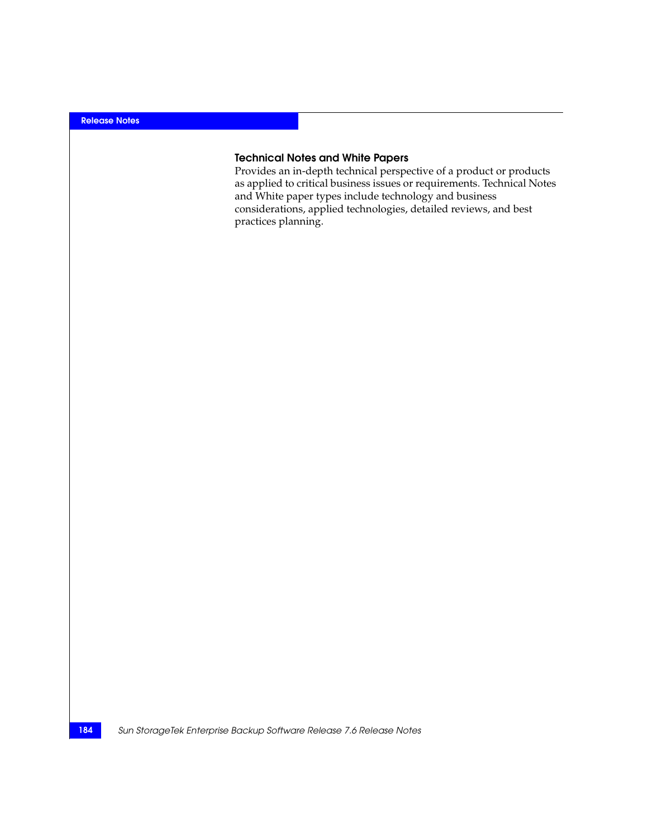## **Technical Notes and White Papers**

Provides an in-depth technical perspective of a product or products as applied to critical business issues or requirements. Technical Notes and White paper types include technology and business considerations, applied technologies, detailed reviews, and best practices planning.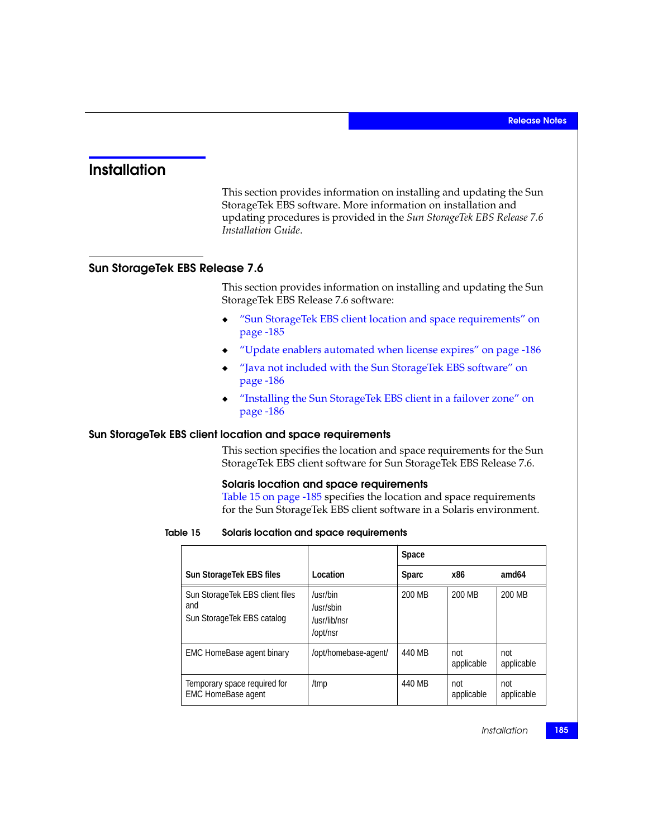# **Installation**

This section provides information on installing and updating the Sun StorageTek EBS software. More information on installation and updating procedures is provided in the *Sun StorageTek EBS Release 7.6 Installation Guide*.

## **Sun StorageTek EBS Release 7.6**

This section provides information on installing and updating the Sun StorageTek EBS Release 7.6 software:

- ◆ ["Sun StorageTek EBS client location and space requirements" on](#page-184-0)  [page -185](#page-184-0)
- ◆ ["Update enablers automated when license expires" on page -186](#page-185-0)
- ◆ ["Java not included with the Sun StorageTek EBS software" on](#page-185-1)  [page -186](#page-185-1)
- "Installing the Sun StorageTek EBS client in a failover zone" on [page -186](#page-185-2)

## <span id="page-184-0"></span>**Sun StorageTek EBS client location and space requirements**

This section specifies the location and space requirements for the Sun StorageTek EBS client software for Sun StorageTek EBS Release 7.6.

## **Solaris location and space requirements**

[Table 15 on page -185](#page-184-1) specifies the location and space requirements for the Sun StorageTek EBS client software in a Solaris environment.

## <span id="page-184-1"></span>**Table 15 Solaris location and space requirements**

|                                                                      |                                                   | <b>Space</b> |                   |                   |
|----------------------------------------------------------------------|---------------------------------------------------|--------------|-------------------|-------------------|
| <b>Sun StorageTek EBS files</b>                                      | Location                                          | <b>Sparc</b> | x86               | amd <sub>64</sub> |
| Sun StorageTek EBS client files<br>and<br>Sun StorageTek EBS catalog | /usr/bin<br>/usr/sbin<br>/usr/lib/nsr<br>/opt/nsr | 200 MB       | 200 MB            | 200 MB            |
| <b>EMC HomeBase agent binary</b>                                     | /opt/homebase-agent/                              | 440 MB       | not<br>applicable | not<br>applicable |
| Temporary space required for<br><b>EMC HomeBase agent</b>            | /tmp                                              | 440 MB       | not<br>applicable | not<br>applicable |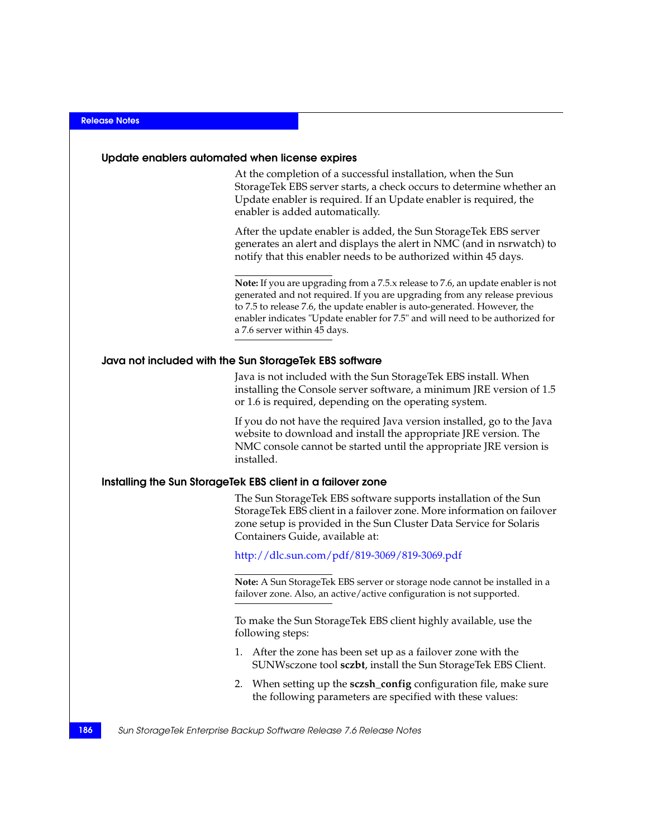#### <span id="page-185-0"></span>**Update enablers automated when license expires**

At the completion of a successful installation, when the Sun StorageTek EBS server starts, a check occurs to determine whether an Update enabler is required. If an Update enabler is required, the enabler is added automatically.

After the update enabler is added, the Sun StorageTek EBS server generates an alert and displays the alert in NMC (and in nsrwatch) to notify that this enabler needs to be authorized within 45 days.

**Note:** If you are upgrading from a 7.5.x release to 7.6, an update enabler is not generated and not required. If you are upgrading from any release previous to 7.5 to release 7.6, the update enabler is auto-generated. However, the enabler indicates "Update enabler for 7.5" and will need to be authorized for a 7.6 server within 45 days.

#### <span id="page-185-1"></span>**Java not included with the Sun StorageTek EBS software**

Java is not included with the Sun StorageTek EBS install. When installing the Console server software, a minimum JRE version of 1.5 or 1.6 is required, depending on the operating system.

If you do not have the required Java version installed, go to the Java website to download and install the appropriate JRE version. The NMC console cannot be started until the appropriate JRE version is installed.

#### <span id="page-185-2"></span>**Installing the Sun StorageTek EBS client in a failover zone**

The Sun StorageTek EBS software supports installation of the Sun StorageTek EBS client in a failover zone. More information on failover zone setup is provided in the Sun Cluster Data Service for Solaris Containers Guide, available at:

<http://dlc.sun.com/pdf/819-3069/819-3069.pdf>

**Note:** A Sun StorageTek EBS server or storage node cannot be installed in a failover zone. Also, an active/active configuration is not supported.

To make the Sun StorageTek EBS client highly available, use the following steps:

- 1. After the zone has been set up as a failover zone with the SUNWsczone tool **sczbt**, install the Sun StorageTek EBS Client.
- 2. When setting up the **sczsh\_config** configuration file, make sure the following parameters are specified with these values: